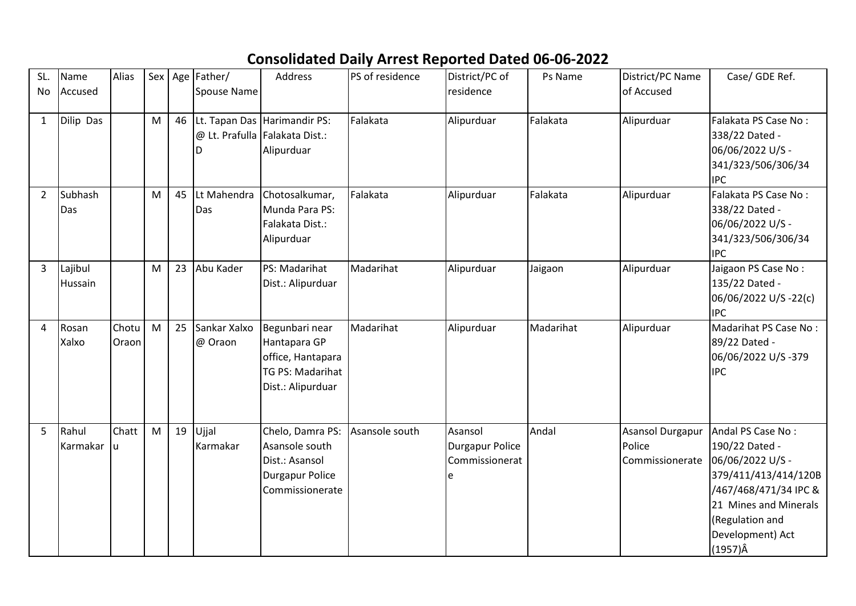## **Consolidated Daily Arrest Reported Dated 06-06-2022**

| SL.<br>No      | Name<br>Accused    | Alias             |   |    | Sex Age Father/<br><b>Spouse Name</b> | Address                                                                                           | PS of residence | District/PC of<br>residence                              | Ps Name   | District/PC Name<br>of Accused                | Case/ GDE Ref.                                                                                                                                                                              |
|----------------|--------------------|-------------------|---|----|---------------------------------------|---------------------------------------------------------------------------------------------------|-----------------|----------------------------------------------------------|-----------|-----------------------------------------------|---------------------------------------------------------------------------------------------------------------------------------------------------------------------------------------------|
| $\mathbf{1}$   | Dilip Das          |                   | M |    | D                                     | 46   Lt. Tapan Das   Harimandir PS:<br>@ Lt. Prafulla Falakata Dist.:<br>Alipurduar               | Falakata        | Alipurduar                                               | Falakata  | Alipurduar                                    | Falakata PS Case No:<br>338/22 Dated -<br>06/06/2022 U/S -<br>341/323/506/306/34<br><b>IPC</b>                                                                                              |
| $\overline{2}$ | Subhash<br>Das     |                   | M | 45 | Lt Mahendra<br>Das                    | Chotosalkumar,<br>Munda Para PS:<br>Falakata Dist.:<br>Alipurduar                                 | Falakata        | Alipurduar                                               | Falakata  | Alipurduar                                    | Falakata PS Case No:<br>338/22 Dated -<br>06/06/2022 U/S -<br>341/323/506/306/34<br><b>IPC</b>                                                                                              |
| 3              | Lajibul<br>Hussain |                   | M | 23 | Abu Kader                             | PS: Madarihat<br>Dist.: Alipurduar                                                                | Madarihat       | Alipurduar                                               | Jaigaon   | Alipurduar                                    | Jaigaon PS Case No:<br>135/22 Dated -<br>06/06/2022 U/S -22(c)<br><b>IPC</b>                                                                                                                |
| 4              | Rosan<br>Xalxo     | Chotu<br>Oraon    | M | 25 | Sankar Xalxo<br>@ Oraon               | Begunbari near<br>Hantapara GP<br>office, Hantapara<br>TG PS: Madarihat<br>Dist.: Alipurduar      | Madarihat       | Alipurduar                                               | Madarihat | Alipurduar                                    | Madarihat PS Case No:<br>89/22 Dated -<br>06/06/2022 U/S -379<br><b>IPC</b>                                                                                                                 |
| 5              | Rahul<br>Karmakar  | Chatt<br><b>u</b> | M | 19 | Ujjal<br>Karmakar                     | Chelo, Damra PS:<br>Asansole south<br>Dist.: Asansol<br><b>Durgapur Police</b><br>Commissionerate | Asansole south  | Asansol<br><b>Durgapur Police</b><br>Commissionerat<br>e | Andal     | Asansol Durgapur<br>Police<br>Commissionerate | Andal PS Case No:<br>190/22 Dated -<br>06/06/2022 U/S -<br>379/411/413/414/120B<br>/467/468/471/34 IPC &<br>21 Mines and Minerals<br>(Regulation and<br>Development) Act<br>$(1957)\hat{A}$ |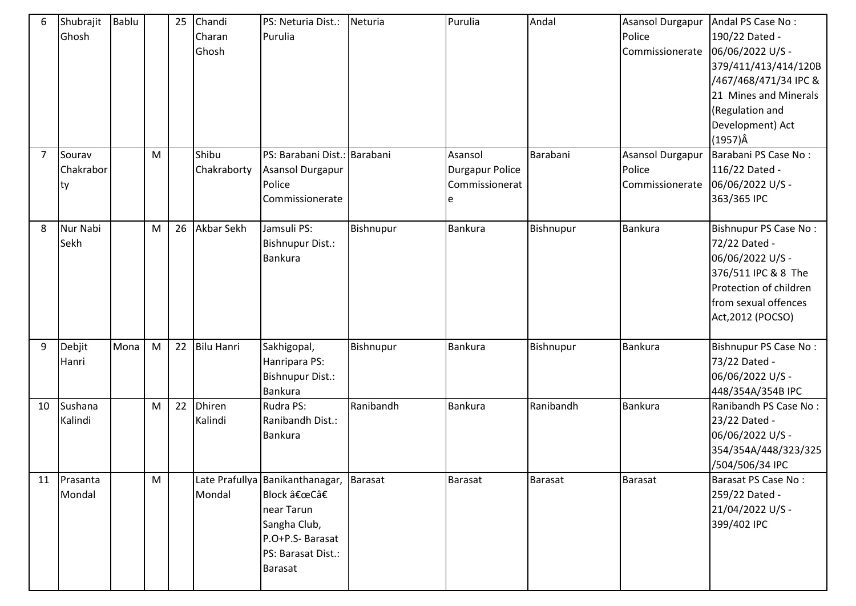| 6              | Shubrajit          | <b>Bablu</b> |   | 25 | Chandi                   | PS: Neturia Dist.:              | Neturia        | Purulia                | Andal     | <b>Asansol Durgapur</b> | Andal PS Case No:                 |
|----------------|--------------------|--------------|---|----|--------------------------|---------------------------------|----------------|------------------------|-----------|-------------------------|-----------------------------------|
|                | Ghosh              |              |   |    | Charan                   | Purulia                         |                |                        |           | Police                  | 190/22 Dated -                    |
|                |                    |              |   |    | Ghosh                    |                                 |                |                        |           | Commissionerate         | 06/06/2022 U/S -                  |
|                |                    |              |   |    |                          |                                 |                |                        |           |                         | 379/411/413/414/120B              |
|                |                    |              |   |    |                          |                                 |                |                        |           |                         | /467/468/471/34 IPC &             |
|                |                    |              |   |    |                          |                                 |                |                        |           |                         | 21 Mines and Minerals             |
|                |                    |              |   |    |                          |                                 |                |                        |           |                         | (Regulation and                   |
|                |                    |              |   |    |                          |                                 |                |                        |           |                         | Development) Act                  |
|                |                    |              |   |    |                          |                                 |                |                        |           |                         | $(1957)\hat{A}$                   |
| $\overline{7}$ | Sourav             |              | M |    | Shibu                    | PS: Barabani Dist.: Barabani    |                | Asansol                | Barabani  | Asansol Durgapur        | Barabani PS Case No:              |
|                | Chakrabor          |              |   |    | Chakraborty              | Asansol Durgapur                |                | <b>Durgapur Police</b> |           | Police                  | 116/22 Dated -                    |
|                | ty                 |              |   |    |                          | Police                          |                | Commissionerat         |           | Commissionerate         | 06/06/2022 U/S -                  |
|                |                    |              |   |    |                          | Commissionerate                 |                | e                      |           |                         | 363/365 IPC                       |
|                |                    |              |   |    |                          |                                 |                |                        |           |                         |                                   |
| 8              | Nur Nabi           |              | M | 26 | Akbar Sekh               | Jamsuli PS:                     | Bishnupur      | <b>Bankura</b>         | Bishnupur | <b>Bankura</b>          | <b>Bishnupur PS Case No:</b>      |
|                | Sekh               |              |   |    |                          | <b>Bishnupur Dist.:</b>         |                |                        |           |                         | 72/22 Dated -                     |
|                |                    |              |   |    |                          | Bankura                         |                |                        |           |                         | 06/06/2022 U/S -                  |
|                |                    |              |   |    |                          |                                 |                |                        |           |                         | 376/511 IPC & 8 The               |
|                |                    |              |   |    |                          |                                 |                |                        |           |                         | Protection of children            |
|                |                    |              |   |    |                          |                                 |                |                        |           |                         | from sexual offences              |
|                |                    |              |   |    |                          |                                 |                |                        |           |                         | Act, 2012 (POCSO)                 |
|                |                    |              |   |    |                          |                                 |                |                        |           |                         |                                   |
| 9              | Debjit             | Mona         | M | 22 | <b>Bilu Hanri</b>        | Sakhigopal,                     | Bishnupur      | <b>Bankura</b>         | Bishnupur | <b>Bankura</b>          | Bishnupur PS Case No:             |
|                | Hanri              |              |   |    |                          | Hanripara PS:                   |                |                        |           |                         | 73/22 Dated -                     |
|                |                    |              |   |    |                          | <b>Bishnupur Dist.:</b>         |                |                        |           |                         | 06/06/2022 U/S -                  |
|                |                    |              |   |    |                          | <b>Bankura</b><br>Rudra PS:     | Ranibandh      | <b>Bankura</b>         | Ranibandh | Bankura                 | 448/354A/354B IPC                 |
| 10             | Sushana<br>Kalindi |              | M | 22 | <b>Dhiren</b><br>Kalindi | Ranibandh Dist.:                |                |                        |           |                         | Ranibandh PS Case No:             |
|                |                    |              |   |    |                          | Bankura                         |                |                        |           |                         | 23/22 Dated -<br>06/06/2022 U/S - |
|                |                    |              |   |    |                          |                                 |                |                        |           |                         | 354/354A/448/323/325              |
|                |                    |              |   |    |                          |                                 |                |                        |           |                         | /504/506/34 IPC                   |
| 11             | Prasanta           |              | M |    |                          | Late Prafullya Banikanthanagar, | <b>Barasat</b> | <b>Barasat</b>         | Barasat   | <b>Barasat</b>          | Barasat PS Case No:               |
|                | Mondal             |              |   |    | Mondal                   | Block "Câ€                      |                |                        |           |                         | 259/22 Dated -                    |
|                |                    |              |   |    |                          | near Tarun                      |                |                        |           |                         | 21/04/2022 U/S -                  |
|                |                    |              |   |    |                          | Sangha Club,                    |                |                        |           |                         | 399/402 IPC                       |
|                |                    |              |   |    |                          | P.O+P.S- Barasat                |                |                        |           |                         |                                   |
|                |                    |              |   |    |                          | PS: Barasat Dist.:              |                |                        |           |                         |                                   |
|                |                    |              |   |    |                          | Barasat                         |                |                        |           |                         |                                   |
|                |                    |              |   |    |                          |                                 |                |                        |           |                         |                                   |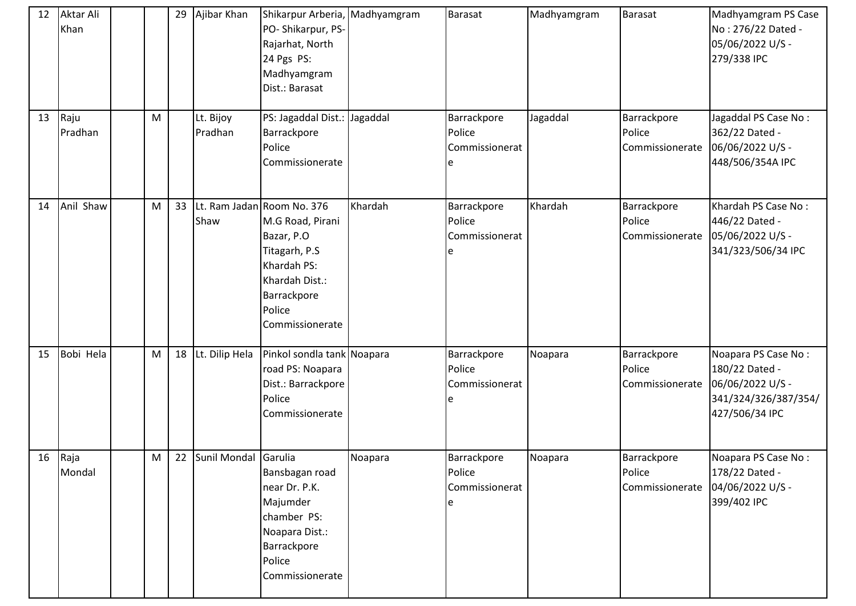| 12 | Aktar Ali<br>Khan |   | 29 | Ajibar Khan          | Shikarpur Arberia, Madhyamgram<br>PO-Shikarpur, PS-<br>Rajarhat, North<br>24 Pgs PS:<br>Madhyamgram<br>Dist.: Barasat                                      |         | <b>Barasat</b>                               | Madhyamgram | Barasat                                  | Madhyamgram PS Case<br>No: 276/22 Dated -<br>05/06/2022 U/S -<br>279/338 IPC                        |
|----|-------------------|---|----|----------------------|------------------------------------------------------------------------------------------------------------------------------------------------------------|---------|----------------------------------------------|-------------|------------------------------------------|-----------------------------------------------------------------------------------------------------|
| 13 | Raju<br>Pradhan   | M |    | Lt. Bijoy<br>Pradhan | PS: Jagaddal Dist.: Jagaddal<br>Barrackpore<br>Police<br>Commissionerate                                                                                   |         | Barrackpore<br>Police<br>Commissionerat<br>e | Jagaddal    | Barrackpore<br>Police<br>Commissionerate | Jagaddal PS Case No:<br>362/22 Dated -<br>06/06/2022 U/S -<br>448/506/354A IPC                      |
| 14 | Anil Shaw         | M | 33 | Shaw                 | Lt. Ram Jadan Room No. 376<br>M.G Road, Pirani<br>Bazar, P.O<br>Titagarh, P.S<br>Khardah PS:<br>Khardah Dist.:<br>Barrackpore<br>Police<br>Commissionerate | Khardah | Barrackpore<br>Police<br>Commissionerat<br>e | Khardah     | Barrackpore<br>Police<br>Commissionerate | Khardah PS Case No:<br>446/22 Dated -<br>05/06/2022 U/S -<br>341/323/506/34 IPC                     |
| 15 | Bobi Hela         | M |    | 18 Lt. Dilip Hela    | Pinkol sondla tank Noapara<br>road PS: Noapara<br>Dist.: Barrackpore<br>Police<br>Commissionerate                                                          |         | Barrackpore<br>Police<br>Commissionerat      | Noapara     | Barrackpore<br>Police<br>Commissionerate | Noapara PS Case No:<br>180/22 Dated -<br>06/06/2022 U/S -<br>341/324/326/387/354/<br>427/506/34 IPC |
| 16 | Raja<br>Mondal    | M | 22 | Sunil Mondal Garulia | Bansbagan road<br>near Dr. P.K.<br>Majumder<br>chamber PS:<br>Noapara Dist.:<br>Barrackpore<br>Police<br>Commissionerate                                   | Noapara | Barrackpore<br>Police<br>Commissionerat<br>e | Noapara     | Barrackpore<br>Police<br>Commissionerate | Noapara PS Case No:<br>178/22 Dated -<br>04/06/2022 U/S -<br>399/402 IPC                            |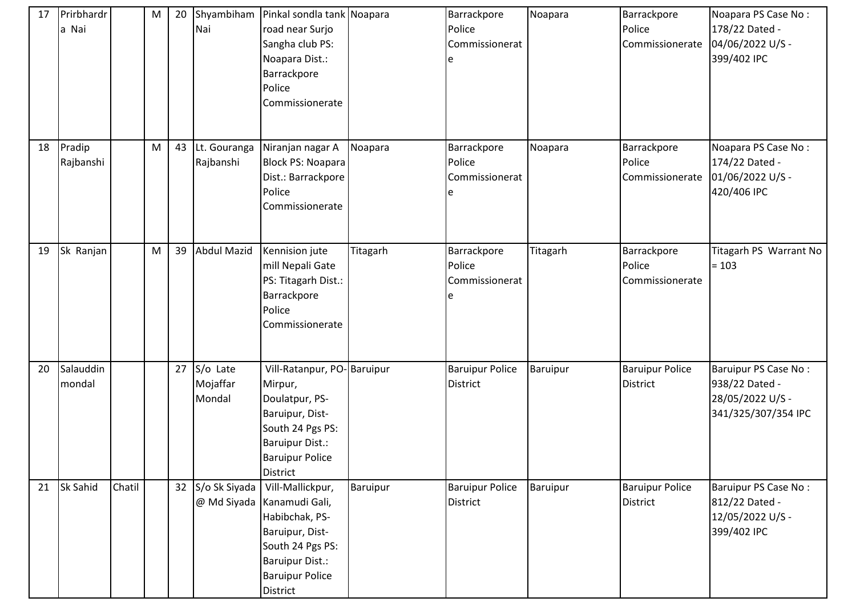| 17 | Prirbhardr<br>a Nai |        | M | 20 | Shyambiham<br>Nai               | Pinkal sondla tank Noapara<br>road near Surjo<br>Sangha club PS:<br>Noapara Dist.:<br>Barrackpore<br>Police<br>Commissionerate                                        |          | Barrackpore<br>Police<br>Commissionerat<br>e | Noapara  | Barrackpore<br>Police<br>Commissionerate  | Noapara PS Case No:<br>178/22 Dated -<br>04/06/2022 U/S -<br>399/402 IPC          |
|----|---------------------|--------|---|----|---------------------------------|-----------------------------------------------------------------------------------------------------------------------------------------------------------------------|----------|----------------------------------------------|----------|-------------------------------------------|-----------------------------------------------------------------------------------|
| 18 | Pradip<br>Rajbanshi |        | M | 43 | Lt. Gouranga<br>Rajbanshi       | Niranjan nagar A<br>Block PS: Noapara<br>Dist.: Barrackpore<br>Police<br>Commissionerate                                                                              | Noapara  | Barrackpore<br>Police<br>Commissionerat<br>e | Noapara  | Barrackpore<br>Police<br>Commissionerate  | Noapara PS Case No:<br>174/22 Dated -<br>01/06/2022 U/S -<br>420/406 IPC          |
| 19 | Sk Ranjan           |        | M | 39 | <b>Abdul Mazid</b>              | Kennision jute<br>mill Nepali Gate<br>PS: Titagarh Dist.:<br>Barrackpore<br>Police<br>Commissionerate                                                                 | Titagarh | Barrackpore<br>Police<br>Commissionerat<br>e | Titagarh | Barrackpore<br>Police<br>Commissionerate  | Titagarh PS Warrant No<br>$= 103$                                                 |
| 20 | Salauddin<br>mondal |        |   | 27 | S/o Late<br>Mojaffar<br>Mondal  | Vill-Ratanpur, PO-Baruipur<br>Mirpur,<br>Doulatpur, PS-<br>Baruipur, Dist-<br>South 24 Pgs PS:<br><b>Baruipur Dist.:</b><br><b>Baruipur Police</b><br><b>District</b> |          | <b>Baruipur Police</b><br>District           | Baruipur | <b>Baruipur Police</b><br><b>District</b> | Baruipur PS Case No:<br>938/22 Dated -<br>28/05/2022 U/S -<br>341/325/307/354 IPC |
| 21 | Sk Sahid            | Chatil |   |    | 32 S/o Sk Siyada<br>@ Md Siyada | Vill-Mallickpur,<br>Kanamudi Gali,<br>Habibchak, PS-<br>Baruipur, Dist-<br>South 24 Pgs PS:<br><b>Baruipur Dist.:</b><br><b>Baruipur Police</b><br>District           | Baruipur | <b>Baruipur Police</b><br>District           | Baruipur | <b>Baruipur Police</b><br><b>District</b> | Baruipur PS Case No:<br>812/22 Dated -<br>12/05/2022 U/S -<br>399/402 IPC         |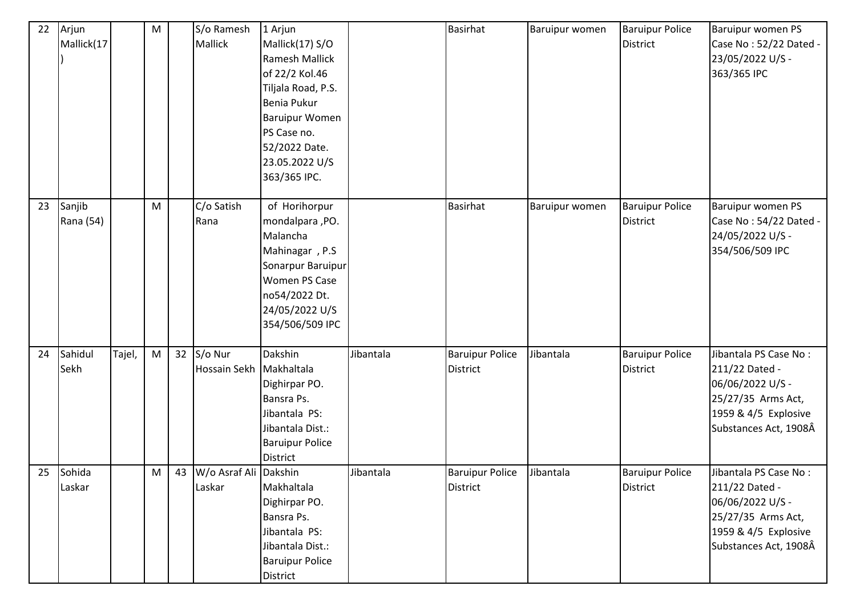| 22 | Arjun<br>Mallick(17 |        | M |    | S/o Ramesh<br>Mallick           | 1 Arjun<br>Mallick(17) S/O<br><b>Ramesh Mallick</b><br>of 22/2 Kol.46<br>Tiljala Road, P.S.<br>Benia Pukur<br><b>Baruipur Women</b><br>PS Case no.<br>52/2022 Date.<br>23.05.2022 U/S<br>363/365 IPC. |           | Basirhat                                  | Baruipur women        | <b>Baruipur Police</b><br><b>District</b> | Baruipur women PS<br>Case No: 52/22 Dated -<br>23/05/2022 U/S -<br>363/365 IPC                                                     |
|----|---------------------|--------|---|----|---------------------------------|-------------------------------------------------------------------------------------------------------------------------------------------------------------------------------------------------------|-----------|-------------------------------------------|-----------------------|-------------------------------------------|------------------------------------------------------------------------------------------------------------------------------------|
| 23 | Sanjib<br>Rana (54) |        | M |    | C/o Satish<br>Rana              | of Horihorpur<br>mondalpara, PO.<br>Malancha<br>Mahinagar, P.S<br>Sonarpur Baruipur<br>Women PS Case<br>no54/2022 Dt.<br>24/05/2022 U/S<br>354/506/509 IPC                                            |           | <b>Basirhat</b>                           | <b>Baruipur women</b> | <b>Baruipur Police</b><br>District        | Baruipur women PS<br>Case No: 54/22 Dated -<br>24/05/2022 U/S -<br>354/506/509 IPC                                                 |
| 24 | Sahidul<br>Sekh     | Tajel, | M | 32 | S/o Nur<br>Hossain Sekh         | Dakshin<br>Makhaltala<br>Dighirpar PO.<br>Bansra Ps.<br>Jibantala PS:<br>Jibantala Dist.:<br><b>Baruipur Police</b><br>District                                                                       | Jibantala | <b>Baruipur Police</b><br><b>District</b> | Jibantala             | <b>Baruipur Police</b><br>District        | Jibantala PS Case No:<br>211/22 Dated -<br>06/06/2022 U/S -<br>25/27/35 Arms Act,<br>1959 & 4/5 Explosive<br>Substances Act, 1908Â |
| 25 | Sohida<br>Laskar    |        | M | 43 | W/o Asraf Ali Dakshin<br>Laskar | Makhaltala<br>Dighirpar PO.<br>Bansra Ps.<br>Jibantala PS:<br>Jibantala Dist.:<br><b>Baruipur Police</b><br>District                                                                                  | Jibantala | <b>Baruipur Police</b><br>District        | Jibantala             | <b>Baruipur Police</b><br><b>District</b> | Jibantala PS Case No:<br>211/22 Dated -<br>06/06/2022 U/S -<br>25/27/35 Arms Act,<br>1959 & 4/5 Explosive<br>Substances Act, 1908Â |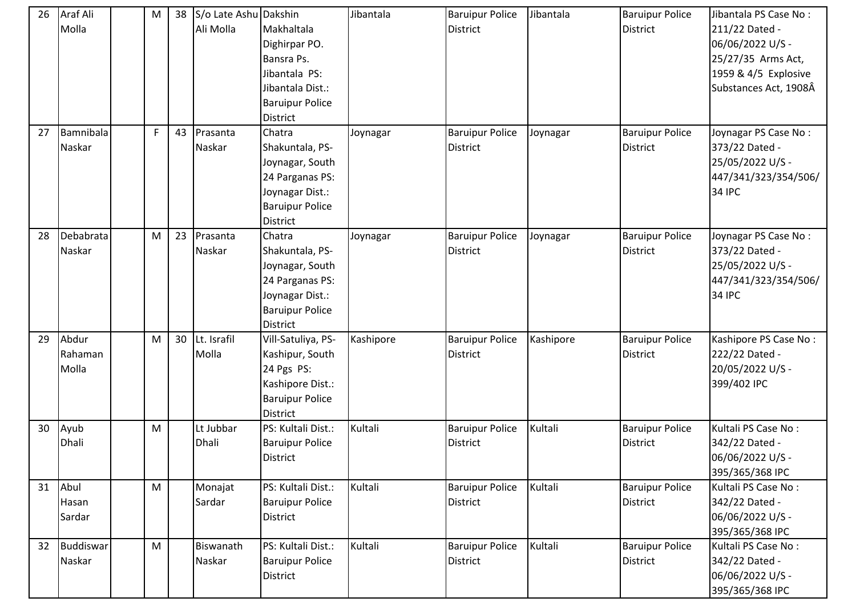| 26 | Araf Ali<br>Molla | M | 38 | S/o Late Ashu Dakshin<br>Ali Molla | Makhaltala                                | Jibantala | <b>Baruipur Police</b><br><b>District</b> | Jibantala | <b>Baruipur Police</b><br><b>District</b> | Jibantala PS Case No:<br>211/22 Dated - |
|----|-------------------|---|----|------------------------------------|-------------------------------------------|-----------|-------------------------------------------|-----------|-------------------------------------------|-----------------------------------------|
|    |                   |   |    |                                    | Dighirpar PO.                             |           |                                           |           |                                           | 06/06/2022 U/S -                        |
|    |                   |   |    |                                    | Bansra Ps.                                |           |                                           |           |                                           | 25/27/35 Arms Act,                      |
|    |                   |   |    |                                    | Jibantala PS:                             |           |                                           |           |                                           | 1959 & 4/5 Explosive                    |
|    |                   |   |    |                                    | Jibantala Dist.:                          |           |                                           |           |                                           | Substances Act, 1908Â                   |
|    |                   |   |    |                                    |                                           |           |                                           |           |                                           |                                         |
|    |                   |   |    |                                    | <b>Baruipur Police</b><br><b>District</b> |           |                                           |           |                                           |                                         |
| 27 | Bamnibala         | F | 43 | Prasanta                           | Chatra                                    | Joynagar  | <b>Baruipur Police</b>                    | Joynagar  | <b>Baruipur Police</b>                    | Joynagar PS Case No:                    |
|    | Naskar            |   |    | Naskar                             | Shakuntala, PS-                           |           | <b>District</b>                           |           | <b>District</b>                           | 373/22 Dated -                          |
|    |                   |   |    |                                    | Joynagar, South                           |           |                                           |           |                                           | 25/05/2022 U/S -                        |
|    |                   |   |    |                                    | 24 Parganas PS:                           |           |                                           |           |                                           | 447/341/323/354/506/                    |
|    |                   |   |    |                                    | Joynagar Dist.:                           |           |                                           |           |                                           | <b>34 IPC</b>                           |
|    |                   |   |    |                                    | <b>Baruipur Police</b>                    |           |                                           |           |                                           |                                         |
|    |                   |   |    |                                    | District                                  |           |                                           |           |                                           |                                         |
| 28 | Debabrata         | M | 23 | Prasanta                           | Chatra                                    | Joynagar  | <b>Baruipur Police</b>                    | Joynagar  | <b>Baruipur Police</b>                    | Joynagar PS Case No:                    |
|    | Naskar            |   |    | Naskar                             | Shakuntala, PS-                           |           | <b>District</b>                           |           | <b>District</b>                           | 373/22 Dated -                          |
|    |                   |   |    |                                    | Joynagar, South                           |           |                                           |           |                                           | 25/05/2022 U/S -                        |
|    |                   |   |    |                                    | 24 Parganas PS:                           |           |                                           |           |                                           | 447/341/323/354/506/                    |
|    |                   |   |    |                                    | Joynagar Dist.:                           |           |                                           |           |                                           | <b>34 IPC</b>                           |
|    |                   |   |    |                                    | <b>Baruipur Police</b>                    |           |                                           |           |                                           |                                         |
|    |                   |   |    |                                    | <b>District</b>                           |           |                                           |           |                                           |                                         |
| 29 | Abdur             | M | 30 | Lt. Israfil                        | Vill-Satuliya, PS-                        | Kashipore | <b>Baruipur Police</b>                    | Kashipore | <b>Baruipur Police</b>                    | Kashipore PS Case No:                   |
|    | Rahaman           |   |    | Molla                              | Kashipur, South                           |           | <b>District</b>                           |           | <b>District</b>                           | 222/22 Dated -                          |
|    | Molla             |   |    |                                    | 24 Pgs PS:                                |           |                                           |           |                                           | 20/05/2022 U/S -                        |
|    |                   |   |    |                                    | Kashipore Dist.:                          |           |                                           |           |                                           | 399/402 IPC                             |
|    |                   |   |    |                                    | <b>Baruipur Police</b>                    |           |                                           |           |                                           |                                         |
|    |                   |   |    |                                    | <b>District</b>                           |           |                                           |           |                                           |                                         |
| 30 | Ayub              | M |    | Lt Jubbar                          | PS: Kultali Dist.:                        | Kultali   | <b>Baruipur Police</b>                    | Kultali   | <b>Baruipur Police</b>                    | Kultali PS Case No:                     |
|    | Dhali             |   |    | <b>Dhali</b>                       | <b>Baruipur Police</b>                    |           | <b>District</b>                           |           | <b>District</b>                           | 342/22 Dated -                          |
|    |                   |   |    |                                    | <b>District</b>                           |           |                                           |           |                                           | 06/06/2022 U/S -                        |
|    |                   |   |    |                                    |                                           |           |                                           |           |                                           | 395/365/368 IPC                         |
| 31 | Abul              | M |    | Monajat                            | PS: Kultali Dist.:                        | Kultali   | <b>Baruipur Police</b>                    | Kultali   | <b>Baruipur Police</b>                    | Kultali PS Case No:                     |
|    | Hasan             |   |    | Sardar                             | <b>Baruipur Police</b>                    |           | <b>District</b>                           |           | <b>District</b>                           | 342/22 Dated -                          |
|    | Sardar            |   |    |                                    | <b>District</b>                           |           |                                           |           |                                           | 06/06/2022 U/S -                        |
|    |                   |   |    |                                    |                                           |           |                                           |           |                                           | 395/365/368 IPC                         |
| 32 | <b>Buddiswar</b>  | M |    | Biswanath                          | PS: Kultali Dist.:                        | Kultali   | <b>Baruipur Police</b>                    | Kultali   | <b>Baruipur Police</b>                    | Kultali PS Case No:                     |
|    | Naskar            |   |    | Naskar                             | <b>Baruipur Police</b>                    |           | <b>District</b>                           |           | <b>District</b>                           | 342/22 Dated -                          |
|    |                   |   |    |                                    | District                                  |           |                                           |           |                                           | 06/06/2022 U/S -                        |
|    |                   |   |    |                                    |                                           |           |                                           |           |                                           | 395/365/368 IPC                         |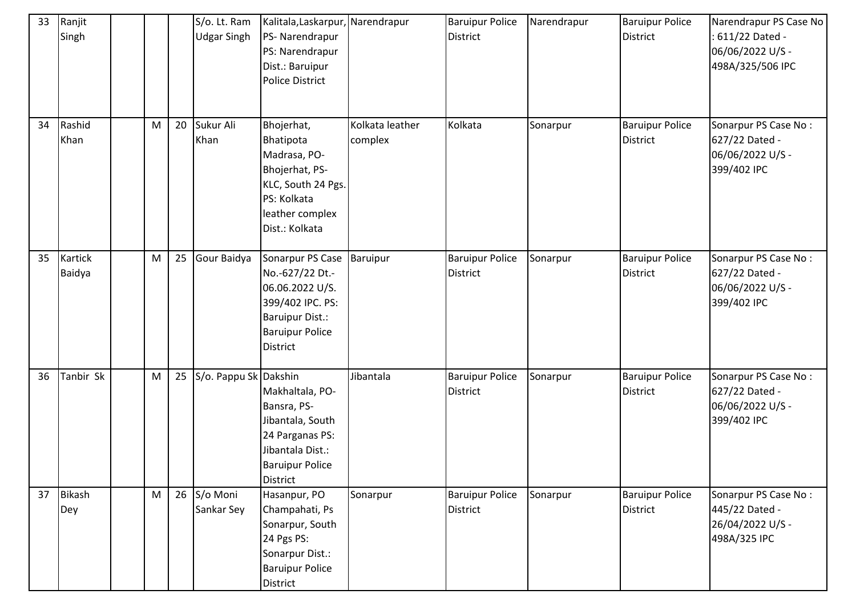| 33 | Ranjit<br>Singh      |   |    | S/o. Lt. Ram<br><b>Udgar Singh</b> | Kalitala, Laskarpur, Narendrapur<br>PS-Narendrapur<br>PS: Narendrapur<br>Dist.: Baruipur<br>Police District                                |                            | <b>Baruipur Police</b><br>District        | Narendrapur | <b>Baruipur Police</b><br><b>District</b> | Narendrapur PS Case No<br>611/22 Dated -<br>06/06/2022 U/S -<br>498A/325/506 IPC |
|----|----------------------|---|----|------------------------------------|--------------------------------------------------------------------------------------------------------------------------------------------|----------------------------|-------------------------------------------|-------------|-------------------------------------------|----------------------------------------------------------------------------------|
| 34 | Rashid<br>Khan       | M | 20 | Sukur Ali<br>Khan                  | Bhojerhat,<br>Bhatipota<br>Madrasa, PO-<br>Bhojerhat, PS-<br>KLC, South 24 Pgs.<br>PS: Kolkata<br>leather complex<br>Dist.: Kolkata        | Kolkata leather<br>complex | Kolkata                                   | Sonarpur    | <b>Baruipur Police</b><br><b>District</b> | Sonarpur PS Case No:<br>627/22 Dated -<br>06/06/2022 U/S -<br>399/402 IPC        |
| 35 | Kartick<br>Baidya    | M | 25 | Gour Baidya                        | Sonarpur PS Case<br>No.-627/22 Dt.-<br>06.06.2022 U/S.<br>399/402 IPC. PS:<br><b>Baruipur Dist.:</b><br><b>Baruipur Police</b><br>District | Baruipur                   | <b>Baruipur Police</b><br><b>District</b> | Sonarpur    | <b>Baruipur Police</b><br><b>District</b> | Sonarpur PS Case No:<br>627/22 Dated -<br>06/06/2022 U/S -<br>399/402 IPC        |
| 36 | Tanbir Sk            | M | 25 | S/o. Pappu Sk Dakshin              | Makhaltala, PO-<br>Bansra, PS-<br>Jibantala, South<br>24 Parganas PS:<br>Jibantala Dist.:<br><b>Baruipur Police</b><br>District            | Jibantala                  | <b>Baruipur Police</b><br><b>District</b> | Sonarpur    | <b>Baruipur Police</b><br><b>District</b> | Sonarpur PS Case No:<br>627/22 Dated -<br>06/06/2022 U/S -<br>399/402 IPC        |
| 37 | <b>Bikash</b><br>Dey | M | 26 | S/o Moni<br>Sankar Sey             | Hasanpur, PO<br>Champahati, Ps<br>Sonarpur, South<br>24 Pgs PS:<br>Sonarpur Dist.:<br><b>Baruipur Police</b><br>District                   | Sonarpur                   | <b>Baruipur Police</b><br>District        | Sonarpur    | <b>Baruipur Police</b><br>District        | Sonarpur PS Case No:<br>445/22 Dated -<br>26/04/2022 U/S -<br>498A/325 IPC       |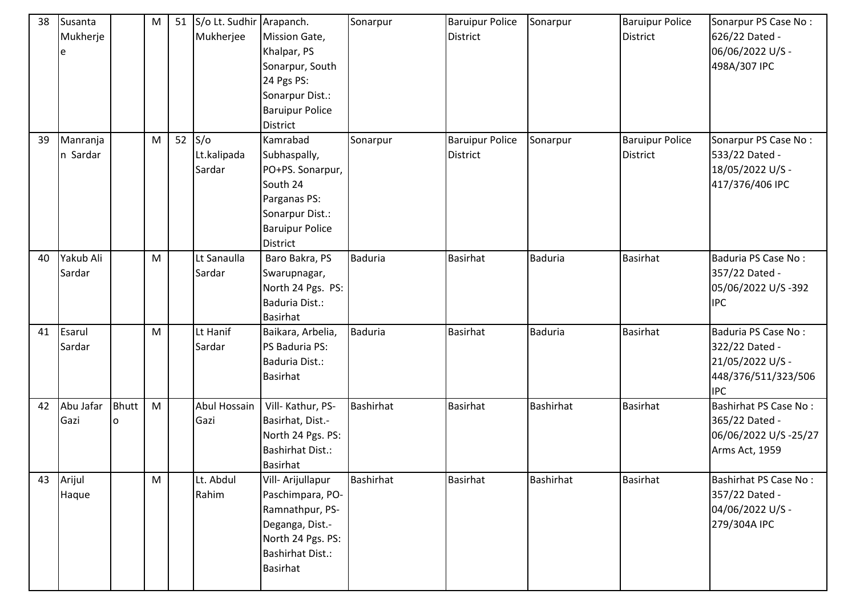| 38 | Susanta   |              | M | 51 | S/o Lt. Sudhir Arapanch. |                         | Sonarpur         | <b>Baruipur Police</b> | Sonarpur         | <b>Baruipur Police</b> | Sonarpur PS Case No:  |
|----|-----------|--------------|---|----|--------------------------|-------------------------|------------------|------------------------|------------------|------------------------|-----------------------|
|    | Mukherje  |              |   |    | Mukherjee                | <b>Mission Gate,</b>    |                  | <b>District</b>        |                  | <b>District</b>        | 626/22 Dated -        |
|    | e         |              |   |    |                          | Khalpar, PS             |                  |                        |                  |                        | 06/06/2022 U/S -      |
|    |           |              |   |    |                          | Sonarpur, South         |                  |                        |                  |                        | 498A/307 IPC          |
|    |           |              |   |    |                          | 24 Pgs PS:              |                  |                        |                  |                        |                       |
|    |           |              |   |    |                          | Sonarpur Dist.:         |                  |                        |                  |                        |                       |
|    |           |              |   |    |                          | <b>Baruipur Police</b>  |                  |                        |                  |                        |                       |
|    |           |              |   |    |                          | <b>District</b>         |                  |                        |                  |                        |                       |
| 39 | Manranja  |              | M | 52 | S/O                      | Kamrabad                | Sonarpur         | <b>Baruipur Police</b> | Sonarpur         | <b>Baruipur Police</b> | Sonarpur PS Case No:  |
|    | n Sardar  |              |   |    | Lt.kalipada              | Subhaspally,            |                  | <b>District</b>        |                  | <b>District</b>        | 533/22 Dated -        |
|    |           |              |   |    | Sardar                   | PO+PS. Sonarpur,        |                  |                        |                  |                        | 18/05/2022 U/S -      |
|    |           |              |   |    |                          | South 24                |                  |                        |                  |                        | 417/376/406 IPC       |
|    |           |              |   |    |                          | Parganas PS:            |                  |                        |                  |                        |                       |
|    |           |              |   |    |                          | Sonarpur Dist.:         |                  |                        |                  |                        |                       |
|    |           |              |   |    |                          | <b>Baruipur Police</b>  |                  |                        |                  |                        |                       |
|    |           |              |   |    |                          | <b>District</b>         |                  |                        |                  |                        |                       |
| 40 | Yakub Ali |              | M |    | Lt Sanaulla              | Baro Bakra, PS          | <b>Baduria</b>   | <b>Basirhat</b>        | <b>Baduria</b>   | <b>Basirhat</b>        | Baduria PS Case No:   |
|    | Sardar    |              |   |    | Sardar                   | Swarupnagar,            |                  |                        |                  |                        | 357/22 Dated -        |
|    |           |              |   |    |                          | North 24 Pgs. PS:       |                  |                        |                  |                        | 05/06/2022 U/S -392   |
|    |           |              |   |    |                          | Baduria Dist.:          |                  |                        |                  |                        | <b>IPC</b>            |
|    |           |              |   |    |                          | <b>Basirhat</b>         |                  |                        |                  |                        |                       |
| 41 | Esarul    |              | M |    | Lt Hanif                 | Baikara, Arbelia,       | <b>Baduria</b>   | <b>Basirhat</b>        | <b>Baduria</b>   | <b>Basirhat</b>        | Baduria PS Case No:   |
|    | Sardar    |              |   |    | Sardar                   | PS Baduria PS:          |                  |                        |                  |                        | 322/22 Dated -        |
|    |           |              |   |    |                          | Baduria Dist.:          |                  |                        |                  |                        | 21/05/2022 U/S -      |
|    |           |              |   |    |                          | <b>Basirhat</b>         |                  |                        |                  |                        | 448/376/511/323/506   |
|    |           |              |   |    |                          |                         |                  |                        |                  |                        | <b>IPC</b>            |
| 42 | Abu Jafar | <b>Bhutt</b> | M |    | Abul Hossain             | Vill-Kathur, PS-        | <b>Bashirhat</b> | <b>Basirhat</b>        | <b>Bashirhat</b> | <b>Basirhat</b>        | Bashirhat PS Case No: |
|    | Gazi      | 0            |   |    | Gazi                     | Basirhat, Dist.-        |                  |                        |                  |                        | 365/22 Dated -        |
|    |           |              |   |    |                          | North 24 Pgs. PS:       |                  |                        |                  |                        | 06/06/2022 U/S-25/27  |
|    |           |              |   |    |                          | <b>Bashirhat Dist.:</b> |                  |                        |                  |                        | Arms Act, 1959        |
|    |           |              |   |    |                          | <b>Basirhat</b>         |                  |                        |                  |                        |                       |
| 43 | Arijul    |              | M |    | Lt. Abdul                | Vill-Arijullapur        | <b>Bashirhat</b> | <b>Basirhat</b>        | Bashirhat        | <b>Basirhat</b>        | Bashirhat PS Case No: |
|    | Haque     |              |   |    | Rahim                    | Paschimpara, PO-        |                  |                        |                  |                        | 357/22 Dated -        |
|    |           |              |   |    |                          | Ramnathpur, PS-         |                  |                        |                  |                        | 04/06/2022 U/S -      |
|    |           |              |   |    |                          | Deganga, Dist.-         |                  |                        |                  |                        | 279/304A IPC          |
|    |           |              |   |    |                          | North 24 Pgs. PS:       |                  |                        |                  |                        |                       |
|    |           |              |   |    |                          | Bashirhat Dist.:        |                  |                        |                  |                        |                       |
|    |           |              |   |    |                          | <b>Basirhat</b>         |                  |                        |                  |                        |                       |
|    |           |              |   |    |                          |                         |                  |                        |                  |                        |                       |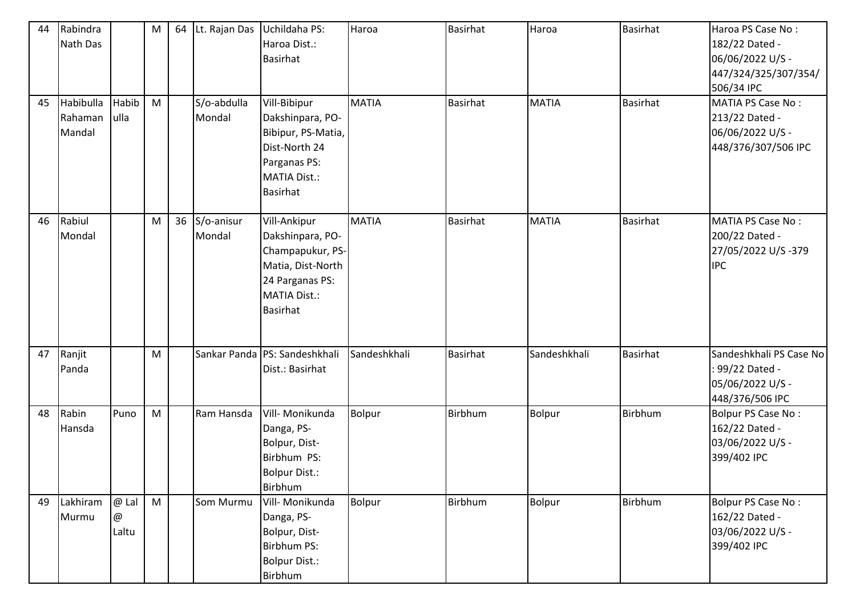| 44 | Rabindra  |                | M | 64 | Lt. Rajan Das | Uchildaha PS:                 | Haroa        | <b>Basirhat</b> | Haroa        | <b>Basirhat</b> | Haroa PS Case No:         |
|----|-----------|----------------|---|----|---------------|-------------------------------|--------------|-----------------|--------------|-----------------|---------------------------|
|    | Nath Das  |                |   |    |               | Haroa Dist.:                  |              |                 |              |                 | 182/22 Dated -            |
|    |           |                |   |    |               | Basirhat                      |              |                 |              |                 | 06/06/2022 U/S -          |
|    |           |                |   |    |               |                               |              |                 |              |                 | 447/324/325/307/354/      |
|    |           |                |   |    |               |                               |              |                 |              |                 | 506/34 IPC                |
| 45 | Habibulla | Habib          | M |    | S/o-abdulla   | Vill-Bibipur                  | <b>MATIA</b> | <b>Basirhat</b> | <b>MATIA</b> | <b>Basirhat</b> | MATIA PS Case No:         |
|    | Rahaman   | ulla           |   |    | Mondal        | Dakshinpara, PO-              |              |                 |              |                 | 213/22 Dated -            |
|    | Mandal    |                |   |    |               | Bibipur, PS-Matia,            |              |                 |              |                 | 06/06/2022 U/S -          |
|    |           |                |   |    |               | Dist-North 24                 |              |                 |              |                 | 448/376/307/506 IPC       |
|    |           |                |   |    |               | Parganas PS:                  |              |                 |              |                 |                           |
|    |           |                |   |    |               | <b>MATIA Dist.:</b>           |              |                 |              |                 |                           |
|    |           |                |   |    |               | Basirhat                      |              |                 |              |                 |                           |
|    |           |                |   |    |               |                               |              |                 |              |                 |                           |
| 46 | Rabiul    |                | M | 36 | S/o-anisur    | Vill-Ankipur                  | <b>MATIA</b> | <b>Basirhat</b> | <b>MATIA</b> | <b>Basirhat</b> | MATIA PS Case No:         |
|    | Mondal    |                |   |    | Mondal        | Dakshinpara, PO-              |              |                 |              |                 | 200/22 Dated -            |
|    |           |                |   |    |               | Champapukur, PS-              |              |                 |              |                 | 27/05/2022 U/S-379        |
|    |           |                |   |    |               | Matia, Dist-North             |              |                 |              |                 | <b>IPC</b>                |
|    |           |                |   |    |               | 24 Parganas PS:               |              |                 |              |                 |                           |
|    |           |                |   |    |               | <b>MATIA Dist.:</b>           |              |                 |              |                 |                           |
|    |           |                |   |    |               | Basirhat                      |              |                 |              |                 |                           |
|    |           |                |   |    |               |                               |              |                 |              |                 |                           |
| 47 | Ranjit    |                | M |    |               | Sankar Panda PS: Sandeshkhali | Sandeshkhali | <b>Basirhat</b> | Sandeshkhali | <b>Basirhat</b> | Sandeshkhali PS Case No   |
|    | Panda     |                |   |    |               | Dist.: Basirhat               |              |                 |              |                 | : 99/22 Dated -           |
|    |           |                |   |    |               |                               |              |                 |              |                 | 05/06/2022 U/S -          |
|    |           |                |   |    |               |                               |              |                 |              |                 | 448/376/506 IPC           |
| 48 | Rabin     | Puno           | M |    | Ram Hansda    | Vill- Monikunda               | Bolpur       | Birbhum         | Bolpur       | Birbhum         | <b>Bolpur PS Case No:</b> |
|    | Hansda    |                |   |    |               | Danga, PS-                    |              |                 |              |                 | 162/22 Dated -            |
|    |           |                |   |    |               | Bolpur, Dist-                 |              |                 |              |                 | 03/06/2022 U/S -          |
|    |           |                |   |    |               | Birbhum PS:                   |              |                 |              |                 | 399/402 IPC               |
|    |           |                |   |    |               | Bolpur Dist.:                 |              |                 |              |                 |                           |
|    |           |                |   |    |               | Birbhum                       |              |                 |              |                 |                           |
| 49 | Lakhiram  | @ Lal          | M |    | Som Murmu     | Vill- Monikunda               | Bolpur       | Birbhum         | Bolpur       | <b>Birbhum</b>  | Bolpur PS Case No:        |
|    | Murmu     | $\circledcirc$ |   |    |               | Danga, PS-                    |              |                 |              |                 | 162/22 Dated -            |
|    |           | Laltu          |   |    |               | Bolpur, Dist-                 |              |                 |              |                 | 03/06/2022 U/S -          |
|    |           |                |   |    |               | Birbhum PS:                   |              |                 |              |                 | 399/402 IPC               |
|    |           |                |   |    |               | <b>Bolpur Dist.:</b>          |              |                 |              |                 |                           |
|    |           |                |   |    |               | Birbhum                       |              |                 |              |                 |                           |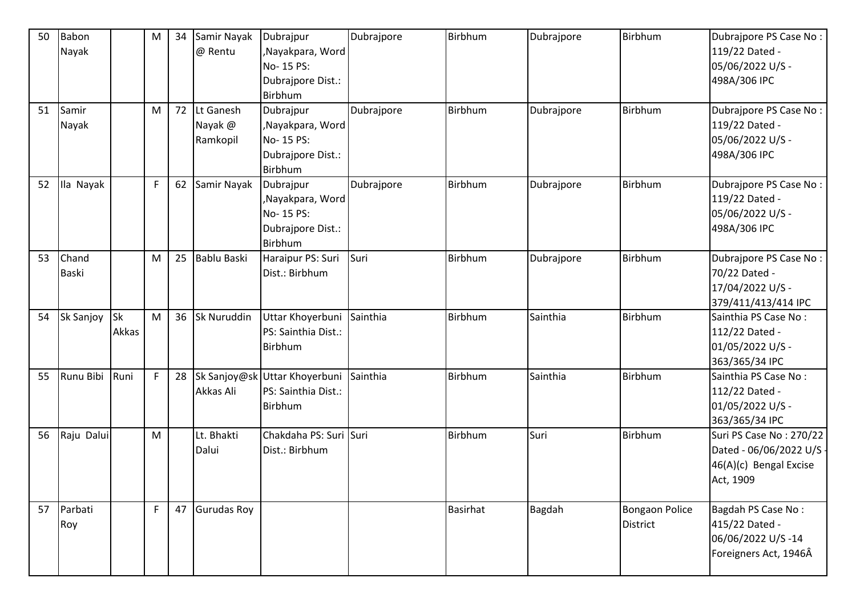| 50 | Babon        |           | M | 34 | Samir Nayak        | Dubrajpur                 | Dubrajpore | Birbhum         | Dubrajpore    | <b>Birbhum</b>        | Dubrajpore PS Case No:  |
|----|--------------|-----------|---|----|--------------------|---------------------------|------------|-----------------|---------------|-----------------------|-------------------------|
|    | Nayak        |           |   |    | @ Rentu            | Nayakpara, Word,          |            |                 |               |                       | 119/22 Dated -          |
|    |              |           |   |    |                    | No-15 PS:                 |            |                 |               |                       | 05/06/2022 U/S -        |
|    |              |           |   |    |                    | Dubrajpore Dist.:         |            |                 |               |                       | 498A/306 IPC            |
|    |              |           |   |    |                    | Birbhum                   |            |                 |               |                       |                         |
| 51 | Samir        |           | M | 72 | Lt Ganesh          | Dubrajpur                 | Dubrajpore | Birbhum         | Dubrajpore    | Birbhum               | Dubrajpore PS Case No:  |
|    | Nayak        |           |   |    | Nayak @            | ,Nayakpara, Word          |            |                 |               |                       | 119/22 Dated -          |
|    |              |           |   |    | Ramkopil           | No- 15 PS:                |            |                 |               |                       | 05/06/2022 U/S -        |
|    |              |           |   |    |                    | Dubrajpore Dist.:         |            |                 |               |                       | 498A/306 IPC            |
|    |              |           |   |    |                    | Birbhum                   |            |                 |               |                       |                         |
| 52 | Ila Nayak    |           | F | 62 | Samir Nayak        | Dubrajpur                 | Dubrajpore | <b>Birbhum</b>  | Dubrajpore    | Birbhum               | Dubrajpore PS Case No:  |
|    |              |           |   |    |                    | Nayakpara, Word           |            |                 |               |                       | 119/22 Dated -          |
|    |              |           |   |    |                    | No- 15 PS:                |            |                 |               |                       | 05/06/2022 U/S -        |
|    |              |           |   |    |                    | Dubrajpore Dist.:         |            |                 |               |                       | 498A/306 IPC            |
|    |              |           |   |    |                    | Birbhum                   |            |                 |               |                       |                         |
| 53 | Chand        |           | M | 25 | <b>Bablu Baski</b> | Haraipur PS: Suri         | Suri       | <b>Birbhum</b>  | Dubrajpore    | <b>Birbhum</b>        | Dubrajpore PS Case No:  |
|    | <b>Baski</b> |           |   |    |                    | Dist.: Birbhum            |            |                 |               |                       | 70/22 Dated -           |
|    |              |           |   |    |                    |                           |            |                 |               |                       | 17/04/2022 U/S -        |
|    |              |           |   |    |                    |                           |            |                 |               |                       | 379/411/413/414 IPC     |
| 54 | Sk Sanjoy    | <b>Sk</b> | M | 36 | Sk Nuruddin        | Uttar Khoyerbuni          | Sainthia   | <b>Birbhum</b>  | Sainthia      | Birbhum               | Sainthia PS Case No:    |
|    |              | Akkas     |   |    |                    | PS: Sainthia Dist.:       |            |                 |               |                       | 112/22 Dated -          |
|    |              |           |   |    |                    | Birbhum                   |            |                 |               |                       | 01/05/2022 U/S -        |
|    |              |           |   |    |                    |                           |            |                 |               |                       | 363/365/34 IPC          |
| 55 | Runu Bibi    | Runi      | F | 28 | Sk Sanjoy@sk       | Uttar Khoyerbuni Sainthia |            | Birbhum         | Sainthia      | Birbhum               | Sainthia PS Case No:    |
|    |              |           |   |    | Akkas Ali          | PS: Sainthia Dist.:       |            |                 |               |                       | 112/22 Dated -          |
|    |              |           |   |    |                    | Birbhum                   |            |                 |               |                       | 01/05/2022 U/S -        |
|    |              |           |   |    |                    |                           |            |                 |               |                       | 363/365/34 IPC          |
| 56 | Raju Dalui   |           | M |    | Lt. Bhakti         | Chakdaha PS: Suri Suri    |            | <b>Birbhum</b>  | Suri          | <b>Birbhum</b>        | Suri PS Case No: 270/22 |
|    |              |           |   |    | Dalui              | Dist.: Birbhum            |            |                 |               |                       | Dated - 06/06/2022 U/S  |
|    |              |           |   |    |                    |                           |            |                 |               |                       | 46(A)(c) Bengal Excise  |
|    |              |           |   |    |                    |                           |            |                 |               |                       | Act, 1909               |
|    |              |           |   |    |                    |                           |            |                 |               |                       |                         |
| 57 | Parbati      |           | F | 47 | <b>Gurudas Roy</b> |                           |            | <b>Basirhat</b> | <b>Bagdah</b> | <b>Bongaon Police</b> | Bagdah PS Case No:      |
|    | Roy          |           |   |    |                    |                           |            |                 |               | District              | 415/22 Dated -          |
|    |              |           |   |    |                    |                           |            |                 |               |                       | 06/06/2022 U/S-14       |
|    |              |           |   |    |                    |                           |            |                 |               |                       | Foreigners Act, 1946Â   |
|    |              |           |   |    |                    |                           |            |                 |               |                       |                         |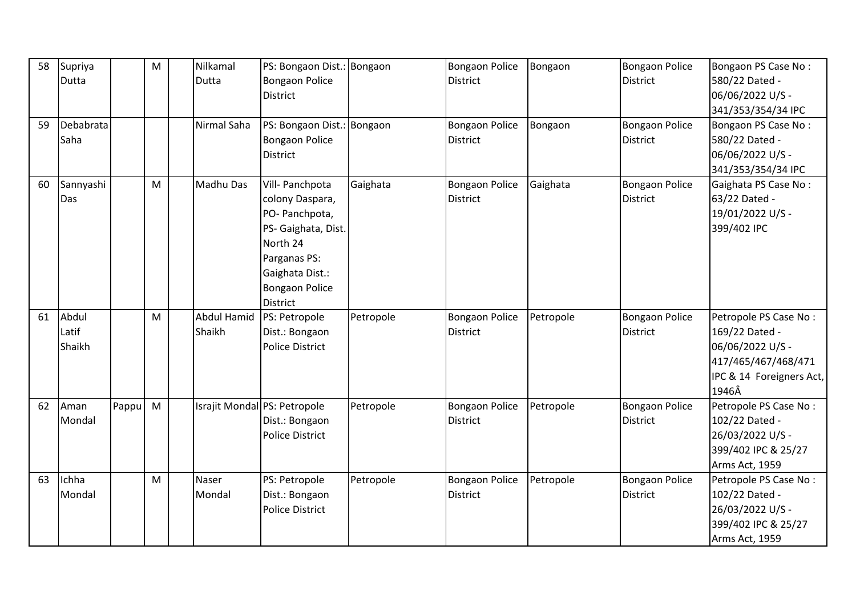| 58 | Supriya   |        | M | Nilkamal           | PS: Bongaon Dist.: Bongaon   |           | <b>Bongaon Police</b> | Bongaon   | <b>Bongaon Police</b> | Bongaon PS Case No:      |
|----|-----------|--------|---|--------------------|------------------------------|-----------|-----------------------|-----------|-----------------------|--------------------------|
|    | Dutta     |        |   | <b>Dutta</b>       | <b>Bongaon Police</b>        |           | <b>District</b>       |           | <b>District</b>       | 580/22 Dated -           |
|    |           |        |   |                    | District                     |           |                       |           |                       | 06/06/2022 U/S -         |
|    |           |        |   |                    |                              |           |                       |           |                       | 341/353/354/34 IPC       |
| 59 | Debabrata |        |   | Nirmal Saha        | PS: Bongaon Dist.: Bongaon   |           | <b>Bongaon Police</b> | Bongaon   | <b>Bongaon Police</b> | Bongaon PS Case No:      |
|    | Saha      |        |   |                    | <b>Bongaon Police</b>        |           | <b>District</b>       |           | District              | 580/22 Dated -           |
|    |           |        |   |                    | <b>District</b>              |           |                       |           |                       | 06/06/2022 U/S -         |
|    |           |        |   |                    |                              |           |                       |           |                       | 341/353/354/34 IPC       |
| 60 | Sannyashi |        | M | Madhu Das          | Vill- Panchpota              | Gaighata  | <b>Bongaon Police</b> | Gaighata  | <b>Bongaon Police</b> | Gaighata PS Case No:     |
|    | Das       |        |   |                    | colony Daspara,              |           | District              |           | District              | 63/22 Dated -            |
|    |           |        |   |                    | PO-Panchpota,                |           |                       |           |                       | 19/01/2022 U/S -         |
|    |           |        |   |                    | PS- Gaighata, Dist.          |           |                       |           |                       | 399/402 IPC              |
|    |           |        |   |                    | North 24                     |           |                       |           |                       |                          |
|    |           |        |   |                    | Parganas PS:                 |           |                       |           |                       |                          |
|    |           |        |   |                    | Gaighata Dist.:              |           |                       |           |                       |                          |
|    |           |        |   |                    | <b>Bongaon Police</b>        |           |                       |           |                       |                          |
|    |           |        |   |                    | <b>District</b>              |           |                       |           |                       |                          |
| 61 | Abdul     |        | M | <b>Abdul Hamid</b> | PS: Petropole                | Petropole | <b>Bongaon Police</b> | Petropole | <b>Bongaon Police</b> | Petropole PS Case No:    |
|    | Latif     |        |   | Shaikh             | Dist.: Bongaon               |           | <b>District</b>       |           | <b>District</b>       | 169/22 Dated -           |
|    | Shaikh    |        |   |                    | <b>Police District</b>       |           |                       |           |                       | 06/06/2022 U/S -         |
|    |           |        |   |                    |                              |           |                       |           |                       | 417/465/467/468/471      |
|    |           |        |   |                    |                              |           |                       |           |                       | IPC & 14 Foreigners Act, |
|    |           |        |   |                    |                              |           |                       |           |                       | 1946Â                    |
| 62 | Aman      | Pappul | M |                    | Israjit Mondal PS: Petropole | Petropole | <b>Bongaon Police</b> | Petropole | <b>Bongaon Police</b> | Petropole PS Case No:    |
|    | Mondal    |        |   |                    | Dist.: Bongaon               |           | <b>District</b>       |           | <b>District</b>       | 102/22 Dated -           |
|    |           |        |   |                    | Police District              |           |                       |           |                       | 26/03/2022 U/S -         |
|    |           |        |   |                    |                              |           |                       |           |                       | 399/402 IPC & 25/27      |
|    |           |        |   |                    |                              |           |                       |           |                       | Arms Act, 1959           |
| 63 | Ichha     |        | M | Naser              | PS: Petropole                | Petropole | <b>Bongaon Police</b> | Petropole | <b>Bongaon Police</b> | Petropole PS Case No:    |
|    | Mondal    |        |   | Mondal             | Dist.: Bongaon               |           | <b>District</b>       |           | <b>District</b>       | 102/22 Dated -           |
|    |           |        |   |                    | <b>Police District</b>       |           |                       |           |                       | 26/03/2022 U/S -         |
|    |           |        |   |                    |                              |           |                       |           |                       | 399/402 IPC & 25/27      |
|    |           |        |   |                    |                              |           |                       |           |                       | Arms Act, 1959           |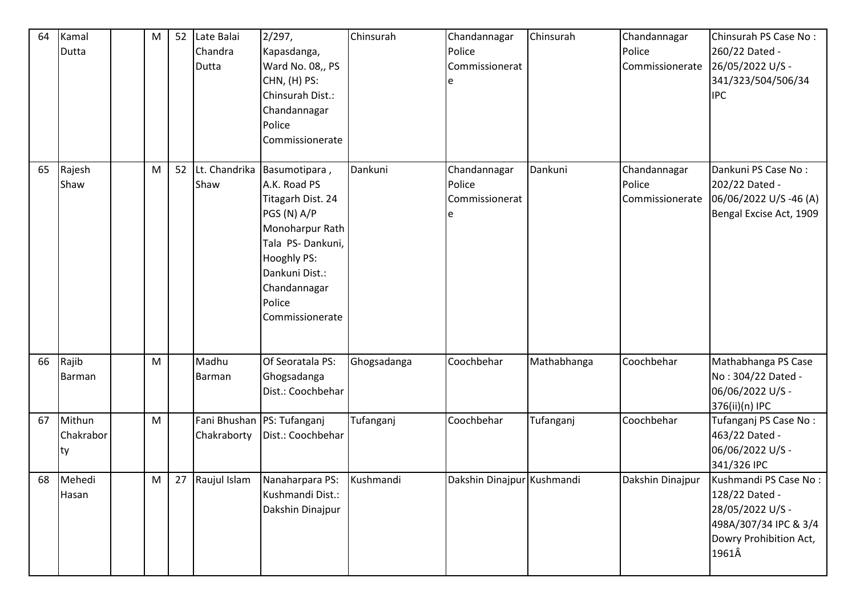| 64 | Kamal<br>Dutta             | M | 52 | Late Balai<br>Chandra<br>Dutta | 2/297,<br>Kapasdanga,<br>Ward No. 08,, PS<br>CHN, (H) PS:<br>Chinsurah Dist.:<br>Chandannagar<br>Police<br>Commissionerate                                                             | Chinsurah   | Chandannagar<br>Police<br>Commissionerat<br>e | Chinsurah   | Chandannagar<br>Police<br>Commissionerate | Chinsurah PS Case No:<br>260/22 Dated -<br>26/05/2022 U/S -<br>341/323/504/506/34<br><b>IPC</b>                         |
|----|----------------------------|---|----|--------------------------------|----------------------------------------------------------------------------------------------------------------------------------------------------------------------------------------|-------------|-----------------------------------------------|-------------|-------------------------------------------|-------------------------------------------------------------------------------------------------------------------------|
| 65 | Rajesh<br>Shaw             | M | 52 | Lt. Chandrika<br>Shaw          | Basumotipara,<br>A.K. Road PS<br>Titagarh Dist. 24<br>PGS (N) A/P<br>Monoharpur Rath<br>Tala PS-Dankuni,<br>Hooghly PS:<br>Dankuni Dist.:<br>Chandannagar<br>Police<br>Commissionerate | Dankuni     | Chandannagar<br>Police<br>Commissionerat<br>e | Dankuni     | Chandannagar<br>Police<br>Commissionerate | Dankuni PS Case No:<br>202/22 Dated -<br>06/06/2022 U/S -46 (A)<br>Bengal Excise Act, 1909                              |
| 66 | Rajib<br>Barman            | M |    | Madhu<br>Barman                | Of Seoratala PS:<br>Ghogsadanga<br>Dist.: Coochbehar                                                                                                                                   | Ghogsadanga | Coochbehar                                    | Mathabhanga | Coochbehar                                | Mathabhanga PS Case<br>No: 304/22 Dated -<br>06/06/2022 U/S -<br>376(ii)(n) IPC                                         |
| 67 | Mithun<br>Chakrabor<br> ty | M |    | Chakraborty                    | Fani Bhushan   PS: Tufanganj<br>Dist.: Coochbehar                                                                                                                                      | Tufanganj   | Coochbehar                                    | Tufanganj   | Coochbehar                                | Tufanganj PS Case No:<br>463/22 Dated -<br>06/06/2022 U/S -<br>341/326 IPC                                              |
| 68 | Mehedi<br>Hasan            | M |    | 27 Raujul Islam                | Nanaharpara PS:<br>Kushmandi Dist.:<br>Dakshin Dinajpur                                                                                                                                | Kushmandi   | Dakshin Dinajpur Kushmandi                    |             | Dakshin Dinajpur                          | Kushmandi PS Case No:<br>128/22 Dated -<br>28/05/2022 U/S -<br>498A/307/34 IPC & 3/4<br>Dowry Prohibition Act,<br>1961Â |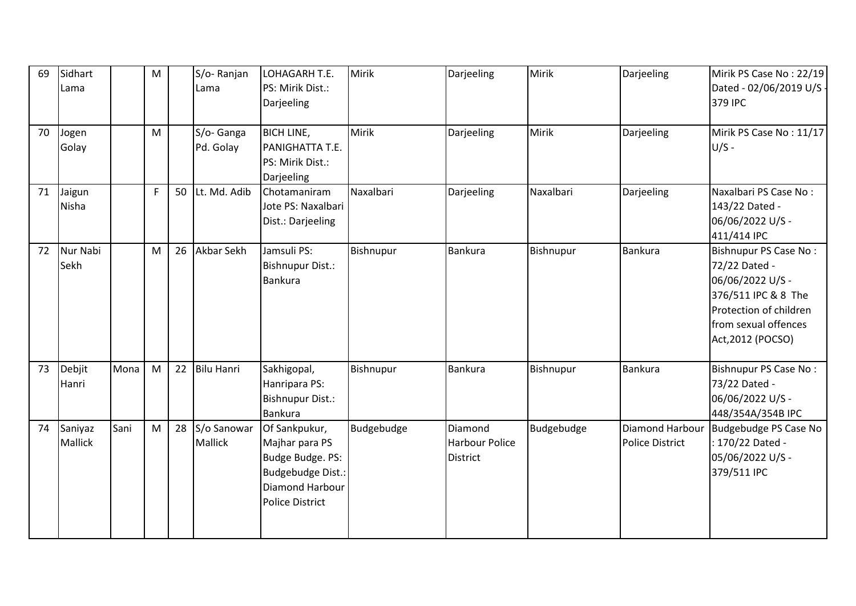| 69 | Sidhart  |      | M  |    | S/o-Ranjan        | LOHAGARH T.E.           | Mirik            | Darjeeling            | <b>Mirik</b> | Darjeeling             | Mirik PS Case No: 22/19           |
|----|----------|------|----|----|-------------------|-------------------------|------------------|-----------------------|--------------|------------------------|-----------------------------------|
|    | Lama     |      |    |    | Lama              | PS: Mirik Dist.:        |                  |                       |              |                        | Dated - 02/06/2019 U/S<br>379 IPC |
|    |          |      |    |    |                   | Darjeeling              |                  |                       |              |                        |                                   |
| 70 | Jogen    |      | M  |    | S/o- Ganga        | <b>BICH LINE,</b>       | Mirik            | Darjeeling            | Mirik        | Darjeeling             | Mirik PS Case No: 11/17           |
|    | Golay    |      |    |    | Pd. Golay         | PANIGHATTA T.E.         |                  |                       |              |                        | $U/S -$                           |
|    |          |      |    |    |                   | PS: Mirik Dist.:        |                  |                       |              |                        |                                   |
|    |          |      |    |    |                   | Darjeeling              |                  |                       |              |                        |                                   |
| 71 | Jaigun   |      | F. | 50 | Lt. Md. Adib      | Chotamaniram            | Naxalbari        | Darjeeling            | Naxalbari    | Darjeeling             | Naxalbari PS Case No:             |
|    | Nisha    |      |    |    |                   | Jote PS: Naxalbari      |                  |                       |              |                        | 143/22 Dated -                    |
|    |          |      |    |    |                   | Dist.: Darjeeling       |                  |                       |              |                        | 06/06/2022 U/S -                  |
|    |          |      |    |    |                   |                         |                  |                       |              |                        | 411/414 IPC                       |
| 72 | Nur Nabi |      | M  | 26 | Akbar Sekh        | Jamsuli PS:             | <b>Bishnupur</b> | <b>Bankura</b>        | Bishnupur    | Bankura                | <b>Bishnupur PS Case No:</b>      |
|    | Sekh     |      |    |    |                   | <b>Bishnupur Dist.:</b> |                  |                       |              |                        | 72/22 Dated -                     |
|    |          |      |    |    |                   | Bankura                 |                  |                       |              |                        | 06/06/2022 U/S -                  |
|    |          |      |    |    |                   |                         |                  |                       |              |                        | 376/511 IPC & 8 The               |
|    |          |      |    |    |                   |                         |                  |                       |              |                        | Protection of children            |
|    |          |      |    |    |                   |                         |                  |                       |              |                        | from sexual offences              |
|    |          |      |    |    |                   |                         |                  |                       |              |                        | Act, 2012 (POCSO)                 |
|    |          |      |    |    |                   |                         |                  |                       |              |                        |                                   |
| 73 | Debjit   | Mona | M  | 22 | <b>Bilu Hanri</b> | Sakhigopal,             | Bishnupur        | Bankura               | Bishnupur    | <b>Bankura</b>         | Bishnupur PS Case No:             |
|    | Hanri    |      |    |    |                   | Hanripara PS:           |                  |                       |              |                        | 73/22 Dated -                     |
|    |          |      |    |    |                   | <b>Bishnupur Dist.:</b> |                  |                       |              |                        | 06/06/2022 U/S -                  |
|    |          |      |    |    |                   | <b>Bankura</b>          |                  |                       |              |                        | 448/354A/354B IPC                 |
| 74 | Saniyaz  | Sani | M  | 28 | S/o Sanowar       | Of Sankpukur,           | Budgebudge       | Diamond               | Budgebudge   | Diamond Harbour        | Budgebudge PS Case No             |
|    | Mallick  |      |    |    | Mallick           | Majhar para PS          |                  | <b>Harbour Police</b> |              | <b>Police District</b> | : 170/22 Dated -                  |
|    |          |      |    |    |                   | Budge Budge. PS:        |                  | <b>District</b>       |              |                        | 05/06/2022 U/S -                  |
|    |          |      |    |    |                   | Budgebudge Dist.:       |                  |                       |              |                        | 379/511 IPC                       |
|    |          |      |    |    |                   | Diamond Harbour         |                  |                       |              |                        |                                   |
|    |          |      |    |    |                   | <b>Police District</b>  |                  |                       |              |                        |                                   |
|    |          |      |    |    |                   |                         |                  |                       |              |                        |                                   |
|    |          |      |    |    |                   |                         |                  |                       |              |                        |                                   |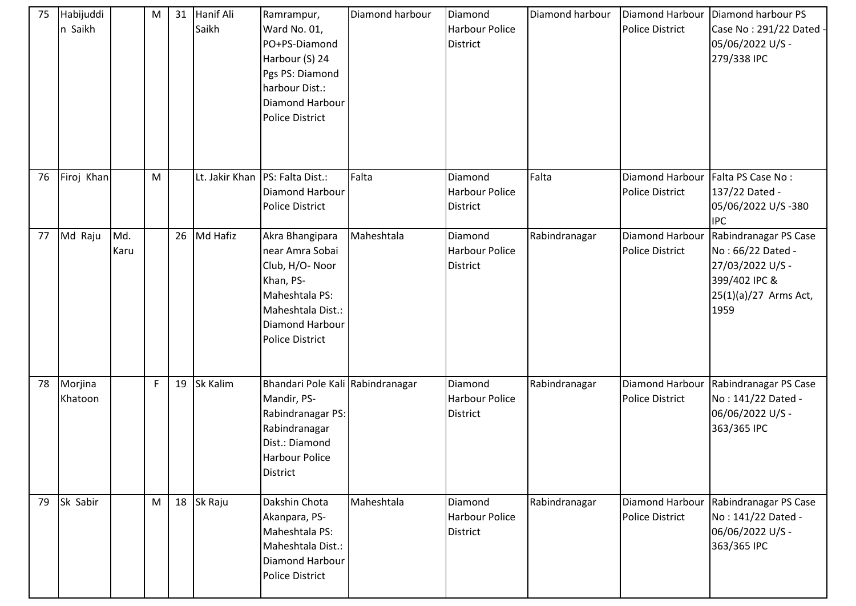| 75 | Habijuddi<br>n Saikh |             | M  | 31 | Hanif Ali<br>Saikh | Ramrampur,<br>Ward No. 01,<br>PO+PS-Diamond<br>Harbour (S) 24<br>Pgs PS: Diamond<br>harbour Dist.:<br>Diamond Harbour<br>Police District                     | Diamond harbour | Diamond<br>Harbour Police<br><b>District</b>        | Diamond harbour | Diamond Harbour<br><b>Police District</b> | Diamond harbour PS<br>Case No: 291/22 Dated<br>05/06/2022 U/S -<br>279/338 IPC                                   |
|----|----------------------|-------------|----|----|--------------------|--------------------------------------------------------------------------------------------------------------------------------------------------------------|-----------------|-----------------------------------------------------|-----------------|-------------------------------------------|------------------------------------------------------------------------------------------------------------------|
| 76 | Firoj Khan           |             | M  |    | Lt. Jakir Khan     | PS: Falta Dist.:<br>Diamond Harbour<br><b>Police District</b>                                                                                                | Falta           | Diamond<br><b>Harbour Police</b><br><b>District</b> | Falta           | Diamond Harbour<br><b>Police District</b> | Falta PS Case No:<br>137/22 Dated -<br>05/06/2022 U/S-380<br><b>IPC</b>                                          |
| 77 | Md Raju              | Md.<br>Karu |    | 26 | Md Hafiz           | Akra Bhangipara<br>near Amra Sobai<br>Club, H/O-Noor<br>Khan, PS-<br>Maheshtala PS:<br>Maheshtala Dist.:<br><b>Diamond Harbour</b><br><b>Police District</b> | Maheshtala      | Diamond<br>Harbour Police<br><b>District</b>        | Rabindranagar   | Diamond Harbour<br><b>Police District</b> | Rabindranagar PS Case<br>No: 66/22 Dated -<br>27/03/2022 U/S -<br>399/402 IPC &<br>25(1)(a)/27 Arms Act,<br>1959 |
| 78 | Morjina<br>Khatoon   |             | F. | 19 | Sk Kalim           | Bhandari Pole Kali Rabindranagar<br>Mandir, PS-<br>Rabindranagar PS:<br>Rabindranagar<br>Dist.: Diamond<br><b>Harbour Police</b><br>District                 |                 | Diamond<br>Harbour Police<br><b>District</b>        | Rabindranagar   | Diamond Harbour<br><b>Police District</b> | Rabindranagar PS Case<br>No: 141/22 Dated -<br>06/06/2022 U/S -<br>363/365 IPC                                   |
| 79 | Sk Sabir             |             | M  | 18 | Sk Raju            | Dakshin Chota<br>Akanpara, PS-<br>Maheshtala PS:<br>Maheshtala Dist.:<br>Diamond Harbour<br>Police District                                                  | Maheshtala      | Diamond<br><b>Harbour Police</b><br><b>District</b> | Rabindranagar   | Diamond Harbour<br><b>Police District</b> | Rabindranagar PS Case<br>No: 141/22 Dated -<br>06/06/2022 U/S -<br>363/365 IPC                                   |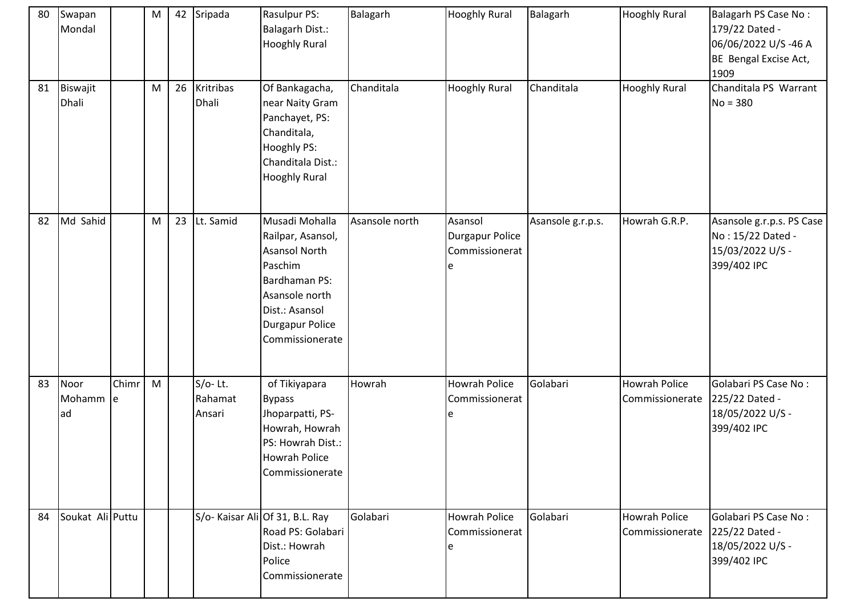| 80 | Swapan<br>Mondal     |             | M |    | 42 Sripada                      | Rasulpur PS:<br><b>Balagarh Dist.:</b><br><b>Hooghly Rural</b>                                                                                                                  | Balagarh       | <b>Hooghly Rural</b>                              | Balagarh          | <b>Hooghly Rural</b>                    | Balagarh PS Case No:<br>179/22 Dated -<br>06/06/2022 U/S-46 A<br>BE Bengal Excise Act,<br>1909 |
|----|----------------------|-------------|---|----|---------------------------------|---------------------------------------------------------------------------------------------------------------------------------------------------------------------------------|----------------|---------------------------------------------------|-------------------|-----------------------------------------|------------------------------------------------------------------------------------------------|
| 81 | Biswajit<br>Dhali    |             | M | 26 | <b>Kritribas</b><br>Dhali       | Of Bankagacha,<br>near Naity Gram<br>Panchayet, PS:<br>Chanditala,<br><b>Hooghly PS:</b><br>Chanditala Dist.:<br><b>Hooghly Rural</b>                                           | Chanditala     | <b>Hooghly Rural</b>                              | Chanditala        | <b>Hooghly Rural</b>                    | Chanditala PS Warrant<br>$No = 380$                                                            |
| 82 | Md Sahid             |             | M | 23 | Lt. Samid                       | Musadi Mohalla<br>Railpar, Asansol,<br><b>Asansol North</b><br>Paschim<br><b>Bardhaman PS:</b><br>Asansole north<br>Dist.: Asansol<br><b>Durgapur Police</b><br>Commissionerate | Asansole north | Asansol<br>Durgapur Police<br>Commissionerat<br>e | Asansole g.r.p.s. | Howrah G.R.P.                           | Asansole g.r.p.s. PS Case<br>No: 15/22 Dated -<br>15/03/2022 U/S -<br>399/402 IPC              |
| 83 | Noor<br>Mohamm<br>ad | Chimr<br>le | M |    | $S/O-$ Lt.<br>Rahamat<br>Ansari | of Tikiyapara<br><b>Bypass</b><br>Jhoparpatti, PS-<br>Howrah, Howrah<br>PS: Howrah Dist.:<br><b>Howrah Police</b><br>Commissionerate                                            | Howrah         | <b>Howrah Police</b><br>Commissionerat<br>le      | Golabari          | <b>Howrah Police</b><br>Commissionerate | Golabari PS Case No:<br>225/22 Dated -<br>18/05/2022 U/S -<br>399/402 IPC                      |
| 84 | Soukat Ali Puttu     |             |   |    |                                 | S/o- Kaisar Ali Of 31, B.L. Ray<br>Road PS: Golabari<br>Dist.: Howrah<br>Police<br>Commissionerate                                                                              | Golabari       | <b>Howrah Police</b><br>Commissionerat<br>e       | Golabari          | <b>Howrah Police</b><br>Commissionerate | Golabari PS Case No:<br>225/22 Dated -<br>18/05/2022 U/S -<br>399/402 IPC                      |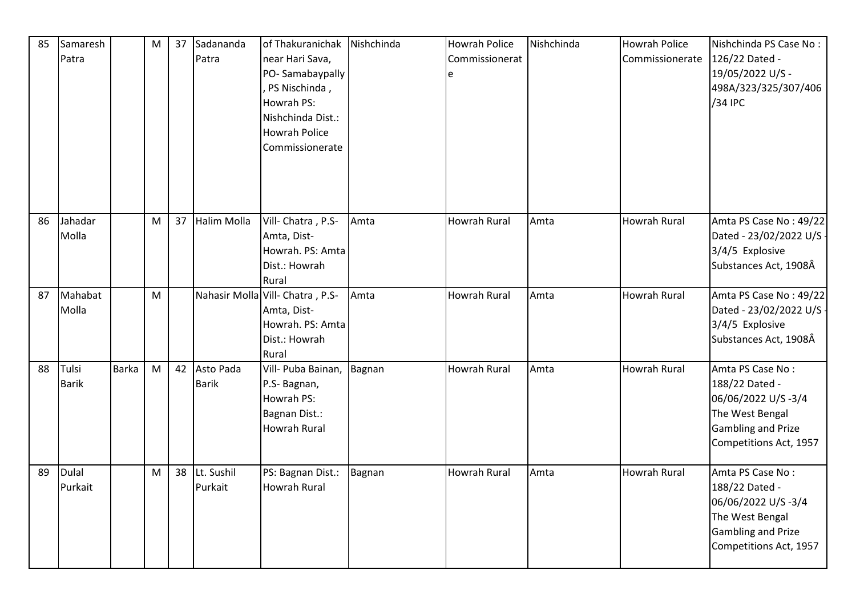| 85 | Samaresh<br>Patra     |              | M | 37 | Sadananda<br>Patra        | of Thakuranichak Nishchinda<br>near Hari Sava,<br>PO-Samabaypally<br>PS Nischinda,<br>Howrah PS:<br>Nishchinda Dist.:<br><b>Howrah Police</b><br>Commissionerate |        | <b>Howrah Police</b><br>Commissionerat<br>le | Nishchinda | <b>Howrah Police</b><br>Commissionerate | Nishchinda PS Case No:<br>126/22 Dated -<br>19/05/2022 U/S -<br>498A/323/325/307/406<br>/34 IPC                                    |
|----|-----------------------|--------------|---|----|---------------------------|------------------------------------------------------------------------------------------------------------------------------------------------------------------|--------|----------------------------------------------|------------|-----------------------------------------|------------------------------------------------------------------------------------------------------------------------------------|
| 86 | Jahadar<br>Molla      |              | M | 37 | Halim Molla               | Vill- Chatra, P.S-<br>Amta, Dist-<br>Howrah. PS: Amta<br>Dist.: Howrah<br>Rural                                                                                  | Amta   | <b>Howrah Rural</b>                          | Amta       | <b>Howrah Rural</b>                     | Amta PS Case No: 49/22<br>Dated - 23/02/2022 U/S<br>3/4/5 Explosive<br>Substances Act, 1908Â                                       |
| 87 | Mahabat<br>Molla      |              | M |    |                           | Nahasir Molla Vill- Chatra, P.S-<br>Amta, Dist-<br>Howrah. PS: Amta<br>Dist.: Howrah<br>Rural                                                                    | Amta   | <b>Howrah Rural</b>                          | Amta       | <b>Howrah Rural</b>                     | Amta PS Case No: 49/22<br>Dated - 23/02/2022 U/S<br>3/4/5 Explosive<br>Substances Act, 1908Â                                       |
| 88 | Tulsi<br><b>Barik</b> | <b>Barka</b> | M | 42 | Asto Pada<br><b>Barik</b> | Vill- Puba Bainan,<br>P.S- Bagnan,<br>Howrah PS:<br>Bagnan Dist.:<br><b>Howrah Rural</b>                                                                         | Bagnan | <b>Howrah Rural</b>                          | Amta       | <b>Howrah Rural</b>                     | Amta PS Case No:<br>188/22 Dated -<br>06/06/2022 U/S-3/4<br>The West Bengal<br><b>Gambling and Prize</b><br>Competitions Act, 1957 |
| 89 | Dulal<br>Purkait      |              | M | 38 | Lt. Sushil<br>Purkait     | PS: Bagnan Dist.:<br><b>Howrah Rural</b>                                                                                                                         | Bagnan | Howrah Rural                                 | Amta       | <b>Howrah Rural</b>                     | Amta PS Case No:<br>188/22 Dated -<br>06/06/2022 U/S-3/4<br>The West Bengal<br><b>Gambling and Prize</b><br>Competitions Act, 1957 |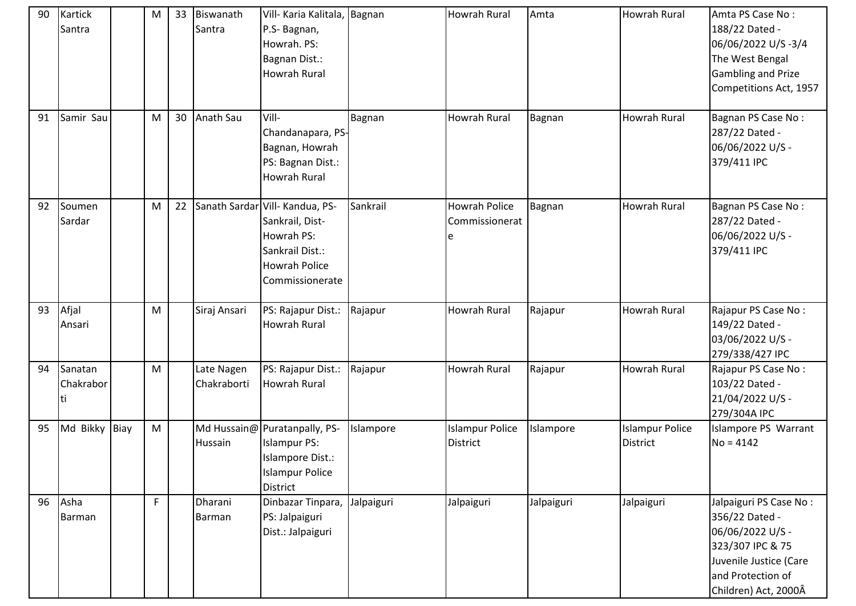| 90 | Kartick<br>Santra           | M | 33 | Biswanath<br>Santra       | Vill- Karia Kalitala, Bagnan<br>P.S- Bagnan,<br>Howrah. PS:<br>Bagnan Dist.:<br>Howrah Rural                                   |            | <b>Howrah Rural</b>                       | Amta          | Howrah Rural                       | Amta PS Case No:<br>188/22 Dated -<br>06/06/2022 U/S-3/4<br>The West Bengal<br><b>Gambling and Prize</b><br>Competitions Act, 1957                      |
|----|-----------------------------|---|----|---------------------------|--------------------------------------------------------------------------------------------------------------------------------|------------|-------------------------------------------|---------------|------------------------------------|---------------------------------------------------------------------------------------------------------------------------------------------------------|
| 91 | Samir Sau                   | M | 30 | Anath Sau                 | Vill-<br>Chandanapara, PS-<br>Bagnan, Howrah<br>PS: Bagnan Dist.:<br>Howrah Rural                                              | Bagnan     | <b>Howrah Rural</b>                       | <b>Bagnan</b> | <b>Howrah Rural</b>                | Bagnan PS Case No:<br>287/22 Dated -<br>06/06/2022 U/S -<br>379/411 IPC                                                                                 |
| 92 | Soumen<br>Sardar            | M | 22 |                           | Sanath Sardar Vill- Kandua, PS-<br>Sankrail, Dist-<br>Howrah PS:<br>Sankrail Dist.:<br><b>Howrah Police</b><br>Commissionerate | Sankrail   | Howrah Police<br>Commissionerat           | Bagnan        | <b>Howrah Rural</b>                | Bagnan PS Case No:<br>287/22 Dated -<br>06/06/2022 U/S -<br>379/411 IPC                                                                                 |
| 93 | Afjal<br>Ansari             | M |    | Siraj Ansari              | PS: Rajapur Dist.:<br>Howrah Rural                                                                                             | Rajapur    | Howrah Rural                              | Rajapur       | Howrah Rural                       | Rajapur PS Case No:<br>149/22 Dated -<br>03/06/2022 U/S -<br>279/338/427 IPC                                                                            |
| 94 | Sanatan<br>Chakrabor<br>lti | M |    | Late Nagen<br>Chakraborti | PS: Rajapur Dist.:<br>Howrah Rural                                                                                             | Rajapur    | <b>Howrah Rural</b>                       | Rajapur       | <b>Howrah Rural</b>                | Rajapur PS Case No:<br>103/22 Dated -<br>21/04/2022 U/S -<br>279/304A IPC                                                                               |
| 95 | Md Bikky Biay               | M |    | Hussain                   | Md Hussain@ Puratanpally, PS-<br><b>Islampur PS:</b><br>Islampore Dist.:<br><b>Islampur Police</b><br><b>District</b>          | Islampore  | <b>Islampur Police</b><br><b>District</b> | Islampore     | <b>Islampur Police</b><br>District | Islampore PS Warrant<br>$No = 4142$                                                                                                                     |
| 96 | Asha<br>Barman              | F |    | Dharani<br>Barman         | Dinbazar Tinpara,<br>PS: Jalpaiguri<br>Dist.: Jalpaiguri                                                                       | Jalpaiguri | Jalpaiguri                                | Jalpaiguri    | Jalpaiguri                         | Jalpaiguri PS Case No:<br>356/22 Dated -<br>06/06/2022 U/S -<br>323/307 IPC & 75<br>Juvenile Justice (Care<br>and Protection of<br>Children) Act, 2000Â |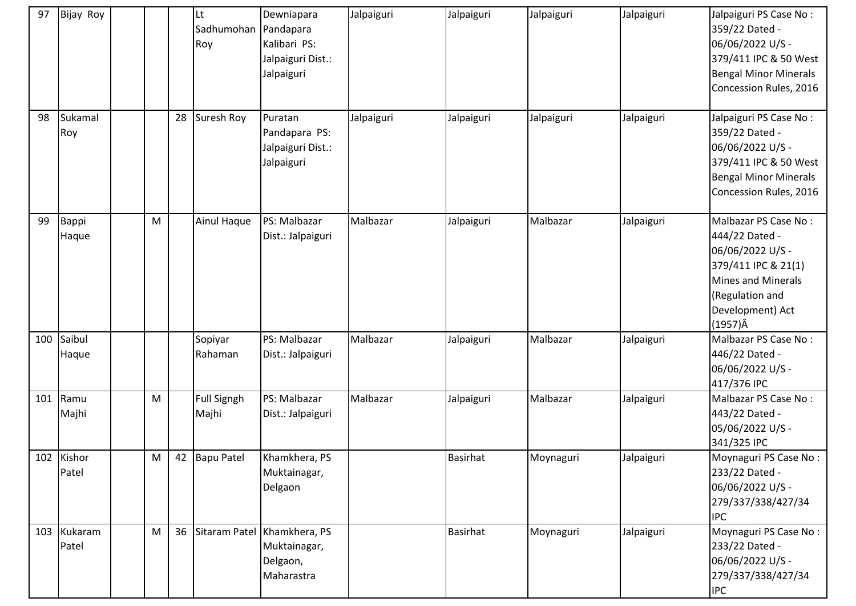| 97  | Bijay Roy           |   |    | lLt.<br>Sadhumohan<br>Roy   | Dewniapara<br>Pandapara<br>Kalibari PS:<br>Jalpaiguri Dist.:<br>Jalpaiguri | Jalpaiguri | Jalpaiguri      | Jalpaiguri | Jalpaiguri | Jalpaiguri PS Case No:<br>359/22 Dated -<br>06/06/2022 U/S -<br>379/411 IPC & 50 West<br><b>Bengal Minor Minerals</b><br>Concession Rules, 2016                          |
|-----|---------------------|---|----|-----------------------------|----------------------------------------------------------------------------|------------|-----------------|------------|------------|--------------------------------------------------------------------------------------------------------------------------------------------------------------------------|
| 98  | Sukamal<br>Roy      |   | 28 | Suresh Roy                  | Puratan<br>Pandapara PS:<br>Jalpaiguri Dist.:<br>Jalpaiguri                | Jalpaiguri | Jalpaiguri      | Jalpaiguri | Jalpaiguri | Jalpaiguri PS Case No:<br>359/22 Dated -<br>06/06/2022 U/S -<br>379/411 IPC & 50 West<br><b>Bengal Minor Minerals</b><br>Concession Rules, 2016                          |
| 99  | Bappi<br>Haque      | M |    | Ainul Haque                 | PS: Malbazar<br>Dist.: Jalpaiguri                                          | Malbazar   | Jalpaiguri      | Malbazar   | Jalpaiguri | Malbazar PS Case No:<br>444/22 Dated -<br>06/06/2022 U/S -<br>379/411 IPC & 21(1)<br><b>Mines and Minerals</b><br>(Regulation and<br>Development) Act<br>$(1957)\hat{A}$ |
| 100 | Saibul<br>Haque     |   |    | Sopiyar<br>Rahaman          | PS: Malbazar<br>Dist.: Jalpaiguri                                          | Malbazar   | Jalpaiguri      | Malbazar   | Jalpaiguri | Malbazar PS Case No:<br>446/22 Dated -<br>06/06/2022 U/S -<br>417/376 IPC                                                                                                |
| 101 | Ramu<br>Majhi       | M |    | <b>Full Signgh</b><br>Majhi | PS: Malbazar<br>Dist.: Jalpaiguri                                          | Malbazar   | Jalpaiguri      | Malbazar   | Jalpaiguri | Malbazar PS Case No:<br>443/22 Dated -<br>05/06/2022 U/S -<br>341/325 IPC                                                                                                |
|     | 102 Kishor<br>Patel | M | 42 | <b>Bapu Patel</b>           | Khamkhera, PS<br>Muktainagar,<br>Delgaon                                   |            | <b>Basirhat</b> | Moynaguri  | Jalpaiguri | Moynaguri PS Case No:<br>233/22 Dated -<br>06/06/2022 U/S -<br>279/337/338/427/34<br><b>IPC</b>                                                                          |
| 103 | Kukaram<br>Patel    | M | 36 |                             | Sitaram Patel Khamkhera, PS<br>Muktainagar,<br>Delgaon,<br>Maharastra      |            | <b>Basirhat</b> | Moynaguri  | Jalpaiguri | Moynaguri PS Case No:<br>233/22 Dated -<br>06/06/2022 U/S -<br>279/337/338/427/34<br><b>IPC</b>                                                                          |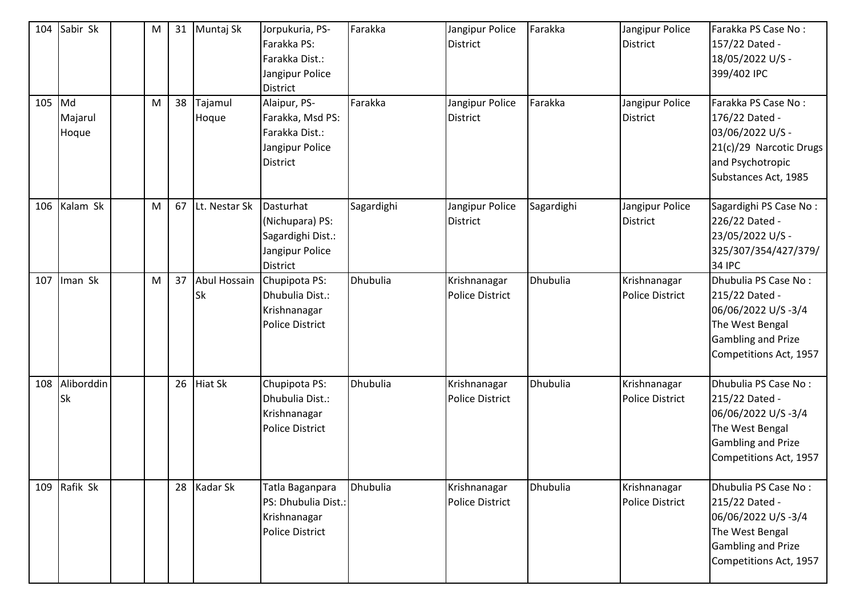| 104 | Sabir Sk                | M | 31 | Muntaj Sk                 | Jorpukuria, PS-<br>Farakka PS:<br>Farakka Dist.:<br>Jangipur Police<br><b>District</b>   | Farakka    | Jangipur Police<br><b>District</b>     | Farakka    | Jangipur Police<br>District            | Farakka PS Case No:<br>157/22 Dated -<br>18/05/2022 U/S -<br>399/402 IPC                                                               |
|-----|-------------------------|---|----|---------------------------|------------------------------------------------------------------------------------------|------------|----------------------------------------|------------|----------------------------------------|----------------------------------------------------------------------------------------------------------------------------------------|
| 105 | Md<br>Majarul<br>Hoque  | M | 38 | Tajamul<br>Hoque          | Alaipur, PS-<br>Farakka, Msd PS:<br>Farakka Dist.:<br>Jangipur Police<br><b>District</b> | Farakka    | Jangipur Police<br><b>District</b>     | Farakka    | Jangipur Police<br><b>District</b>     | Farakka PS Case No:<br>176/22 Dated -<br>03/06/2022 U/S -<br>21(c)/29 Narcotic Drugs<br>and Psychotropic<br>Substances Act, 1985       |
| 106 | Kalam Sk                | M | 67 | Lt. Nestar Sk             | Dasturhat<br>(Nichupara) PS:<br>Sagardighi Dist.:<br>Jangipur Police<br>District         | Sagardighi | Jangipur Police<br><b>District</b>     | Sagardighi | Jangipur Police<br><b>District</b>     | Sagardighi PS Case No:<br>226/22 Dated -<br>23/05/2022 U/S -<br>325/307/354/427/379/<br><b>34 IPC</b>                                  |
| 107 | Iman Sk                 | M | 37 | Abul Hossain<br><b>Sk</b> | Chupipota PS:<br>Dhubulia Dist.:<br>Krishnanagar<br><b>Police District</b>               | Dhubulia   | Krishnanagar<br><b>Police District</b> | Dhubulia   | Krishnanagar<br><b>Police District</b> | Dhubulia PS Case No:<br>215/22 Dated -<br>06/06/2022 U/S-3/4<br>The West Bengal<br><b>Gambling and Prize</b><br>Competitions Act, 1957 |
| 108 | Aliborddin<br><b>Sk</b> |   | 26 | <b>Hiat Sk</b>            | Chupipota PS:<br>Dhubulia Dist.:<br>Krishnanagar<br><b>Police District</b>               | Dhubulia   | Krishnanagar<br><b>Police District</b> | Dhubulia   | Krishnanagar<br><b>Police District</b> | Dhubulia PS Case No:<br>215/22 Dated -<br>06/06/2022 U/S-3/4<br>The West Bengal<br><b>Gambling and Prize</b><br>Competitions Act, 1957 |
| 109 | Rafik Sk                |   | 28 | Kadar Sk                  | Tatla Baganpara<br>PS: Dhubulia Dist.:<br>Krishnanagar<br><b>Police District</b>         | Dhubulia   | Krishnanagar<br><b>Police District</b> | Dhubulia   | Krishnanagar<br><b>Police District</b> | Dhubulia PS Case No:<br>215/22 Dated -<br>06/06/2022 U/S-3/4<br>The West Bengal<br><b>Gambling and Prize</b><br>Competitions Act, 1957 |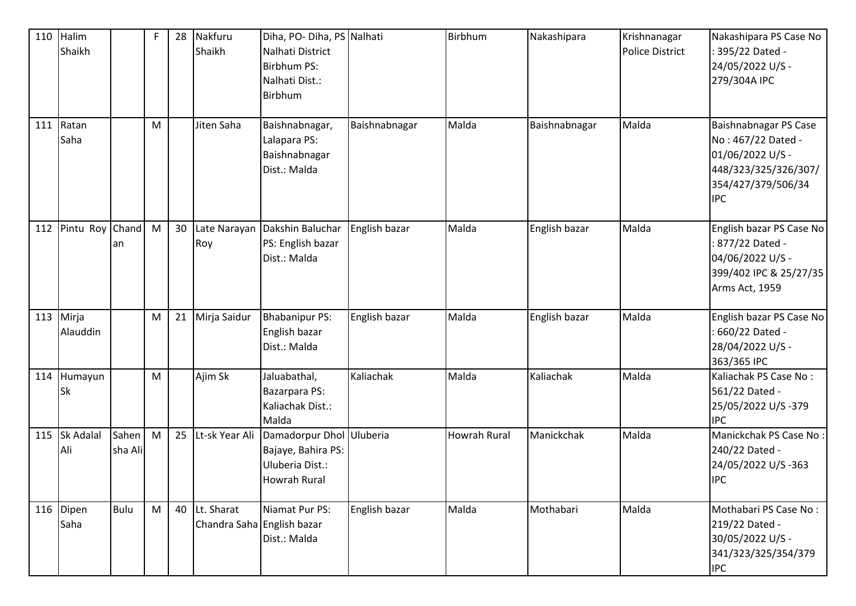| 110 | Halim<br>Shaikh         |                  | F. | 28 | Nakfuru<br>Shaikh                           | Diha, PO- Diha, PS Nalhati<br>Nalhati District<br><b>Birbhum PS:</b><br>Nalhati Dist.:<br>Birbhum |               | Birbhum             | Nakashipara   | Krishnanagar<br><b>Police District</b> | Nakashipara PS Case No<br>395/22 Dated -<br>24/05/2022 U/S -<br>279/304A IPC                                                |
|-----|-------------------------|------------------|----|----|---------------------------------------------|---------------------------------------------------------------------------------------------------|---------------|---------------------|---------------|----------------------------------------|-----------------------------------------------------------------------------------------------------------------------------|
| 111 | Ratan<br>Saha           |                  | M  |    | Jiten Saha                                  | Baishnabnagar,<br>Lalapara PS:<br>Baishnabnagar<br>Dist.: Malda                                   | Baishnabnagar | Malda               | Baishnabnagar | Malda                                  | Baishnabnagar PS Case<br>No: 467/22 Dated -<br>01/06/2022 U/S -<br>448/323/325/326/307/<br>354/427/379/506/34<br><b>IPC</b> |
| 112 | Pintu Roy Chand         | an               | M  | 30 | Roy                                         | Late Narayan Dakshin Baluchar<br>PS: English bazar<br>Dist.: Malda                                | English bazar | Malda               | English bazar | Malda                                  | English bazar PS Case No<br>877/22 Dated -<br>04/06/2022 U/S -<br>399/402 IPC & 25/27/35<br>Arms Act, 1959                  |
| 113 | Mirja<br>Alauddin       |                  | M  | 21 | Mirja Saidur                                | <b>Bhabanipur PS:</b><br>English bazar<br>Dist.: Malda                                            | English bazar | Malda               | English bazar | Malda                                  | English bazar PS Case No<br>660/22 Dated -<br>28/04/2022 U/S -<br>363/365 IPC                                               |
| 114 | Humayun<br><b>Sk</b>    |                  | M  |    | Ajim Sk                                     | Jaluabathal,<br>Bazarpara PS:<br>Kaliachak Dist.:<br>Malda                                        | Kaliachak     | Malda               | Kaliachak     | Malda                                  | Kaliachak PS Case No:<br>561/22 Dated -<br>25/05/2022 U/S-379<br><b>IPC</b>                                                 |
| 115 | <b>Sk Adalal</b><br>Ali | Sahen<br>sha Ali | M  | 25 | Lt-sk Year Ali                              | Damadorpur Dhol Uluberia<br>Bajaye, Bahira PS:<br>Uluberia Dist.:<br><b>Howrah Rural</b>          |               | <b>Howrah Rural</b> | Manickchak    | Malda                                  | Manickchak PS Case No:<br>240/22 Dated -<br>24/05/2022 U/S-363<br><b>IPC</b>                                                |
|     | 116 Dipen<br>Saha       | <b>Bulu</b>      | M  |    | 40 Lt. Sharat<br>Chandra Saha English bazar | Niamat Pur PS:<br>Dist.: Malda                                                                    | English bazar | Malda               | Mothabari     | Malda                                  | Mothabari PS Case No:<br>219/22 Dated -<br>30/05/2022 U/S -<br>341/323/325/354/379<br><b>IPC</b>                            |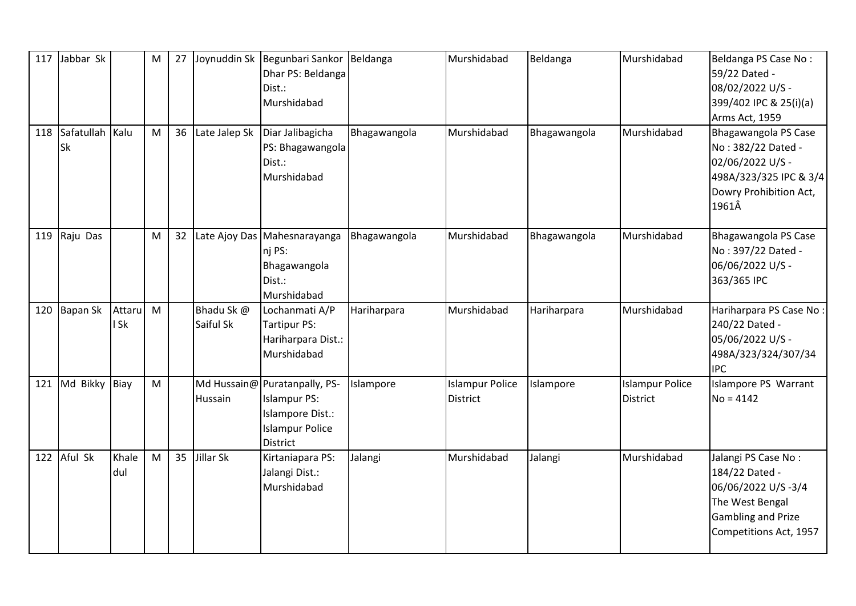| 117 | Jabbar Sk             |                | M            | 27 | Joynuddin Sk            | Begunbari Sankor Beldanga<br>Dhar PS: Beldanga<br>Dist.:<br>Murshidabad                                               |              | Murshidabad                               | Beldanga     | Murshidabad                               | Beldanga PS Case No:<br>59/22 Dated -<br>08/02/2022 U/S -<br>399/402 IPC & 25(i)(a)<br>Arms Act, 1959                          |
|-----|-----------------------|----------------|--------------|----|-------------------------|-----------------------------------------------------------------------------------------------------------------------|--------------|-------------------------------------------|--------------|-------------------------------------------|--------------------------------------------------------------------------------------------------------------------------------|
| 118 | Safatullah Kalu<br>Sk |                | M            | 36 | Late Jalep Sk           | Diar Jalibagicha<br>PS: Bhagawangola<br>Dist.:<br>Murshidabad                                                         | Bhagawangola | Murshidabad                               | Bhagawangola | Murshidabad                               | Bhagawangola PS Case<br>No: 382/22 Dated -<br>02/06/2022 U/S -<br>498A/323/325 IPC & 3/4<br>Dowry Prohibition Act,<br>1961Â    |
|     | 119 Raju Das          |                | M            | 32 |                         | Late Ajoy Das Mahesnarayanga<br>nj PS:<br>Bhagawangola<br>Dist.:<br>Murshidabad                                       | Bhagawangola | Murshidabad                               | Bhagawangola | Murshidabad                               | Bhagawangola PS Case<br>No: 397/22 Dated -<br>06/06/2022 U/S -<br>363/365 IPC                                                  |
| 120 | Bapan Sk              | Attaru<br>I Sk | M            |    | Bhadu Sk @<br>Saiful Sk | Lochanmati A/P<br><b>Tartipur PS:</b><br>Hariharpara Dist.:<br>Murshidabad                                            | Hariharpara  | Murshidabad                               | Hariharpara  | Murshidabad                               | Hariharpara PS Case No:<br>240/22 Dated -<br>05/06/2022 U/S -<br>498A/323/324/307/34<br><b>IPC</b>                             |
| 121 | Md Bikky Biay         |                | M            |    | Hussain                 | Md Hussain@ Puratanpally, PS-<br><b>Islampur PS:</b><br>Islampore Dist.:<br><b>Islampur Police</b><br><b>District</b> | Islampore    | <b>Islampur Police</b><br><b>District</b> | Islampore    | <b>Islampur Police</b><br><b>District</b> | Islampore PS Warrant<br>$No = 4142$                                                                                            |
|     | 122 Aful Sk           | Khale<br>dul   | $\mathsf{M}$ | 35 | Jillar Sk               | Kirtaniapara PS:<br>Jalangi Dist.:<br>Murshidabad                                                                     | Jalangi      | Murshidabad                               | Jalangi      | Murshidabad                               | Jalangi PS Case No:<br>184/22 Dated -<br>06/06/2022 U/S-3/4<br>The West Bengal<br>Gambling and Prize<br>Competitions Act, 1957 |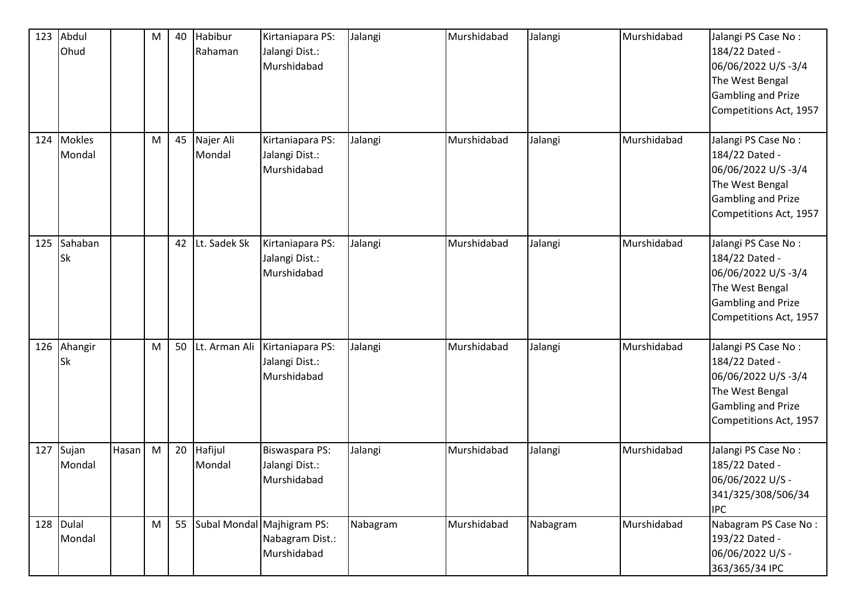| 123 | Abdul<br>Ohud           |       | M | 40 | Habibur<br>Rahaman  | Kirtaniapara PS:<br>Jalangi Dist.:<br>Murshidabad            | Jalangi  | Murshidabad | Jalangi  | Murshidabad | Jalangi PS Case No:<br>184/22 Dated -<br>06/06/2022 U/S-3/4<br>The West Bengal<br><b>Gambling and Prize</b><br>Competitions Act, 1957 |
|-----|-------------------------|-------|---|----|---------------------|--------------------------------------------------------------|----------|-------------|----------|-------------|---------------------------------------------------------------------------------------------------------------------------------------|
| 124 | <b>Mokles</b><br>Mondal |       | M | 45 | Najer Ali<br>Mondal | Kirtaniapara PS:<br>Jalangi Dist.:<br>Murshidabad            | Jalangi  | Murshidabad | Jalangi  | Murshidabad | Jalangi PS Case No:<br>184/22 Dated -<br>06/06/2022 U/S-3/4<br>The West Bengal<br><b>Gambling and Prize</b><br>Competitions Act, 1957 |
| 125 | Sahaban<br><b>Sk</b>    |       |   | 42 | Lt. Sadek Sk        | Kirtaniapara PS:<br>Jalangi Dist.:<br>Murshidabad            | Jalangi  | Murshidabad | Jalangi  | Murshidabad | Jalangi PS Case No:<br>184/22 Dated -<br>06/06/2022 U/S-3/4<br>The West Bengal<br><b>Gambling and Prize</b><br>Competitions Act, 1957 |
| 126 | Ahangir<br><b>Sk</b>    |       | M | 50 | Lt. Arman Ali       | Kirtaniapara PS:<br>Jalangi Dist.:<br>Murshidabad            | Jalangi  | Murshidabad | Jalangi  | Murshidabad | Jalangi PS Case No:<br>184/22 Dated -<br>06/06/2022 U/S-3/4<br>The West Bengal<br><b>Gambling and Prize</b><br>Competitions Act, 1957 |
| 127 | Sujan<br>Mondal         | Hasan | M | 20 | Hafijul<br>Mondal   | <b>Biswaspara PS:</b><br>Jalangi Dist.:<br>Murshidabad       | Jalangi  | Murshidabad | Jalangi  | Murshidabad | Jalangi PS Case No:<br>185/22 Dated -<br>06/06/2022 U/S -<br>341/325/308/506/34<br><b>IPC</b>                                         |
| 128 | Dulal<br>Mondal         |       | M | 55 |                     | Subal Mondal Majhigram PS:<br>Nabagram Dist.:<br>Murshidabad | Nabagram | Murshidabad | Nabagram | Murshidabad | Nabagram PS Case No:<br>193/22 Dated -<br>06/06/2022 U/S -<br>363/365/34 IPC                                                          |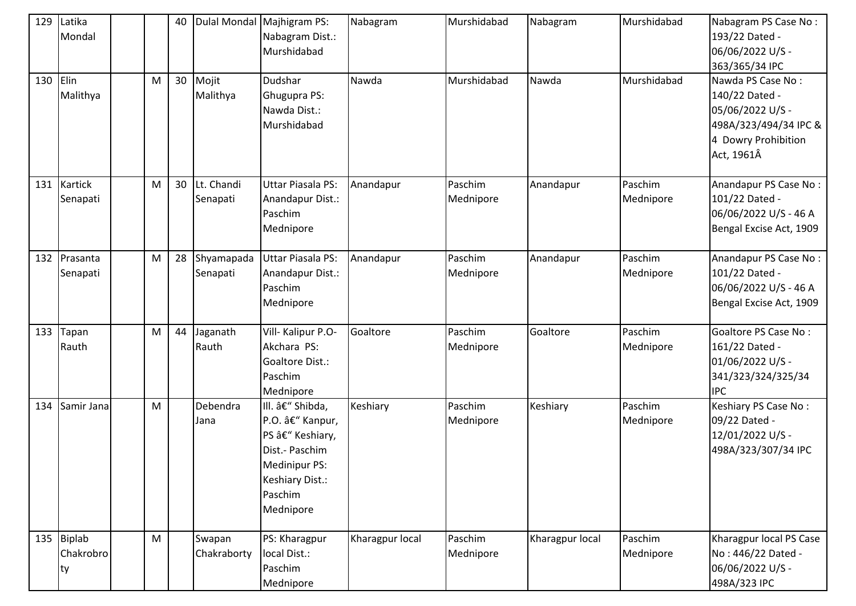| 129 | Latika<br>Mondal              |   | 40 |                        | Dulal Mondal Majhigram PS:<br>Nabagram Dist.:<br>Murshidabad                                                                            | Nabagram        | Murshidabad          | Nabagram        | Murshidabad          | Nabagram PS Case No:<br>193/22 Dated -<br>06/06/2022 U/S -<br>363/365/34 IPC                                          |
|-----|-------------------------------|---|----|------------------------|-----------------------------------------------------------------------------------------------------------------------------------------|-----------------|----------------------|-----------------|----------------------|-----------------------------------------------------------------------------------------------------------------------|
| 130 | Elin<br>Malithya              | M | 30 | Mojit<br>Malithya      | Dudshar<br>Ghugupra PS:<br>Nawda Dist.:<br>Murshidabad                                                                                  | Nawda           | Murshidabad          | Nawda           | Murshidabad          | Nawda PS Case No:<br>140/22 Dated -<br>05/06/2022 U/S -<br>498A/323/494/34 IPC &<br>4 Dowry Prohibition<br>Act, 1961Â |
| 131 | Kartick<br>Senapati           | M | 30 | Lt. Chandi<br>Senapati | <b>Uttar Piasala PS:</b><br>Anandapur Dist.:<br>Paschim<br>Mednipore                                                                    | Anandapur       | Paschim<br>Mednipore | Anandapur       | Paschim<br>Mednipore | Anandapur PS Case No:<br>101/22 Dated -<br>06/06/2022 U/S - 46 A<br>Bengal Excise Act, 1909                           |
| 132 | Prasanta<br>Senapati          | M | 28 | Shyamapada<br>Senapati | <b>Uttar Piasala PS:</b><br>Anandapur Dist.:<br>Paschim<br>Mednipore                                                                    | Anandapur       | Paschim<br>Mednipore | Anandapur       | Paschim<br>Mednipore | Anandapur PS Case No:<br>101/22 Dated -<br>06/06/2022 U/S - 46 A<br>Bengal Excise Act, 1909                           |
| 133 | Tapan<br>Rauth                | M | 44 | Jaganath<br>Rauth      | Vill-Kalipur P.O-<br>Akchara PS:<br>Goaltore Dist.:<br>Paschim<br>Mednipore                                                             | Goaltore        | Paschim<br>Mednipore | Goaltore        | Paschim<br>Mednipore | Goaltore PS Case No:<br>161/22 Dated -<br>01/06/2022 U/S -<br>341/323/324/325/34<br><b>IPC</b>                        |
| 134 | Samir Jana                    | M |    | Debendra<br>Jana       | III. – Shibda,<br>P.O. – Kanpur,<br>PS – Keshiary,<br>Dist.- Paschim<br><b>Medinipur PS:</b><br>Keshiary Dist.:<br>Paschim<br>Mednipore | Keshiary        | Paschim<br>Mednipore | Keshiary        | Paschim<br>Mednipore | Keshiary PS Case No:<br>09/22 Dated -<br>12/01/2022 U/S -<br>498A/323/307/34 IPC                                      |
|     | 135 Biplab<br>Chakrobro<br>ty | M |    | Swapan<br>Chakraborty  | PS: Kharagpur<br>local Dist.:<br>Paschim<br>Mednipore                                                                                   | Kharagpur local | Paschim<br>Mednipore | Kharagpur local | Paschim<br>Mednipore | Kharagpur local PS Case<br>No: 446/22 Dated -<br>06/06/2022 U/S -<br>498A/323 IPC                                     |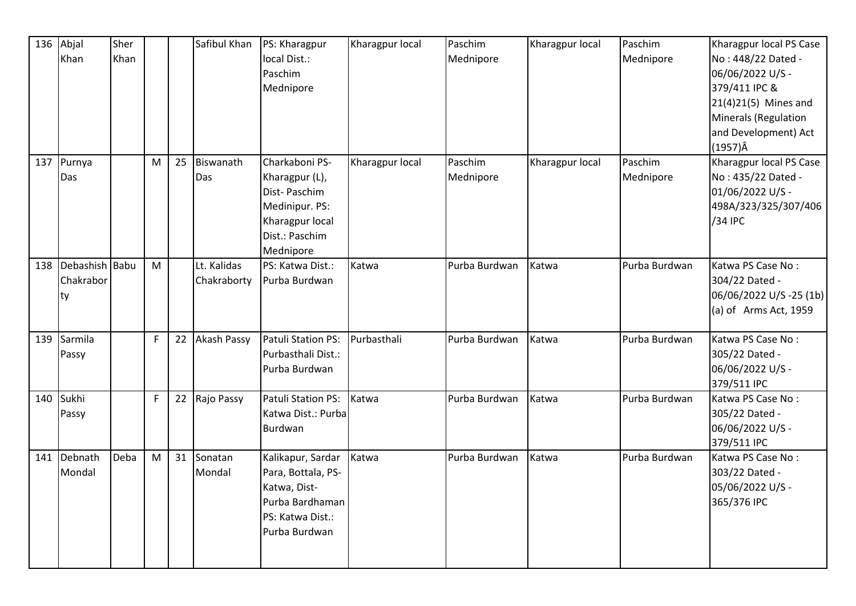| 136 | Abjal          | Sher |              |    | Safibul Khan | PS: Kharagpur             | Kharagpur local | Paschim       | Kharagpur local | Paschim       | Kharagpur local PS Case          |
|-----|----------------|------|--------------|----|--------------|---------------------------|-----------------|---------------|-----------------|---------------|----------------------------------|
|     | Khan           | Khan |              |    |              | local Dist.:              |                 | Mednipore     |                 | Mednipore     | No: 448/22 Dated -               |
|     |                |      |              |    |              | Paschim                   |                 |               |                 |               | 06/06/2022 U/S -                 |
|     |                |      |              |    |              | Mednipore                 |                 |               |                 |               | 379/411 IPC &                    |
|     |                |      |              |    |              |                           |                 |               |                 |               | $21(4)21(5)$ Mines and           |
|     |                |      |              |    |              |                           |                 |               |                 |               | Minerals (Regulation             |
|     |                |      |              |    |              |                           |                 |               |                 |               | and Development) Act             |
|     |                |      |              |    |              |                           |                 |               |                 |               | $(1957)\hat{A}$                  |
|     | 137 Purnya     |      | M            | 25 | Biswanath    | Charkaboni PS-            | Kharagpur local | Paschim       | Kharagpur local | Paschim       | Kharagpur local PS Case          |
|     | Das            |      |              |    | Das          | Kharagpur (L),            |                 | Mednipore     |                 | Mednipore     | No: 435/22 Dated -               |
|     |                |      |              |    |              | Dist-Paschim              |                 |               |                 |               | 01/06/2022 U/S -                 |
|     |                |      |              |    |              | Medinipur. PS:            |                 |               |                 |               | 498A/323/325/307/406             |
|     |                |      |              |    |              | Kharagpur local           |                 |               |                 |               | /34 IPC                          |
|     |                |      |              |    |              | Dist.: Paschim            |                 |               |                 |               |                                  |
|     |                |      |              |    |              | Mednipore                 |                 |               |                 |               |                                  |
| 138 | Debashish Babu |      | M            |    | Lt. Kalidas  | PS: Katwa Dist.:          | Katwa           | Purba Burdwan | Katwa           | Purba Burdwan | Katwa PS Case No:                |
|     | Chakrabor      |      |              |    | Chakraborty  | Purba Burdwan             |                 |               |                 |               | 304/22 Dated -                   |
|     | ty             |      |              |    |              |                           |                 |               |                 |               | 06/06/2022 U/S -25 (1b)          |
|     |                |      |              |    |              |                           |                 |               |                 |               | (a) of Arms Act, 1959            |
|     |                |      |              |    |              |                           |                 |               |                 |               |                                  |
| 139 | Sarmila        |      | $\mathsf{F}$ | 22 | Akash Passy  | Patuli Station PS:        | Purbasthali     | Purba Burdwan | Katwa           | Purba Burdwan | Katwa PS Case No:                |
|     | Passy          |      |              |    |              | Purbasthali Dist.:        |                 |               |                 |               | 305/22 Dated -                   |
|     |                |      |              |    |              | Purba Burdwan             |                 |               |                 |               | 06/06/2022 U/S -                 |
|     |                |      |              |    |              |                           |                 |               |                 |               | 379/511 IPC                      |
| 140 | Sukhi          |      | $\mathsf F$  | 22 | Rajo Passy   | <b>Patuli Station PS:</b> | Katwa           | Purba Burdwan | Katwa           | Purba Burdwan | Katwa PS Case No:                |
|     | Passy          |      |              |    |              | Katwa Dist.: Purba        |                 |               |                 |               | 305/22 Dated -                   |
|     |                |      |              |    |              | Burdwan                   |                 |               |                 |               | 06/06/2022 U/S -                 |
| 141 | Debnath        | Deba | M            | 31 | Sonatan      | Kalikapur, Sardar         | Katwa           | Purba Burdwan | Katwa           | Purba Burdwan | 379/511 IPC<br>Katwa PS Case No: |
|     | Mondal         |      |              |    | Mondal       | Para, Bottala, PS-        |                 |               |                 |               | 303/22 Dated -                   |
|     |                |      |              |    |              | Katwa, Dist-              |                 |               |                 |               | 05/06/2022 U/S -                 |
|     |                |      |              |    |              | Purba Bardhaman           |                 |               |                 |               | 365/376 IPC                      |
|     |                |      |              |    |              | PS: Katwa Dist.:          |                 |               |                 |               |                                  |
|     |                |      |              |    |              | Purba Burdwan             |                 |               |                 |               |                                  |
|     |                |      |              |    |              |                           |                 |               |                 |               |                                  |
|     |                |      |              |    |              |                           |                 |               |                 |               |                                  |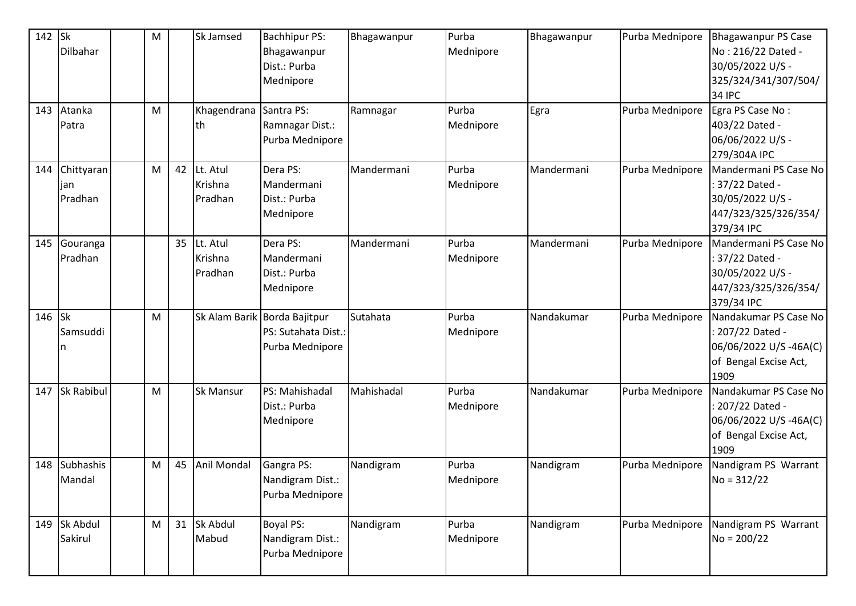| 142 | <b>Sk</b>  | M |    | Sk Jamsed        | <b>Bachhipur PS:</b>         | Bhagawanpur | Purba     | Bhagawanpur | Purba Mednipore | <b>Bhagawanpur PS Case</b> |
|-----|------------|---|----|------------------|------------------------------|-------------|-----------|-------------|-----------------|----------------------------|
|     | Dilbahar   |   |    |                  | Bhagawanpur                  |             | Mednipore |             |                 | No: 216/22 Dated -         |
|     |            |   |    |                  | Dist.: Purba                 |             |           |             |                 | 30/05/2022 U/S -           |
|     |            |   |    |                  | Mednipore                    |             |           |             |                 | 325/324/341/307/504/       |
|     |            |   |    |                  |                              |             |           |             |                 | 34 IPC                     |
| 143 | Atanka     | M |    | Khagendrana      | Santra PS:                   | Ramnagar    | Purba     | Egra        | Purba Mednipore | Egra PS Case No:           |
|     | Patra      |   |    | lth              | Ramnagar Dist.:              |             | Mednipore |             |                 | 403/22 Dated -             |
|     |            |   |    |                  | Purba Mednipore              |             |           |             |                 | 06/06/2022 U/S -           |
|     |            |   |    |                  |                              |             |           |             |                 | 279/304A IPC               |
| 144 | Chittyaran | M | 42 | Lt. Atul         | Dera PS:                     | Mandermani  | Purba     | Mandermani  | Purba Mednipore | Mandermani PS Case No      |
|     | jan        |   |    | Krishna          | Mandermani                   |             | Mednipore |             |                 | : 37/22 Dated -            |
|     | Pradhan    |   |    | Pradhan          | Dist.: Purba                 |             |           |             |                 | 30/05/2022 U/S -           |
|     |            |   |    |                  | Mednipore                    |             |           |             |                 | 447/323/325/326/354/       |
|     |            |   |    |                  |                              |             |           |             |                 | 379/34 IPC                 |
| 145 | Gouranga   |   | 35 | Lt. Atul         | Dera PS:                     | Mandermani  | Purba     | Mandermani  | Purba Mednipore | Mandermani PS Case No      |
|     | Pradhan    |   |    | Krishna          | Mandermani                   |             | Mednipore |             |                 | : 37/22 Dated -            |
|     |            |   |    | Pradhan          | Dist.: Purba                 |             |           |             |                 | 30/05/2022 U/S -           |
|     |            |   |    |                  | Mednipore                    |             |           |             |                 | 447/323/325/326/354/       |
|     |            |   |    |                  |                              |             |           |             |                 | 379/34 IPC                 |
| 146 | <b>Sk</b>  | M |    |                  | Sk Alam Barik Borda Bajitpur | Sutahata    | Purba     | Nandakumar  | Purba Mednipore | Nandakumar PS Case No      |
|     | Samsuddi   |   |    |                  | PS: Sutahata Dist.:          |             | Mednipore |             |                 | : 207/22 Dated -           |
|     |            |   |    |                  | Purba Mednipore              |             |           |             |                 | 06/06/2022 U/S-46A(C)      |
|     |            |   |    |                  |                              |             |           |             |                 | of Bengal Excise Act,      |
|     |            |   |    |                  |                              |             |           |             |                 | 1909                       |
| 147 | Sk Rabibul | M |    | <b>Sk Mansur</b> | PS: Mahishadal               | Mahishadal  | Purba     | Nandakumar  | Purba Mednipore | Nandakumar PS Case No      |
|     |            |   |    |                  | Dist.: Purba                 |             | Mednipore |             |                 | : 207/22 Dated -           |
|     |            |   |    |                  | Mednipore                    |             |           |             |                 | 06/06/2022 U/S-46A(C)      |
|     |            |   |    |                  |                              |             |           |             |                 | of Bengal Excise Act,      |
|     |            |   |    |                  |                              |             |           |             |                 | 1909                       |
| 148 | Subhashis  | M | 45 | Anil Mondal      | Gangra PS:                   | Nandigram   | Purba     | Nandigram   | Purba Mednipore | Nandigram PS Warrant       |
|     | Mandal     |   |    |                  | Nandigram Dist.:             |             | Mednipore |             |                 | $No = 312/22$              |
|     |            |   |    |                  | Purba Mednipore              |             |           |             |                 |                            |
|     |            |   |    |                  |                              |             |           |             |                 |                            |
| 149 | Sk Abdul   | M | 31 | Sk Abdul         | Boyal PS:                    | Nandigram   | Purba     | Nandigram   | Purba Mednipore | Nandigram PS Warrant       |
|     | Sakirul    |   |    | Mabud            | Nandigram Dist.:             |             | Mednipore |             |                 | $No = 200/22$              |
|     |            |   |    |                  | Purba Mednipore              |             |           |             |                 |                            |
|     |            |   |    |                  |                              |             |           |             |                 |                            |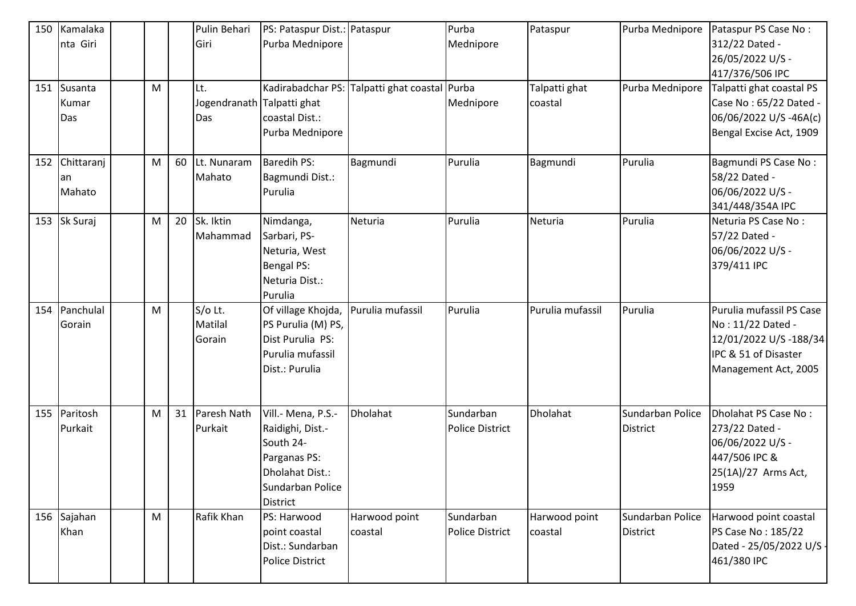| 150<br>151 | Kamalaka<br>nta Giri<br>Susanta | M |    | Pulin Behari<br>Giri<br>Lt.       | PS: Pataspur Dist.: Pataspur<br>Purba Mednipore                                                                               | Kadirabadchar PS: Talpatti ghat coastal Purba | Purba<br>Mednipore                  | Pataspur<br>Talpatti ghat | Purba Mednipore<br>Purba Mednipore  | Pataspur PS Case No:<br>312/22 Dated -<br>26/05/2022 U/S -<br>417/376/506 IPC<br>Talpatti ghat coastal PS              |
|------------|---------------------------------|---|----|-----------------------------------|-------------------------------------------------------------------------------------------------------------------------------|-----------------------------------------------|-------------------------------------|---------------------------|-------------------------------------|------------------------------------------------------------------------------------------------------------------------|
|            | Kumar<br>Das                    |   |    | Jogendranath Talpatti ghat<br>Das | coastal Dist.:<br>Purba Mednipore                                                                                             |                                               | Mednipore                           | coastal                   |                                     | Case No: 65/22 Dated -<br>06/06/2022 U/S -46A(c)<br>Bengal Excise Act, 1909                                            |
| 152        | Chittaranj<br>an<br>Mahato      | M | 60 | Lt. Nunaram<br>Mahato             | <b>Baredih PS:</b><br>Bagmundi Dist.:<br>Purulia                                                                              | Bagmundi                                      | Purulia                             | Bagmundi                  | Purulia                             | Bagmundi PS Case No:<br>58/22 Dated -<br>06/06/2022 U/S -<br>341/448/354A IPC                                          |
| 153        | Sk Suraj                        | M | 20 | Sk. Iktin<br>Mahammad             | Nimdanga,<br>Sarbari, PS-<br>Neturia, West<br><b>Bengal PS:</b><br>Neturia Dist.:<br>Purulia                                  | Neturia                                       | Purulia                             | Neturia                   | Purulia                             | Neturia PS Case No:<br>57/22 Dated -<br>06/06/2022 U/S -<br>379/411 IPC                                                |
| 154        | Panchulal<br>Gorain             | M |    | S/o Lt.<br>Matilal<br>Gorain      | Of village Khojda,<br>PS Purulia (M) PS,<br>Dist Purulia PS:<br>Purulia mufassil<br>Dist.: Purulia                            | Purulia mufassil                              | Purulia                             | Purulia mufassil          | Purulia                             | Purulia mufassil PS Case<br>No: 11/22 Dated -<br>12/01/2022 U/S-188/34<br>IPC & 51 of Disaster<br>Management Act, 2005 |
| 155        | Paritosh<br>Purkait             | M | 31 | Paresh Nath<br>Purkait            | Vill.- Mena, P.S.-<br>Raidighi, Dist.-<br>South 24-<br>Parganas PS:<br>Dholahat Dist.:<br>Sundarban Police<br><b>District</b> | Dholahat                                      | Sundarban<br><b>Police District</b> | Dholahat                  | Sundarban Police<br><b>District</b> | Dholahat PS Case No:<br>273/22 Dated -<br>06/06/2022 U/S -<br>447/506 IPC &<br>25(1A)/27 Arms Act,<br>1959             |
| 156        | Sajahan<br>Khan                 | M |    | Rafik Khan                        | PS: Harwood<br>point coastal<br>Dist.: Sundarban<br><b>Police District</b>                                                    | Harwood point<br>coastal                      | Sundarban<br>Police District        | Harwood point<br>coastal  | Sundarban Police<br><b>District</b> | Harwood point coastal<br>PS Case No: 185/22<br>Dated - 25/05/2022 U/S -<br>461/380 IPC                                 |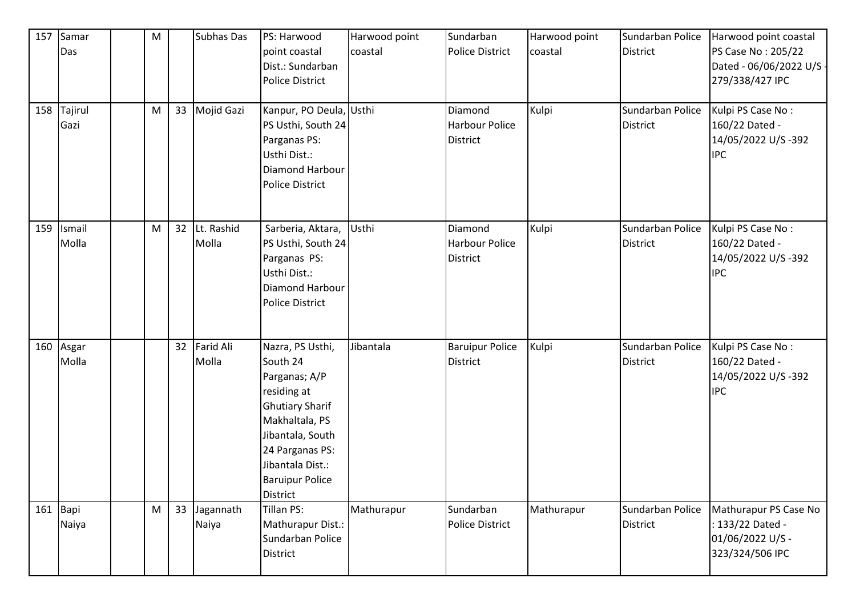| 157 | Samar       | M |    | Subhas Das       | PS: Harwood             | Harwood point | Sundarban              | Harwood point | Sundarban Police | Harwood point coastal  |
|-----|-------------|---|----|------------------|-------------------------|---------------|------------------------|---------------|------------------|------------------------|
|     | Das         |   |    |                  | point coastal           | coastal       | <b>Police District</b> | coastal       | <b>District</b>  | PS Case No: 205/22     |
|     |             |   |    |                  | Dist.: Sundarban        |               |                        |               |                  | Dated - 06/06/2022 U/S |
|     |             |   |    |                  | <b>Police District</b>  |               |                        |               |                  | 279/338/427 IPC        |
|     |             |   |    |                  |                         |               |                        |               |                  |                        |
|     | 158 Tajirul | M | 33 | Mojid Gazi       | Kanpur, PO Deula, Usthi |               | Diamond                | Kulpi         | Sundarban Police | Kulpi PS Case No:      |
|     | Gazi        |   |    |                  | PS Usthi, South 24      |               | <b>Harbour Police</b>  |               | <b>District</b>  | 160/22 Dated -         |
|     |             |   |    |                  | Parganas PS:            |               | <b>District</b>        |               |                  | 14/05/2022 U/S -392    |
|     |             |   |    |                  | Usthi Dist.:            |               |                        |               |                  | <b>IPC</b>             |
|     |             |   |    |                  | Diamond Harbour         |               |                        |               |                  |                        |
|     |             |   |    |                  | <b>Police District</b>  |               |                        |               |                  |                        |
|     |             |   |    |                  |                         |               |                        |               |                  |                        |
|     |             |   |    |                  |                         |               |                        |               |                  |                        |
| 159 | Ismail      | M | 32 | Lt. Rashid       | Sarberia, Aktara,       | Usthi         | Diamond                | Kulpi         | Sundarban Police | Kulpi PS Case No:      |
|     | Molla       |   |    | Molla            | PS Usthi, South 24      |               | <b>Harbour Police</b>  |               | <b>District</b>  | 160/22 Dated -         |
|     |             |   |    |                  | Parganas PS:            |               | <b>District</b>        |               |                  | 14/05/2022 U/S -392    |
|     |             |   |    |                  | Usthi Dist.:            |               |                        |               |                  | <b>IPC</b>             |
|     |             |   |    |                  | <b>Diamond Harbour</b>  |               |                        |               |                  |                        |
|     |             |   |    |                  | <b>Police District</b>  |               |                        |               |                  |                        |
|     |             |   |    |                  |                         |               |                        |               |                  |                        |
| 160 | Asgar       |   | 32 | <b>Farid Ali</b> | Nazra, PS Usthi,        | Jibantala     | <b>Baruipur Police</b> | Kulpi         | Sundarban Police | Kulpi PS Case No:      |
|     | Molla       |   |    | Molla            | South 24                |               | <b>District</b>        |               | <b>District</b>  | 160/22 Dated -         |
|     |             |   |    |                  | Parganas; A/P           |               |                        |               |                  | 14/05/2022 U/S-392     |
|     |             |   |    |                  | residing at             |               |                        |               |                  | <b>IPC</b>             |
|     |             |   |    |                  | <b>Ghutiary Sharif</b>  |               |                        |               |                  |                        |
|     |             |   |    |                  | Makhaltala, PS          |               |                        |               |                  |                        |
|     |             |   |    |                  | Jibantala, South        |               |                        |               |                  |                        |
|     |             |   |    |                  | 24 Parganas PS:         |               |                        |               |                  |                        |
|     |             |   |    |                  | Jibantala Dist.:        |               |                        |               |                  |                        |
|     |             |   |    |                  | <b>Baruipur Police</b>  |               |                        |               |                  |                        |
|     |             |   |    |                  | <b>District</b>         |               |                        |               |                  |                        |
|     | $161$ Bapi  | M | 33 | Jagannath        | Tillan PS:              | Mathurapur    | Sundarban              | Mathurapur    | Sundarban Police | Mathurapur PS Case No  |
|     | Naiya       |   |    | Naiya            | Mathurapur Dist.:       |               | <b>Police District</b> |               | <b>District</b>  | : 133/22 Dated -       |
|     |             |   |    |                  | Sundarban Police        |               |                        |               |                  | 01/06/2022 U/S -       |
|     |             |   |    |                  | <b>District</b>         |               |                        |               |                  | 323/324/506 IPC        |
|     |             |   |    |                  |                         |               |                        |               |                  |                        |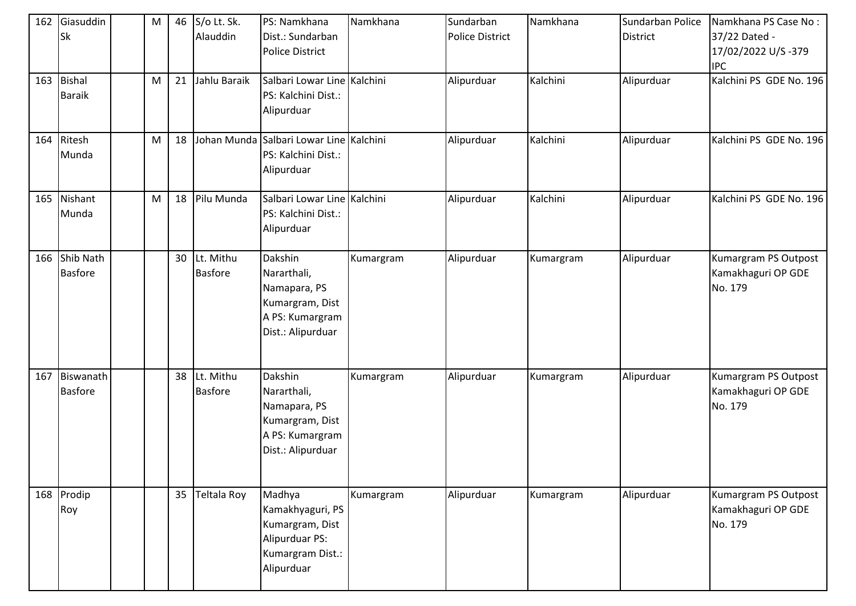| 162 | Giasuddin<br><b>Sk</b>         | M | 46 | S/o Lt. Sk.<br>Alauddin     | PS: Namkhana<br>Dist.: Sundarban<br><b>Police District</b>                                        | Namkhana  | Sundarban<br><b>Police District</b> | Namkhana  | Sundarban Police<br><b>District</b> | Namkhana PS Case No:<br>37/22 Dated -<br>17/02/2022 U/S-379<br><b>IPC</b> |
|-----|--------------------------------|---|----|-----------------------------|---------------------------------------------------------------------------------------------------|-----------|-------------------------------------|-----------|-------------------------------------|---------------------------------------------------------------------------|
| 163 | <b>Bishal</b><br><b>Baraik</b> | M | 21 | Jahlu Baraik                | Salbari Lowar Line Kalchini<br>PS: Kalchini Dist.:<br>Alipurduar                                  |           | Alipurduar                          | Kalchini  | Alipurduar                          | Kalchini PS GDE No. 196                                                   |
| 164 | Ritesh<br>Munda                | M | 18 |                             | Johan Munda <i>Salbari Lowar Line Kalchini</i><br>PS: Kalchini Dist.:<br>Alipurduar               |           | Alipurduar                          | Kalchini  | Alipurduar                          | Kalchini PS GDE No. 196                                                   |
| 165 | Nishant<br>Munda               | M | 18 | Pilu Munda                  | Salbari Lowar Line Kalchini<br>PS: Kalchini Dist.:<br>Alipurduar                                  |           | Alipurduar                          | Kalchini  | Alipurduar                          | Kalchini PS GDE No. 196                                                   |
| 166 | Shib Nath<br><b>Basfore</b>    |   | 30 | Lt. Mithu<br><b>Basfore</b> | Dakshin<br>Nararthali,<br>Namapara, PS<br>Kumargram, Dist<br>A PS: Kumargram<br>Dist.: Alipurduar | Kumargram | Alipurduar                          | Kumargram | Alipurduar                          | Kumargram PS Outpost<br>Kamakhaguri OP GDE<br>No. 179                     |
| 167 | Biswanath<br><b>Basfore</b>    |   | 38 | Lt. Mithu<br><b>Basfore</b> | Dakshin<br>Nararthali,<br>Namapara, PS<br>Kumargram, Dist<br>A PS: Kumargram<br>Dist.: Alipurduar | Kumargram | Alipurduar                          | Kumargram | Alipurduar                          | Kumargram PS Outpost<br>Kamakhaguri OP GDE<br>No. 179                     |
|     | 168 Prodip<br>Roy              |   | 35 | <b>Teltala Roy</b>          | Madhya<br>Kamakhyaguri, PS<br>Kumargram, Dist<br>Alipurduar PS:<br>Kumargram Dist.:<br>Alipurduar | Kumargram | Alipurduar                          | Kumargram | Alipurduar                          | Kumargram PS Outpost<br>Kamakhaguri OP GDE<br>No. 179                     |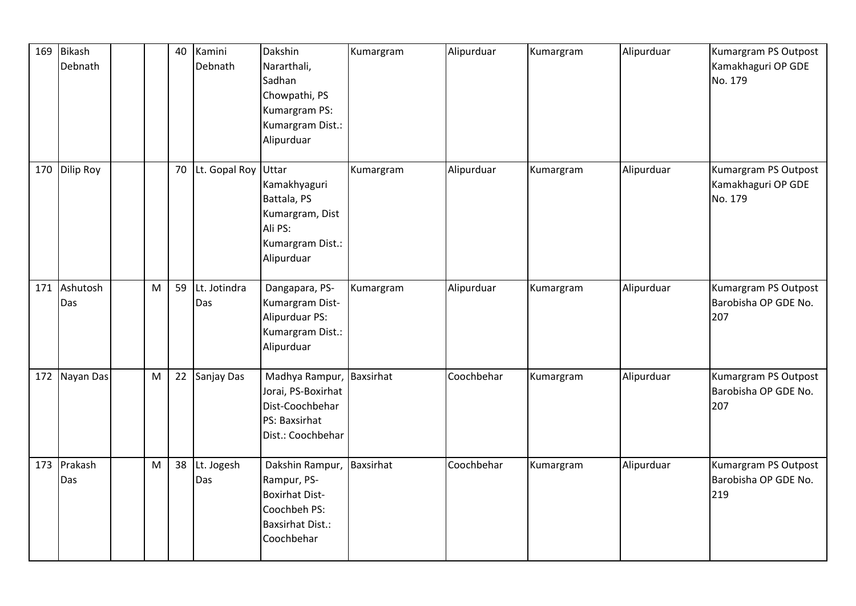| 169 | <b>Bikash</b><br>Debnath |           | 40 | Kamini<br>Debnath   | Dakshin<br>Nararthali,<br>Sadhan<br>Chowpathi, PS<br>Kumargram PS:<br>Kumargram Dist.:<br>Alipurduar                       | Kumargram | Alipurduar | Kumargram | Alipurduar | Kumargram PS Outpost<br>Kamakhaguri OP GDE<br>No. 179 |
|-----|--------------------------|-----------|----|---------------------|----------------------------------------------------------------------------------------------------------------------------|-----------|------------|-----------|------------|-------------------------------------------------------|
| 170 | <b>Dilip Roy</b>         |           | 70 | Lt. Gopal Roy       | Uttar<br>Kamakhyaguri<br>Battala, PS<br>Kumargram, Dist<br>Ali PS:<br>Kumargram Dist.:<br>Alipurduar                       | Kumargram | Alipurduar | Kumargram | Alipurduar | Kumargram PS Outpost<br>Kamakhaguri OP GDE<br>No. 179 |
| 171 | Ashutosh<br>Das          | M         | 59 | Lt. Jotindra<br>Das | Dangapara, PS-<br>Kumargram Dist-<br>Alipurduar PS:<br>Kumargram Dist.:<br>Alipurduar                                      | Kumargram | Alipurduar | Kumargram | Alipurduar | Kumargram PS Outpost<br>Barobisha OP GDE No.<br>207   |
| 172 | Nayan Das                | ${\sf M}$ | 22 | Sanjay Das          | Madhya Rampur, Baxsirhat<br>Jorai, PS-Boxirhat<br>Dist-Coochbehar<br>PS: Baxsirhat<br>Dist.: Coochbehar                    |           | Coochbehar | Kumargram | Alipurduar | Kumargram PS Outpost<br>Barobisha OP GDE No.<br>207   |
| 173 | Prakash<br>Das           | M         | 38 | Lt. Jogesh<br>Das   | Dakshin Rampur, Baxsirhat<br>Rampur, PS-<br><b>Boxirhat Dist-</b><br>Coochbeh PS:<br><b>Baxsirhat Dist.:</b><br>Coochbehar |           | Coochbehar | Kumargram | Alipurduar | Kumargram PS Outpost<br>Barobisha OP GDE No.<br>219   |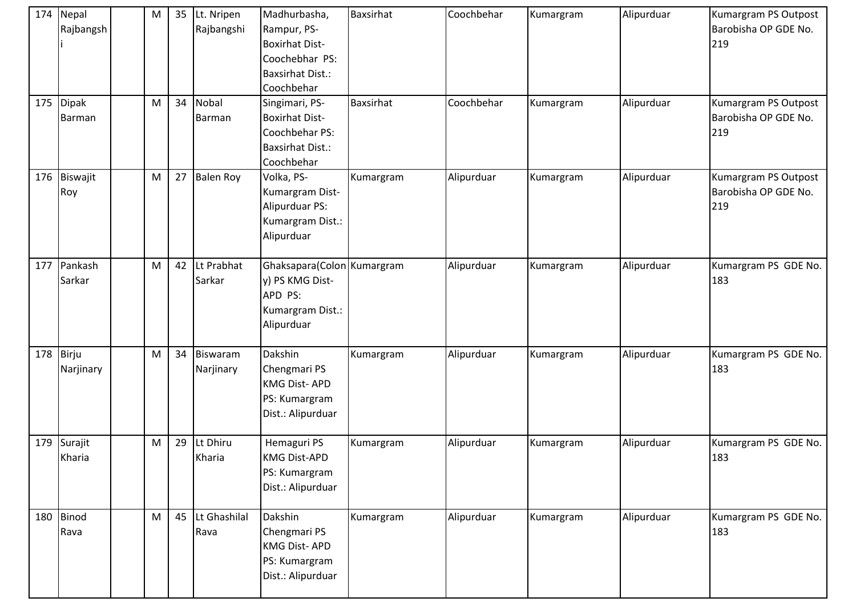| 174 | Nepal<br>Rajbangsh     | M | 35 | Lt. Nripen<br>Rajbangshi | Madhurbasha,<br>Rampur, PS-<br><b>Boxirhat Dist-</b><br>Coochebhar PS:<br><b>Baxsirhat Dist.:</b><br>Coochbehar | Baxsirhat | Coochbehar | Kumargram | Alipurduar | Kumargram PS Outpost<br>Barobisha OP GDE No.<br>219 |
|-----|------------------------|---|----|--------------------------|-----------------------------------------------------------------------------------------------------------------|-----------|------------|-----------|------------|-----------------------------------------------------|
| 175 | <b>Dipak</b><br>Barman | M | 34 | Nobal<br><b>Barman</b>   | Singimari, PS-<br><b>Boxirhat Dist-</b><br>Coochbehar PS:<br><b>Baxsirhat Dist.:</b><br>Coochbehar              | Baxsirhat | Coochbehar | Kumargram | Alipurduar | Kumargram PS Outpost<br>Barobisha OP GDE No.<br>219 |
| 176 | Biswajit<br>Roy        | M | 27 | <b>Balen Roy</b>         | Volka, PS-<br>Kumargram Dist-<br>Alipurduar PS:<br>Kumargram Dist.:<br>Alipurduar                               | Kumargram | Alipurduar | Kumargram | Alipurduar | Kumargram PS Outpost<br>Barobisha OP GDE No.<br>219 |
| 177 | Pankash<br>Sarkar      | M | 42 | Lt Prabhat<br>Sarkar     | Ghaksapara(Colon Kumargram<br>y) PS KMG Dist-<br>APD PS:<br>Kumargram Dist.:<br>Alipurduar                      |           | Alipurduar | Kumargram | Alipurduar | Kumargram PS GDE No.<br>183                         |
| 178 | Birju<br>Narjinary     | M | 34 | Biswaram<br>Narjinary    | Dakshin<br>Chengmari PS<br><b>KMG Dist-APD</b><br>PS: Kumargram<br>Dist.: Alipurduar                            | Kumargram | Alipurduar | Kumargram | Alipurduar | Kumargram PS GDE No.<br>183                         |
| 179 | Surajit<br>Kharia      | M | 29 | Lt Dhiru<br>Kharia       | Hemaguri PS<br><b>KMG Dist-APD</b><br>PS: Kumargram<br>Dist.: Alipurduar                                        | Kumargram | Alipurduar | Kumargram | Alipurduar | Kumargram PS GDE No.<br>183                         |
| 180 | <b>Binod</b><br>Rava   | M | 45 | Lt Ghashilal<br>Rava     | Dakshin<br>Chengmari PS<br><b>KMG Dist-APD</b><br>PS: Kumargram<br>Dist.: Alipurduar                            | Kumargram | Alipurduar | Kumargram | Alipurduar | Kumargram PS GDE No.<br>183                         |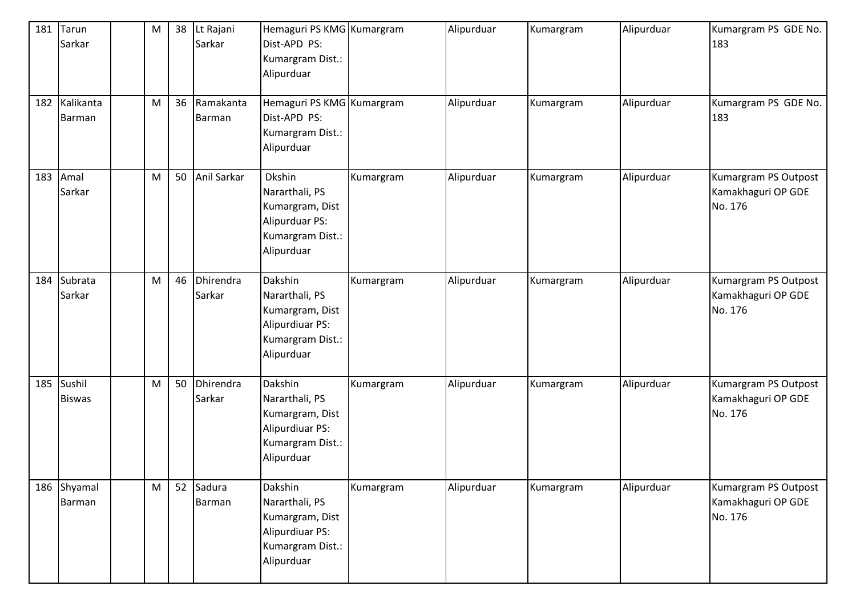| 181 | Tarun<br>Sarkar         | M         | 38 | Lt Rajani<br>Sarkar        | Hemaguri PS KMG Kumargram<br>Dist-APD PS:<br>Kumargram Dist.:<br>Alipurduar                            |           | Alipurduar | Kumargram | Alipurduar | Kumargram PS GDE No.<br>183                           |
|-----|-------------------------|-----------|----|----------------------------|--------------------------------------------------------------------------------------------------------|-----------|------------|-----------|------------|-------------------------------------------------------|
| 182 | Kalikanta<br>Barman     | ${\sf M}$ | 36 | Ramakanta<br><b>Barman</b> | Hemaguri PS KMG Kumargram<br>Dist-APD PS:<br>Kumargram Dist.:<br>Alipurduar                            |           | Alipurduar | Kumargram | Alipurduar | Kumargram PS GDE No.<br>183                           |
| 183 | Amal<br>Sarkar          | M         | 50 | Anil Sarkar                | <b>Dkshin</b><br>Nararthali, PS<br>Kumargram, Dist<br>Alipurduar PS:<br>Kumargram Dist.:<br>Alipurduar | Kumargram | Alipurduar | Kumargram | Alipurduar | Kumargram PS Outpost<br>Kamakhaguri OP GDE<br>No. 176 |
| 184 | Subrata<br>Sarkar       | M         | 46 | Dhirendra<br>Sarkar        | Dakshin<br>Nararthali, PS<br>Kumargram, Dist<br>Alipurdiuar PS:<br>Kumargram Dist.:<br>Alipurduar      | Kumargram | Alipurduar | Kumargram | Alipurduar | Kumargram PS Outpost<br>Kamakhaguri OP GDE<br>No. 176 |
| 185 | Sushil<br><b>Biswas</b> | M         | 50 | Dhirendra<br>Sarkar        | Dakshin<br>Nararthali, PS<br>Kumargram, Dist<br>Alipurdiuar PS:<br>Kumargram Dist.:<br>Alipurduar      | Kumargram | Alipurduar | Kumargram | Alipurduar | Kumargram PS Outpost<br>Kamakhaguri OP GDE<br>No. 176 |
| 186 | Shyamal<br>Barman       | M         | 52 | Sadura<br>Barman           | Dakshin<br>Nararthali, PS<br>Kumargram, Dist<br>Alipurdiuar PS:<br>Kumargram Dist.:<br>Alipurduar      | Kumargram | Alipurduar | Kumargram | Alipurduar | Kumargram PS Outpost<br>Kamakhaguri OP GDE<br>No. 176 |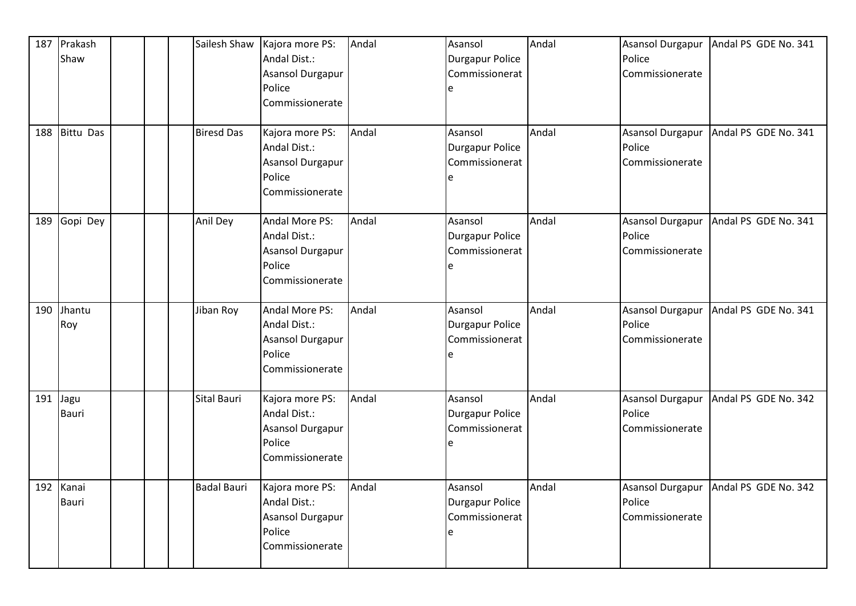| 187 | Prakash          |  | Sailesh Shaw       | Kajora more PS:         | Andal | Asansol                | Andal | Asansol Durgapur        | Andal PS GDE No. 341 |
|-----|------------------|--|--------------------|-------------------------|-------|------------------------|-------|-------------------------|----------------------|
|     | Shaw             |  |                    | Andal Dist.:            |       | <b>Durgapur Police</b> |       | Police                  |                      |
|     |                  |  |                    | Asansol Durgapur        |       | Commissionerat         |       | Commissionerate         |                      |
|     |                  |  |                    | Police                  |       | e                      |       |                         |                      |
|     |                  |  |                    | Commissionerate         |       |                        |       |                         |                      |
|     |                  |  |                    |                         |       |                        |       |                         |                      |
| 188 | <b>Bittu Das</b> |  | <b>Biresd Das</b>  | Kajora more PS:         | Andal | Asansol                | Andal | Asansol Durgapur        | Andal PS GDE No. 341 |
|     |                  |  |                    | Andal Dist.:            |       | <b>Durgapur Police</b> |       | Police                  |                      |
|     |                  |  |                    | <b>Asansol Durgapur</b> |       | Commissionerat         |       | Commissionerate         |                      |
|     |                  |  |                    | Police                  |       | e                      |       |                         |                      |
|     |                  |  |                    | Commissionerate         |       |                        |       |                         |                      |
|     |                  |  |                    |                         |       |                        |       |                         |                      |
| 189 | Gopi Dey         |  | Anil Dey           | Andal More PS:          | Andal | Asansol                | Andal | Asansol Durgapur        | Andal PS GDE No. 341 |
|     |                  |  |                    | Andal Dist.:            |       | Durgapur Police        |       | Police                  |                      |
|     |                  |  |                    | Asansol Durgapur        |       | Commissionerat         |       | Commissionerate         |                      |
|     |                  |  |                    | Police                  |       | le                     |       |                         |                      |
|     |                  |  |                    | Commissionerate         |       |                        |       |                         |                      |
| 190 | Jhantu           |  | Jiban Roy          | Andal More PS:          | Andal | Asansol                | Andal | Asansol Durgapur        | Andal PS GDE No. 341 |
|     | Roy              |  |                    | Andal Dist.:            |       | Durgapur Police        |       | Police                  |                      |
|     |                  |  |                    | <b>Asansol Durgapur</b> |       | Commissionerat         |       | Commissionerate         |                      |
|     |                  |  |                    | Police                  |       | e                      |       |                         |                      |
|     |                  |  |                    | Commissionerate         |       |                        |       |                         |                      |
|     |                  |  |                    |                         |       |                        |       |                         |                      |
| 191 | Jagu             |  | Sital Bauri        | Kajora more PS:         | Andal | Asansol                | Andal | <b>Asansol Durgapur</b> | Andal PS GDE No. 342 |
|     | Bauri            |  |                    | Andal Dist.:            |       | <b>Durgapur Police</b> |       | Police                  |                      |
|     |                  |  |                    | <b>Asansol Durgapur</b> |       | Commissionerat         |       | Commissionerate         |                      |
|     |                  |  |                    | Police                  |       | e                      |       |                         |                      |
|     |                  |  |                    | Commissionerate         |       |                        |       |                         |                      |
|     |                  |  |                    |                         |       |                        |       |                         |                      |
| 192 | Kanai            |  | <b>Badal Bauri</b> | Kajora more PS:         | Andal | Asansol                | Andal | Asansol Durgapur        | Andal PS GDE No. 342 |
|     | <b>Bauri</b>     |  |                    | Andal Dist.:            |       | Durgapur Police        |       | Police                  |                      |
|     |                  |  |                    | <b>Asansol Durgapur</b> |       | Commissionerat         |       | Commissionerate         |                      |
|     |                  |  |                    | Police                  |       | e                      |       |                         |                      |
|     |                  |  |                    | Commissionerate         |       |                        |       |                         |                      |
|     |                  |  |                    |                         |       |                        |       |                         |                      |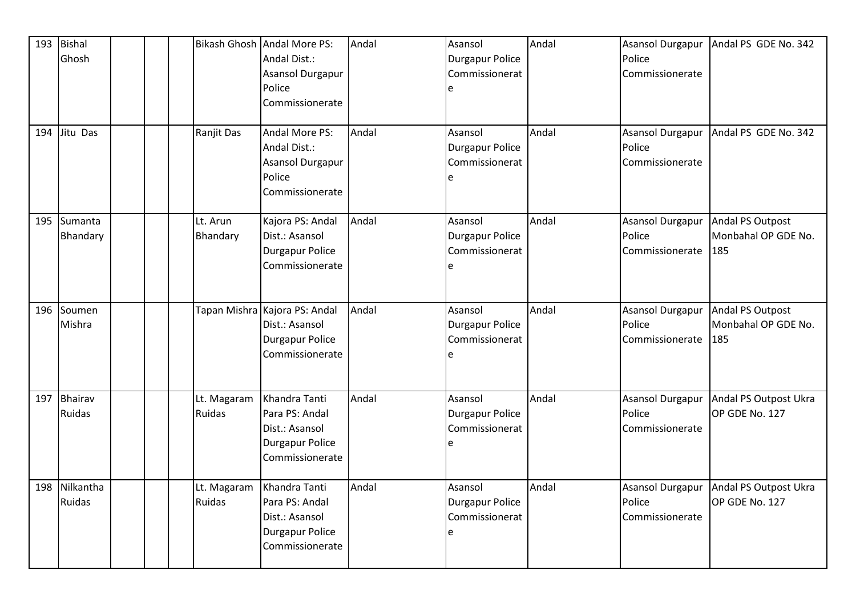| 193 | Bishal    |  |             | Bikash Ghosh Andal More PS:   | Andal | Asansol                | Andal | Asansol Durgapur | Andal PS GDE No. 342  |
|-----|-----------|--|-------------|-------------------------------|-------|------------------------|-------|------------------|-----------------------|
|     | Ghosh     |  |             | Andal Dist.:                  |       | Durgapur Police        |       | Police           |                       |
|     |           |  |             | Asansol Durgapur              |       | Commissionerat         |       | Commissionerate  |                       |
|     |           |  |             | Police                        |       | e                      |       |                  |                       |
|     |           |  |             | Commissionerate               |       |                        |       |                  |                       |
|     |           |  |             |                               |       |                        |       |                  |                       |
| 194 | Jitu Das  |  | Ranjit Das  | Andal More PS:                | Andal | Asansol                | Andal | Asansol Durgapur | Andal PS GDE No. 342  |
|     |           |  |             | Andal Dist.:                  |       | <b>Durgapur Police</b> |       | Police           |                       |
|     |           |  |             | <b>Asansol Durgapur</b>       |       | Commissionerat         |       | Commissionerate  |                       |
|     |           |  |             | Police                        |       | e                      |       |                  |                       |
|     |           |  |             | Commissionerate               |       |                        |       |                  |                       |
|     |           |  |             |                               |       |                        |       |                  |                       |
| 195 | Sumanta   |  | Lt. Arun    | Kajora PS: Andal              | Andal | Asansol                | Andal | Asansol Durgapur | Andal PS Outpost      |
|     | Bhandary  |  | Bhandary    | Dist.: Asansol                |       | Durgapur Police        |       | Police           | Monbahal OP GDE No.   |
|     |           |  |             | Durgapur Police               |       | Commissionerat         |       | Commissionerate  | 185                   |
|     |           |  |             | Commissionerate               |       | e                      |       |                  |                       |
|     |           |  |             |                               |       |                        |       |                  |                       |
|     |           |  |             |                               |       |                        |       |                  |                       |
| 196 | Soumen    |  |             | Tapan Mishra Kajora PS: Andal | Andal | Asansol                | Andal | Asansol Durgapur | Andal PS Outpost      |
|     | Mishra    |  |             | Dist.: Asansol                |       | Durgapur Police        |       | Police           | Monbahal OP GDE No.   |
|     |           |  |             | <b>Durgapur Police</b>        |       | Commissionerat         |       | Commissionerate  | 185                   |
|     |           |  |             | Commissionerate               |       | e                      |       |                  |                       |
|     |           |  |             |                               |       |                        |       |                  |                       |
|     |           |  |             |                               |       |                        |       |                  |                       |
| 197 | Bhairav   |  | Lt. Magaram | Khandra Tanti                 | Andal | Asansol                | Andal | Asansol Durgapur | Andal PS Outpost Ukra |
|     | Ruidas    |  | Ruidas      | Para PS: Andal                |       | Durgapur Police        |       | Police           | OP GDE No. 127        |
|     |           |  |             | Dist.: Asansol                |       | Commissionerat         |       | Commissionerate  |                       |
|     |           |  |             | <b>Durgapur Police</b>        |       | e                      |       |                  |                       |
|     |           |  |             |                               |       |                        |       |                  |                       |
|     |           |  |             | Commissionerate               |       |                        |       |                  |                       |
|     |           |  |             |                               |       |                        |       |                  |                       |
| 198 | Nilkantha |  | Lt. Magaram | Khandra Tanti                 | Andal | Asansol                | Andal | Asansol Durgapur | Andal PS Outpost Ukra |
|     | Ruidas    |  | Ruidas      | Para PS: Andal                |       | Durgapur Police        |       | Police           | OP GDE No. 127        |
|     |           |  |             | Dist.: Asansol                |       | Commissionerat         |       | Commissionerate  |                       |
|     |           |  |             | <b>Durgapur Police</b>        |       | e                      |       |                  |                       |
|     |           |  |             | Commissionerate               |       |                        |       |                  |                       |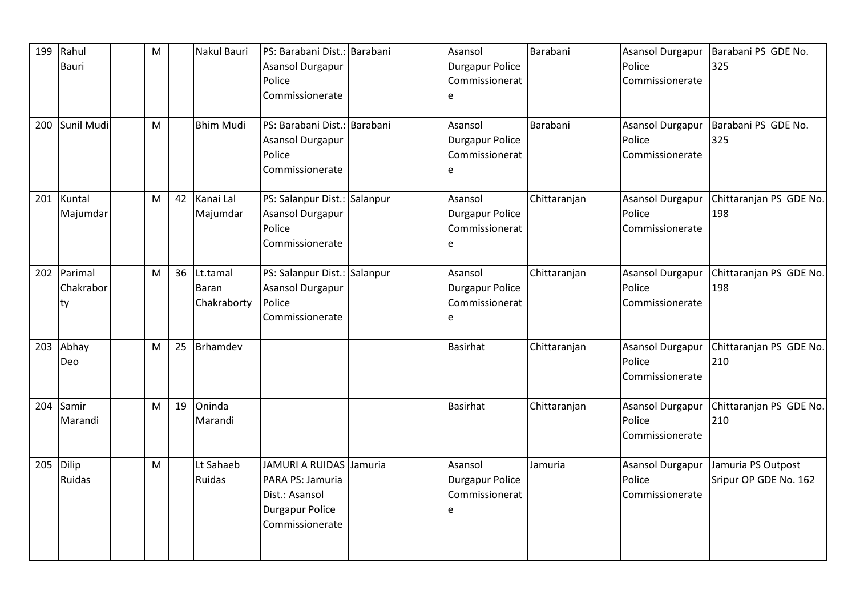| 199 | Rahul         | ${\sf M}$ |    | Nakul Bauri      | PS: Barabani Dist.: Barabani | Asansol         | Barabani     | <b>Asansol Durgapur</b> | Barabani PS GDE No.     |
|-----|---------------|-----------|----|------------------|------------------------------|-----------------|--------------|-------------------------|-------------------------|
|     | <b>Bauri</b>  |           |    |                  | <b>Asansol Durgapur</b>      | Durgapur Police |              | Police                  | 325                     |
|     |               |           |    |                  | Police                       | Commissionerat  |              | Commissionerate         |                         |
|     |               |           |    |                  | Commissionerate              | e               |              |                         |                         |
|     |               |           |    |                  |                              |                 |              |                         |                         |
| 200 | Sunil Mudi    | M         |    | <b>Bhim Mudi</b> | PS: Barabani Dist.: Barabani | Asansol         | Barabani     | <b>Asansol Durgapur</b> | Barabani PS GDE No.     |
|     |               |           |    |                  | <b>Asansol Durgapur</b>      | Durgapur Police |              | Police                  | 325                     |
|     |               |           |    |                  | Police                       | Commissionerat  |              | Commissionerate         |                         |
|     |               |           |    |                  | Commissionerate              | e               |              |                         |                         |
|     |               |           |    |                  |                              |                 |              |                         |                         |
| 201 | Kuntal        | M         | 42 | Kanai Lal        | PS: Salanpur Dist.: Salanpur | Asansol         | Chittaranjan | Asansol Durgapur        | Chittaranjan PS GDE No. |
|     | Majumdar      |           |    | Majumdar         | Asansol Durgapur             | Durgapur Police |              | Police                  | 198                     |
|     |               |           |    |                  | Police                       | Commissionerat  |              | Commissionerate         |                         |
|     |               |           |    |                  | Commissionerate              | e               |              |                         |                         |
|     |               |           |    |                  |                              |                 |              |                         |                         |
| 202 | Parimal       | M         | 36 | Lt.tamal         | PS: Salanpur Dist.: Salanpur | Asansol         | Chittaranjan | <b>Asansol Durgapur</b> | Chittaranjan PS GDE No. |
|     | Chakrabor     |           |    | <b>Baran</b>     | <b>Asansol Durgapur</b>      | Durgapur Police |              | Police                  | 198                     |
|     | ty            |           |    | Chakraborty      | Police                       | Commissionerat  |              | Commissionerate         |                         |
|     |               |           |    |                  | Commissionerate              | e               |              |                         |                         |
|     |               |           |    |                  |                              |                 |              |                         |                         |
| 203 | Abhay         | M         | 25 | Brhamdev         |                              | <b>Basirhat</b> | Chittaranjan | <b>Asansol Durgapur</b> | Chittaranjan PS GDE No. |
|     | Deo           |           |    |                  |                              |                 |              | Police                  | 210                     |
|     |               |           |    |                  |                              |                 |              | Commissionerate         |                         |
|     |               |           |    |                  |                              |                 |              |                         |                         |
| 204 | Samir         | M         | 19 | Oninda           |                              | <b>Basirhat</b> | Chittaranjan | <b>Asansol Durgapur</b> | Chittaranjan PS GDE No. |
|     | Marandi       |           |    | Marandi          |                              |                 |              | Police                  | 210                     |
|     |               |           |    |                  |                              |                 |              | Commissionerate         |                         |
|     |               |           |    |                  |                              |                 |              |                         |                         |
| 205 | Dilip         | M         |    | Lt Sahaeb        | JAMURI A RUIDAS Jamuria      | Asansol         | Jamuria      | Asansol Durgapur        | Jamuria PS Outpost      |
|     | <b>Ruidas</b> |           |    | Ruidas           | PARA PS: Jamuria             | Durgapur Police |              | Police                  | Sripur OP GDE No. 162   |
|     |               |           |    |                  | Dist.: Asansol               | Commissionerat  |              | Commissionerate         |                         |
|     |               |           |    |                  | <b>Durgapur Police</b>       | e               |              |                         |                         |
|     |               |           |    |                  | Commissionerate              |                 |              |                         |                         |
|     |               |           |    |                  |                              |                 |              |                         |                         |
|     |               |           |    |                  |                              |                 |              |                         |                         |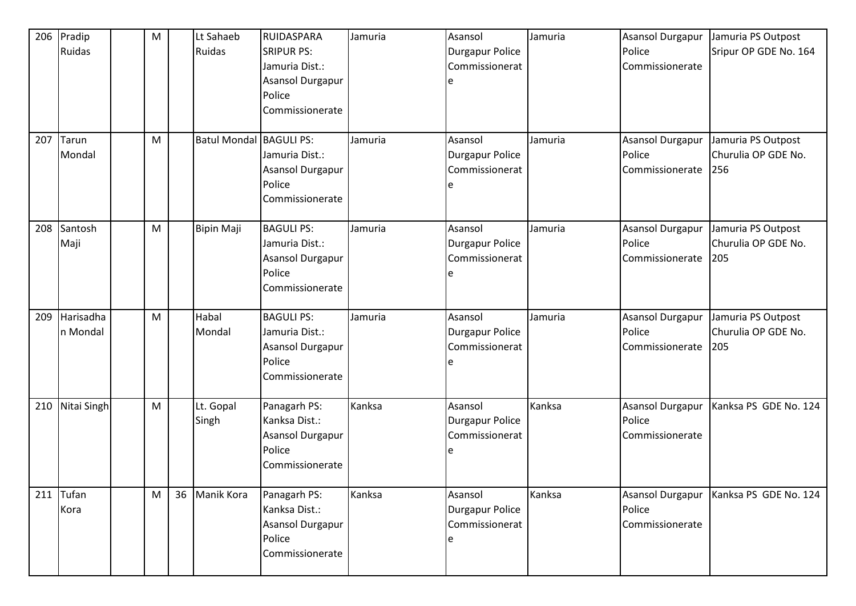| 206 | Pradip<br><b>Ruidas</b> | ${\sf M}$ |    | Lt Sahaeb<br>Ruidas     | <b>RUIDASPARA</b><br><b>SRIPUR PS:</b><br>Jamuria Dist.:<br>Asansol Durgapur<br>Police<br>Commissionerate | Jamuria | Asansol<br><b>Durgapur Police</b><br>Commissionerat      | Jamuria | <b>Asansol Durgapur</b><br>Police<br>Commissionerate | Jamuria PS Outpost<br>Sripur OP GDE No. 164      |
|-----|-------------------------|-----------|----|-------------------------|-----------------------------------------------------------------------------------------------------------|---------|----------------------------------------------------------|---------|------------------------------------------------------|--------------------------------------------------|
| 207 | Tarun<br>Mondal         | M         |    | Batul Mondal BAGULI PS: | Jamuria Dist.:<br>Asansol Durgapur<br>Police<br>Commissionerate                                           | Jamuria | Asansol<br><b>Durgapur Police</b><br>Commissionerat      | Jamuria | <b>Asansol Durgapur</b><br>Police<br>Commissionerate | Jamuria PS Outpost<br>Churulia OP GDE No.<br>256 |
| 208 | Santosh<br>Maji         | M         |    | <b>Bipin Maji</b>       | <b>BAGULI PS:</b><br>Jamuria Dist.:<br><b>Asansol Durgapur</b><br>Police<br>Commissionerate               | Jamuria | Asansol<br><b>Durgapur Police</b><br>Commissionerat<br>e | Jamuria | <b>Asansol Durgapur</b><br>Police<br>Commissionerate | Jamuria PS Outpost<br>Churulia OP GDE No.<br>205 |
| 209 | Harisadha<br>n Mondal   | M         |    | Habal<br>Mondal         | <b>BAGULI PS:</b><br>Jamuria Dist.:<br>Asansol Durgapur<br>Police<br>Commissionerate                      | Jamuria | Asansol<br><b>Durgapur Police</b><br>Commissionerat      | Jamuria | <b>Asansol Durgapur</b><br>Police<br>Commissionerate | Jamuria PS Outpost<br>Churulia OP GDE No.<br>205 |
| 210 | Nitai Singh             | M         |    | Lt. Gopal<br>Singh      | Panagarh PS:<br>Kanksa Dist.:<br>Asansol Durgapur<br>Police<br>Commissionerate                            | Kanksa  | Asansol<br><b>Durgapur Police</b><br>Commissionerat      | Kanksa  | <b>Asansol Durgapur</b><br>Police<br>Commissionerate | Kanksa PS GDE No. 124                            |
| 211 | Tufan<br>Kora           | M         | 36 | Manik Kora              | Panagarh PS:<br>Kanksa Dist.:<br>Asansol Durgapur<br>Police<br>Commissionerate                            | Kanksa  | Asansol<br><b>Durgapur Police</b><br>Commissionerat<br>e | Kanksa  | Asansol Durgapur<br>Police<br>Commissionerate        | Kanksa PS GDE No. 124                            |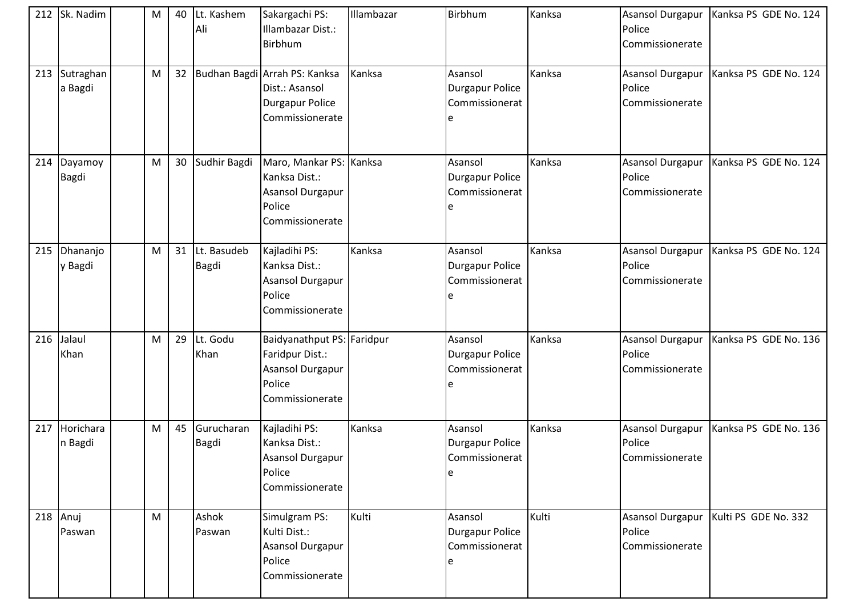| 212 | Sk. Nadim            | M | 40 | Lt. Kashem<br>Ali              | Sakargachi PS:<br>Illambazar Dist.:<br>Birbhum                                                 | Illambazar | Birbhum                                                  | Kanksa | Police<br>Commissionerate                            | Asansol Durgapur   Kanksa PS GDE No. 124 |
|-----|----------------------|---|----|--------------------------------|------------------------------------------------------------------------------------------------|------------|----------------------------------------------------------|--------|------------------------------------------------------|------------------------------------------|
| 213 | Sutraghan<br>a Bagdi | M | 32 |                                | Budhan Bagdi Arrah PS: Kanksa<br>Dist.: Asansol<br><b>Durgapur Police</b><br>Commissionerate   | Kanksa     | Asansol<br><b>Durgapur Police</b><br>Commissionerat      | Kanksa | Asansol Durgapur<br>Police<br>Commissionerate        | Kanksa PS GDE No. 124                    |
| 214 | Dayamoy<br>Bagdi     | M | 30 | Sudhir Bagdi                   | Maro, Mankar PS: Kanksa<br>Kanksa Dist.:<br>Asansol Durgapur<br>Police<br>Commissionerate      |            | Asansol<br>Durgapur Police<br>Commissionerat             | Kanksa | Asansol Durgapur<br>Police<br>Commissionerate        | Kanksa PS GDE No. 124                    |
| 215 | Dhananjo<br>y Bagdi  | M |    | 31 Lt. Basudeb<br><b>Bagdi</b> | Kajladihi PS:<br>Kanksa Dist.:<br>Asansol Durgapur<br>Police<br>Commissionerate                | Kanksa     | Asansol<br>Durgapur Police<br>Commissionerat             | Kanksa | Asansol Durgapur<br>Police<br>Commissionerate        | Kanksa PS GDE No. 124                    |
| 216 | Jalaul<br>Khan       | M | 29 | Lt. Godu<br>Khan               | Baidyanathput PS: Faridpur<br>Faridpur Dist.:<br>Asansol Durgapur<br>Police<br>Commissionerate |            | Asansol<br><b>Durgapur Police</b><br>Commissionerat      | Kanksa | Asansol Durgapur<br>Police<br>Commissionerate        | Kanksa PS GDE No. 136                    |
| 217 | Horichara<br>n Bagdi | M | 45 | Gurucharan<br><b>Bagdi</b>     | Kajladihi PS:<br>Kanksa Dist.:<br>Asansol Durgapur<br>Police<br>Commissionerate                | Kanksa     | Asansol<br><b>Durgapur Police</b><br>Commissionerat<br>e | Kanksa | Asansol Durgapur<br>Police<br>Commissionerate        | Kanksa PS GDE No. 136                    |
|     | 218 Anuj<br>Paswan   | M |    | Ashok<br>Paswan                | Simulgram PS:<br>Kulti Dist.:<br>Asansol Durgapur<br>Police<br>Commissionerate                 | Kulti      | Asansol<br>Durgapur Police<br>Commissionerat             | Kulti  | <b>Asansol Durgapur</b><br>Police<br>Commissionerate | Kulti PS GDE No. 332                     |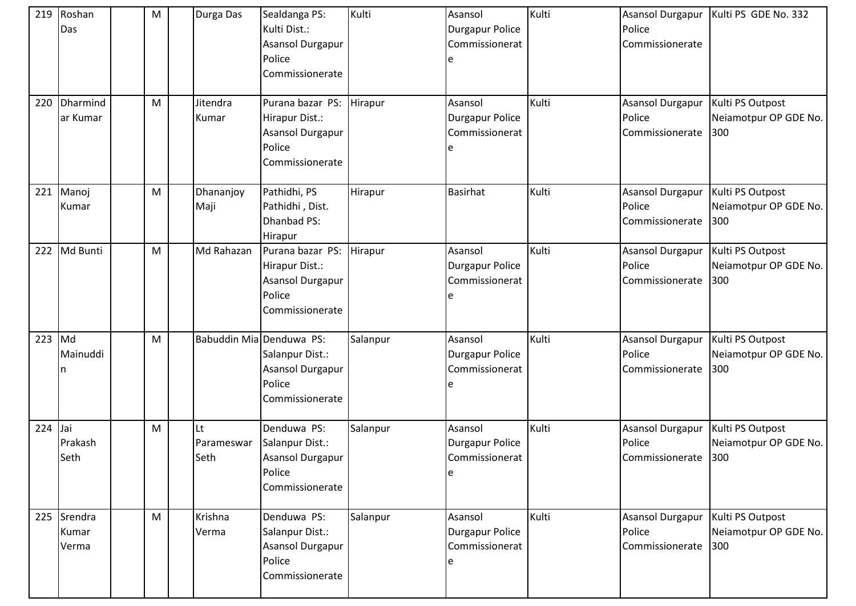| 219 | Roshan<br>Das             | M | Durga Das                | Sealdanga PS:<br>Kulti Dist.:<br>Asansol Durgapur<br>Police<br>Commissionerate                      | Kulti    | Asansol<br>Durgapur Police<br>Commissionerat<br>e | Kulti | Police<br>Commissionerate                            | Asansol Durgapur   Kulti PS GDE No. 332          |
|-----|---------------------------|---|--------------------------|-----------------------------------------------------------------------------------------------------|----------|---------------------------------------------------|-------|------------------------------------------------------|--------------------------------------------------|
| 220 | Dharmind<br>ar Kumar      | M | Jitendra<br>Kumar        | Purana bazar PS: Hirapur<br>Hirapur Dist.:<br><b>Asansol Durgapur</b><br>Police<br>Commissionerate  |          | Asansol<br>Durgapur Police<br>Commissionerat<br>e | Kulti | Asansol Durgapur<br>Police<br>Commissionerate        | Kulti PS Outpost<br>Neiamotpur OP GDE No.<br>300 |
| 221 | Manoj<br>Kumar            | M | Dhananjoy<br>Maji        | Pathidhi, PS<br>Pathidhi, Dist.<br>Dhanbad PS:<br>Hirapur                                           | Hirapur  | <b>Basirhat</b>                                   | Kulti | Asansol Durgapur<br>Police<br>Commissionerate        | Kulti PS Outpost<br>Neiamotpur OP GDE No.<br>300 |
| 222 | Md Bunti                  | M | Md Rahazan               | Purana bazar PS:<br>Hirapur Dist.:<br>Asansol Durgapur<br>Police<br>Commissionerate                 | Hirapur  | Asansol<br>Durgapur Police<br>Commissionerat<br>e | Kulti | Asansol Durgapur<br>Police<br>Commissionerate        | Kulti PS Outpost<br>Neiamotpur OP GDE No.<br>300 |
| 223 | Md<br>Mainuddi            | M |                          | Babuddin Mia Denduwa PS:<br>Salanpur Dist.:<br><b>Asansol Durgapur</b><br>Police<br>Commissionerate | Salanpur | Asansol<br>Durgapur Police<br>Commissionerat<br>e | Kulti | Asansol Durgapur<br>Police<br>Commissionerate        | Kulti PS Outpost<br>Neiamotpur OP GDE No.<br>300 |
| 224 | Jai<br>Prakash<br>Seth    | M | Lt<br>Parameswar<br>Seth | Denduwa PS:<br>Salanpur Dist.:<br>Asansol Durgapur<br>Police<br>Commissionerate                     | Salanpur | Asansol<br>Durgapur Police<br>Commissionerat<br>e | Kulti | <b>Asansol Durgapur</b><br>Police<br>Commissionerate | Kulti PS Outpost<br>Neiamotpur OP GDE No.<br>300 |
| 225 | Srendra<br>Kumar<br>Verma | M | Krishna<br>Verma         | Denduwa PS:<br>Salanpur Dist.:<br>Asansol Durgapur<br>Police<br>Commissionerate                     | Salanpur | Asansol<br>Durgapur Police<br>Commissionerat<br>e | Kulti | Asansol Durgapur<br>Police<br>Commissionerate        | Kulti PS Outpost<br>Neiamotpur OP GDE No.<br>300 |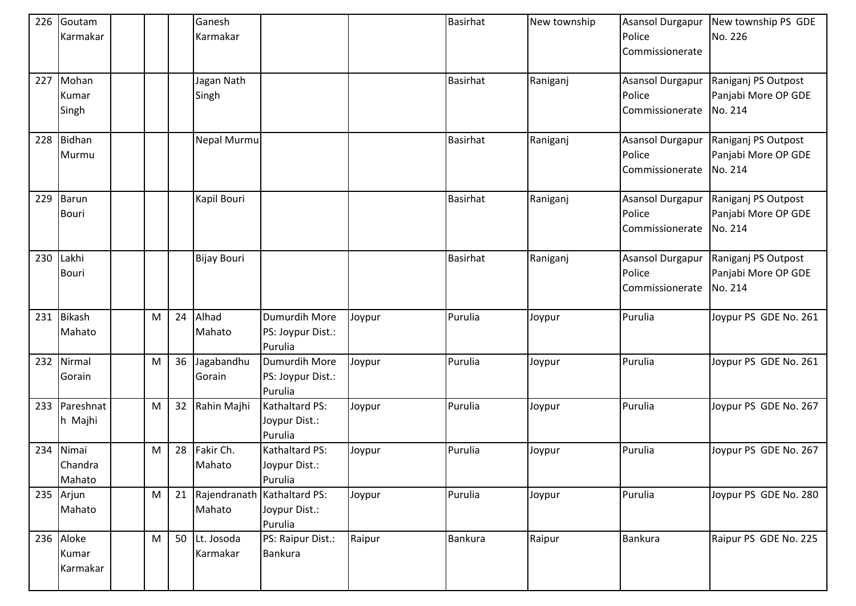| 226 | Goutam<br>Karmakar             |   |    | Ganesh<br>Karmakar     |                                               |        | <b>Basirhat</b> | New township | Police<br>Commissionerate                     | Asansol Durgapur New township PS GDE<br>No. 226       |
|-----|--------------------------------|---|----|------------------------|-----------------------------------------------|--------|-----------------|--------------|-----------------------------------------------|-------------------------------------------------------|
| 227 | Mohan<br>Kumar<br>Singh        |   |    | Jagan Nath<br>Singh    |                                               |        | <b>Basirhat</b> | Raniganj     | Asansol Durgapur<br>Police<br>Commissionerate | Raniganj PS Outpost<br>Panjabi More OP GDE<br>No. 214 |
| 228 | <b>Bidhan</b><br>Murmu         |   |    | Nepal Murmu            |                                               |        | <b>Basirhat</b> | Raniganj     | Asansol Durgapur<br>Police<br>Commissionerate | Raniganj PS Outpost<br>Panjabi More OP GDE<br>No. 214 |
| 229 | <b>Barun</b><br><b>Bouri</b>   |   |    | Kapil Bouri            |                                               |        | <b>Basirhat</b> | Raniganj     | Asansol Durgapur<br>Police<br>Commissionerate | Raniganj PS Outpost<br>Panjabi More OP GDE<br>No. 214 |
| 230 | Lakhi<br><b>Bouri</b>          |   |    | <b>Bijay Bouri</b>     |                                               |        | <b>Basirhat</b> | Raniganj     | Asansol Durgapur<br>Police<br>Commissionerate | Raniganj PS Outpost<br>Panjabi More OP GDE<br>No. 214 |
| 231 | <b>Bikash</b><br>Mahato        | M | 24 | Alhad<br>Mahato        | Dumurdih More<br>PS: Joypur Dist.:<br>Purulia | Joypur | Purulia         | Joypur       | Purulia                                       | Joypur PS GDE No. 261                                 |
| 232 | Nirmal<br>Gorain               | M | 36 | Jagabandhu<br>Gorain   | Dumurdih More<br>PS: Joypur Dist.:<br>Purulia | Joypur | Purulia         | Joypur       | Purulia                                       | Joypur PS GDE No. 261                                 |
|     | 233 Pareshnat<br>h Majhi       | M | 32 | Rahin Majhi            | Kathaltard PS:<br>Joypur Dist.:<br>Purulia    | Joypur | Purulia         | Joypur       | Purulia                                       | Joypur PS GDE No. 267                                 |
| 234 | Nimai<br>Chandra<br>Mahato     | M | 28 | Fakir Ch.<br>Mahato    | Kathaltard PS:<br>Joypur Dist.:<br>Purulia    | Joypur | Purulia         | Joypur       | Purulia                                       | Joypur PS GDE No. 267                                 |
| 235 | Arjun<br>Mahato                | M | 21 | Rajendranath<br>Mahato | Kathaltard PS:<br>Joypur Dist.:<br>Purulia    | Joypur | Purulia         | Joypur       | Purulia                                       | Joypur PS GDE No. 280                                 |
|     | 236 Aloke<br>Kumar<br>Karmakar | M | 50 | Lt. Josoda<br>Karmakar | PS: Raipur Dist.:<br><b>Bankura</b>           | Raipur | <b>Bankura</b>  | Raipur       | Bankura                                       | Raipur PS GDE No. 225                                 |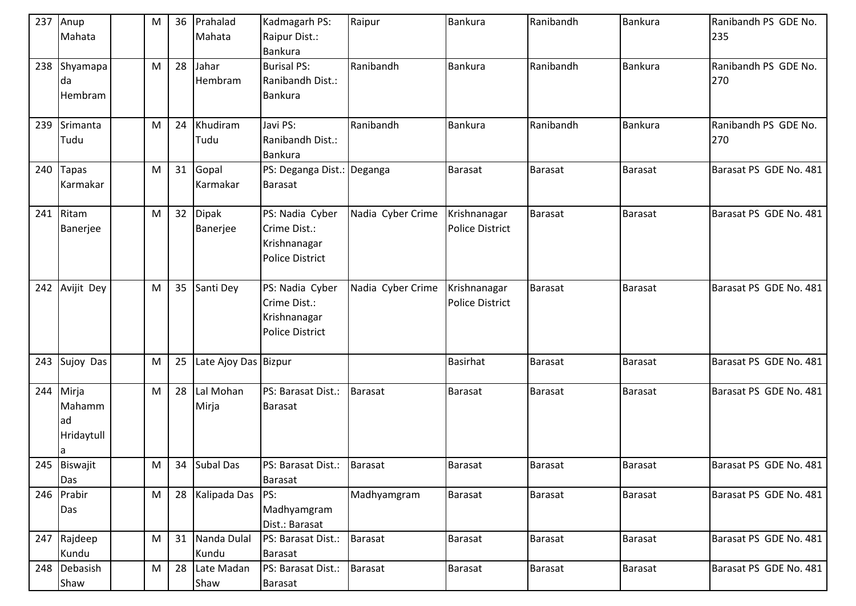| 237 | Anup<br>Mahata                      | M | 36 | Prahalad<br>Mahata       | Kadmagarh PS:<br>Raipur Dist.:<br>Bankura                                 | Raipur            | Bankura                                | Ranibandh      | <b>Bankura</b> | Ranibandh PS GDE No.<br>235 |
|-----|-------------------------------------|---|----|--------------------------|---------------------------------------------------------------------------|-------------------|----------------------------------------|----------------|----------------|-----------------------------|
| 238 | Shyamapa<br>da<br>Hembram           | M | 28 | Jahar<br>Hembram         | <b>Burisal PS:</b><br>Ranibandh Dist.:<br>Bankura                         | Ranibandh         | <b>Bankura</b>                         | Ranibandh      | <b>Bankura</b> | Ranibandh PS GDE No.<br>270 |
| 239 | Srimanta<br>Tudu                    | M | 24 | Khudiram<br>Tudu         | Javi PS:<br>Ranibandh Dist.:<br><b>Bankura</b>                            | Ranibandh         | <b>Bankura</b>                         | Ranibandh      | <b>Bankura</b> | Ranibandh PS GDE No.<br>270 |
| 240 | <b>Tapas</b><br>Karmakar            | M | 31 | Gopal<br>Karmakar        | PS: Deganga Dist.: Deganga<br><b>Barasat</b>                              |                   | <b>Barasat</b>                         | <b>Barasat</b> | Barasat        | Barasat PS GDE No. 481      |
| 241 | Ritam<br>Banerjee                   | M | 32 | <b>Dipak</b><br>Banerjee | PS: Nadia Cyber<br>Crime Dist.:<br>Krishnanagar<br><b>Police District</b> | Nadia Cyber Crime | Krishnanagar<br><b>Police District</b> | <b>Barasat</b> | <b>Barasat</b> | Barasat PS GDE No. 481      |
| 242 | Avijit Dey                          | M | 35 | Santi Dey                | PS: Nadia Cyber<br>Crime Dist.:<br>Krishnanagar<br><b>Police District</b> | Nadia Cyber Crime | Krishnanagar<br><b>Police District</b> | <b>Barasat</b> | Barasat        | Barasat PS GDE No. 481      |
| 243 | Sujoy Das                           | M | 25 | Late Ajoy Das Bizpur     |                                                                           |                   | <b>Basirhat</b>                        | <b>Barasat</b> | <b>Barasat</b> | Barasat PS GDE No. 481      |
| 244 | Mirja<br>Mahamm<br>ad<br>Hridaytull | M | 28 | Lal Mohan<br>Mirja       | PS: Barasat Dist.:<br><b>Barasat</b>                                      | Barasat           | <b>Barasat</b>                         | <b>Barasat</b> | Barasat        | Barasat PS GDE No. 481      |
|     | 245 Biswajit<br>Das                 | M | 34 | <b>Subal Das</b>         | PS: Barasat Dist.:<br>Barasat                                             | <b>Barasat</b>    | <b>Barasat</b>                         | <b>Barasat</b> | <b>Barasat</b> | Barasat PS GDE No. 481      |
| 246 | Prabir<br>Das                       | M | 28 | Kalipada Das             | PS:<br>Madhyamgram<br>Dist.: Barasat                                      | Madhyamgram       | Barasat                                | Barasat        | Barasat        | Barasat PS GDE No. 481      |
|     | 247 Rajdeep<br>Kundu                | M | 31 | Nanda Dulal<br>Kundu     | PS: Barasat Dist.:<br>Barasat                                             | <b>Barasat</b>    | Barasat                                | Barasat        | Barasat        | Barasat PS GDE No. 481      |
| 248 | Debasish<br>Shaw                    | M | 28 | Late Madan<br>Shaw       | PS: Barasat Dist.:<br>Barasat                                             | Barasat           | Barasat                                | Barasat        | Barasat        | Barasat PS GDE No. 481      |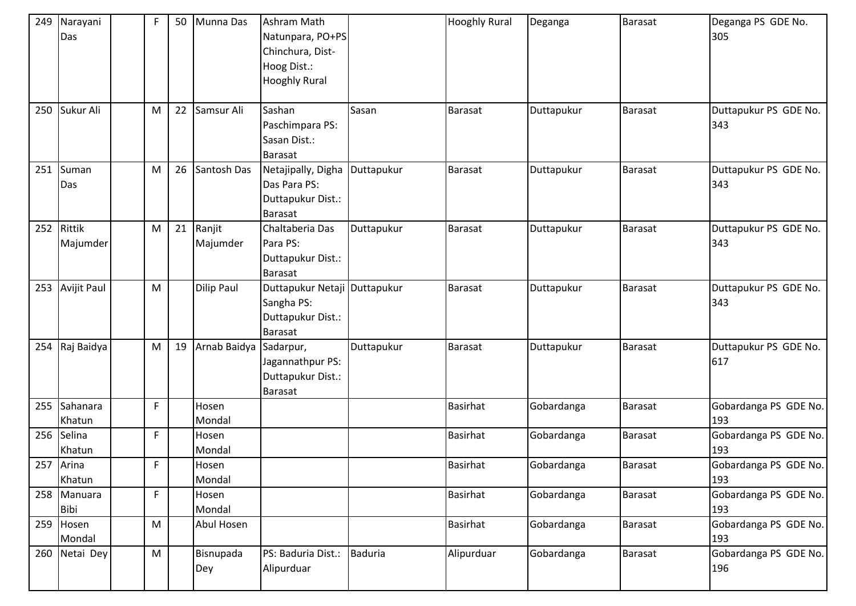| 249 | Narayani<br>Das     | F. | 50 | Munna Das          | Ashram Math<br>Natunpara, PO+PS<br>Chinchura, Dist-                               |                | <b>Hooghly Rural</b> | Deganga    | <b>Barasat</b> | Deganga PS GDE No.<br>305    |
|-----|---------------------|----|----|--------------------|-----------------------------------------------------------------------------------|----------------|----------------------|------------|----------------|------------------------------|
|     |                     |    |    |                    | Hoog Dist.:<br><b>Hooghly Rural</b>                                               |                |                      |            |                |                              |
| 250 | Sukur Ali           | M  | 22 | Samsur Ali         | Sashan<br>Paschimpara PS:<br>Sasan Dist.:<br><b>Barasat</b>                       | Sasan          | <b>Barasat</b>       | Duttapukur | <b>Barasat</b> | Duttapukur PS GDE No.<br>343 |
| 251 | Suman<br>Das        | M  | 26 | Santosh Das        | Netajipally, Digha<br>Das Para PS:<br>Duttapukur Dist.:<br><b>Barasat</b>         | Duttapukur     | <b>Barasat</b>       | Duttapukur | Barasat        | Duttapukur PS GDE No.<br>343 |
| 252 | Rittik<br>Majumder  | M  | 21 | Ranjit<br>Majumder | Chaltaberia Das<br>Para PS:<br>Duttapukur Dist.:<br>Barasat                       | Duttapukur     | <b>Barasat</b>       | Duttapukur | <b>Barasat</b> | Duttapukur PS GDE No.<br>343 |
| 253 | <b>Avijit Paul</b>  | M  |    | Dilip Paul         | Duttapukur Netaji Duttapukur<br>Sangha PS:<br>Duttapukur Dist.:<br><b>Barasat</b> |                | <b>Barasat</b>       | Duttapukur | <b>Barasat</b> | Duttapukur PS GDE No.<br>343 |
| 254 | Raj Baidya          | M  | 19 | Arnab Baidya       | Sadarpur,<br>Jagannathpur PS:<br>Duttapukur Dist.:<br><b>Barasat</b>              | Duttapukur     | <b>Barasat</b>       | Duttapukur | <b>Barasat</b> | Duttapukur PS GDE No.<br>617 |
| 255 | Sahanara<br>Khatun  | F. |    | Hosen<br>Mondal    |                                                                                   |                | <b>Basirhat</b>      | Gobardanga | Barasat        | Gobardanga PS GDE No.<br>193 |
| 256 | Selina<br>Khatun    | F. |    | Hosen<br>Mondal    |                                                                                   |                | <b>Basirhat</b>      | Gobardanga | Barasat        | Gobardanga PS GDE No.<br>193 |
|     | 257 Arina<br>Khatun | F. |    | Hosen<br>Mondal    |                                                                                   |                | <b>Basirhat</b>      | Gobardanga | <b>Barasat</b> | Gobardanga PS GDE No.<br>193 |
| 258 | Manuara<br>Bibi     | F  |    | Hosen<br>Mondal    |                                                                                   |                | <b>Basirhat</b>      | Gobardanga | <b>Barasat</b> | Gobardanga PS GDE No.<br>193 |
| 259 | Hosen<br>Mondal     | M  |    | Abul Hosen         |                                                                                   |                | <b>Basirhat</b>      | Gobardanga | Barasat        | Gobardanga PS GDE No.<br>193 |
| 260 | Netai Dey           | M  |    | Bisnupada<br>Dey   | PS: Baduria Dist.:<br>Alipurduar                                                  | <b>Baduria</b> | Alipurduar           | Gobardanga | Barasat        | Gobardanga PS GDE No.<br>196 |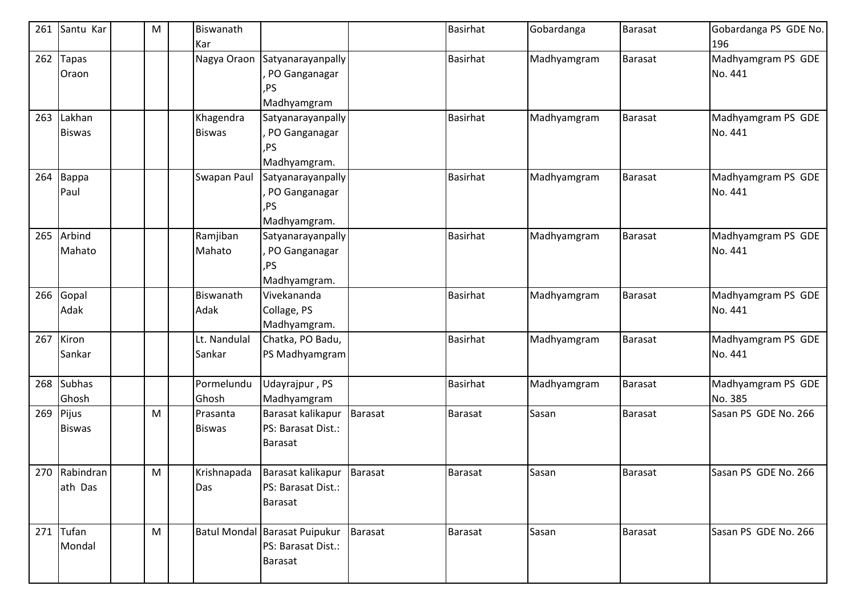| 261 | Santu Kar                | M | Kar | Biswanath                  |                                                                |                | <b>Basirhat</b> | Gobardanga  | <b>Barasat</b> | Gobardanga PS GDE No.<br>196  |
|-----|--------------------------|---|-----|----------------------------|----------------------------------------------------------------|----------------|-----------------|-------------|----------------|-------------------------------|
| 262 | Tapas<br>Oraon           |   |     | Nagya Oraon                | Satyanarayanpally<br>PO Ganganagar<br>,PS<br>Madhyamgram       |                | <b>Basirhat</b> | Madhyamgram | Barasat        | Madhyamgram PS GDE<br>No. 441 |
| 263 | Lakhan<br><b>Biswas</b>  |   |     | Khagendra<br><b>Biswas</b> | Satyanarayanpally<br>PO Ganganagar<br>,PS<br>Madhyamgram.      |                | <b>Basirhat</b> | Madhyamgram | Barasat        | Madhyamgram PS GDE<br>No. 441 |
| 264 | Bappa<br>Paul            |   |     | Swapan Paul                | Satyanarayanpally<br>PO Ganganagar<br>,PS<br>Madhyamgram.      |                | <b>Basirhat</b> | Madhyamgram | Barasat        | Madhyamgram PS GDE<br>No. 441 |
| 265 | Arbind<br>Mahato         |   |     | Ramjiban<br>Mahato         | Satyanarayanpally<br>PO Ganganagar<br>,PS<br>Madhyamgram.      |                | <b>Basirhat</b> | Madhyamgram | Barasat        | Madhyamgram PS GDE<br>No. 441 |
| 266 | Gopal<br>Adak            |   |     | Biswanath<br>Adak          | Vivekananda<br>Collage, PS<br>Madhyamgram.                     |                | <b>Basirhat</b> | Madhyamgram | Barasat        | Madhyamgram PS GDE<br>No. 441 |
| 267 | Kiron<br>Sankar          |   |     | Lt. Nandulal<br>Sankar     | Chatka, PO Badu,<br>PS Madhyamgram                             |                | <b>Basirhat</b> | Madhyamgram | Barasat        | Madhyamgram PS GDE<br>No. 441 |
| 268 | <b>Subhas</b><br>Ghosh   |   |     | Pormelundu<br>Ghosh        | Udayrajpur, PS<br>Madhyamgram                                  |                | <b>Basirhat</b> | Madhyamgram | Barasat        | Madhyamgram PS GDE<br>No. 385 |
| 269 | Pijus<br><b>Biswas</b>   | M |     | Prasanta<br><b>Biswas</b>  | Barasat kalikapur<br>PS: Barasat Dist.:<br><b>Barasat</b>      | <b>Barasat</b> | <b>Barasat</b>  | Sasan       | Barasat        | Sasan PS GDE No. 266          |
|     | 270 Rabindran<br>ath Das | M | Das | Krishnapada                | Barasat kalikapur<br>PS: Barasat Dist.:<br>Barasat             | <b>Barasat</b> | <b>Barasat</b>  | Sasan       | Barasat        | Sasan PS GDE No. 266          |
|     | 271 Tufan<br>Mondal      | M |     |                            | Batul Mondal Barasat Puipukur<br>PS: Barasat Dist.:<br>Barasat | <b>Barasat</b> | Barasat         | Sasan       | <b>Barasat</b> | Sasan PS GDE No. 266          |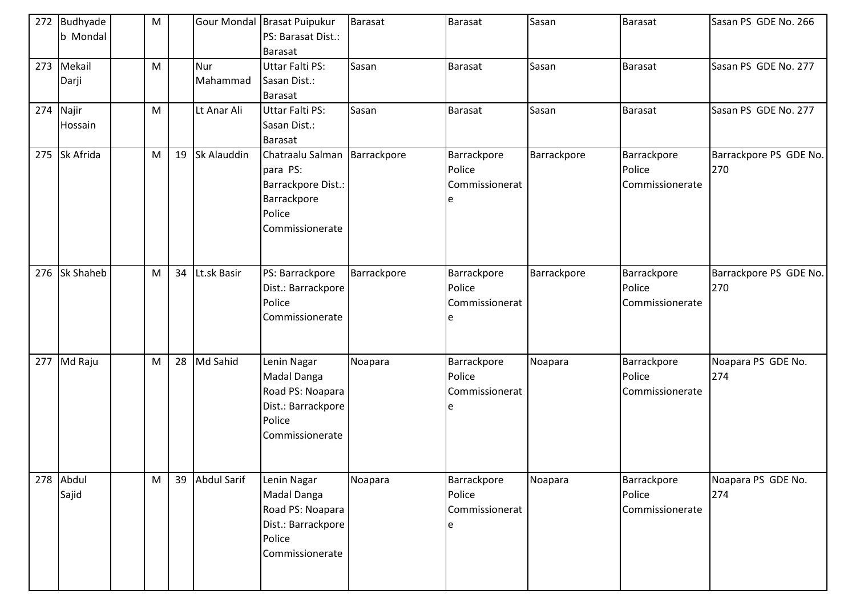| 272 | Budhyade<br>b Mondal | M |    |                    | Gour Mondal Brasat Puipukur<br>PS: Barasat Dist.:<br><b>Barasat</b>                                        | <b>Barasat</b> | <b>Barasat</b>                               | Sasan       | <b>Barasat</b>                           | Sasan PS GDE No. 266          |
|-----|----------------------|---|----|--------------------|------------------------------------------------------------------------------------------------------------|----------------|----------------------------------------------|-------------|------------------------------------------|-------------------------------|
| 273 | Mekail<br>Darji      | M |    | Nur<br>Mahammad    | <b>Uttar Falti PS:</b><br>Sasan Dist.:<br>Barasat                                                          | Sasan          | <b>Barasat</b>                               | Sasan       | <b>Barasat</b>                           | Sasan PS GDE No. 277          |
|     | 274 Najir<br>Hossain | M |    | Lt Anar Ali        | <b>Uttar Falti PS:</b><br>Sasan Dist.:<br>Barasat                                                          | Sasan          | <b>Barasat</b>                               | Sasan       | <b>Barasat</b>                           | Sasan PS GDE No. 277          |
| 275 | Sk Afrida            | M | 19 | Sk Alauddin        | Chatraalu Salman Barrackpore<br>para PS:<br>Barrackpore Dist.:<br>Barrackpore<br>Police<br>Commissionerate |                | Barrackpore<br>Police<br>Commissionerat<br>e | Barrackpore | Barrackpore<br>Police<br>Commissionerate | Barrackpore PS GDE No.<br>270 |
| 276 | <b>Sk Shaheb</b>     | M | 34 | Lt.sk Basir        | PS: Barrackpore<br>Dist.: Barrackpore<br>Police<br>Commissionerate                                         | Barrackpore    | Barrackpore<br>Police<br>Commissionerat<br>e | Barrackpore | Barrackpore<br>Police<br>Commissionerate | Barrackpore PS GDE No.<br>270 |
| 277 | Md Raju              | M | 28 | Md Sahid           | Lenin Nagar<br>Madal Danga<br>Road PS: Noapara<br>Dist.: Barrackpore<br>Police<br>Commissionerate          | Noapara        | Barrackpore<br>Police<br>Commissionerat<br>e | Noapara     | Barrackpore<br>Police<br>Commissionerate | Noapara PS GDE No.<br>274     |
|     | 278 Abdul<br>Sajid   | M | 39 | <b>Abdul Sarif</b> | Lenin Nagar<br>Madal Danga<br>Road PS: Noapara<br>Dist.: Barrackpore<br>Police<br>Commissionerate          | Noapara        | Barrackpore<br>Police<br>Commissionerat<br>e | Noapara     | Barrackpore<br>Police<br>Commissionerate | Noapara PS GDE No.<br>274     |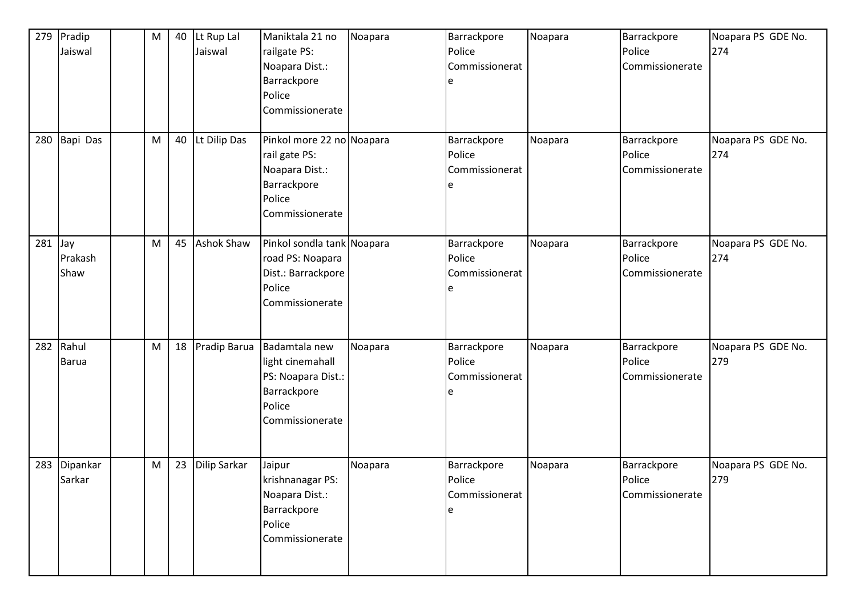| 279 | Pradip<br>Jaiswal      | M | 40 | Lt Rup Lal<br>Jaiswal | Maniktala 21 no<br>railgate PS:<br>Noapara Dist.:<br>Barrackpore<br>Police                                                  | Noapara | Barrackpore<br>Police<br>Commissionerat<br>e | Noapara | Barrackpore<br>Police<br>Commissionerate | Noapara PS GDE No.<br>274 |
|-----|------------------------|---|----|-----------------------|-----------------------------------------------------------------------------------------------------------------------------|---------|----------------------------------------------|---------|------------------------------------------|---------------------------|
| 280 | Bapi Das               | M | 40 | Lt Dilip Das          | Commissionerate<br>Pinkol more 22 no Noapara<br>rail gate PS:<br>Noapara Dist.:<br>Barrackpore<br>Police<br>Commissionerate |         | Barrackpore<br>Police<br>Commissionerat<br>e | Noapara | Barrackpore<br>Police<br>Commissionerate | Noapara PS GDE No.<br>274 |
| 281 | Jay<br>Prakash<br>Shaw | M | 45 | <b>Ashok Shaw</b>     | Pinkol sondla tank Noapara<br>road PS: Noapara<br>Dist.: Barrackpore<br>Police<br>Commissionerate                           |         | Barrackpore<br>Police<br>Commissionerat<br>e | Noapara | Barrackpore<br>Police<br>Commissionerate | Noapara PS GDE No.<br>274 |
| 282 | Rahul<br><b>Barua</b>  | M | 18 | Pradip Barua          | Badamtala new<br>light cinemahall<br>PS: Noapara Dist.:<br>Barrackpore<br>Police<br>Commissionerate                         | Noapara | Barrackpore<br>Police<br>Commissionerat<br>e | Noapara | Barrackpore<br>Police<br>Commissionerate | Noapara PS GDE No.<br>279 |
| 283 | Dipankar<br>Sarkar     | M | 23 | <b>Dilip Sarkar</b>   | Jaipur<br>krishnanagar PS:<br>Noapara Dist.:<br>Barrackpore<br>Police<br>Commissionerate                                    | Noapara | Barrackpore<br>Police<br>Commissionerat<br>e | Noapara | Barrackpore<br>Police<br>Commissionerate | Noapara PS GDE No.<br>279 |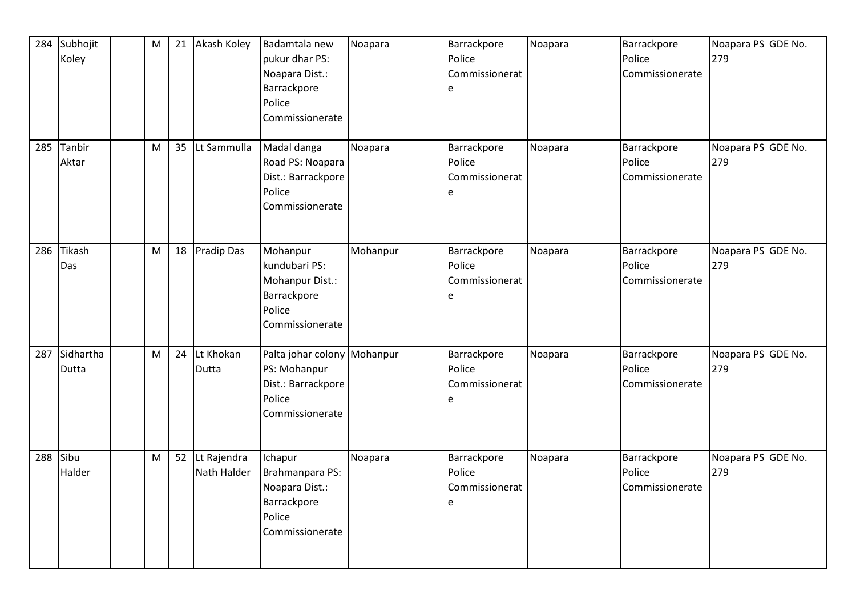| 284 | Subhojit<br>Koley  | M | 21 | Akash Koley                | Badamtala new<br>pukur dhar PS:<br>Noapara Dist.:<br>Barrackpore<br>Police<br>Commissionerate  | Noapara  | Barrackpore<br>Police<br>Commissionerat<br>e             | Noapara | Barrackpore<br>Police<br>Commissionerate | Noapara PS GDE No.<br>279 |
|-----|--------------------|---|----|----------------------------|------------------------------------------------------------------------------------------------|----------|----------------------------------------------------------|---------|------------------------------------------|---------------------------|
| 285 | Tanbir<br>Aktar    | M | 35 | Lt Sammulla                | Madal danga<br>Road PS: Noapara<br>Dist.: Barrackpore<br>Police<br>Commissionerate             | Noapara  | Barrackpore<br>Police<br>Commissionerat<br>e             | Noapara | Barrackpore<br>Police<br>Commissionerate | Noapara PS GDE No.<br>279 |
| 286 | Tikash<br>Das      | M | 18 | <b>Pradip Das</b>          | Mohanpur<br>kundubari PS:<br>Mohanpur Dist.:<br>Barrackpore<br>Police<br>Commissionerate       | Mohanpur | Barrackpore<br>Police<br>Commissionerat<br>e             | Noapara | Barrackpore<br>Police<br>Commissionerate | Noapara PS GDE No.<br>279 |
| 287 | Sidhartha<br>Dutta | M | 24 | Lt Khokan<br>Dutta         | Palta johar colony Mohanpur<br>PS: Mohanpur<br>Dist.: Barrackpore<br>Police<br>Commissionerate |          | Barrackpore<br>Police<br>Commissionerat<br>e             | Noapara | Barrackpore<br>Police<br>Commissionerate | Noapara PS GDE No.<br>279 |
| 288 | Sibu<br>Halder     | M | 52 | Lt Rajendra<br>Nath Halder | Ichapur<br>Brahmanpara PS:<br>Noapara Dist.:<br>Barrackpore<br>Police<br>Commissionerate       | Noapara  | Barrackpore<br>Police<br>Commissionerat<br>${\mathsf e}$ | Noapara | Barrackpore<br>Police<br>Commissionerate | Noapara PS GDE No.<br>279 |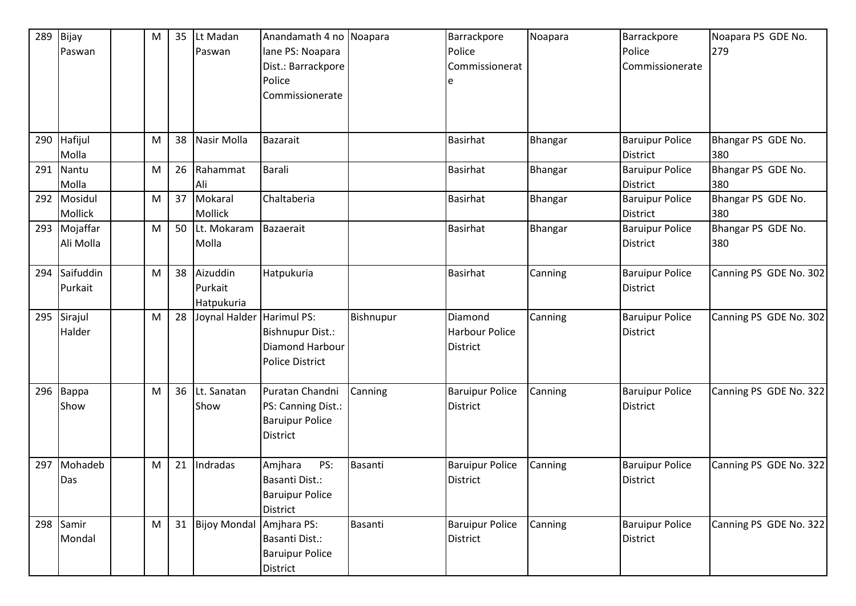| 289 | Bijay     | M         | 35 | Lt Madan            | Anandamath 4 no Noapara |           | Barrackpore            | Noapara | Barrackpore            | Noapara PS GDE No.     |
|-----|-----------|-----------|----|---------------------|-------------------------|-----------|------------------------|---------|------------------------|------------------------|
|     | Paswan    |           |    | Paswan              | lane PS: Noapara        |           | Police                 |         | Police                 | 279                    |
|     |           |           |    |                     | Dist.: Barrackpore      |           | Commissionerat         |         | Commissionerate        |                        |
|     |           |           |    |                     | Police                  |           |                        |         |                        |                        |
|     |           |           |    |                     | Commissionerate         |           |                        |         |                        |                        |
|     |           |           |    |                     |                         |           |                        |         |                        |                        |
|     |           |           |    |                     |                         |           |                        |         |                        |                        |
| 290 | Hafijul   | M         | 38 | Nasir Molla         | Bazarait                |           | <b>Basirhat</b>        | Bhangar | <b>Baruipur Police</b> | Bhangar PS GDE No.     |
|     | Molla     |           |    |                     |                         |           |                        |         | <b>District</b>        | 380                    |
| 291 | Nantu     | M         | 26 | Rahammat            | Barali                  |           | <b>Basirhat</b>        | Bhangar | <b>Baruipur Police</b> | Bhangar PS GDE No.     |
|     | Molla     |           |    | Ali                 |                         |           |                        |         | <b>District</b>        | 380                    |
| 292 | Mosidul   | M         | 37 | Mokaral             | Chaltaberia             |           | <b>Basirhat</b>        | Bhangar | <b>Baruipur Police</b> | Bhangar PS GDE No.     |
|     | Mollick   |           |    | <b>Mollick</b>      |                         |           |                        |         | <b>District</b>        | 380                    |
| 293 | Mojaffar  | ${\sf M}$ | 50 | Lt. Mokaram         | Bazaerait               |           | <b>Basirhat</b>        | Bhangar | <b>Baruipur Police</b> | Bhangar PS GDE No.     |
|     | Ali Molla |           |    | Molla               |                         |           |                        |         | <b>District</b>        | 380                    |
|     |           |           |    |                     |                         |           |                        |         |                        |                        |
| 294 | Saifuddin | M         | 38 | Aizuddin            | Hatpukuria              |           | <b>Basirhat</b>        | Canning | <b>Baruipur Police</b> | Canning PS GDE No. 302 |
|     | Purkait   |           |    | Purkait             |                         |           |                        |         | <b>District</b>        |                        |
|     |           |           |    | Hatpukuria          |                         |           |                        |         |                        |                        |
| 295 | Sirajul   | M         | 28 | Joynal Halder       | Harimul PS:             | Bishnupur | Diamond                | Canning | <b>Baruipur Police</b> | Canning PS GDE No. 302 |
|     | Halder    |           |    |                     | <b>Bishnupur Dist.:</b> |           | <b>Harbour Police</b>  |         | <b>District</b>        |                        |
|     |           |           |    |                     | Diamond Harbour         |           | <b>District</b>        |         |                        |                        |
|     |           |           |    |                     | <b>Police District</b>  |           |                        |         |                        |                        |
|     |           |           |    |                     |                         |           |                        |         |                        |                        |
| 296 | Bappa     | M         | 36 | Lt. Sanatan         | Puratan Chandni         | Canning   | <b>Baruipur Police</b> | Canning | <b>Baruipur Police</b> | Canning PS GDE No. 322 |
|     | Show      |           |    | Show                | PS: Canning Dist.:      |           | <b>District</b>        |         | <b>District</b>        |                        |
|     |           |           |    |                     | <b>Baruipur Police</b>  |           |                        |         |                        |                        |
|     |           |           |    |                     | <b>District</b>         |           |                        |         |                        |                        |
|     |           |           |    |                     |                         |           |                        |         |                        |                        |
| 297 | Mohadeb   | M         | 21 | Indradas            | PS:<br>Amjhara          | Basanti   | <b>Baruipur Police</b> | Canning | <b>Baruipur Police</b> | Canning PS GDE No. 322 |
|     | Das       |           |    |                     | Basanti Dist.:          |           | <b>District</b>        |         | <b>District</b>        |                        |
|     |           |           |    |                     | <b>Baruipur Police</b>  |           |                        |         |                        |                        |
|     |           |           |    |                     | District                |           |                        |         |                        |                        |
| 298 | Samir     | M         | 31 | <b>Bijoy Mondal</b> | Amjhara PS:             | Basanti   | <b>Baruipur Police</b> | Canning | <b>Baruipur Police</b> | Canning PS GDE No. 322 |
|     | Mondal    |           |    |                     | Basanti Dist.:          |           | <b>District</b>        |         | <b>District</b>        |                        |
|     |           |           |    |                     | <b>Baruipur Police</b>  |           |                        |         |                        |                        |
|     |           |           |    |                     | District                |           |                        |         |                        |                        |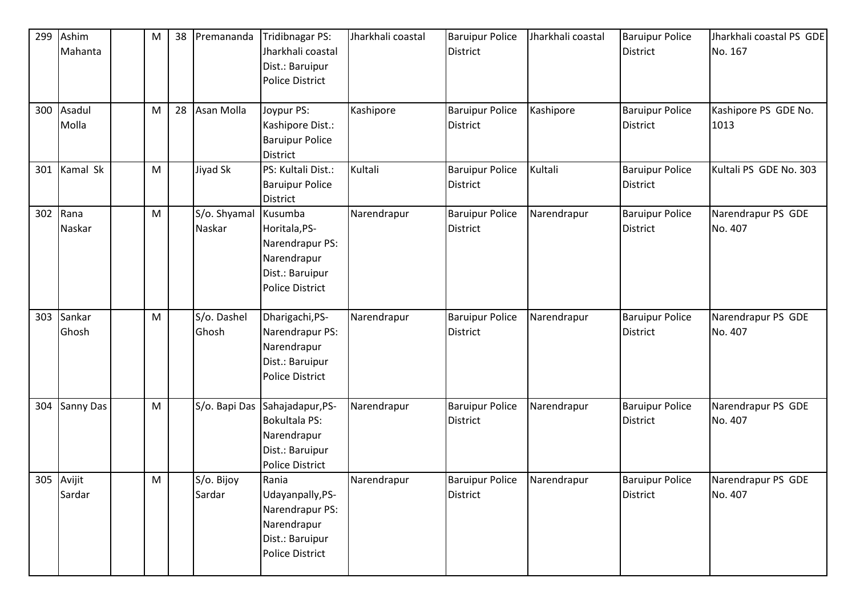| 299 | Ashim<br>Mahanta     | M | 38 | Premananda             | <b>Tridibnagar PS:</b><br>Jharkhali coastal<br>Dist.: Baruipur<br><b>Police District</b>                 | Jharkhali coastal | <b>Baruipur Police</b><br><b>District</b> | Jharkhali coastal | <b>Baruipur Police</b><br><b>District</b> | Jharkhali coastal PS GDE<br>No. 167 |
|-----|----------------------|---|----|------------------------|----------------------------------------------------------------------------------------------------------|-------------------|-------------------------------------------|-------------------|-------------------------------------------|-------------------------------------|
| 300 | Asadul<br>Molla      | M | 28 | Asan Molla             | Joypur PS:<br>Kashipore Dist.:<br><b>Baruipur Police</b><br><b>District</b>                              | Kashipore         | <b>Baruipur Police</b><br><b>District</b> | Kashipore         | <b>Baruipur Police</b><br><b>District</b> | Kashipore PS GDE No.<br>1013        |
| 301 | Kamal Sk             | M |    | Jiyad Sk               | PS: Kultali Dist.:<br><b>Baruipur Police</b><br>District                                                 | Kultali           | <b>Baruipur Police</b><br><b>District</b> | Kultali           | <b>Baruipur Police</b><br><b>District</b> | Kultali PS GDE No. 303              |
| 302 | Rana<br>Naskar       | M |    | S/o. Shyamal<br>Naskar | Kusumba<br>Horitala, PS-<br>Narendrapur PS:<br>Narendrapur<br>Dist.: Baruipur<br><b>Police District</b>  | Narendrapur       | <b>Baruipur Police</b><br><b>District</b> | Narendrapur       | <b>Baruipur Police</b><br><b>District</b> | Narendrapur PS GDE<br>No. 407       |
| 303 | Sankar<br>Ghosh      | M |    | S/o. Dashel<br>Ghosh   | Dharigachi, PS-<br>Narendrapur PS:<br>Narendrapur<br>Dist.: Baruipur<br><b>Police District</b>           | Narendrapur       | <b>Baruipur Police</b><br><b>District</b> | Narendrapur       | <b>Baruipur Police</b><br><b>District</b> | Narendrapur PS GDE<br>No. 407       |
| 304 | <b>Sanny Das</b>     | M |    | S/o. Bapi Das          | Sahajadapur, PS-<br><b>Bokultala PS:</b><br>Narendrapur<br>Dist.: Baruipur<br><b>Police District</b>     | Narendrapur       | <b>Baruipur Police</b><br><b>District</b> | Narendrapur       | <b>Baruipur Police</b><br>District        | Narendrapur PS GDE<br>No. 407       |
|     | 305 Avijit<br>Sardar | M |    | S/o. Bijoy<br>Sardar   | Rania<br>Udayanpally, PS-<br>Narendrapur PS:<br>Narendrapur<br>Dist.: Baruipur<br><b>Police District</b> | Narendrapur       | <b>Baruipur Police</b><br><b>District</b> | Narendrapur       | <b>Baruipur Police</b><br><b>District</b> | Narendrapur PS GDE<br>No. 407       |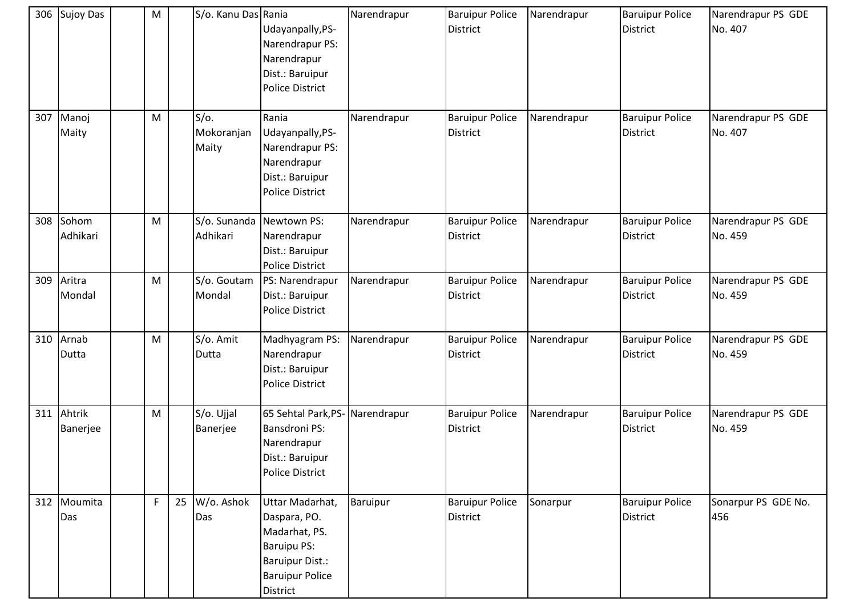| 306 | <b>Sujoy Das</b>   | M |    | S/o. Kanu Das Rania            | Udayanpally, PS-<br>Narendrapur PS:<br>Narendrapur<br>Dist.: Baruipur<br><b>Police District</b>                                        | Narendrapur | <b>Baruipur Police</b><br>District        | Narendrapur | <b>Baruipur Police</b><br><b>District</b> | Narendrapur PS GDE<br>No. 407 |
|-----|--------------------|---|----|--------------------------------|----------------------------------------------------------------------------------------------------------------------------------------|-------------|-------------------------------------------|-------------|-------------------------------------------|-------------------------------|
| 307 | Manoj<br>Maity     | M |    | $S/O$ .<br>Mokoranjan<br>Maity | Rania<br>Udayanpally, PS-<br>Narendrapur PS:<br>Narendrapur<br>Dist.: Baruipur<br><b>Police District</b>                               | Narendrapur | <b>Baruipur Police</b><br><b>District</b> | Narendrapur | <b>Baruipur Police</b><br><b>District</b> | Narendrapur PS GDE<br>No. 407 |
| 308 | Sohom<br>Adhikari  | M |    | S/o. Sunanda<br>Adhikari       | Newtown PS:<br>Narendrapur<br>Dist.: Baruipur<br><b>Police District</b>                                                                | Narendrapur | <b>Baruipur Police</b><br><b>District</b> | Narendrapur | <b>Baruipur Police</b><br><b>District</b> | Narendrapur PS GDE<br>No. 459 |
| 309 | Aritra<br>Mondal   | M |    | S/o. Goutam<br>Mondal          | PS: Narendrapur<br>Dist.: Baruipur<br><b>Police District</b>                                                                           | Narendrapur | <b>Baruipur Police</b><br><b>District</b> | Narendrapur | <b>Baruipur Police</b><br><b>District</b> | Narendrapur PS GDE<br>No. 459 |
| 310 | Arnab<br>Dutta     | M |    | S/o. Amit<br>Dutta             | Madhyagram PS:<br>Narendrapur<br>Dist.: Baruipur<br><b>Police District</b>                                                             | Narendrapur | <b>Baruipur Police</b><br><b>District</b> | Narendrapur | <b>Baruipur Police</b><br><b>District</b> | Narendrapur PS GDE<br>No. 459 |
| 311 | Ahtrik<br>Banerjee | M |    | S/o. Ujjal<br>Banerjee         | 65 Sehtal Park, PS- Narendrapur<br>Bansdroni PS:<br>Narendrapur<br>Dist.: Baruipur<br><b>Police District</b>                           |             | <b>Baruipur Police</b><br><b>District</b> | Narendrapur | <b>Baruipur Police</b><br><b>District</b> | Narendrapur PS GDE<br>No. 459 |
| 312 | Moumita<br>Das     | F | 25 | W/o. Ashok<br>Das              | Uttar Madarhat,<br>Daspara, PO.<br>Madarhat, PS.<br><b>Baruipu PS:</b><br><b>Baruipur Dist.:</b><br><b>Baruipur Police</b><br>District | Baruipur    | <b>Baruipur Police</b><br><b>District</b> | Sonarpur    | <b>Baruipur Police</b><br><b>District</b> | Sonarpur PS GDE No.<br>456    |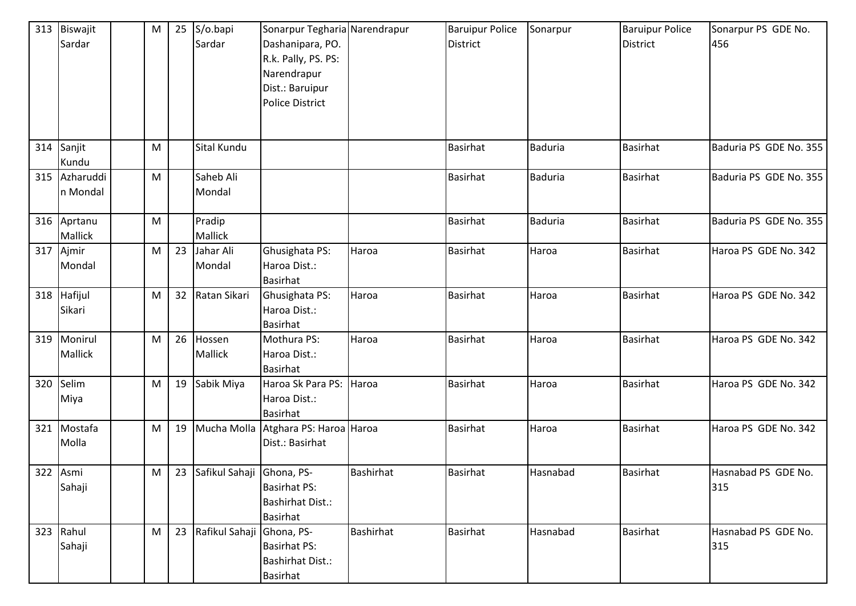| 313 | Biswajit           | M | 25 | S/o.bapi                     | Sonarpur Tegharia Narendrapur |                  | <b>Baruipur Police</b> | Sonarpur       | <b>Baruipur Police</b> | Sonarpur PS GDE No.    |
|-----|--------------------|---|----|------------------------------|-------------------------------|------------------|------------------------|----------------|------------------------|------------------------|
|     | Sardar             |   |    | Sardar                       | Dashanipara, PO.              |                  | <b>District</b>        |                | District               | 456                    |
|     |                    |   |    |                              | R.k. Pally, PS. PS:           |                  |                        |                |                        |                        |
|     |                    |   |    |                              | Narendrapur                   |                  |                        |                |                        |                        |
|     |                    |   |    |                              | Dist.: Baruipur               |                  |                        |                |                        |                        |
|     |                    |   |    |                              | <b>Police District</b>        |                  |                        |                |                        |                        |
|     |                    |   |    |                              |                               |                  |                        |                |                        |                        |
|     |                    |   |    |                              |                               |                  |                        |                |                        |                        |
| 314 | Sanjit             | M |    | Sital Kundu                  |                               |                  | <b>Basirhat</b>        | <b>Baduria</b> | <b>Basirhat</b>        | Baduria PS GDE No. 355 |
| 315 | Kundu<br>Azharuddi | M |    | Saheb Ali                    |                               |                  | <b>Basirhat</b>        | <b>Baduria</b> | <b>Basirhat</b>        | Baduria PS GDE No. 355 |
|     | n Mondal           |   |    | Mondal                       |                               |                  |                        |                |                        |                        |
|     |                    |   |    |                              |                               |                  |                        |                |                        |                        |
| 316 | Aprtanu            | M |    | Pradip                       |                               |                  | <b>Basirhat</b>        | <b>Baduria</b> | <b>Basirhat</b>        | Baduria PS GDE No. 355 |
|     | Mallick            |   |    | Mallick                      |                               |                  |                        |                |                        |                        |
| 317 | Ajmir              | M | 23 | Jahar Ali                    | Ghusighata PS:                | Haroa            | <b>Basirhat</b>        | Haroa          | <b>Basirhat</b>        | Haroa PS GDE No. 342   |
|     | Mondal             |   |    | Mondal                       | Haroa Dist.:                  |                  |                        |                |                        |                        |
|     |                    |   |    |                              | <b>Basirhat</b>               |                  |                        |                |                        |                        |
| 318 | Hafijul            | M | 32 | Ratan Sikari                 | Ghusighata PS:                | Haroa            | <b>Basirhat</b>        | Haroa          | <b>Basirhat</b>        | Haroa PS GDE No. 342   |
|     | Sikari             |   |    |                              | Haroa Dist.:                  |                  |                        |                |                        |                        |
|     |                    |   |    |                              | <b>Basirhat</b>               |                  |                        |                |                        |                        |
| 319 | Monirul            | M | 26 | Hossen                       | Mothura PS:                   | Haroa            | <b>Basirhat</b>        | Haroa          | Basirhat               | Haroa PS GDE No. 342   |
|     | Mallick            |   |    | Mallick                      | Haroa Dist.:                  |                  |                        |                |                        |                        |
|     |                    |   |    |                              | <b>Basirhat</b>               |                  |                        |                |                        |                        |
| 320 | Selim              | M | 19 | Sabik Miya                   | Haroa Sk Para PS:             | Haroa            | <b>Basirhat</b>        | Haroa          | <b>Basirhat</b>        | Haroa PS GDE No. 342   |
|     | Miya               |   |    |                              | Haroa Dist.:                  |                  |                        |                |                        |                        |
|     |                    |   |    |                              | <b>Basirhat</b>               |                  |                        |                |                        |                        |
| 321 | Mostafa            | M | 19 | Mucha Molla                  | Atghara PS: Haroa Haroa       |                  | <b>Basirhat</b>        | Haroa          | <b>Basirhat</b>        | Haroa PS GDE No. 342   |
|     | Molla              |   |    |                              | Dist.: Basirhat               |                  |                        |                |                        |                        |
|     | 322 Asmi           | M |    | 23 Safikul Sahaji Ghona, PS- |                               | <b>Bashirhat</b> | <b>Basirhat</b>        | Hasnabad       | <b>Basirhat</b>        | Hasnabad PS GDE No.    |
|     | Sahaji             |   |    |                              | <b>Basirhat PS:</b>           |                  |                        |                |                        | 315                    |
|     |                    |   |    |                              | <b>Bashirhat Dist.:</b>       |                  |                        |                |                        |                        |
|     |                    |   |    |                              | Basirhat                      |                  |                        |                |                        |                        |
| 323 | Rahul              | M | 23 | Rafikul Sahaji Ghona, PS-    |                               | Bashirhat        | <b>Basirhat</b>        | Hasnabad       | <b>Basirhat</b>        | Hasnabad PS GDE No.    |
|     | Sahaji             |   |    |                              | <b>Basirhat PS:</b>           |                  |                        |                |                        | 315                    |
|     |                    |   |    |                              | <b>Bashirhat Dist.:</b>       |                  |                        |                |                        |                        |
|     |                    |   |    |                              | Basirhat                      |                  |                        |                |                        |                        |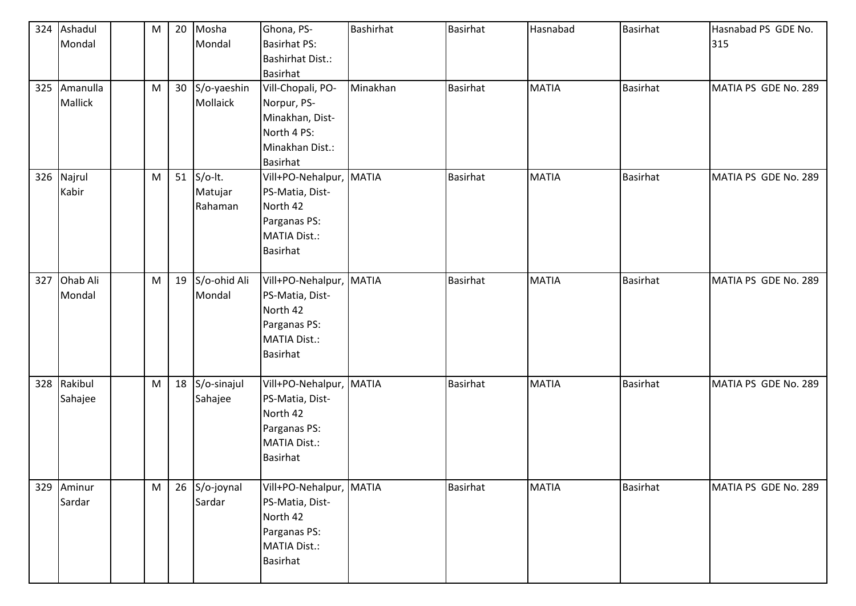| 324 | Ashadul        | M | 20 | Mosha          | Ghona, PS-              | <b>Bashirhat</b> | <b>Basirhat</b> | Hasnabad     | <b>Basirhat</b> | Hasnabad PS GDE No.  |
|-----|----------------|---|----|----------------|-------------------------|------------------|-----------------|--------------|-----------------|----------------------|
|     | Mondal         |   |    | Mondal         | <b>Basirhat PS:</b>     |                  |                 |              |                 | 315                  |
|     |                |   |    |                | <b>Bashirhat Dist.:</b> |                  |                 |              |                 |                      |
|     |                |   |    |                | <b>Basirhat</b>         |                  |                 |              |                 |                      |
| 325 | Amanulla       | M |    | 30 S/o-yaeshin | Vill-Chopali, PO-       | Minakhan         | <b>Basirhat</b> | <b>MATIA</b> | <b>Basirhat</b> | MATIA PS GDE No. 289 |
|     | <b>Mallick</b> |   |    | Mollaick       | Norpur, PS-             |                  |                 |              |                 |                      |
|     |                |   |    |                | Minakhan, Dist-         |                  |                 |              |                 |                      |
|     |                |   |    |                | North 4 PS:             |                  |                 |              |                 |                      |
|     |                |   |    |                | Minakhan Dist.:         |                  |                 |              |                 |                      |
|     |                |   |    |                | Basirhat                |                  |                 |              |                 |                      |
|     | 326 Najrul     | M |    | $51$ S/o-lt.   | Vill+PO-Nehalpur, MATIA |                  | <b>Basirhat</b> | <b>MATIA</b> | <b>Basirhat</b> | MATIA PS GDE No. 289 |
|     | Kabir          |   |    | Matujar        | PS-Matia, Dist-         |                  |                 |              |                 |                      |
|     |                |   |    | Rahaman        | North 42                |                  |                 |              |                 |                      |
|     |                |   |    |                | Parganas PS:            |                  |                 |              |                 |                      |
|     |                |   |    |                | MATIA Dist.:            |                  |                 |              |                 |                      |
|     |                |   |    |                | <b>Basirhat</b>         |                  |                 |              |                 |                      |
|     |                |   |    |                |                         |                  |                 |              |                 |                      |
| 327 | Ohab Ali       | M | 19 | S/o-ohid Ali   | Vill+PO-Nehalpur, MATIA |                  | <b>Basirhat</b> | <b>MATIA</b> | <b>Basirhat</b> | MATIA PS GDE No. 289 |
|     | Mondal         |   |    | Mondal         | PS-Matia, Dist-         |                  |                 |              |                 |                      |
|     |                |   |    |                | North 42                |                  |                 |              |                 |                      |
|     |                |   |    |                | Parganas PS:            |                  |                 |              |                 |                      |
|     |                |   |    |                | <b>MATIA Dist.:</b>     |                  |                 |              |                 |                      |
|     |                |   |    |                | Basirhat                |                  |                 |              |                 |                      |
|     |                |   |    |                |                         |                  |                 |              |                 |                      |
| 328 | Rakibul        | M | 18 | S/o-sinajul    | Vill+PO-Nehalpur, MATIA |                  | <b>Basirhat</b> | <b>MATIA</b> | <b>Basirhat</b> | MATIA PS GDE No. 289 |
|     | Sahajee        |   |    | Sahajee        | PS-Matia, Dist-         |                  |                 |              |                 |                      |
|     |                |   |    |                | North 42                |                  |                 |              |                 |                      |
|     |                |   |    |                | Parganas PS:            |                  |                 |              |                 |                      |
|     |                |   |    |                | <b>MATIA Dist.:</b>     |                  |                 |              |                 |                      |
|     |                |   |    |                | <b>Basirhat</b>         |                  |                 |              |                 |                      |
|     |                |   |    |                |                         |                  |                 |              |                 |                      |
| 329 | Aminur         | M | 26 | S/o-joynal     | Vill+PO-Nehalpur, MATIA |                  | <b>Basirhat</b> | <b>MATIA</b> | <b>Basirhat</b> | MATIA PS GDE No. 289 |
|     | Sardar         |   |    | Sardar         | PS-Matia, Dist-         |                  |                 |              |                 |                      |
|     |                |   |    |                | North 42                |                  |                 |              |                 |                      |
|     |                |   |    |                | Parganas PS:            |                  |                 |              |                 |                      |
|     |                |   |    |                | <b>MATIA Dist.:</b>     |                  |                 |              |                 |                      |
|     |                |   |    |                | <b>Basirhat</b>         |                  |                 |              |                 |                      |
|     |                |   |    |                |                         |                  |                 |              |                 |                      |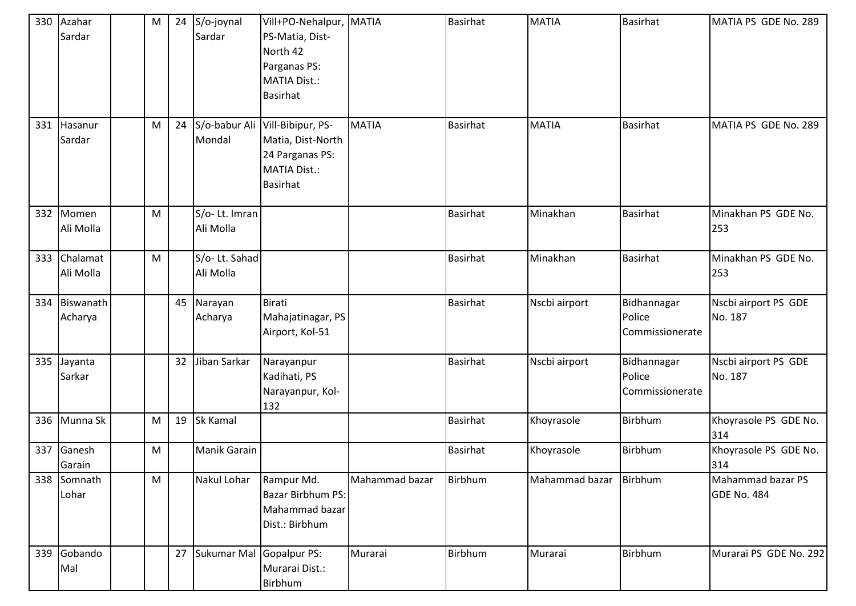| 330 | Azahar<br>Sardar      | M | 24 | S/o-joynal<br>Sardar       | Vill+PO-Nehalpur, MATIA<br>PS-Matia, Dist-<br>North 42<br>Parganas PS:<br><b>MATIA Dist.:</b><br><b>Basirhat</b> |                | <b>Basirhat</b> | <b>MATIA</b>   | <b>Basirhat</b>                          | MATIA PS GDE No. 289             |
|-----|-----------------------|---|----|----------------------------|------------------------------------------------------------------------------------------------------------------|----------------|-----------------|----------------|------------------------------------------|----------------------------------|
| 331 | Hasanur<br>Sardar     | M | 24 | S/o-babur Ali<br>Mondal    | Vill-Bibipur, PS-<br>Matia, Dist-North<br>24 Parganas PS:<br><b>MATIA Dist.:</b><br><b>Basirhat</b>              | <b>MATIA</b>   | <b>Basirhat</b> | <b>MATIA</b>   | <b>Basirhat</b>                          | MATIA PS GDE No. 289             |
| 332 | Momen<br>Ali Molla    | M |    | S/o-Lt. Imran<br>Ali Molla |                                                                                                                  |                | <b>Basirhat</b> | Minakhan       | <b>Basirhat</b>                          | Minakhan PS GDE No.<br>253       |
| 333 | Chalamat<br>Ali Molla | M |    | S/o-Lt. Sahad<br>Ali Molla |                                                                                                                  |                | <b>Basirhat</b> | Minakhan       | <b>Basirhat</b>                          | Minakhan PS GDE No.<br>253       |
| 334 | Biswanath<br>Acharya  |   | 45 | Narayan<br>Acharya         | <b>Birati</b><br>Mahajatinagar, PS<br>Airport, Kol-51                                                            |                | <b>Basirhat</b> | Nscbi airport  | Bidhannagar<br>Police<br>Commissionerate | Nscbi airport PS GDE<br>No. 187  |
| 335 | Jayanta<br>Sarkar     |   | 32 | Jiban Sarkar               | Narayanpur<br>Kadihati, PS<br>Narayanpur, Kol-<br>132                                                            |                | <b>Basirhat</b> | Nscbi airport  | Bidhannagar<br>Police<br>Commissionerate | Nscbi airport PS GDE<br>No. 187  |
| 336 | Munna Sk              | M | 19 | Sk Kamal                   |                                                                                                                  |                | <b>Basirhat</b> | Khoyrasole     | Birbhum                                  | Khoyrasole PS GDE No.<br>314     |
| 337 | Ganesh<br>Garain      | M |    | <b>Manik Garain</b>        |                                                                                                                  |                | <b>Basirhat</b> | Khoyrasole     | Birbhum                                  | Khoyrasole PS GDE No.<br>314     |
| 338 | Somnath<br>Lohar      | M |    | Nakul Lohar                | Rampur Md.<br>Bazar Birbhum PS:<br>Mahammad bazar<br>Dist.: Birbhum                                              | Mahammad bazar | Birbhum         | Mahammad bazar | Birbhum                                  | Mahammad bazar PS<br>GDE No. 484 |
| 339 | Gobando<br>Mal        |   | 27 | Sukumar Mal                | Gopalpur PS:<br>Murarai Dist.:<br>Birbhum                                                                        | Murarai        | Birbhum         | Murarai        | Birbhum                                  | Murarai PS GDE No. 292           |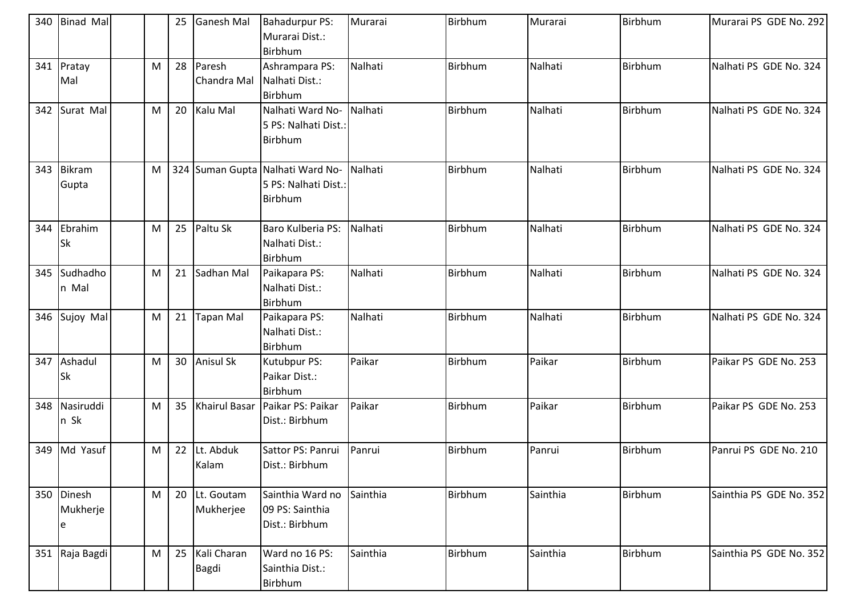| 340 | <b>Binad Mal</b>         |                | 25 | Ganesh Mal              | <b>Bahadurpur PS:</b><br>Murarai Dist.:                             | Murarai  | Birbhum        | Murarai  | Birbhum        | Murarai PS GDE No. 292  |
|-----|--------------------------|----------------|----|-------------------------|---------------------------------------------------------------------|----------|----------------|----------|----------------|-------------------------|
| 341 | Pratay<br>Mal            | M              | 28 | Paresh<br>Chandra Mal   | Birbhum<br>Ashrampara PS:<br>Nalhati Dist.:<br>Birbhum              | Nalhati  | Birbhum        | Nalhati  | <b>Birbhum</b> | Nalhati PS GDE No. 324  |
| 342 | Surat Mal                | M              | 20 | Kalu Mal                | Nalhati Ward No-<br>5 PS: Nalhati Dist.:<br>Birbhum                 | Nalhati  | Birbhum        | Nalhati  | <b>Birbhum</b> | Nalhati PS GDE No. 324  |
| 343 | Bikram<br>Gupta          | M <sub>1</sub> |    |                         | 324 Suman Gupta Nalhati Ward No-<br>5 PS: Nalhati Dist.:<br>Birbhum | Nalhati  | Birbhum        | Nalhati  | Birbhum        | Nalhati PS GDE No. 324  |
| 344 | Ebrahim<br><b>Sk</b>     | M              | 25 | Paltu Sk                | Baro Kulberia PS:<br>Nalhati Dist.:<br>Birbhum                      | Nalhati  | Birbhum        | Nalhati  | Birbhum        | Nalhati PS GDE No. 324  |
| 345 | Sudhadho<br>n Mal        | M              | 21 | Sadhan Mal              | Paikapara PS:<br>Nalhati Dist.:<br>Birbhum                          | Nalhati  | Birbhum        | Nalhati  | Birbhum        | Nalhati PS GDE No. 324  |
| 346 | Sujoy Mal                | M              | 21 | <b>Tapan Mal</b>        | Paikapara PS:<br>Nalhati Dist.:<br>Birbhum                          | Nalhati  | Birbhum        | Nalhati  | <b>Birbhum</b> | Nalhati PS GDE No. 324  |
| 347 | Ashadul<br><b>Sk</b>     | M              | 30 | <b>Anisul Sk</b>        | Kutubpur PS:<br>Paikar Dist.:<br>Birbhum                            | Paikar   | Birbhum        | Paikar   | <b>Birbhum</b> | Paikar PS GDE No. 253   |
| 348 | Nasiruddi<br>n Sk        | M              | 35 | <b>Khairul Basar</b>    | Paikar PS: Paikar<br>Dist.: Birbhum                                 | Paikar   | <b>Birbhum</b> | Paikar   | Birbhum        | Paikar PS GDE No. 253   |
| 349 | Md Yasuf                 | M              | 22 | Lt. Abduk<br>Kalam      | Sattor PS: Panrui<br>Dist.: Birbhum                                 | Panrui   | Birbhum        | Panrui   | Birbhum        | Panrui PS GDE No. 210   |
| 350 | Dinesh<br>Mukherje<br>le | M              | 20 | Lt. Goutam<br>Mukherjee | Sainthia Ward no<br>09 PS: Sainthia<br>Dist.: Birbhum               | Sainthia | Birbhum        | Sainthia | Birbhum        | Sainthia PS GDE No. 352 |
| 351 | Raja Bagdi               | M              | 25 | Kali Charan<br>Bagdi    | Ward no 16 PS:<br>Sainthia Dist.:<br>Birbhum                        | Sainthia | Birbhum        | Sainthia | Birbhum        | Sainthia PS GDE No. 352 |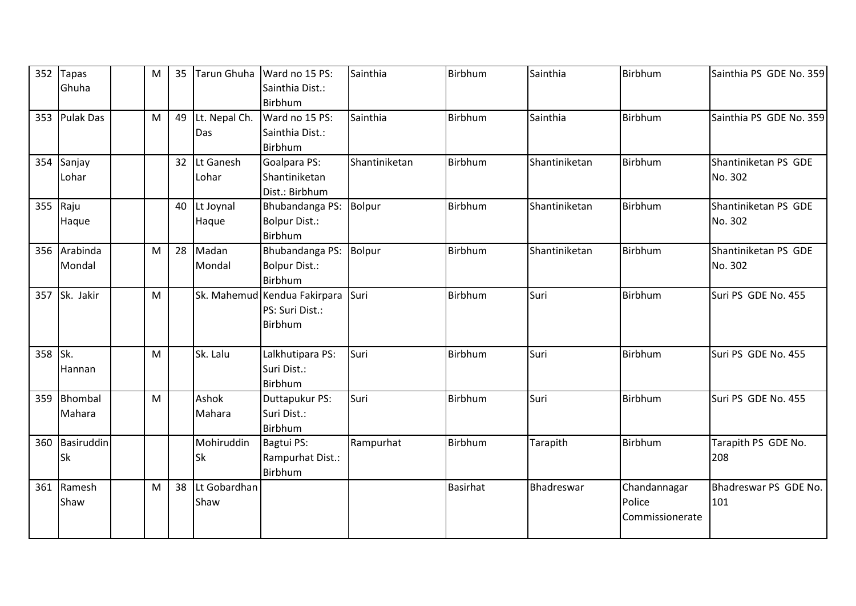| 352 | Tapas            | M | 35 | Tarun Ghuha   | Ward no 15 PS:               | Sainthia      | Birbhum         | Sainthia      | Birbhum         | Sainthia PS GDE No. 359 |
|-----|------------------|---|----|---------------|------------------------------|---------------|-----------------|---------------|-----------------|-------------------------|
|     | Ghuha            |   |    |               | Sainthia Dist.:              |               |                 |               |                 |                         |
|     |                  |   |    |               | Birbhum                      |               |                 |               |                 |                         |
| 353 | <b>Pulak Das</b> | M | 49 | Lt. Nepal Ch. | Ward no 15 PS:               | Sainthia      | Birbhum         | Sainthia      | Birbhum         | Sainthia PS GDE No. 359 |
|     |                  |   |    | Das           | Sainthia Dist.:              |               |                 |               |                 |                         |
|     |                  |   |    |               | Birbhum                      |               |                 |               |                 |                         |
| 354 | Sanjay           |   | 32 | Lt Ganesh     | Goalpara PS:                 | Shantiniketan | Birbhum         | Shantiniketan | Birbhum         | Shantiniketan PS GDE    |
|     | Lohar            |   |    | Lohar         | Shantiniketan                |               |                 |               |                 | No. 302                 |
|     |                  |   |    |               | Dist.: Birbhum               |               |                 |               |                 |                         |
| 355 | Raju             |   | 40 | Lt Joynal     | Bhubandanga PS:              | Bolpur        | Birbhum         | Shantiniketan | Birbhum         | Shantiniketan PS GDE    |
|     | Haque            |   |    | Haque         | <b>Bolpur Dist.:</b>         |               |                 |               |                 | No. 302                 |
|     |                  |   |    |               | Birbhum                      |               |                 |               |                 |                         |
| 356 | Arabinda         | M | 28 | Madan         | Bhubandanga PS:              | Bolpur        | Birbhum         | Shantiniketan | Birbhum         | Shantiniketan PS GDE    |
|     | Mondal           |   |    | Mondal        | <b>Bolpur Dist.:</b>         |               |                 |               |                 | No. 302                 |
|     |                  |   |    |               | Birbhum                      |               |                 |               |                 |                         |
| 357 | Sk. Jakir        | M |    |               | Sk. Mahemud Kendua Fakirpara | Suri          | Birbhum         | Suri          | Birbhum         | Suri PS GDE No. 455     |
|     |                  |   |    |               | PS: Suri Dist.:              |               |                 |               |                 |                         |
|     |                  |   |    |               | Birbhum                      |               |                 |               |                 |                         |
|     |                  |   |    |               |                              |               |                 |               |                 |                         |
| 358 | Sk.              | M |    | Sk. Lalu      | Lalkhutipara PS:             | Suri          | Birbhum         | Suri          | Birbhum         | Suri PS GDE No. 455     |
|     | Hannan           |   |    |               | Suri Dist.:                  |               |                 |               |                 |                         |
|     |                  |   |    |               | Birbhum                      |               |                 |               |                 |                         |
| 359 | Bhombal          | M |    | Ashok         | Duttapukur PS:               | Suri          | Birbhum         | Suri          | Birbhum         | Suri PS GDE No. 455     |
|     | Mahara           |   |    | Mahara        | Suri Dist.:                  |               |                 |               |                 |                         |
|     |                  |   |    |               | Birbhum                      |               |                 |               |                 |                         |
| 360 | Basiruddin       |   |    | Mohiruddin    | <b>Bagtui PS:</b>            | Rampurhat     | Birbhum         | Tarapith      | Birbhum         | Tarapith PS GDE No.     |
|     | <b>Sk</b>        |   |    | Sk            | Rampurhat Dist.:             |               |                 |               |                 | 208                     |
|     |                  |   |    |               | Birbhum                      |               |                 |               |                 |                         |
| 361 | Ramesh           | M | 38 | Lt Gobardhan  |                              |               | <b>Basirhat</b> | Bhadreswar    | Chandannagar    | Bhadreswar PS GDE No.   |
|     | Shaw             |   |    | Shaw          |                              |               |                 |               | Police          | 101                     |
|     |                  |   |    |               |                              |               |                 |               | Commissionerate |                         |
|     |                  |   |    |               |                              |               |                 |               |                 |                         |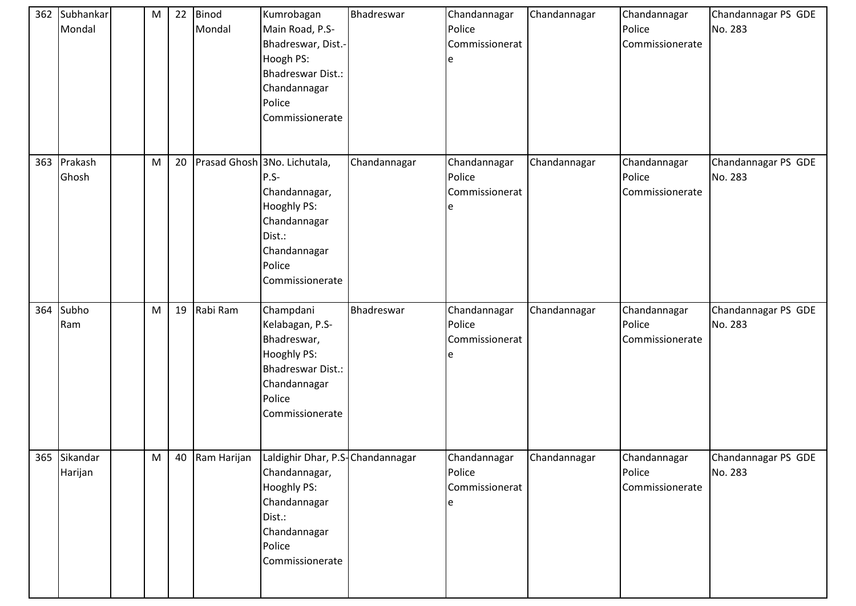| 362 | Subhankar<br>Mondal     | M | 22 | Binod<br>Mondal | Kumrobagan<br>Main Road, P.S-<br>Bhadreswar, Dist.-<br>Hoogh PS:<br><b>Bhadreswar Dist.:</b><br>Chandannagar<br>Police<br>Commissionerate     | Bhadreswar   | Chandannagar<br>Police<br>Commissionerat<br>e | Chandannagar | Chandannagar<br>Police<br>Commissionerate | Chandannagar PS GDE<br>No. 283 |
|-----|-------------------------|---|----|-----------------|-----------------------------------------------------------------------------------------------------------------------------------------------|--------------|-----------------------------------------------|--------------|-------------------------------------------|--------------------------------|
| 363 | Prakash<br>Ghosh        | M | 20 |                 | Prasad Ghosh 3No. Lichutala,<br>$P.S-$<br>Chandannagar,<br>Hooghly PS:<br>Chandannagar<br>Dist.:<br>Chandannagar<br>Police<br>Commissionerate | Chandannagar | Chandannagar<br>Police<br>Commissionerat<br>e | Chandannagar | Chandannagar<br>Police<br>Commissionerate | Chandannagar PS GDE<br>No. 283 |
| 364 | Subho<br>Ram            | M | 19 | Rabi Ram        | Champdani<br>Kelabagan, P.S-<br>Bhadreswar,<br>Hooghly PS:<br><b>Bhadreswar Dist.:</b><br>Chandannagar<br>Police<br>Commissionerate           | Bhadreswar   | Chandannagar<br>Police<br>Commissionerat<br>e | Chandannagar | Chandannagar<br>Police<br>Commissionerate | Chandannagar PS GDE<br>No. 283 |
|     | 365 Sikandar<br>Harijan | M | 40 | Ram Harijan     | Laldighir Dhar, P.S-Chandannagar<br>Chandannagar,<br>Hooghly PS:<br>Chandannagar<br>Dist.:<br>Chandannagar<br>Police<br>Commissionerate       |              | Chandannagar<br>Police<br>Commissionerat<br>e | Chandannagar | Chandannagar<br>Police<br>Commissionerate | Chandannagar PS GDE<br>No. 283 |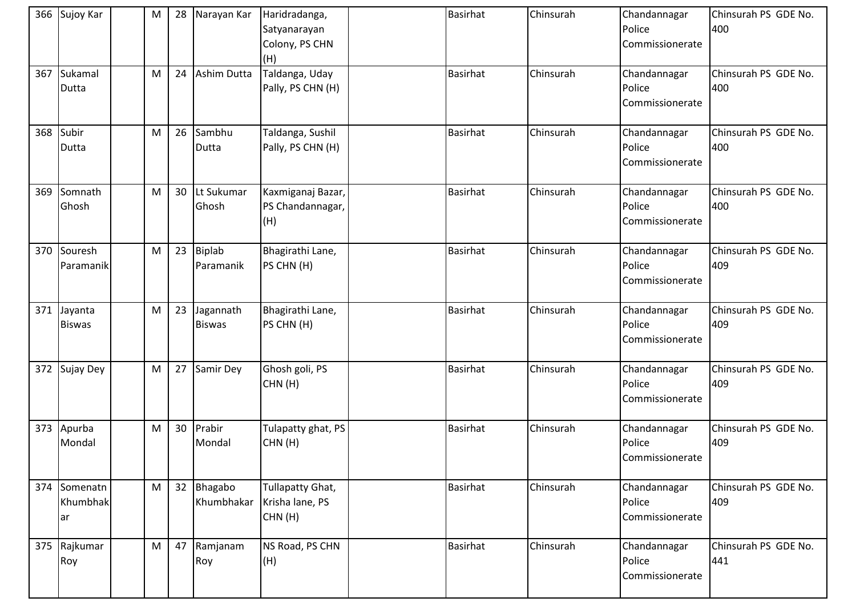| 366 | Sujoy Kar                   | M | 28 | Narayan Kar                | Haridradanga,<br>Satyanarayan<br>Colony, PS CHN<br>(H) | <b>Basirhat</b> | Chinsurah | Chandannagar<br>Police<br>Commissionerate | Chinsurah PS GDE No.<br>400 |
|-----|-----------------------------|---|----|----------------------------|--------------------------------------------------------|-----------------|-----------|-------------------------------------------|-----------------------------|
| 367 | Sukamal<br>Dutta            | M | 24 | Ashim Dutta                | Taldanga, Uday<br>Pally, PS CHN (H)                    | <b>Basirhat</b> | Chinsurah | Chandannagar<br>Police<br>Commissionerate | Chinsurah PS GDE No.<br>400 |
| 368 | Subir<br>Dutta              | M | 26 | Sambhu<br>Dutta            | Taldanga, Sushil<br>Pally, PS CHN (H)                  | <b>Basirhat</b> | Chinsurah | Chandannagar<br>Police<br>Commissionerate | Chinsurah PS GDE No.<br>400 |
| 369 | Somnath<br>Ghosh            | M | 30 | Lt Sukumar<br>Ghosh        | Kaxmiganaj Bazar,<br>PS Chandannagar,<br>(H)           | <b>Basirhat</b> | Chinsurah | Chandannagar<br>Police<br>Commissionerate | Chinsurah PS GDE No.<br>400 |
| 370 | Souresh<br>Paramanik        | M | 23 | <b>Biplab</b><br>Paramanik | Bhagirathi Lane,<br>PS CHN (H)                         | <b>Basirhat</b> | Chinsurah | Chandannagar<br>Police<br>Commissionerate | Chinsurah PS GDE No.<br>409 |
| 371 | Jayanta<br><b>Biswas</b>    | M | 23 | Jagannath<br><b>Biswas</b> | Bhagirathi Lane,<br>PS CHN (H)                         | <b>Basirhat</b> | Chinsurah | Chandannagar<br>Police<br>Commissionerate | Chinsurah PS GDE No.<br>409 |
| 372 | Sujay Dey                   | M | 27 | Samir Dey                  | Ghosh goli, PS<br>CHN(H)                               | <b>Basirhat</b> | Chinsurah | Chandannagar<br>Police<br>Commissionerate | Chinsurah PS GDE No.<br>409 |
| 373 | Apurba<br>Mondal            | M | 30 | Prabir<br>Mondal           | Tulapatty ghat, PS<br>CHN(H)                           | <b>Basirhat</b> | Chinsurah | Chandannagar<br>Police<br>Commissionerate | Chinsurah PS GDE No.<br>409 |
| 374 | Somenatn<br>Khumbhak<br>lar | M | 32 | Bhagabo<br>Khumbhakar      | Tullapatty Ghat,<br>Krisha lane, PS<br>CHN(H)          | <b>Basirhat</b> | Chinsurah | Chandannagar<br>Police<br>Commissionerate | Chinsurah PS GDE No.<br>409 |
| 375 | Rajkumar<br>Roy             | M | 47 | Ramjanam<br>Roy            | NS Road, PS CHN<br>(H)                                 | <b>Basirhat</b> | Chinsurah | Chandannagar<br>Police<br>Commissionerate | Chinsurah PS GDE No.<br>441 |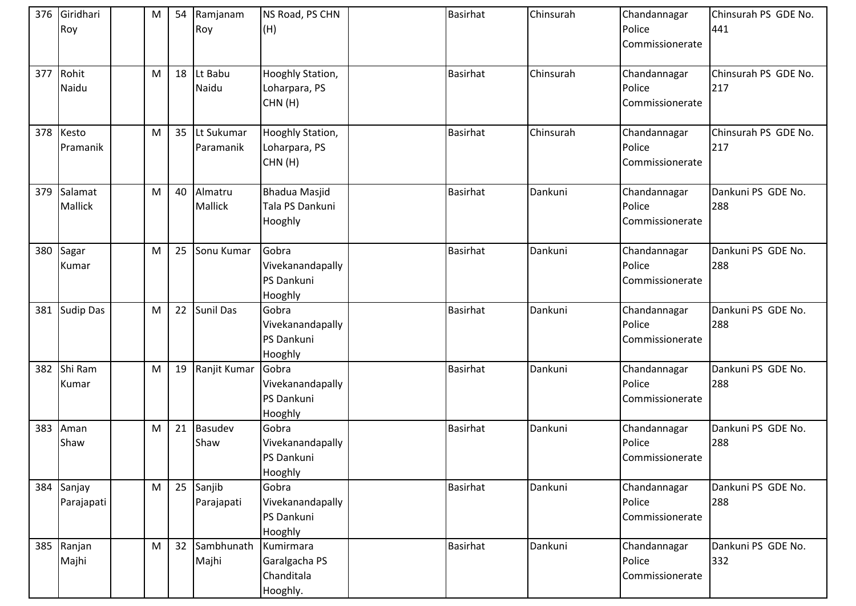| 376 | Giridhari<br>Roy          | M         | 54 | Ramjanam<br>Roy         | NS Road, PS CHN<br>(H)                               | <b>Basirhat</b> | Chinsurah | Chandannagar<br>Police<br>Commissionerate | Chinsurah PS GDE No.<br>441 |
|-----|---------------------------|-----------|----|-------------------------|------------------------------------------------------|-----------------|-----------|-------------------------------------------|-----------------------------|
| 377 | Rohit<br>Naidu            | M         | 18 | Lt Babu<br>Naidu        | Hooghly Station,<br>Loharpara, PS<br>CHN(H)          | <b>Basirhat</b> | Chinsurah | Chandannagar<br>Police<br>Commissionerate | Chinsurah PS GDE No.<br>217 |
| 378 | Kesto<br>Pramanik         | M         | 35 | Lt Sukumar<br>Paramanik | Hooghly Station,<br>Loharpara, PS<br>CHN(H)          | <b>Basirhat</b> | Chinsurah | Chandannagar<br>Police<br>Commissionerate | Chinsurah PS GDE No.<br>217 |
| 379 | Salamat<br><b>Mallick</b> | M         | 40 | Almatru<br>Mallick      | <b>Bhadua Masjid</b><br>Tala PS Dankuni<br>Hooghly   | <b>Basirhat</b> | Dankuni   | Chandannagar<br>Police<br>Commissionerate | Dankuni PS GDE No.<br>288   |
| 380 | Sagar<br>Kumar            | M         | 25 | Sonu Kumar              | Gobra<br>Vivekanandapally<br>PS Dankuni<br>Hooghly   | <b>Basirhat</b> | Dankuni   | Chandannagar<br>Police<br>Commissionerate | Dankuni PS GDE No.<br>288   |
| 381 | <b>Sudip Das</b>          | M         | 22 | Sunil Das               | Gobra<br>Vivekanandapally<br>PS Dankuni<br>Hooghly   | <b>Basirhat</b> | Dankuni   | Chandannagar<br>Police<br>Commissionerate | Dankuni PS GDE No.<br>288   |
| 382 | Shi Ram<br>Kumar          | M         | 19 | Ranjit Kumar            | Gobra<br>Vivekanandapally<br>PS Dankuni<br>Hooghly   | <b>Basirhat</b> | Dankuni   | Chandannagar<br>Police<br>Commissionerate | Dankuni PS GDE No.<br>288   |
| 383 | Aman<br>Shaw              | M         | 21 | <b>Basudev</b><br>Shaw  | Gobra<br>Vivekanandapally<br>PS Dankuni<br>Hooghly   | <b>Basirhat</b> | Dankuni   | Chandannagar<br>Police<br>Commissionerate | Dankuni PS GDE No.<br>288   |
| 384 | Sanjay<br>Parajapati      | ${\sf M}$ | 25 | Sanjib<br>Parajapati    | Gobra<br>Vivekanandapally<br>PS Dankuni<br>Hooghly   | <b>Basirhat</b> | Dankuni   | Chandannagar<br>Police<br>Commissionerate | Dankuni PS GDE No.<br>288   |
| 385 | Ranjan<br>Majhi           | M         | 32 | Sambhunath<br>Majhi     | Kumirmara<br>Garalgacha PS<br>Chanditala<br>Hooghly. | <b>Basirhat</b> | Dankuni   | Chandannagar<br>Police<br>Commissionerate | Dankuni PS GDE No.<br>332   |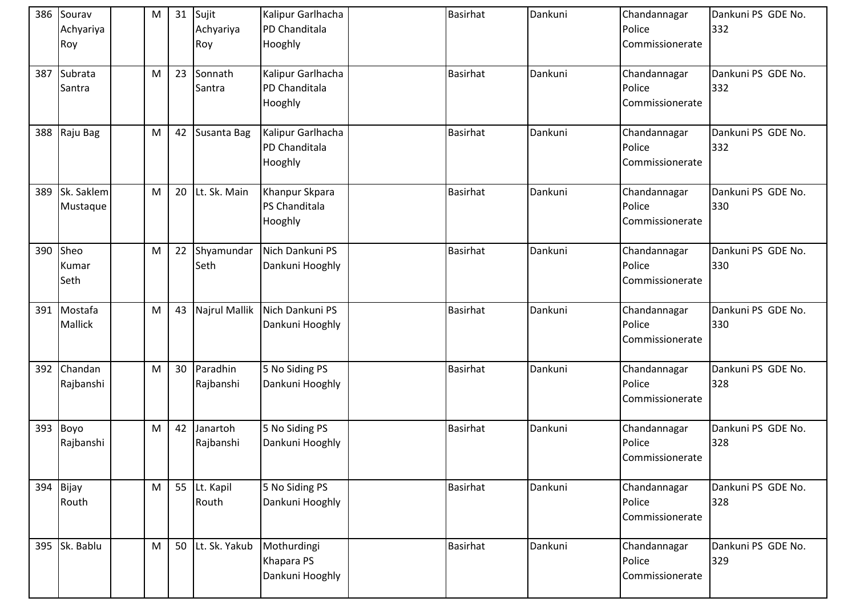|     | 386 Sourav<br>Achyariya<br>Roy | M | 31 | Sujit<br>Achyariya<br>Roy | Kalipur Garlhacha<br>PD Chanditala<br>Hooghly | <b>Basirhat</b> | Dankuni | Chandannagar<br>Police<br>Commissionerate | Dankuni PS GDE No.<br>332 |
|-----|--------------------------------|---|----|---------------------------|-----------------------------------------------|-----------------|---------|-------------------------------------------|---------------------------|
| 387 | Subrata<br>Santra              | M | 23 | Sonnath<br>Santra         | Kalipur Garlhacha<br>PD Chanditala<br>Hooghly | <b>Basirhat</b> | Dankuni | Chandannagar<br>Police<br>Commissionerate | Dankuni PS GDE No.<br>332 |
| 388 | Raju Bag                       | M | 42 | Susanta Bag               | Kalipur Garlhacha<br>PD Chanditala<br>Hooghly | <b>Basirhat</b> | Dankuni | Chandannagar<br>Police<br>Commissionerate | Dankuni PS GDE No.<br>332 |
| 389 | Sk. Saklem<br>Mustaque         | M | 20 | Lt. Sk. Main              | Khanpur Skpara<br>PS Chanditala<br>Hooghly    | <b>Basirhat</b> | Dankuni | Chandannagar<br>Police<br>Commissionerate | Dankuni PS GDE No.<br>330 |
| 390 | <b>Sheo</b><br>Kumar<br>Seth   | M | 22 | Shyamundar<br>Seth        | Nich Dankuni PS<br>Dankuni Hooghly            | <b>Basirhat</b> | Dankuni | Chandannagar<br>Police<br>Commissionerate | Dankuni PS GDE No.<br>330 |
| 391 | Mostafa<br><b>Mallick</b>      | M | 43 | Najrul Mallik             | Nich Dankuni PS<br>Dankuni Hooghly            | <b>Basirhat</b> | Dankuni | Chandannagar<br>Police<br>Commissionerate | Dankuni PS GDE No.<br>330 |
| 392 | Chandan<br>Rajbanshi           | M | 30 | Paradhin<br>Rajbanshi     | 5 No Siding PS<br>Dankuni Hooghly             | <b>Basirhat</b> | Dankuni | Chandannagar<br>Police<br>Commissionerate | Dankuni PS GDE No.<br>328 |
| 393 | Boyo<br>Rajbanshi              | M | 42 | Janartoh<br>Rajbanshi     | 5 No Siding PS<br>Dankuni Hooghly             | <b>Basirhat</b> | Dankuni | Chandannagar<br>Police<br>Commissionerate | Dankuni PS GDE No.<br>328 |
| 394 | Bijay<br>Routh                 | M |    | 55 Lt. Kapil<br>Routh     | 5 No Siding PS<br>Dankuni Hooghly             | <b>Basirhat</b> | Dankuni | Chandannagar<br>Police<br>Commissionerate | Dankuni PS GDE No.<br>328 |
| 395 | Sk. Bablu                      | M | 50 | Lt. Sk. Yakub             | Mothurdingi<br>Khapara PS<br>Dankuni Hooghly  | <b>Basirhat</b> | Dankuni | Chandannagar<br>Police<br>Commissionerate | Dankuni PS GDE No.<br>329 |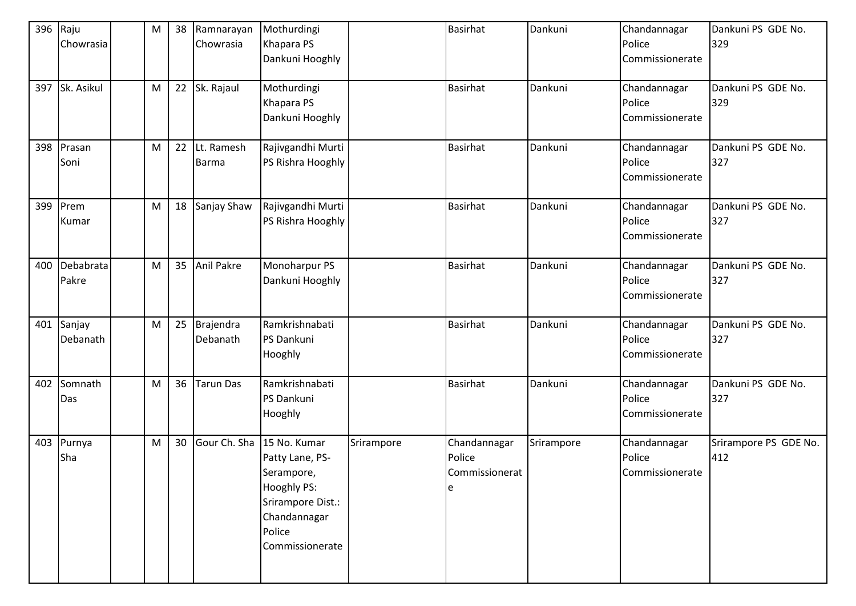| 396 | Raju       | M | 38 | Ramnarayan        | Mothurdingi        |            | <b>Basirhat</b> | Dankuni    | Chandannagar    | Dankuni PS GDE No.    |
|-----|------------|---|----|-------------------|--------------------|------------|-----------------|------------|-----------------|-----------------------|
|     | Chowrasia  |   |    | Chowrasia         | Khapara PS         |            |                 |            | Police          | 329                   |
|     |            |   |    |                   | Dankuni Hooghly    |            |                 |            | Commissionerate |                       |
| 397 | Sk. Asikul | M | 22 | Sk. Rajaul        | Mothurdingi        |            | <b>Basirhat</b> | Dankuni    | Chandannagar    | Dankuni PS GDE No.    |
|     |            |   |    |                   | Khapara PS         |            |                 |            | Police          | 329                   |
|     |            |   |    |                   | Dankuni Hooghly    |            |                 |            | Commissionerate |                       |
| 398 | Prasan     | M | 22 | Lt. Ramesh        | Rajivgandhi Murti  |            | <b>Basirhat</b> | Dankuni    | Chandannagar    | Dankuni PS GDE No.    |
|     | Soni       |   |    | <b>Barma</b>      | PS Rishra Hooghly  |            |                 |            | Police          | 327                   |
|     |            |   |    |                   |                    |            |                 |            | Commissionerate |                       |
| 399 | Prem       | M | 18 | Sanjay Shaw       | Rajivgandhi Murti  |            | <b>Basirhat</b> | Dankuni    | Chandannagar    | Dankuni PS GDE No.    |
|     | Kumar      |   |    |                   | PS Rishra Hooghly  |            |                 |            | Police          | 327                   |
|     |            |   |    |                   |                    |            |                 |            | Commissionerate |                       |
| 400 | Debabrata  | M | 35 | <b>Anil Pakre</b> | Monoharpur PS      |            | <b>Basirhat</b> | Dankuni    | Chandannagar    | Dankuni PS GDE No.    |
|     | Pakre      |   |    |                   | Dankuni Hooghly    |            |                 |            | Police          | 327                   |
|     |            |   |    |                   |                    |            |                 |            | Commissionerate |                       |
| 401 | Sanjay     | M | 25 | Brajendra         | Ramkrishnabati     |            | <b>Basirhat</b> | Dankuni    | Chandannagar    | Dankuni PS GDE No.    |
|     | Debanath   |   |    | Debanath          | PS Dankuni         |            |                 |            | Police          | 327                   |
|     |            |   |    |                   | Hooghly            |            |                 |            | Commissionerate |                       |
| 402 | Somnath    | M | 36 | <b>Tarun Das</b>  | Ramkrishnabati     |            | <b>Basirhat</b> | Dankuni    | Chandannagar    | Dankuni PS GDE No.    |
|     | Das        |   |    |                   | PS Dankuni         |            |                 |            | Police          | 327                   |
|     |            |   |    |                   | Hooghly            |            |                 |            | Commissionerate |                       |
|     |            |   |    |                   |                    |            |                 |            |                 |                       |
| 403 | Purnya     | M | 30 | Gour Ch. Sha      | 15 No. Kumar       | Srirampore | Chandannagar    | Srirampore | Chandannagar    | Srirampore PS GDE No. |
|     | Sha        |   |    |                   | Patty Lane, PS-    |            | Police          |            | Police          | 412                   |
|     |            |   |    |                   | Serampore,         |            | Commissionerat  |            | Commissionerate |                       |
|     |            |   |    |                   | <b>Hooghly PS:</b> |            | e               |            |                 |                       |
|     |            |   |    |                   | Srirampore Dist.:  |            |                 |            |                 |                       |
|     |            |   |    |                   | Chandannagar       |            |                 |            |                 |                       |
|     |            |   |    |                   | Police             |            |                 |            |                 |                       |
|     |            |   |    |                   | Commissionerate    |            |                 |            |                 |                       |
|     |            |   |    |                   |                    |            |                 |            |                 |                       |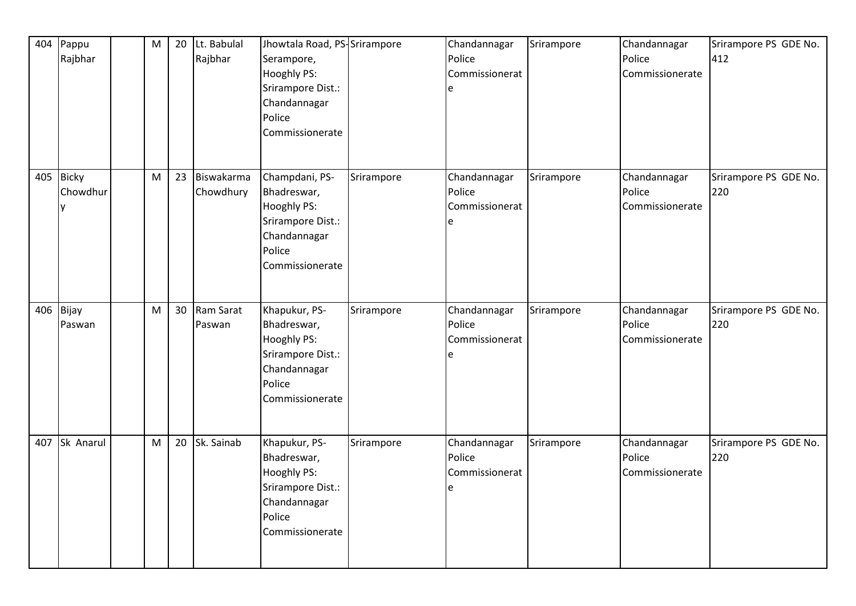| 404 | Pappu<br>Rajbhar      | M | 20 | Lt. Babulal<br>Rajbhar  | Jhowtala Road, PS-Srirampore<br>Serampore,<br>Hooghly PS:<br>Srirampore Dist.:<br>Chandannagar<br>Police<br>Commissionerate |            | Chandannagar<br>Police<br>Commissionerat<br>e                                 | Srirampore | Chandannagar<br>Police<br>Commissionerate | Srirampore PS GDE No.<br>412 |
|-----|-----------------------|---|----|-------------------------|-----------------------------------------------------------------------------------------------------------------------------|------------|-------------------------------------------------------------------------------|------------|-------------------------------------------|------------------------------|
|     | 405 Bicky<br>Chowdhur | M | 23 | Biswakarma<br>Chowdhury | Champdani, PS-<br>Bhadreswar,<br><b>Hooghly PS:</b><br>Srirampore Dist.:<br>Chandannagar<br>Police<br>Commissionerate       | Srirampore | Chandannagar<br>Police<br>Commissionerat<br>$\mathsf{e}% _{t}\left( t\right)$ | Srirampore | Chandannagar<br>Police<br>Commissionerate | Srirampore PS GDE No.<br>220 |
| 406 | Bijay<br>Paswan       | M | 30 | Ram Sarat<br>Paswan     | Khapukur, PS-<br>Bhadreswar,<br>Hooghly PS:<br>Srirampore Dist.:<br>Chandannagar<br>Police<br>Commissionerate               | Srirampore | Chandannagar<br>Police<br>Commissionerat<br>e                                 | Srirampore | Chandannagar<br>Police<br>Commissionerate | Srirampore PS GDE No.<br>220 |
| 407 | Sk Anarul             | M | 20 | Sk. Sainab              | Khapukur, PS-<br>Bhadreswar,<br><b>Hooghly PS:</b><br>Srirampore Dist.:<br>Chandannagar<br>Police<br>Commissionerate        | Srirampore | Chandannagar<br>Police<br>Commissionerat<br>e                                 | Srirampore | Chandannagar<br>Police<br>Commissionerate | Srirampore PS GDE No.<br>220 |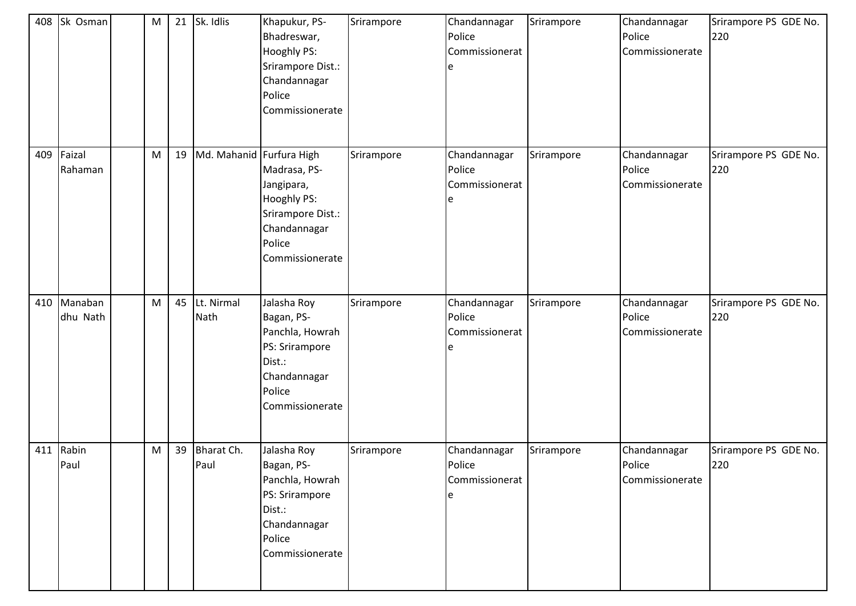| 408 | Sk Osman            | M | 21 | Sk. Idlis                | Khapukur, PS-<br>Bhadreswar,<br>Hooghly PS:<br>Srirampore Dist.:<br>Chandannagar<br>Police<br>Commissionerate         | Srirampore | Chandannagar<br>Police<br>Commissionerat<br>e | Srirampore | Chandannagar<br>Police<br>Commissionerate | Srirampore PS GDE No.<br>220 |
|-----|---------------------|---|----|--------------------------|-----------------------------------------------------------------------------------------------------------------------|------------|-----------------------------------------------|------------|-------------------------------------------|------------------------------|
| 409 | Faizal<br>Rahaman   | M | 19 | Md. Mahanid Furfura High | Madrasa, PS-<br>Jangipara,<br>Hooghly PS:<br>Srirampore Dist.:<br>Chandannagar<br>Police<br>Commissionerate           | Srirampore | Chandannagar<br>Police<br>Commissionerat<br>e | Srirampore | Chandannagar<br>Police<br>Commissionerate | Srirampore PS GDE No.<br>220 |
| 410 | Manaban<br>dhu Nath | M | 45 | Lt. Nirmal<br>Nath       | Jalasha Roy<br>Bagan, PS-<br>Panchla, Howrah<br>PS: Srirampore<br>Dist.:<br>Chandannagar<br>Police<br>Commissionerate | Srirampore | Chandannagar<br>Police<br>Commissionerat<br>e | Srirampore | Chandannagar<br>Police<br>Commissionerate | Srirampore PS GDE No.<br>220 |
| 411 | Rabin<br>Paul       | M | 39 | Bharat Ch.<br>Paul       | Jalasha Roy<br>Bagan, PS-<br>Panchla, Howrah<br>PS: Srirampore<br>Dist.:<br>Chandannagar<br>Police<br>Commissionerate | Srirampore | Chandannagar<br>Police<br>Commissionerat      | Srirampore | Chandannagar<br>Police<br>Commissionerate | Srirampore PS GDE No.<br>220 |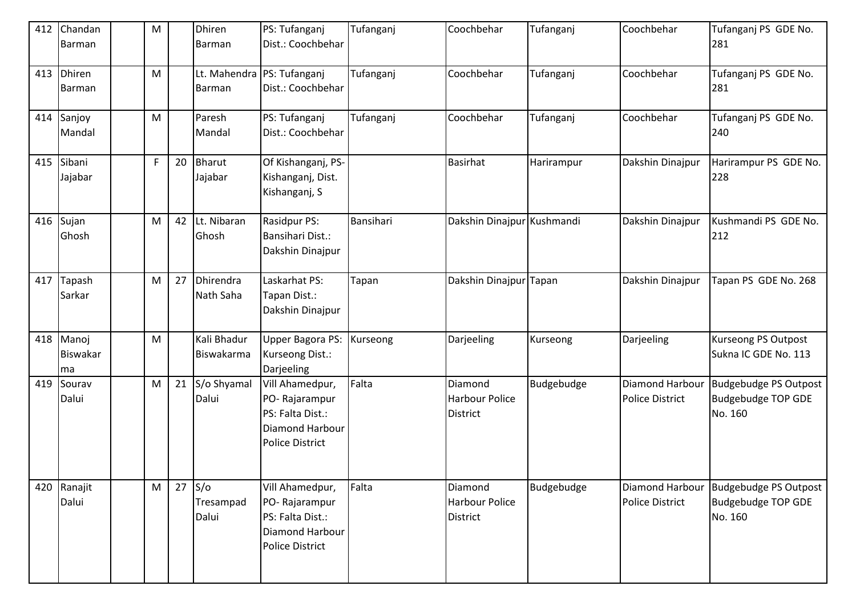| 412 | Chandan<br>Barman              | M |    | Dhiren<br><b>Barman</b>   | PS: Tufanganj<br>Dist.: Coochbehar                                                                       | Tufanganj | Coochbehar                                          | Tufanganj  | Coochbehar                                | Tufanganj PS GDE No.<br>281                                          |
|-----|--------------------------------|---|----|---------------------------|----------------------------------------------------------------------------------------------------------|-----------|-----------------------------------------------------|------------|-------------------------------------------|----------------------------------------------------------------------|
| 413 | <b>Dhiren</b><br>Barman        | M |    | <b>Barman</b>             | Lt. Mahendra   PS: Tufanganj<br>Dist.: Coochbehar                                                        | Tufanganj | Coochbehar                                          | Tufanganj  | Coochbehar                                | Tufanganj PS GDE No.<br>281                                          |
| 414 | Sanjoy<br>Mandal               | M |    | Paresh<br>Mandal          | PS: Tufanganj<br>Dist.: Coochbehar                                                                       | Tufanganj | Coochbehar                                          | Tufanganj  | Coochbehar                                | Tufanganj PS GDE No.<br>240                                          |
| 415 | Sibani<br>Jajabar              | F | 20 | <b>Bharut</b><br>Jajabar  | Of Kishanganj, PS-<br>Kishanganj, Dist.<br>Kishanganj, S                                                 |           | <b>Basirhat</b>                                     | Harirampur | Dakshin Dinajpur                          | Harirampur PS GDE No.<br>228                                         |
| 416 | Sujan<br>Ghosh                 | M | 42 | Lt. Nibaran<br>Ghosh      | Rasidpur PS:<br><b>Bansihari Dist.:</b><br>Dakshin Dinajpur                                              | Bansihari | Dakshin Dinajpur Kushmandi                          |            | Dakshin Dinajpur                          | Kushmandi PS GDE No.<br>212                                          |
| 417 | Tapash<br>Sarkar               | M | 27 | Dhirendra<br>Nath Saha    | Laskarhat PS:<br>Tapan Dist.:<br>Dakshin Dinajpur                                                        | Tapan     | Dakshin Dinajpur                                    | Tapan      | Dakshin Dinajpur                          | Tapan PS GDE No. 268                                                 |
| 418 | Manoj<br><b>Biswakar</b><br>ma | M |    | Kali Bhadur<br>Biswakarma | Upper Bagora PS:<br>Kurseong Dist.:<br>Darjeeling                                                        | Kurseong  | Darjeeling                                          | Kurseong   | Darjeeling                                | Kurseong PS Outpost<br>Sukna IC GDE No. 113                          |
| 419 | Sourav<br>Dalui                | M | 21 | S/o Shyamal<br>Dalui      | Vill Ahamedpur,<br>PO-Rajarampur<br>PS: Falta Dist.:<br><b>Diamond Harbour</b><br><b>Police District</b> | Falta     | Diamond<br><b>Harbour Police</b><br><b>District</b> | Budgebudge | Diamond Harbour<br><b>Police District</b> | <b>Budgebudge PS Outpost</b><br>Budgebudge TOP GDE<br>No. 160        |
| 420 | Ranajit<br>Dalui               | M | 27 | S/O<br>Tresampad<br>Dalui | Vill Ahamedpur,<br>PO-Rajarampur<br>PS: Falta Dist.:<br>Diamond Harbour<br><b>Police District</b>        | Falta     | Diamond<br><b>Harbour Police</b><br><b>District</b> | Budgebudge | <b>Diamond Harbour</b><br>Police District | <b>Budgebudge PS Outpost</b><br><b>Budgebudge TOP GDE</b><br>No. 160 |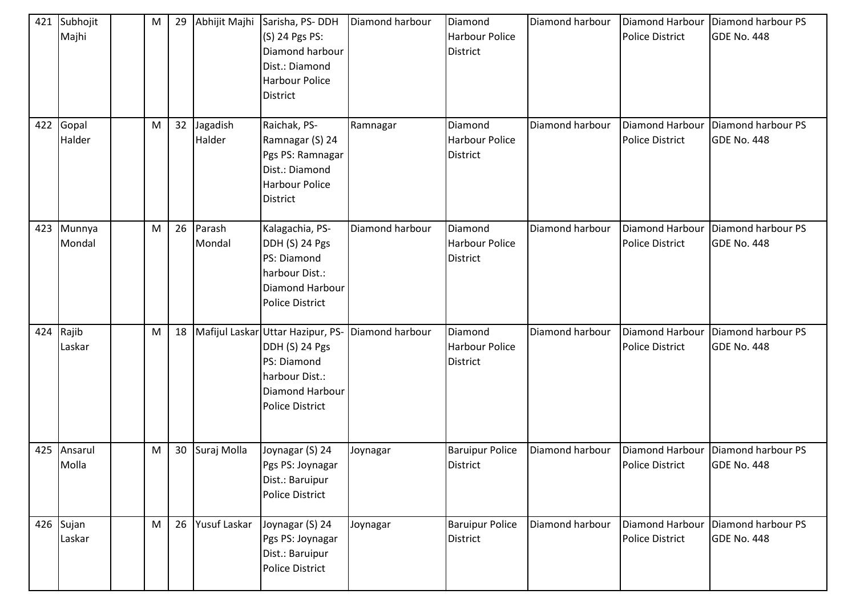| 421 | Subhojit<br>Majhi | M | 29 | Abhijit Majhi      | Sarisha, PS-DDH<br>(S) 24 Pgs PS:<br>Diamond harbour<br>Dist.: Diamond<br><b>Harbour Police</b><br>District                       | Diamond harbour | Diamond<br><b>Harbour Police</b><br><b>District</b> | Diamond harbour | Diamond Harbour<br><b>Police District</b> | Diamond harbour PS<br><b>GDE No. 448</b> |
|-----|-------------------|---|----|--------------------|-----------------------------------------------------------------------------------------------------------------------------------|-----------------|-----------------------------------------------------|-----------------|-------------------------------------------|------------------------------------------|
| 422 | Gopal<br>Halder   | M | 32 | Jagadish<br>Halder | Raichak, PS-<br>Ramnagar (S) 24<br>Pgs PS: Ramnagar<br>Dist.: Diamond<br><b>Harbour Police</b><br>District                        | Ramnagar        | Diamond<br><b>Harbour Police</b><br><b>District</b> | Diamond harbour | Diamond Harbour<br><b>Police District</b> | Diamond harbour PS<br><b>GDE No. 448</b> |
| 423 | Munnya<br>Mondal  | M | 26 | Parash<br>Mondal   | Kalagachia, PS-<br>DDH (S) 24 Pgs<br>PS: Diamond<br>harbour Dist.:<br>Diamond Harbour<br><b>Police District</b>                   | Diamond harbour | Diamond<br><b>Harbour Police</b><br><b>District</b> | Diamond harbour | Diamond Harbour<br><b>Police District</b> | Diamond harbour PS<br>GDE No. 448        |
| 424 | Rajib<br>Laskar   | M | 18 |                    | Mafijul Laskar Uttar Hazipur, PS-<br>DDH (S) 24 Pgs<br>PS: Diamond<br>harbour Dist.:<br>Diamond Harbour<br><b>Police District</b> | Diamond harbour | Diamond<br>Harbour Police<br><b>District</b>        | Diamond harbour | Diamond Harbour<br><b>Police District</b> | Diamond harbour PS<br>GDE No. 448        |
| 425 | Ansarul<br>Molla  | M | 30 | Suraj Molla        | Joynagar (S) 24<br>Pgs PS: Joynagar<br>Dist.: Baruipur<br><b>Police District</b>                                                  | Joynagar        | <b>Baruipur Police</b><br><b>District</b>           | Diamond harbour | Diamond Harbour<br><b>Police District</b> | Diamond harbour PS<br>GDE No. 448        |
| 426 | Sujan<br>Laskar   | M | 26 | Yusuf Laskar       | Joynagar (S) 24<br>Pgs PS: Joynagar<br>Dist.: Baruipur<br><b>Police District</b>                                                  | Joynagar        | <b>Baruipur Police</b><br><b>District</b>           | Diamond harbour | <b>Diamond Harbour</b><br>Police District | Diamond harbour PS<br>GDE No. 448        |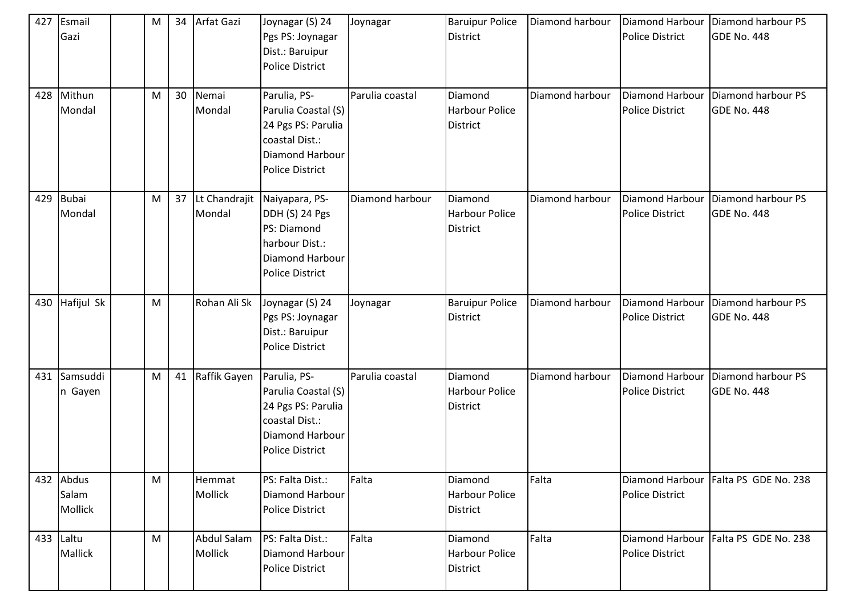|     | 427 Esmail<br>Gazi                   | M | 34 | Arfat Gazi              | Joynagar (S) 24<br>Pgs PS: Joynagar<br>Dist.: Baruipur<br>Police District                                                | Joynagar        | <b>Baruipur Police</b><br><b>District</b>           | Diamond harbour | Diamond Harbour<br><b>Police District</b> | Diamond harbour PS<br><b>GDE No. 448</b> |
|-----|--------------------------------------|---|----|-------------------------|--------------------------------------------------------------------------------------------------------------------------|-----------------|-----------------------------------------------------|-----------------|-------------------------------------------|------------------------------------------|
| 428 | Mithun<br>Mondal                     | M | 30 | Nemai<br>Mondal         | Parulia, PS-<br>Parulia Coastal (S)<br>24 Pgs PS: Parulia<br>coastal Dist.:<br>Diamond Harbour<br><b>Police District</b> | Parulia coastal | Diamond<br><b>Harbour Police</b><br><b>District</b> | Diamond harbour | Diamond Harbour<br><b>Police District</b> | Diamond harbour PS<br>GDE No. 448        |
| 429 | Bubai<br>Mondal                      | M | 37 | Lt Chandrajit<br>Mondal | Naiyapara, PS-<br>DDH (S) 24 Pgs<br>PS: Diamond<br>harbour Dist.:<br>Diamond Harbour<br><b>Police District</b>           | Diamond harbour | Diamond<br>Harbour Police<br><b>District</b>        | Diamond harbour | Diamond Harbour<br><b>Police District</b> | Diamond harbour PS<br><b>GDE No. 448</b> |
| 430 | Hafijul Sk                           | M |    | Rohan Ali Sk            | Joynagar (S) 24<br>Pgs PS: Joynagar<br>Dist.: Baruipur<br><b>Police District</b>                                         | Joynagar        | <b>Baruipur Police</b><br><b>District</b>           | Diamond harbour | Diamond Harbour<br><b>Police District</b> | Diamond harbour PS<br><b>GDE No. 448</b> |
| 431 | Samsuddi<br>n Gayen                  | M |    | 41 Raffik Gayen         | Parulia, PS-<br>Parulia Coastal (S)<br>24 Pgs PS: Parulia<br>coastal Dist.:<br>Diamond Harbour<br><b>Police District</b> | Parulia coastal | Diamond<br><b>Harbour Police</b><br><b>District</b> | Diamond harbour | Diamond Harbour<br><b>Police District</b> | Diamond harbour PS<br>GDE No. 448        |
|     | 432 Abdus<br>Salam<br><b>Mollick</b> | M |    | Hemmat<br>Mollick       | PS: Falta Dist.:<br>Diamond Harbour<br>Police District                                                                   | Falta           | Diamond<br><b>Harbour Police</b><br><b>District</b> | Falta           | <b>Police District</b>                    | Diamond Harbour   Falta PS GDE No. 238   |
|     | 433 Laltu<br>Mallick                 | M |    | Abdul Salam<br>Mollick  | PS: Falta Dist.:<br>Diamond Harbour<br>Police District                                                                   | Falta           | Diamond<br><b>Harbour Police</b><br>District        | Falta           | Diamond Harbour<br><b>Police District</b> | Falta PS GDE No. 238                     |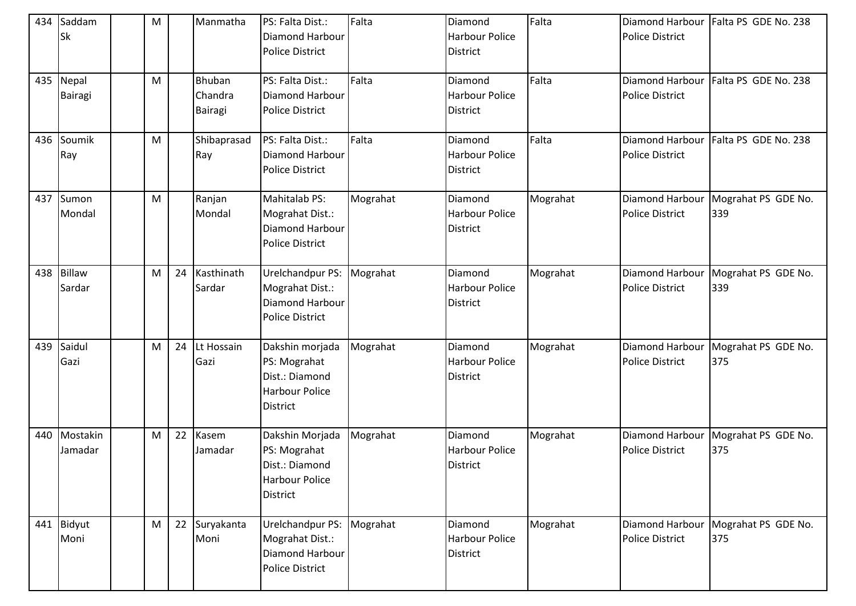| 434 | Saddam<br><b>Sk</b>     | M |    | Manmatha                            | PS: Falta Dist.:<br>Diamond Harbour<br>Police District                                        | Falta    | Diamond<br>Harbour Police<br><b>District</b>        | Falta    | <b>Police District</b>                           | Diamond Harbour   Falta PS GDE No. 238 |
|-----|-------------------------|---|----|-------------------------------------|-----------------------------------------------------------------------------------------------|----------|-----------------------------------------------------|----------|--------------------------------------------------|----------------------------------------|
| 435 | Nepal<br><b>Bairagi</b> | M |    | Bhuban<br>Chandra<br><b>Bairagi</b> | PS: Falta Dist.:<br><b>Diamond Harbour</b><br><b>Police District</b>                          | Falta    | Diamond<br><b>Harbour Police</b><br><b>District</b> | Falta    | <b>Diamond Harbour</b><br><b>Police District</b> | Falta PS GDE No. 238                   |
| 436 | Soumik<br>Ray           | M |    | Shibaprasad<br>Ray                  | PS: Falta Dist.:<br>Diamond Harbour<br><b>Police District</b>                                 | Falta    | Diamond<br>Harbour Police<br><b>District</b>        | Falta    | Diamond Harbour<br><b>Police District</b>        | Falta PS GDE No. 238                   |
| 437 | Sumon<br>Mondal         | M |    | Ranjan<br>Mondal                    | Mahitalab PS:<br>Mograhat Dist.:<br>Diamond Harbour<br><b>Police District</b>                 | Mograhat | Diamond<br>Harbour Police<br><b>District</b>        | Mograhat | <b>Diamond Harbour</b><br><b>Police District</b> | Mograhat PS GDE No.<br>339             |
| 438 | <b>Billaw</b><br>Sardar | M | 24 | Kasthinath<br>Sardar                | Urelchandpur PS:<br>Mograhat Dist.:<br>Diamond Harbour<br><b>Police District</b>              | Mograhat | Diamond<br><b>Harbour Police</b><br><b>District</b> | Mograhat | Diamond Harbour<br><b>Police District</b>        | Mograhat PS GDE No.<br>339             |
| 439 | Saidul<br>Gazi          | M | 24 | Lt Hossain<br>Gazi                  | Dakshin morjada<br>PS: Mograhat<br>Dist.: Diamond<br><b>Harbour Police</b><br>District        | Mograhat | Diamond<br><b>Harbour Police</b><br><b>District</b> | Mograhat | Diamond Harbour<br><b>Police District</b>        | Mograhat PS GDE No.<br>375             |
| 440 | Mostakin<br>Jamadar     | M | 22 | Kasem<br>Jamadar                    | Dakshin Morjada<br>PS: Mograhat<br>Dist.: Diamond<br><b>Harbour Police</b><br><b>District</b> | Mograhat | Diamond<br>Harbour Police<br><b>District</b>        | Mograhat | <b>Diamond Harbour</b><br><b>Police District</b> | Mograhat PS GDE No.<br>375             |
| 441 | Bidyut<br>Moni          | M | 22 | Suryakanta<br>Moni                  | Urelchandpur PS:<br>Mograhat Dist.:<br>Diamond Harbour<br><b>Police District</b>              | Mograhat | Diamond<br>Harbour Police<br><b>District</b>        | Mograhat | <b>Diamond Harbour</b><br><b>Police District</b> | Mograhat PS GDE No.<br>375             |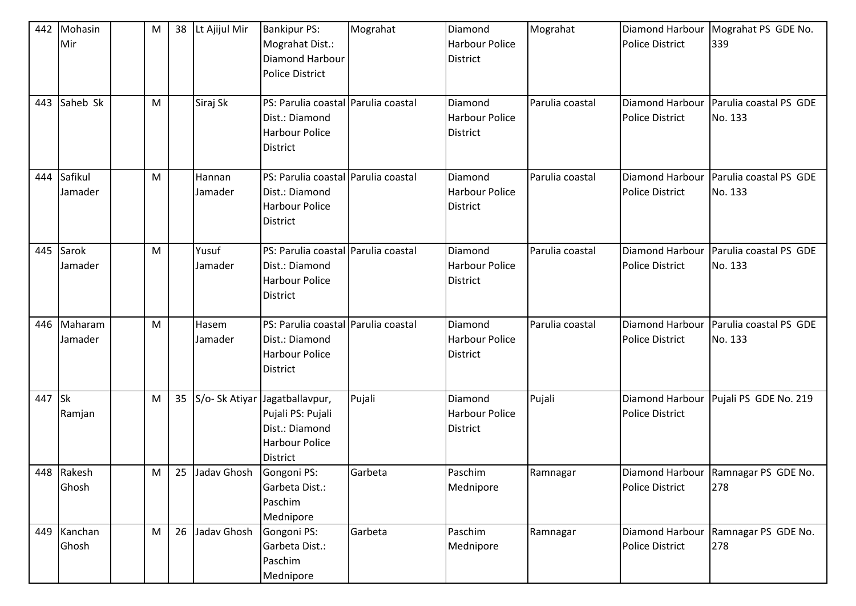| 442 | Mohasin<br>Mir      | M | 38 | Lt Ajijul Mir     | <b>Bankipur PS:</b><br>Mograhat Dist.:<br>Diamond Harbour<br><b>Police District</b>                               | Mograhat | Diamond<br><b>Harbour Police</b><br><b>District</b> | Mograhat        | <b>Diamond Harbour</b><br><b>Police District</b> | Mograhat PS GDE No.<br>339                 |
|-----|---------------------|---|----|-------------------|-------------------------------------------------------------------------------------------------------------------|----------|-----------------------------------------------------|-----------------|--------------------------------------------------|--------------------------------------------|
| 443 | Saheb Sk            | M |    | Siraj Sk          | PS: Parulia coastal Parulia coastal<br>Dist.: Diamond<br><b>Harbour Police</b><br><b>District</b>                 |          | Diamond<br><b>Harbour Police</b><br><b>District</b> | Parulia coastal | Diamond Harbour<br><b>Police District</b>        | Parulia coastal PS GDE<br>No. 133          |
| 444 | Safikul<br>Jamader  | M |    | Hannan<br>Jamader | PS: Parulia coastal Parulia coastal<br>Dist.: Diamond<br><b>Harbour Police</b><br><b>District</b>                 |          | Diamond<br><b>Harbour Police</b><br><b>District</b> | Parulia coastal | Diamond Harbour<br><b>Police District</b>        | Parulia coastal PS GDE<br>No. 133          |
| 445 | Sarok<br>Jamader    | M |    | Yusuf<br>Jamader  | PS: Parulia coastal Parulia coastal<br>Dist.: Diamond<br><b>Harbour Police</b><br><b>District</b>                 |          | Diamond<br><b>Harbour Police</b><br><b>District</b> | Parulia coastal | Diamond Harbour<br><b>Police District</b>        | Parulia coastal PS GDE<br>No. 133          |
| 446 | Maharam<br>Jamader  | M |    | Hasem<br>Jamader  | PS: Parulia coastal Parulia coastal<br>Dist.: Diamond<br><b>Harbour Police</b><br><b>District</b>                 |          | Diamond<br><b>Harbour Police</b><br><b>District</b> | Parulia coastal | Diamond Harbour<br><b>Police District</b>        | Parulia coastal PS GDE<br>No. 133          |
| 447 | <b>Sk</b><br>Ramjan | M | 35 |                   | S/o- Sk Atiyar Jagatballavpur,<br>Pujali PS: Pujali<br>Dist.: Diamond<br><b>Harbour Police</b><br><b>District</b> | Pujali   | Diamond<br><b>Harbour Police</b><br><b>District</b> | Pujali          | Diamond Harbour<br><b>Police District</b>        | Pujali PS GDE No. 219                      |
|     | 448 Rakesh<br>Ghosh | M |    | 25 Jadav Ghosh    | Gongoni PS:<br>Garbeta Dist.:<br>Paschim<br>Mednipore                                                             | Garbeta  | Paschim<br>Mednipore                                | Ramnagar        | Police District                                  | Diamond Harbour Ramnagar PS GDE No.<br>278 |
| 449 | Kanchan<br>Ghosh    | M | 26 | Jadav Ghosh       | Gongoni PS:<br>Garbeta Dist.:<br>Paschim<br>Mednipore                                                             | Garbeta  | Paschim<br>Mednipore                                | Ramnagar        | <b>Diamond Harbour</b><br>Police District        | Ramnagar PS GDE No.<br>278                 |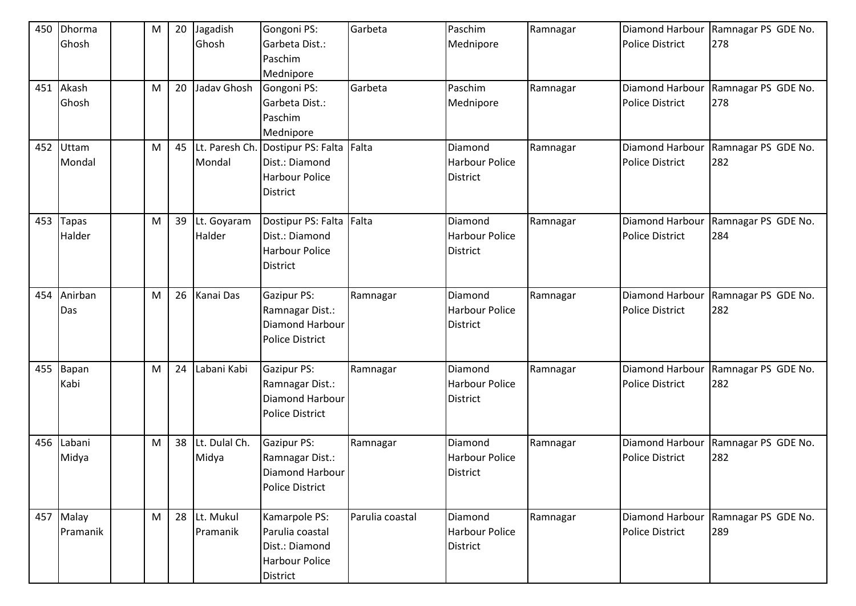| 450 | Dhorma       | M | 20 | Jagadish       | Gongoni PS:              | Garbeta         | Paschim               | Ramnagar | <b>Diamond Harbour</b> | Ramnagar PS GDE No. |
|-----|--------------|---|----|----------------|--------------------------|-----------------|-----------------------|----------|------------------------|---------------------|
|     | Ghosh        |   |    | Ghosh          | Garbeta Dist.:           |                 | Mednipore             |          | <b>Police District</b> | 278                 |
|     |              |   |    |                | Paschim                  |                 |                       |          |                        |                     |
|     |              |   |    |                | Mednipore                |                 |                       |          |                        |                     |
| 451 | Akash        | M | 20 | Jadav Ghosh    | Gongoni PS:              | Garbeta         | Paschim               | Ramnagar | Diamond Harbour        | Ramnagar PS GDE No. |
|     | Ghosh        |   |    |                | Garbeta Dist.:           |                 | Mednipore             |          | <b>Police District</b> | 278                 |
|     |              |   |    |                | Paschim                  |                 |                       |          |                        |                     |
|     |              |   |    |                | Mednipore                |                 |                       |          |                        |                     |
| 452 | Uttam        | M | 45 | Lt. Paresh Ch. | Dostipur PS: Falta Falta |                 | Diamond               | Ramnagar | <b>Diamond Harbour</b> | Ramnagar PS GDE No. |
|     | Mondal       |   |    | Mondal         | Dist.: Diamond           |                 | <b>Harbour Police</b> |          | <b>Police District</b> | 282                 |
|     |              |   |    |                | <b>Harbour Police</b>    |                 | <b>District</b>       |          |                        |                     |
|     |              |   |    |                | <b>District</b>          |                 |                       |          |                        |                     |
|     |              |   |    |                |                          |                 |                       |          |                        |                     |
| 453 | <b>Tapas</b> | M | 39 | Lt. Goyaram    | Dostipur PS: Falta Falta |                 | Diamond               | Ramnagar | <b>Diamond Harbour</b> | Ramnagar PS GDE No. |
|     | Halder       |   |    | Halder         | Dist.: Diamond           |                 | <b>Harbour Police</b> |          | <b>Police District</b> | 284                 |
|     |              |   |    |                | <b>Harbour Police</b>    |                 | <b>District</b>       |          |                        |                     |
|     |              |   |    |                | <b>District</b>          |                 |                       |          |                        |                     |
|     |              |   |    |                |                          |                 |                       |          |                        |                     |
| 454 | Anirban      | M | 26 | Kanai Das      | <b>Gazipur PS:</b>       | Ramnagar        | Diamond               | Ramnagar | Diamond Harbour        | Ramnagar PS GDE No. |
|     | Das          |   |    |                | Ramnagar Dist.:          |                 | <b>Harbour Police</b> |          | <b>Police District</b> | 282                 |
|     |              |   |    |                | Diamond Harbour          |                 | <b>District</b>       |          |                        |                     |
|     |              |   |    |                | <b>Police District</b>   |                 |                       |          |                        |                     |
|     |              |   |    |                |                          |                 |                       |          |                        |                     |
| 455 | Bapan        | M | 24 | Labani Kabi    | <b>Gazipur PS:</b>       | Ramnagar        | Diamond               | Ramnagar | Diamond Harbour        | Ramnagar PS GDE No. |
|     | Kabi         |   |    |                | Ramnagar Dist.:          |                 | <b>Harbour Police</b> |          | <b>Police District</b> | 282                 |
|     |              |   |    |                | Diamond Harbour          |                 | District              |          |                        |                     |
|     |              |   |    |                | <b>Police District</b>   |                 |                       |          |                        |                     |
|     |              |   |    |                |                          |                 |                       |          |                        |                     |
| 456 | Labani       | M | 38 | Lt. Dulal Ch.  | <b>Gazipur PS:</b>       | Ramnagar        | Diamond               | Ramnagar | <b>Diamond Harbour</b> | Ramnagar PS GDE No. |
|     | Midya        |   |    | Midya          | Ramnagar Dist.:          |                 | <b>Harbour Police</b> |          | <b>Police District</b> | 282                 |
|     |              |   |    |                | Diamond Harbour          |                 | <b>District</b>       |          |                        |                     |
|     |              |   |    |                | <b>Police District</b>   |                 |                       |          |                        |                     |
|     |              |   |    |                |                          |                 |                       |          |                        |                     |
| 457 | Malay        | M | 28 | Lt. Mukul      | Kamarpole PS:            | Parulia coastal | Diamond               | Ramnagar | <b>Diamond Harbour</b> | Ramnagar PS GDE No. |
|     | Pramanik     |   |    | Pramanik       | Parulia coastal          |                 | <b>Harbour Police</b> |          | Police District        | 289                 |
|     |              |   |    |                | Dist.: Diamond           |                 | <b>District</b>       |          |                        |                     |
|     |              |   |    |                | <b>Harbour Police</b>    |                 |                       |          |                        |                     |
|     |              |   |    |                | District                 |                 |                       |          |                        |                     |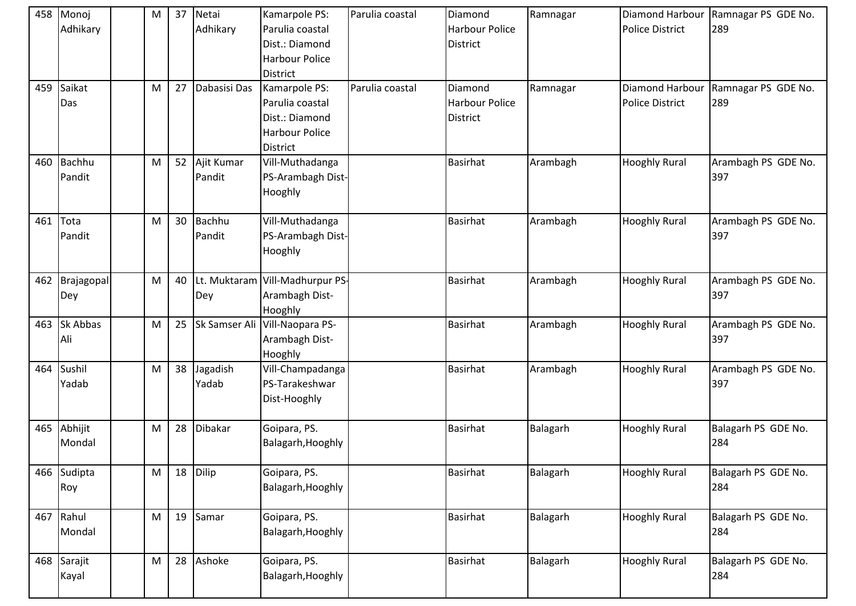|     | 458 Monoj<br>Adhikary | M | 37 | Netai<br>Adhikary    | Kamarpole PS:<br>Parulia coastal<br>Dist.: Diamond<br><b>Harbour Police</b><br>District | Parulia coastal | Diamond<br><b>Harbour Police</b><br><b>District</b> | Ramnagar | <b>Police District</b>                    | Diamond Harbour Ramnagar PS GDE No.<br>289 |
|-----|-----------------------|---|----|----------------------|-----------------------------------------------------------------------------------------|-----------------|-----------------------------------------------------|----------|-------------------------------------------|--------------------------------------------|
| 459 | Saikat<br>Das         | M | 27 | Dabasisi Das         | Kamarpole PS:<br>Parulia coastal<br>Dist.: Diamond<br><b>Harbour Police</b><br>District | Parulia coastal | Diamond<br>Harbour Police<br><b>District</b>        | Ramnagar | Diamond Harbour<br><b>Police District</b> | Ramnagar PS GDE No.<br>289                 |
| 460 | Bachhu<br>Pandit      | M | 52 | Ajit Kumar<br>Pandit | Vill-Muthadanga<br>PS-Arambagh Dist-<br>Hooghly                                         |                 | <b>Basirhat</b>                                     | Arambagh | <b>Hooghly Rural</b>                      | Arambagh PS GDE No.<br>397                 |
| 461 | Tota<br>Pandit        | M | 30 | Bachhu<br>Pandit     | Vill-Muthadanga<br>PS-Arambagh Dist-<br>Hooghly                                         |                 | <b>Basirhat</b>                                     | Arambagh | <b>Hooghly Rural</b>                      | Arambagh PS GDE No.<br>397                 |
| 462 | Brajagopal<br>Dey     | M | 40 | Dey                  | Lt. Muktaram Vill-Madhurpur PS-<br>Arambagh Dist-<br>Hooghly                            |                 | <b>Basirhat</b>                                     | Arambagh | <b>Hooghly Rural</b>                      | Arambagh PS GDE No.<br>397                 |
| 463 | Sk Abbas<br>Ali       | M | 25 | Sk Samser Ali        | Vill-Naopara PS-<br>Arambagh Dist-<br>Hooghly                                           |                 | <b>Basirhat</b>                                     | Arambagh | <b>Hooghly Rural</b>                      | Arambagh PS GDE No.<br>397                 |
| 464 | Sushil<br>Yadab       | M | 38 | Jagadish<br>Yadab    | Vill-Champadanga<br>PS-Tarakeshwar<br>Dist-Hooghly                                      |                 | <b>Basirhat</b>                                     | Arambagh | <b>Hooghly Rural</b>                      | Arambagh PS GDE No.<br>397                 |
| 465 | Abhijit<br>Mondal     | M | 28 | <b>Dibakar</b>       | Goipara, PS.<br>Balagarh, Hooghly                                                       |                 | <b>Basirhat</b>                                     | Balagarh | <b>Hooghly Rural</b>                      | Balagarh PS GDE No.<br>284                 |
| 466 | Sudipta<br>Roy        | M | 18 | Dilip                | Goipara, PS.<br>Balagarh, Hooghly                                                       |                 | <b>Basirhat</b>                                     | Balagarh | <b>Hooghly Rural</b>                      | Balagarh PS GDE No.<br>284                 |
| 467 | Rahul<br>Mondal       | M | 19 | Samar                | Goipara, PS.<br>Balagarh, Hooghly                                                       |                 | <b>Basirhat</b>                                     | Balagarh | <b>Hooghly Rural</b>                      | Balagarh PS GDE No.<br>284                 |
| 468 | Sarajit<br>Kayal      | M | 28 | Ashoke               | Goipara, PS.<br>Balagarh, Hooghly                                                       |                 | <b>Basirhat</b>                                     | Balagarh | <b>Hooghly Rural</b>                      | Balagarh PS GDE No.<br>284                 |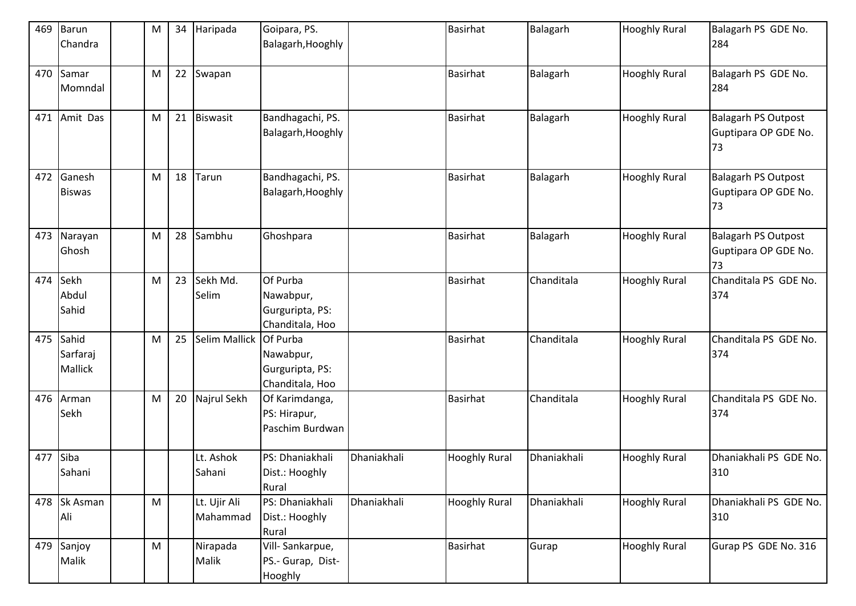| 469 | Barun<br>Chandra                    | M | 34 | Haripada                 | Goipara, PS.<br>Balagarh, Hooghly                           |             | <b>Basirhat</b>      | Balagarh    | <b>Hooghly Rural</b> | Balagarh PS GDE No.<br>284                               |
|-----|-------------------------------------|---|----|--------------------------|-------------------------------------------------------------|-------------|----------------------|-------------|----------------------|----------------------------------------------------------|
| 470 | Samar<br>Momndal                    | M | 22 | Swapan                   |                                                             |             | Basirhat             | Balagarh    | <b>Hooghly Rural</b> | Balagarh PS GDE No.<br>284                               |
| 471 | Amit Das                            | M | 21 | <b>Biswasit</b>          | Bandhagachi, PS.<br>Balagarh, Hooghly                       |             | <b>Basirhat</b>      | Balagarh    | <b>Hooghly Rural</b> | <b>Balagarh PS Outpost</b><br>Guptipara OP GDE No.<br>73 |
| 472 | Ganesh<br><b>Biswas</b>             | M | 18 | Tarun                    | Bandhagachi, PS.<br>Balagarh, Hooghly                       |             | <b>Basirhat</b>      | Balagarh    | <b>Hooghly Rural</b> | <b>Balagarh PS Outpost</b><br>Guptipara OP GDE No.<br>73 |
| 473 | Narayan<br>Ghosh                    | M | 28 | Sambhu                   | Ghoshpara                                                   |             | <b>Basirhat</b>      | Balagarh    | <b>Hooghly Rural</b> | <b>Balagarh PS Outpost</b><br>Guptipara OP GDE No.<br>73 |
| 474 | Sekh<br>Abdul<br>Sahid              | M | 23 | Sekh Md.<br>Selim        | Of Purba<br>Nawabpur,<br>Gurguripta, PS:<br>Chanditala, Hoo |             | <b>Basirhat</b>      | Chanditala  | <b>Hooghly Rural</b> | Chanditala PS GDE No.<br>374                             |
| 475 | Sahid<br>Sarfaraj<br><b>Mallick</b> | M | 25 | <b>Selim Mallick</b>     | Of Purba<br>Nawabpur,<br>Gurguripta, PS:<br>Chanditala, Hoo |             | <b>Basirhat</b>      | Chanditala  | <b>Hooghly Rural</b> | Chanditala PS GDE No.<br>374                             |
| 476 | Arman<br>Sekh                       | M | 20 | Najrul Sekh              | Of Karimdanga,<br>PS: Hirapur,<br>Paschim Burdwan           |             | <b>Basirhat</b>      | Chanditala  | <b>Hooghly Rural</b> | Chanditala PS GDE No.<br>374                             |
| 477 | Siba<br>Sahani                      |   |    | Lt. Ashok<br>Sahani      | PS: Dhaniakhali<br>Dist.: Hooghly<br>Rural                  | Dhaniakhali | <b>Hooghly Rural</b> | Dhaniakhali | <b>Hooghly Rural</b> | Dhaniakhali PS GDE No.<br>310                            |
| 478 | Sk Asman<br>Ali                     | M |    | Lt. Ujir Ali<br>Mahammad | PS: Dhaniakhali<br>Dist.: Hooghly<br>Rural                  | Dhaniakhali | <b>Hooghly Rural</b> | Dhaniakhali | <b>Hooghly Rural</b> | Dhaniakhali PS GDE No.<br>310                            |
| 479 | Sanjoy<br>Malik                     | M |    | Nirapada<br>Malik        | Vill-Sankarpue,<br>PS.- Gurap, Dist-<br>Hooghly             |             | <b>Basirhat</b>      | Gurap       | <b>Hooghly Rural</b> | Gurap PS GDE No. 316                                     |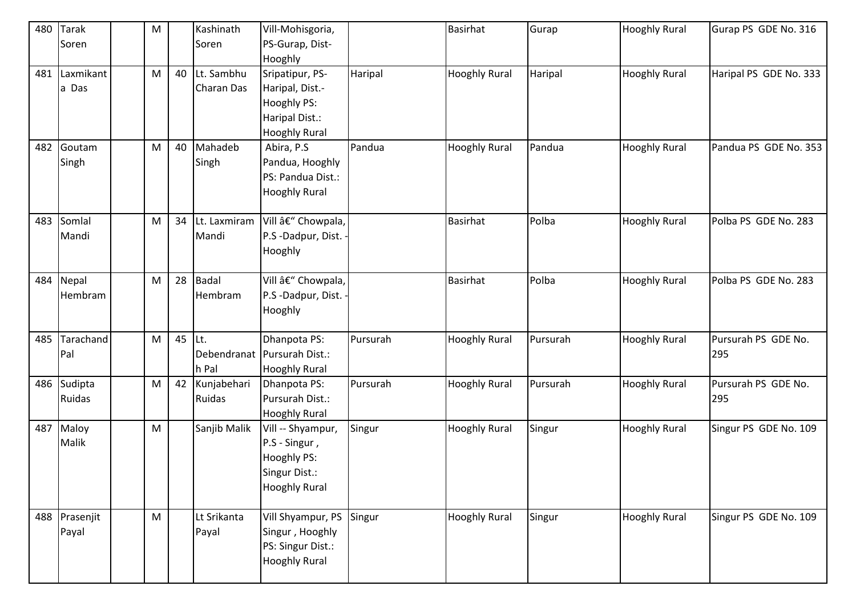| 480 | <b>Tarak</b>  | M |    | Kashinath    | Vill-Mohisgoria,            |          | <b>Basirhat</b>      | Gurap    | <b>Hooghly Rural</b> | Gurap PS GDE No. 316   |
|-----|---------------|---|----|--------------|-----------------------------|----------|----------------------|----------|----------------------|------------------------|
|     | Soren         |   |    | Soren        | PS-Gurap, Dist-             |          |                      |          |                      |                        |
|     |               |   |    |              | Hooghly                     |          |                      |          |                      |                        |
| 481 | Laxmikant     | M | 40 | Lt. Sambhu   | Sripatipur, PS-             | Haripal  | <b>Hooghly Rural</b> | Haripal  | <b>Hooghly Rural</b> | Haripal PS GDE No. 333 |
|     | a Das         |   |    | Charan Das   | Haripal, Dist.-             |          |                      |          |                      |                        |
|     |               |   |    |              | <b>Hooghly PS:</b>          |          |                      |          |                      |                        |
|     |               |   |    |              | Haripal Dist.:              |          |                      |          |                      |                        |
|     |               |   |    |              | <b>Hooghly Rural</b>        |          |                      |          |                      |                        |
| 482 | Goutam        | M | 40 | Mahadeb      | Abira, P.S                  | Pandua   | <b>Hooghly Rural</b> | Pandua   | <b>Hooghly Rural</b> | Pandua PS GDE No. 353  |
|     | Singh         |   |    | Singh        | Pandua, Hooghly             |          |                      |          |                      |                        |
|     |               |   |    |              | PS: Pandua Dist.:           |          |                      |          |                      |                        |
|     |               |   |    |              | <b>Hooghly Rural</b>        |          |                      |          |                      |                        |
|     |               |   |    |              |                             |          |                      |          |                      |                        |
| 483 | Somlal        | M | 34 | Lt. Laxmiram | Vill – Chowpala,            |          | <b>Basirhat</b>      | Polba    | <b>Hooghly Rural</b> | Polba PS GDE No. 283   |
|     | Mandi         |   |    | Mandi        | P.S -Dadpur, Dist. -        |          |                      |          |                      |                        |
|     |               |   |    |              | Hooghly                     |          |                      |          |                      |                        |
|     |               |   |    |              |                             |          |                      |          |                      |                        |
| 484 | Nepal         | M | 28 | <b>Badal</b> | Vill â€" Chowpala,          |          | Basirhat             | Polba    | <b>Hooghly Rural</b> | Polba PS GDE No. 283   |
|     | Hembram       |   |    | Hembram      | P.S -Dadpur, Dist. -        |          |                      |          |                      |                        |
|     |               |   |    |              | Hooghly                     |          |                      |          |                      |                        |
|     |               |   |    |              |                             |          |                      |          |                      |                        |
| 485 | Tarachand     | M | 45 | Lt.          | Dhanpota PS:                | Pursurah | <b>Hooghly Rural</b> | Pursurah | <b>Hooghly Rural</b> | Pursurah PS GDE No.    |
|     | Pal           |   |    |              | Debendranat Pursurah Dist.: |          |                      |          |                      | 295                    |
|     |               |   |    | h Pal        | <b>Hooghly Rural</b>        |          |                      |          |                      |                        |
| 486 | Sudipta       | M | 42 | Kunjabehari  | Dhanpota PS:                | Pursurah | <b>Hooghly Rural</b> | Pursurah | <b>Hooghly Rural</b> | Pursurah PS GDE No.    |
|     | <b>Ruidas</b> |   |    | Ruidas       | Pursurah Dist.:             |          |                      |          |                      | 295                    |
|     |               |   |    |              | <b>Hooghly Rural</b>        |          |                      |          |                      |                        |
| 487 | Maloy         | M |    | Sanjib Malik | Vill -- Shyampur,           | Singur   | <b>Hooghly Rural</b> | Singur   | <b>Hooghly Rural</b> | Singur PS GDE No. 109  |
|     | Malik         |   |    |              | P.S - Singur,               |          |                      |          |                      |                        |
|     |               |   |    |              | Hooghly PS:                 |          |                      |          |                      |                        |
|     |               |   |    |              | Singur Dist.:               |          |                      |          |                      |                        |
|     |               |   |    |              | <b>Hooghly Rural</b>        |          |                      |          |                      |                        |
|     |               |   |    |              |                             |          |                      |          |                      |                        |
| 488 | Prasenjit     | M |    | Lt Srikanta  | Vill Shyampur, PS           | Singur   | <b>Hooghly Rural</b> | Singur   | <b>Hooghly Rural</b> | Singur PS GDE No. 109  |
|     | Payal         |   |    | Payal        | Singur, Hooghly             |          |                      |          |                      |                        |
|     |               |   |    |              | PS: Singur Dist.:           |          |                      |          |                      |                        |
|     |               |   |    |              | <b>Hooghly Rural</b>        |          |                      |          |                      |                        |
|     |               |   |    |              |                             |          |                      |          |                      |                        |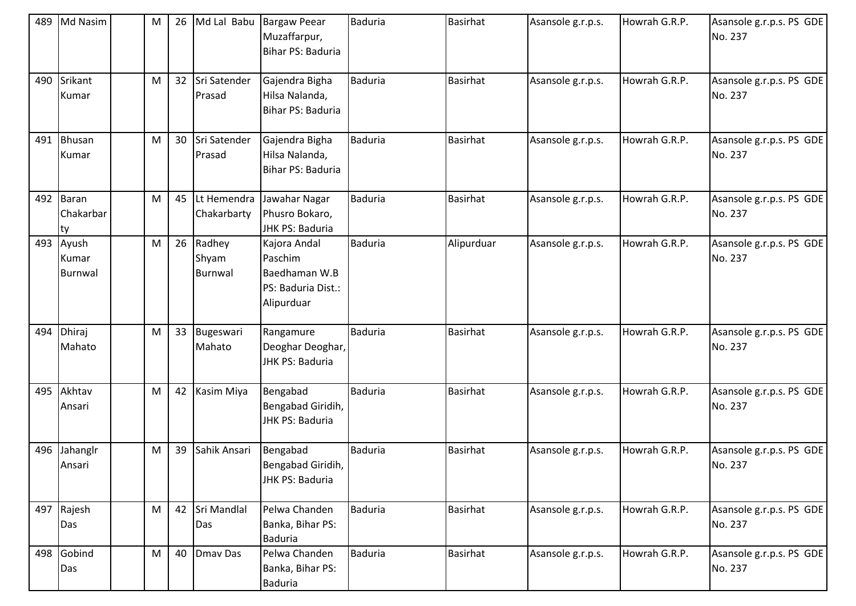| 489 | Md Nasim                  | M | 26 | Md Lal Babu                       | <b>Bargaw Peear</b><br>Muzaffarpur,<br>Bihar PS: Baduria                     | <b>Baduria</b> | <b>Basirhat</b> | Asansole g.r.p.s. | Howrah G.R.P. | Asansole g.r.p.s. PS GDE<br>No. 237 |
|-----|---------------------------|---|----|-----------------------------------|------------------------------------------------------------------------------|----------------|-----------------|-------------------|---------------|-------------------------------------|
| 490 | Srikant<br>Kumar          | M | 32 | Sri Satender<br>Prasad            | Gajendra Bigha<br>Hilsa Nalanda,<br>Bihar PS: Baduria                        | <b>Baduria</b> | <b>Basirhat</b> | Asansole g.r.p.s. | Howrah G.R.P. | Asansole g.r.p.s. PS GDE<br>No. 237 |
| 491 | Bhusan<br>Kumar           | M | 30 | Sri Satender<br>Prasad            | Gajendra Bigha<br>Hilsa Nalanda,<br>Bihar PS: Baduria                        | <b>Baduria</b> | <b>Basirhat</b> | Asansole g.r.p.s. | Howrah G.R.P. | Asansole g.r.p.s. PS GDE<br>No. 237 |
| 492 | Baran<br>Chakarbar<br>ty  | M | 45 | Lt Hemendra<br>Chakarbarty        | Jawahar Nagar<br>Phusro Bokaro,<br>JHK PS: Baduria                           | <b>Baduria</b> | <b>Basirhat</b> | Asansole g.r.p.s. | Howrah G.R.P. | Asansole g.r.p.s. PS GDE<br>No. 237 |
| 493 | Ayush<br>Kumar<br>Burnwal | M | 26 | Radhey<br>Shyam<br><b>Burnwal</b> | Kajora Andal<br>Paschim<br>Baedhaman W.B<br>PS: Baduria Dist.:<br>Alipurduar | <b>Baduria</b> | Alipurduar      | Asansole g.r.p.s. | Howrah G.R.P. | Asansole g.r.p.s. PS GDE<br>No. 237 |
| 494 | Dhiraj<br>Mahato          | M | 33 | Bugeswari<br>Mahato               | Rangamure<br>Deoghar Deoghar,<br>JHK PS: Baduria                             | <b>Baduria</b> | <b>Basirhat</b> | Asansole g.r.p.s. | Howrah G.R.P. | Asansole g.r.p.s. PS GDE<br>No. 237 |
| 495 | Akhtav<br>Ansari          | M | 42 | Kasim Miya                        | Bengabad<br>Bengabad Giridih,<br><b>JHK PS: Baduria</b>                      | <b>Baduria</b> | <b>Basirhat</b> | Asansole g.r.p.s. | Howrah G.R.P. | Asansole g.r.p.s. PS GDE<br>No. 237 |
| 496 | Jahanglr<br>Ansari        | M | 39 | Sahik Ansari                      | Bengabad<br>Bengabad Giridih,<br>JHK PS: Baduria                             | <b>Baduria</b> | <b>Basirhat</b> | Asansole g.r.p.s. | Howrah G.R.P. | Asansole g.r.p.s. PS GDE<br>No. 237 |
|     | 497 Rajesh<br>Das         | M | 42 | Sri Mandlal<br>Das                | Pelwa Chanden<br>Banka, Bihar PS:<br><b>Baduria</b>                          | <b>Baduria</b> | <b>Basirhat</b> | Asansole g.r.p.s. | Howrah G.R.P. | Asansole g.r.p.s. PS GDE<br>No. 237 |
| 498 | Gobind<br>Das             | M | 40 | <b>Dmay Das</b>                   | Pelwa Chanden<br>Banka, Bihar PS:<br><b>Baduria</b>                          | <b>Baduria</b> | Basirhat        | Asansole g.r.p.s. | Howrah G.R.P. | Asansole g.r.p.s. PS GDE<br>No. 237 |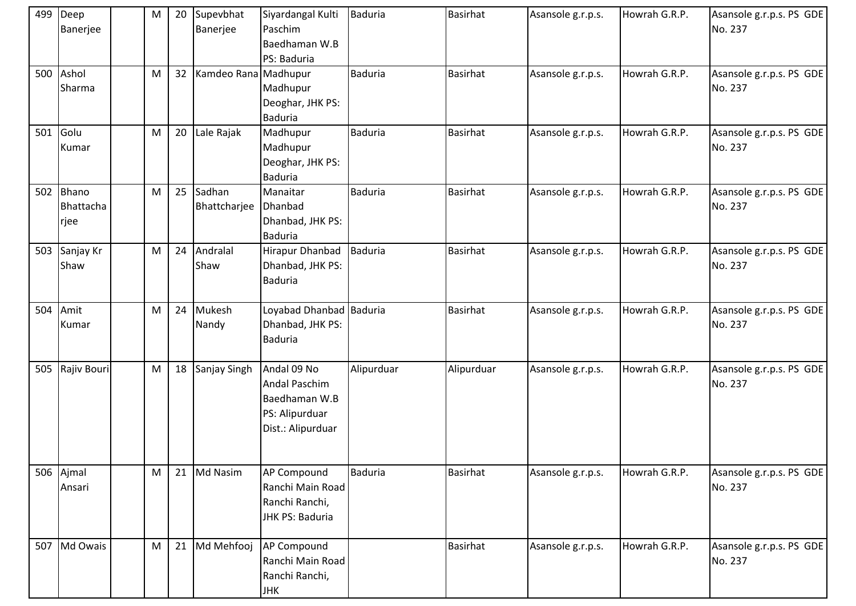| 499 | Deep<br>Banerjee           | M | 20 | Supevbhat<br>Banerjee  | Siyardangal Kulti<br>Paschim<br>Baedhaman W.B<br>PS: Baduria                         | <b>Baduria</b> | <b>Basirhat</b> | Asansole g.r.p.s. | Howrah G.R.P. | Asansole g.r.p.s. PS GDE<br>No. 237 |
|-----|----------------------------|---|----|------------------------|--------------------------------------------------------------------------------------|----------------|-----------------|-------------------|---------------|-------------------------------------|
| 500 | Ashol<br>Sharma            | M | 32 | Kamdeo Rana Madhupur   | Madhupur<br>Deoghar, JHK PS:<br><b>Baduria</b>                                       | <b>Baduria</b> | <b>Basirhat</b> | Asansole g.r.p.s. | Howrah G.R.P. | Asansole g.r.p.s. PS GDE<br>No. 237 |
| 501 | Golu<br>Kumar              | M | 20 | Lale Rajak             | Madhupur<br>Madhupur<br>Deoghar, JHK PS:<br><b>Baduria</b>                           | <b>Baduria</b> | <b>Basirhat</b> | Asansole g.r.p.s. | Howrah G.R.P. | Asansole g.r.p.s. PS GDE<br>No. 237 |
| 502 | Bhano<br>Bhattacha<br>rjee | M | 25 | Sadhan<br>Bhattcharjee | Manaitar<br>Dhanbad<br>Dhanbad, JHK PS:<br><b>Baduria</b>                            | <b>Baduria</b> | <b>Basirhat</b> | Asansole g.r.p.s. | Howrah G.R.P. | Asansole g.r.p.s. PS GDE<br>No. 237 |
| 503 | Sanjay Kr<br>Shaw          | M | 24 | Andralal<br>Shaw       | <b>Hirapur Dhanbad</b><br>Dhanbad, JHK PS:<br><b>Baduria</b>                         | Baduria        | <b>Basirhat</b> | Asansole g.r.p.s. | Howrah G.R.P. | Asansole g.r.p.s. PS GDE<br>No. 237 |
| 504 | Amit<br>Kumar              | M | 24 | Mukesh<br>Nandy        | Loyabad Dhanbad Baduria<br>Dhanbad, JHK PS:<br><b>Baduria</b>                        |                | <b>Basirhat</b> | Asansole g.r.p.s. | Howrah G.R.P. | Asansole g.r.p.s. PS GDE<br>No. 237 |
| 505 | Rajiv Bouri                | M | 18 | Sanjay Singh           | Andal 09 No<br>Andal Paschim<br>Baedhaman W.B<br>PS: Alipurduar<br>Dist.: Alipurduar | Alipurduar     | Alipurduar      | Asansole g.r.p.s. | Howrah G.R.P. | Asansole g.r.p.s. PS GDE<br>No. 237 |
| 506 | Ajmal<br>Ansari            | M | 21 | Md Nasim               | <b>AP Compound</b><br>Ranchi Main Road<br>Ranchi Ranchi,<br>JHK PS: Baduria          | <b>Baduria</b> | <b>Basirhat</b> | Asansole g.r.p.s. | Howrah G.R.P. | Asansole g.r.p.s. PS GDE<br>No. 237 |
|     | 507 Md Owais               | M | 21 | Md Mehfooj             | <b>AP Compound</b><br>Ranchi Main Road<br>Ranchi Ranchi,<br><b>JHK</b>               |                | <b>Basirhat</b> | Asansole g.r.p.s. | Howrah G.R.P. | Asansole g.r.p.s. PS GDE<br>No. 237 |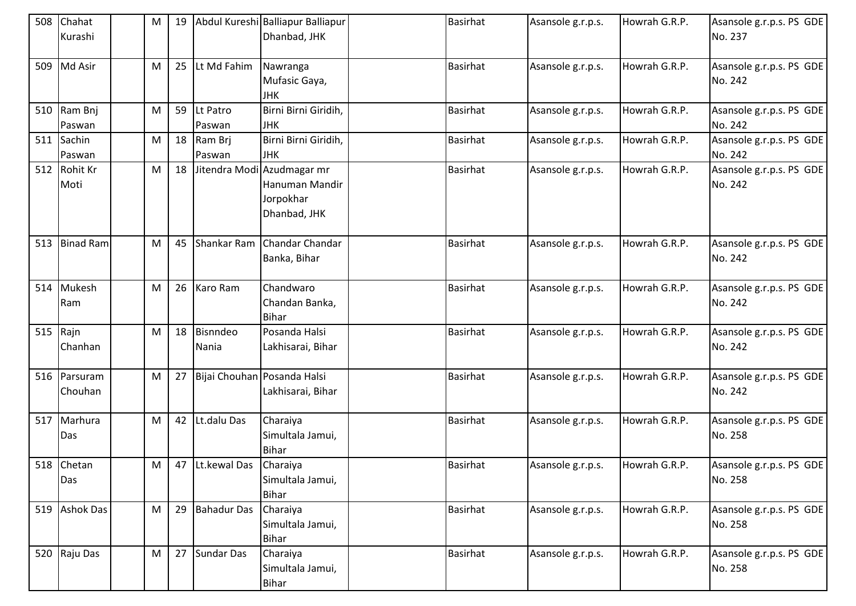| 508 | Chahat<br>Kurashi     | M | 19 |                             | Abdul Kureshi Balliapur Balliapur<br>Dhanbad, JHK           | <b>Basirhat</b> | Asansole g.r.p.s. | Howrah G.R.P. | Asansole g.r.p.s. PS GDE<br>No. 237 |
|-----|-----------------------|---|----|-----------------------------|-------------------------------------------------------------|-----------------|-------------------|---------------|-------------------------------------|
| 509 | Md Asir               | M | 25 | Lt Md Fahim                 | Nawranga<br>Mufasic Gaya,<br><b>JHK</b>                     | <b>Basirhat</b> | Asansole g.r.p.s. | Howrah G.R.P. | Asansole g.r.p.s. PS GDE<br>No. 242 |
| 510 | Ram Bnj<br>Paswan     | M | 59 | Lt Patro<br>Paswan          | Birni Birni Giridih,<br><b>JHK</b>                          | <b>Basirhat</b> | Asansole g.r.p.s. | Howrah G.R.P. | Asansole g.r.p.s. PS GDE<br>No. 242 |
| 511 | Sachin<br>Paswan      | M | 18 | Ram Brj<br>Paswan           | Birni Birni Giridih,<br><b>JHK</b>                          | <b>Basirhat</b> | Asansole g.r.p.s. | Howrah G.R.P. | Asansole g.r.p.s. PS GDE<br>No. 242 |
| 512 | Rohit Kr<br>Moti      | M | 18 | Jitendra Modi               | Azudmagar mr<br>Hanuman Mandir<br>Jorpokhar<br>Dhanbad, JHK | <b>Basirhat</b> | Asansole g.r.p.s. | Howrah G.R.P. | Asansole g.r.p.s. PS GDE<br>No. 242 |
| 513 | <b>Binad Ram</b>      | M | 45 | Shankar Ram                 | Chandar Chandar<br>Banka, Bihar                             | Basirhat        | Asansole g.r.p.s. | Howrah G.R.P. | Asansole g.r.p.s. PS GDE<br>No. 242 |
| 514 | Mukesh<br>Ram         | M | 26 | Karo Ram                    | Chandwaro<br>Chandan Banka,<br><b>Bihar</b>                 | <b>Basirhat</b> | Asansole g.r.p.s. | Howrah G.R.P. | Asansole g.r.p.s. PS GDE<br>No. 242 |
|     | 515 $Rajn$<br>Chanhan | M | 18 | Bisnndeo<br>Nania           | Posanda Halsi<br>Lakhisarai, Bihar                          | <b>Basirhat</b> | Asansole g.r.p.s. | Howrah G.R.P. | Asansole g.r.p.s. PS GDE<br>No. 242 |
| 516 | Parsuram<br>Chouhan   | M | 27 | Bijai Chouhan Posanda Halsi | Lakhisarai, Bihar                                           | <b>Basirhat</b> | Asansole g.r.p.s. | Howrah G.R.P. | Asansole g.r.p.s. PS GDE<br>No. 242 |
| 517 | Marhura<br>Das        | M | 42 | Lt.dalu Das                 | Charaiya<br>Simultala Jamui,<br><b>Bihar</b>                | <b>Basirhat</b> | Asansole g.r.p.s. | Howrah G.R.P. | Asansole g.r.p.s. PS GDE<br>No. 258 |
|     | 518 Chetan<br>Das     | M | 47 | Lt.kewal Das                | Charaiya<br>Simultala Jamui,<br><b>Bihar</b>                | <b>Basirhat</b> | Asansole g.r.p.s. | Howrah G.R.P. | Asansole g.r.p.s. PS GDE<br>No. 258 |
| 519 | <b>Ashok Das</b>      | M | 29 | <b>Bahadur Das</b>          | Charaiya<br>Simultala Jamui,<br><b>Bihar</b>                | <b>Basirhat</b> | Asansole g.r.p.s. | Howrah G.R.P. | Asansole g.r.p.s. PS GDE<br>No. 258 |
| 520 | Raju Das              | M | 27 | <b>Sundar Das</b>           | Charaiya<br>Simultala Jamui,<br><b>Bihar</b>                | <b>Basirhat</b> | Asansole g.r.p.s. | Howrah G.R.P. | Asansole g.r.p.s. PS GDE<br>No. 258 |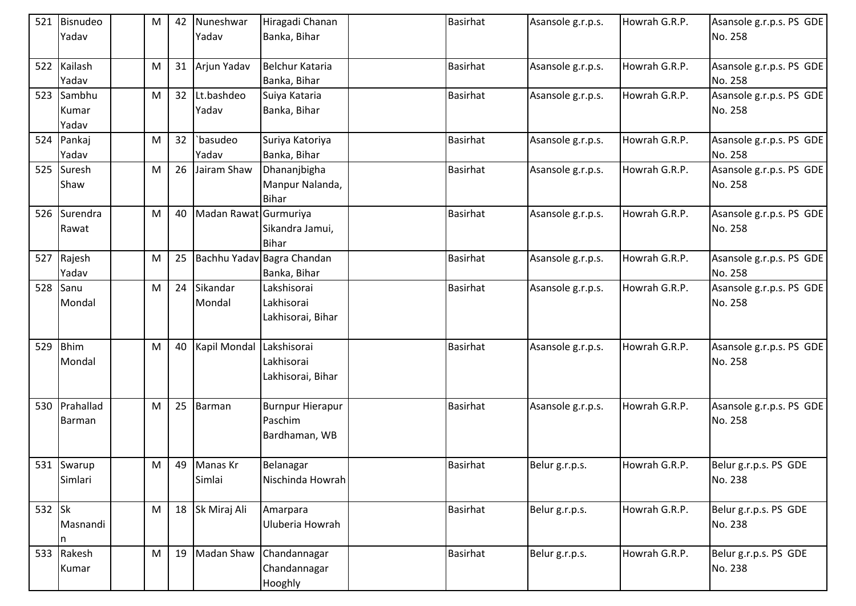| 521    | Bisnudeo    | M | 42 | Nuneshwar             | Hiragadi Chanan            | Basirhat        | Asansole g.r.p.s. | Howrah G.R.P. | Asansole g.r.p.s. PS GDE |
|--------|-------------|---|----|-----------------------|----------------------------|-----------------|-------------------|---------------|--------------------------|
|        | Yadav       |   |    | Yadav                 | Banka, Bihar               |                 |                   |               | No. 258                  |
|        |             |   |    |                       |                            |                 |                   |               |                          |
| 522    | Kailash     | M | 31 | Arjun Yadav           | Belchur Kataria            | <b>Basirhat</b> | Asansole g.r.p.s. | Howrah G.R.P. | Asansole g.r.p.s. PS GDE |
|        | Yadav       |   |    |                       | Banka, Bihar               |                 |                   |               | No. 258                  |
| 523    | Sambhu      | M | 32 | Lt.bashdeo            | Suiya Kataria              | <b>Basirhat</b> | Asansole g.r.p.s. | Howrah G.R.P. | Asansole g.r.p.s. PS GDE |
|        | Kumar       |   |    | Yadav                 | Banka, Bihar               |                 |                   |               | No. 258                  |
|        | Yadav       |   |    |                       |                            |                 |                   |               |                          |
| 524    | Pankaj      | M | 32 | `basudeo              | Suriya Katoriya            | <b>Basirhat</b> | Asansole g.r.p.s. | Howrah G.R.P. | Asansole g.r.p.s. PS GDE |
|        | Yadav       |   |    | Yadav                 | Banka, Bihar               |                 |                   |               | No. 258                  |
| 525    | Suresh      | М | 26 | Jairam Shaw           | Dhananjbigha               | <b>Basirhat</b> | Asansole g.r.p.s. | Howrah G.R.P. | Asansole g.r.p.s. PS GDE |
|        | Shaw        |   |    |                       | Manpur Nalanda,            |                 |                   |               | No. 258                  |
|        |             |   |    |                       | <b>Bihar</b>               |                 |                   |               |                          |
| 526    | Surendra    | M | 40 | Madan Rawat Gurmuriya |                            | <b>Basirhat</b> | Asansole g.r.p.s. | Howrah G.R.P. | Asansole g.r.p.s. PS GDE |
|        | Rawat       |   |    |                       | Sikandra Jamui,            |                 |                   |               | No. 258                  |
|        |             |   |    |                       | <b>Bihar</b>               |                 |                   |               |                          |
| 527    | Rajesh      | M | 25 |                       | Bachhu Yadav Bagra Chandan | Basirhat        | Asansole g.r.p.s. | Howrah G.R.P. | Asansole g.r.p.s. PS GDE |
|        | Yadav       |   |    |                       | Banka, Bihar               |                 |                   |               | No. 258                  |
| 528    | Sanu        | M | 24 | Sikandar              | Lakshisorai                | Basirhat        | Asansole g.r.p.s. | Howrah G.R.P. | Asansole g.r.p.s. PS GDE |
|        | Mondal      |   |    | Mondal                | Lakhisorai                 |                 |                   |               | No. 258                  |
|        |             |   |    |                       | Lakhisorai, Bihar          |                 |                   |               |                          |
|        |             |   |    |                       |                            |                 |                   |               |                          |
| 529    | <b>Bhim</b> | M | 40 | Kapil Mondal          | Lakshisorai                | <b>Basirhat</b> | Asansole g.r.p.s. | Howrah G.R.P. | Asansole g.r.p.s. PS GDE |
|        | Mondal      |   |    |                       | Lakhisorai                 |                 |                   |               | No. 258                  |
|        |             |   |    |                       | Lakhisorai, Bihar          |                 |                   |               |                          |
|        |             |   |    |                       |                            |                 |                   |               |                          |
| 530    | Prahallad   | M | 25 | Barman                | <b>Burnpur Hierapur</b>    | <b>Basirhat</b> | Asansole g.r.p.s. | Howrah G.R.P. | Asansole g.r.p.s. PS GDE |
|        | Barman      |   |    |                       | Paschim                    |                 |                   |               | No. 258                  |
|        |             |   |    |                       | Bardhaman, WB              |                 |                   |               |                          |
|        |             |   |    |                       |                            |                 |                   |               |                          |
|        | 531 Swarup  | M | 49 | Manas Kr              | Belanagar                  | Basirhat        | Belur g.r.p.s.    | Howrah G.R.P. | Belur g.r.p.s. PS GDE    |
|        | Simlari     |   |    | Simlai                | Nischinda Howrah           |                 |                   |               | No. 238                  |
|        |             |   |    |                       |                            |                 |                   |               |                          |
| 532 Sk |             | M | 18 | Sk Miraj Ali          | Amarpara                   | <b>Basirhat</b> | Belur g.r.p.s.    | Howrah G.R.P. | Belur g.r.p.s. PS GDE    |
|        | Masnandi    |   |    |                       | Uluberia Howrah            |                 |                   |               | No. 238                  |
|        | In.         |   |    |                       |                            |                 |                   |               |                          |
| 533    | Rakesh      | M | 19 | Madan Shaw            | Chandannagar               | Basirhat        | Belur g.r.p.s.    | Howrah G.R.P. | Belur g.r.p.s. PS GDE    |
|        | Kumar       |   |    |                       | Chandannagar               |                 |                   |               | No. 238                  |
|        |             |   |    |                       | Hooghly                    |                 |                   |               |                          |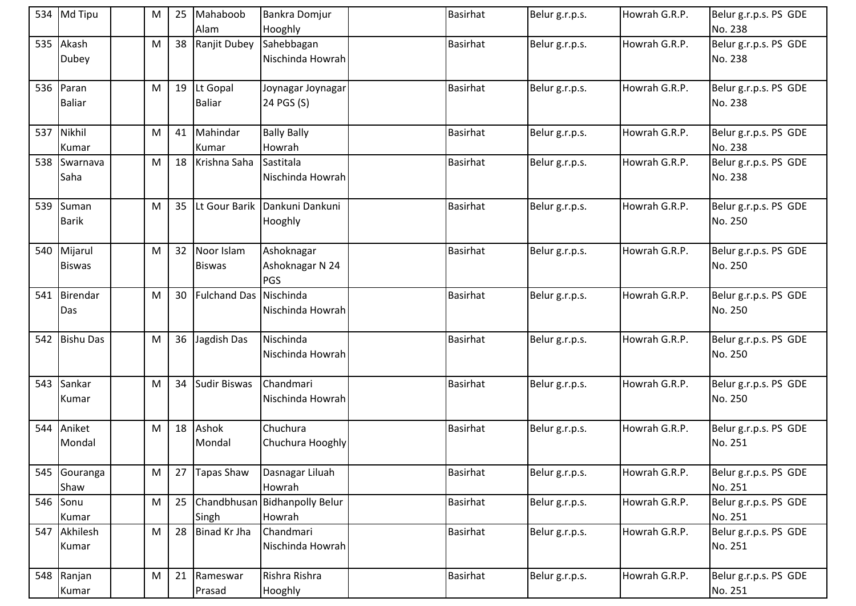|     | 534 Md Tipu                  | M | 25 | Mahaboob<br>Alam             | Bankra Domjur<br>Hooghly                | <b>Basirhat</b> | Belur g.r.p.s. | Howrah G.R.P. | Belur g.r.p.s. PS GDE<br>No. 238 |
|-----|------------------------------|---|----|------------------------------|-----------------------------------------|-----------------|----------------|---------------|----------------------------------|
|     | 535 Akash<br>Dubey           | M |    | 38 Ranjit Dubey              | Sahebbagan<br>Nischinda Howrah          | <b>Basirhat</b> | Belur g.r.p.s. | Howrah G.R.P. | Belur g.r.p.s. PS GDE<br>No. 238 |
|     | 536 Paran<br><b>Baliar</b>   | M |    | 19 Lt Gopal<br><b>Baliar</b> | Joynagar Joynagar<br>24 PGS (S)         | <b>Basirhat</b> | Belur g.r.p.s. | Howrah G.R.P. | Belur g.r.p.s. PS GDE<br>No. 238 |
| 537 | Nikhil<br>Kumar              | M | 41 | Mahindar<br>Kumar            | <b>Bally Bally</b><br>Howrah            | <b>Basirhat</b> | Belur g.r.p.s. | Howrah G.R.P. | Belur g.r.p.s. PS GDE<br>No. 238 |
| 538 | Swarnava<br>Saha             | M | 18 | Krishna Saha                 | Sastitala<br>Nischinda Howrah           | <b>Basirhat</b> | Belur g.r.p.s. | Howrah G.R.P. | Belur g.r.p.s. PS GDE<br>No. 238 |
| 539 | Suman<br><b>Barik</b>        | M | 35 | Lt Gour Barik                | Dankuni Dankuni<br>Hooghly              | <b>Basirhat</b> | Belur g.r.p.s. | Howrah G.R.P. | Belur g.r.p.s. PS GDE<br>No. 250 |
|     | 540 Mijarul<br><b>Biswas</b> | M | 32 | Noor Islam<br><b>Biswas</b>  | Ashoknagar<br>Ashoknagar N 24<br>PGS    | <b>Basirhat</b> | Belur g.r.p.s. | Howrah G.R.P. | Belur g.r.p.s. PS GDE<br>No. 250 |
| 541 | Birendar<br>Das              | M | 30 | Fulchand Das Nischinda       | Nischinda Howrah                        | <b>Basirhat</b> | Belur g.r.p.s. | Howrah G.R.P. | Belur g.r.p.s. PS GDE<br>No. 250 |
| 542 | <b>Bishu Das</b>             | M | 36 | Jagdish Das                  | Nischinda<br>Nischinda Howrah           | <b>Basirhat</b> | Belur g.r.p.s. | Howrah G.R.P. | Belur g.r.p.s. PS GDE<br>No. 250 |
| 543 | Sankar<br>Kumar              | M | 34 | Sudir Biswas                 | Chandmari<br>Nischinda Howrah           | Basirhat        | Belur g.r.p.s. | Howrah G.R.P. | Belur g.r.p.s. PS GDE<br>No. 250 |
| 544 | Aniket<br>Mondal             | M | 18 | Ashok<br>Mondal              | Chuchura<br>Chuchura Hooghly            | <b>Basirhat</b> | Belur g.r.p.s. | Howrah G.R.P. | Belur g.r.p.s. PS GDE<br>No. 251 |
|     | 545 Gouranga<br>Shaw         | M |    | 27 Tapas Shaw                | Dasnagar Liluah<br>Howrah               | <b>Basirhat</b> | Belur g.r.p.s. | Howrah G.R.P. | Belur g.r.p.s. PS GDE<br>No. 251 |
| 546 | Sonu<br>Kumar                | M | 25 | Singh                        | Chandbhusan Bidhanpolly Belur<br>Howrah | <b>Basirhat</b> | Belur g.r.p.s. | Howrah G.R.P. | Belur g.r.p.s. PS GDE<br>No. 251 |
|     | 547 Akhilesh<br>Kumar        | M | 28 | Binad Kr Jha                 | Chandmari<br>Nischinda Howrah           | <b>Basirhat</b> | Belur g.r.p.s. | Howrah G.R.P. | Belur g.r.p.s. PS GDE<br>No. 251 |
|     | 548 Ranjan<br>Kumar          | M | 21 | Rameswar<br>Prasad           | Rishra Rishra<br>Hooghly                | <b>Basirhat</b> | Belur g.r.p.s. | Howrah G.R.P. | Belur g.r.p.s. PS GDE<br>No. 251 |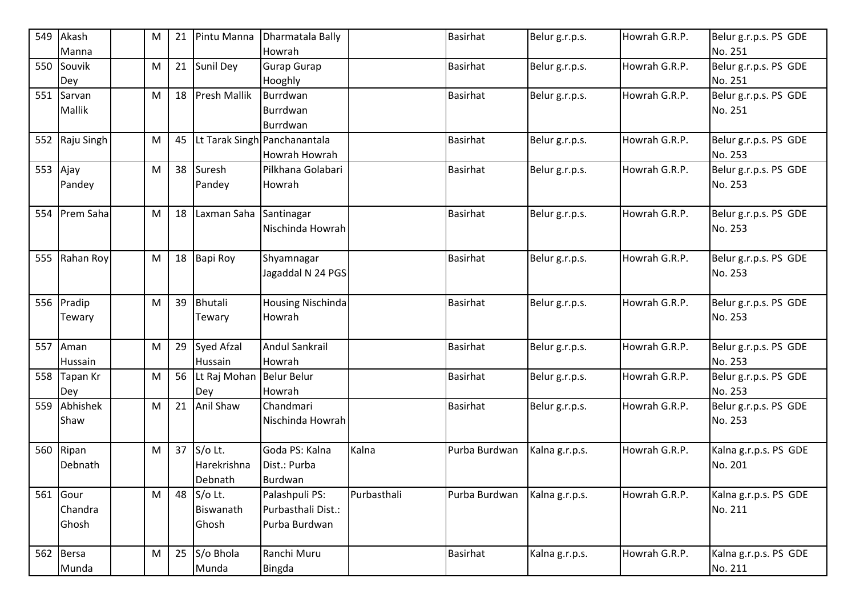| 549 | Akash         | M | 21 | Pintu Manna         | Dharmatala Bally             |             | <b>Basirhat</b> | Belur g.r.p.s. | Howrah G.R.P. | Belur g.r.p.s. PS GDE |
|-----|---------------|---|----|---------------------|------------------------------|-------------|-----------------|----------------|---------------|-----------------------|
|     | Manna         |   |    |                     | Howrah                       |             |                 |                |               | No. 251               |
| 550 | Souvik        | M | 21 | Sunil Dey           | <b>Gurap Gurap</b>           |             | <b>Basirhat</b> | Belur g.r.p.s. | Howrah G.R.P. | Belur g.r.p.s. PS GDE |
|     | Dey           |   |    |                     | Hooghly                      |             |                 |                |               | No. 251               |
| 551 | Sarvan        | M | 18 | <b>Presh Mallik</b> | Burrdwan                     |             | <b>Basirhat</b> | Belur g.r.p.s. | Howrah G.R.P. | Belur g.r.p.s. PS GDE |
|     | <b>Mallik</b> |   |    |                     | Burrdwan                     |             |                 |                |               | No. 251               |
|     |               |   |    |                     | Burrdwan                     |             |                 |                |               |                       |
| 552 | Raju Singh    | M | 45 |                     | Lt Tarak Singh Panchanantala |             | <b>Basirhat</b> | Belur g.r.p.s. | Howrah G.R.P. | Belur g.r.p.s. PS GDE |
|     |               |   |    |                     | Howrah Howrah                |             |                 |                |               | No. 253               |
| 553 | Ajay          | M | 38 | Suresh              | Pilkhana Golabari            |             | <b>Basirhat</b> | Belur g.r.p.s. | Howrah G.R.P. | Belur g.r.p.s. PS GDE |
|     | Pandey        |   |    | Pandey              | Howrah                       |             |                 |                |               | No. 253               |
|     |               |   |    |                     |                              |             |                 |                |               |                       |
| 554 | Prem Saha     | M | 18 | Laxman Saha         | Santinagar                   |             | <b>Basirhat</b> | Belur g.r.p.s. | Howrah G.R.P. | Belur g.r.p.s. PS GDE |
|     |               |   |    |                     | Nischinda Howrah             |             |                 |                |               | No. 253               |
|     |               |   |    |                     |                              |             |                 |                |               |                       |
| 555 | Rahan Roy     | M | 18 | Bapi Roy            | Shyamnagar                   |             | Basirhat        | Belur g.r.p.s. | Howrah G.R.P. | Belur g.r.p.s. PS GDE |
|     |               |   |    |                     | Jagaddal N 24 PGS            |             |                 |                |               | No. 253               |
|     |               |   |    |                     |                              |             |                 |                |               |                       |
| 556 | Pradip        | M | 39 | <b>Bhutali</b>      | <b>Housing Nischinda</b>     |             | <b>Basirhat</b> | Belur g.r.p.s. | Howrah G.R.P. | Belur g.r.p.s. PS GDE |
|     | Tewary        |   |    | Tewary              | Howrah                       |             |                 |                |               | No. 253               |
|     |               |   |    |                     |                              |             |                 |                |               |                       |
| 557 | Aman          | M | 29 | Syed Afzal          | <b>Andul Sankrail</b>        |             | <b>Basirhat</b> | Belur g.r.p.s. | Howrah G.R.P. | Belur g.r.p.s. PS GDE |
|     | Hussain       |   |    | Hussain             | Howrah                       |             |                 |                |               | No. 253               |
|     | 558 Tapan Kr  | M |    | 56 Lt Raj Mohan     | <b>Belur Belur</b>           |             | <b>Basirhat</b> | Belur g.r.p.s. | Howrah G.R.P. | Belur g.r.p.s. PS GDE |
|     | Dey           |   |    | Dey                 | Howrah                       |             |                 |                |               | No. 253               |
| 559 | Abhishek      | M | 21 | <b>Anil Shaw</b>    | Chandmari                    |             | <b>Basirhat</b> | Belur g.r.p.s. | Howrah G.R.P. | Belur g.r.p.s. PS GDE |
|     | Shaw          |   |    |                     | Nischinda Howrah             |             |                 |                |               | No. 253               |
|     |               |   |    |                     |                              |             |                 |                |               |                       |
|     | 560 Ripan     | M | 37 | S/o Lt.             | Goda PS: Kalna               | Kalna       | Purba Burdwan   | Kalna g.r.p.s. | Howrah G.R.P. | Kalna g.r.p.s. PS GDE |
|     | Debnath       |   |    | Harekrishna         | Dist.: Purba                 |             |                 |                |               | No. 201               |
|     |               |   |    | Debnath             | Burdwan                      |             |                 |                |               |                       |
|     | 561 Gour      | M | 48 | S/o Lt.             | Palashpuli PS:               | Purbasthali | Purba Burdwan   | Kalna g.r.p.s. | Howrah G.R.P. | Kalna g.r.p.s. PS GDE |
|     | Chandra       |   |    | Biswanath           | Purbasthali Dist.:           |             |                 |                |               | No. 211               |
|     | Ghosh         |   |    | Ghosh               | Purba Burdwan                |             |                 |                |               |                       |
|     |               |   |    |                     |                              |             |                 |                |               |                       |
|     | 562 Bersa     | M | 25 | S/o Bhola           | Ranchi Muru                  |             | <b>Basirhat</b> | Kalna g.r.p.s. | Howrah G.R.P. | Kalna g.r.p.s. PS GDE |
|     | Munda         |   |    | Munda               | Bingda                       |             |                 |                |               | No. 211               |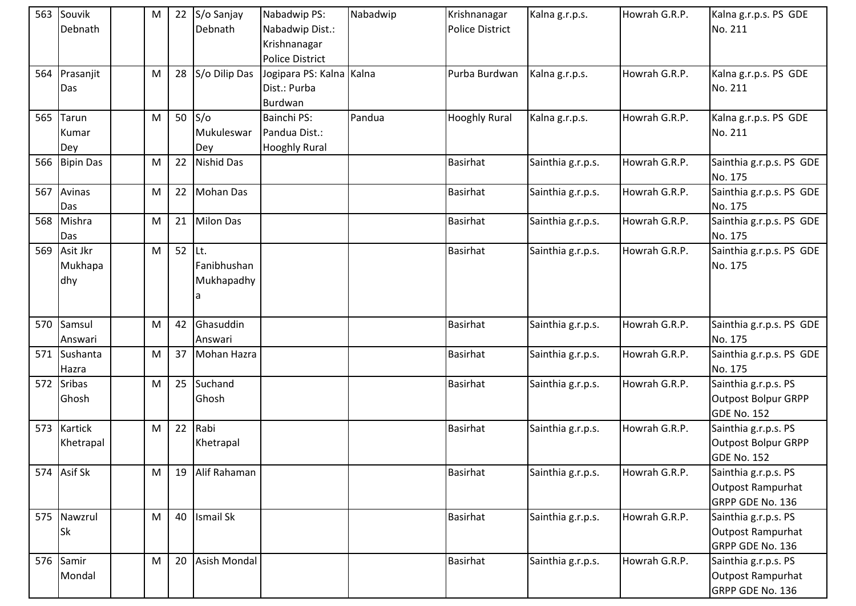| 563 | Souvik<br>Debnath            | M | 22 | S/o Sanjay<br>Debnath            | Nabadwip PS:<br>Nabadwip Dist.:<br>Krishnanagar<br><b>Police District</b> | Nabadwip | Krishnanagar<br><b>Police District</b> | Kalna g.r.p.s.    | Howrah G.R.P. | Kalna g.r.p.s. PS GDE<br>No. 211                                         |
|-----|------------------------------|---|----|----------------------------------|---------------------------------------------------------------------------|----------|----------------------------------------|-------------------|---------------|--------------------------------------------------------------------------|
| 564 | Prasanjit<br>Das             | M | 28 | S/o Dilip Das                    | Jogipara PS: Kalna Kalna<br>Dist.: Purba<br>Burdwan                       |          | Purba Burdwan                          | Kalna g.r.p.s.    | Howrah G.R.P. | Kalna g.r.p.s. PS GDE<br>No. 211                                         |
| 565 | <b>Tarun</b><br>Kumar<br>Dey | M | 50 | S/O<br>Mukuleswar<br>Dey         | Bainchi PS:<br>Pandua Dist.:<br><b>Hooghly Rural</b>                      | Pandua   | <b>Hooghly Rural</b>                   | Kalna g.r.p.s.    | Howrah G.R.P. | Kalna g.r.p.s. PS GDE<br>No. 211                                         |
| 566 | <b>Bipin Das</b>             | M | 22 | <b>Nishid Das</b>                |                                                                           |          | <b>Basirhat</b>                        | Sainthia g.r.p.s. | Howrah G.R.P. | Sainthia g.r.p.s. PS GDE<br>No. 175                                      |
| 567 | Avinas<br>Das                | M | 22 | <b>Mohan Das</b>                 |                                                                           |          | <b>Basirhat</b>                        | Sainthia g.r.p.s. | Howrah G.R.P. | Sainthia g.r.p.s. PS GDE<br>No. 175                                      |
| 568 | Mishra<br>Das                | M | 21 | <b>Milon Das</b>                 |                                                                           |          | <b>Basirhat</b>                        | Sainthia g.r.p.s. | Howrah G.R.P. | Sainthia g.r.p.s. PS GDE<br>No. 175                                      |
| 569 | Asit Jkr<br>Mukhapa<br>dhy   | M | 52 | Lt.<br>Fanibhushan<br>Mukhapadhy |                                                                           |          | <b>Basirhat</b>                        | Sainthia g.r.p.s. | Howrah G.R.P. | Sainthia g.r.p.s. PS GDE<br>No. 175                                      |
| 570 | Samsul<br>Answari            | M | 42 | Ghasuddin<br>Answari             |                                                                           |          | <b>Basirhat</b>                        | Sainthia g.r.p.s. | Howrah G.R.P. | Sainthia g.r.p.s. PS GDE<br>No. 175                                      |
| 571 | Sushanta<br>Hazra            | M | 37 | Mohan Hazra                      |                                                                           |          | <b>Basirhat</b>                        | Sainthia g.r.p.s. | Howrah G.R.P. | Sainthia g.r.p.s. PS GDE<br>No. 175                                      |
| 572 | <b>Sribas</b><br>Ghosh       | M | 25 | Suchand<br>Ghosh                 |                                                                           |          | <b>Basirhat</b>                        | Sainthia g.r.p.s. | Howrah G.R.P. | Sainthia g.r.p.s. PS<br><b>Outpost Bolpur GRPP</b><br><b>GDE No. 152</b> |
| 573 | Kartick<br>Khetrapal         | M | 22 | Rabi<br>Khetrapal                |                                                                           |          | <b>Basirhat</b>                        | Sainthia g.r.p.s. | Howrah G.R.P. | Sainthia g.r.p.s. PS<br><b>Outpost Bolpur GRPP</b><br>GDE No. 152        |
|     | 574 Asif Sk                  | M | 19 | Alif Rahaman                     |                                                                           |          | <b>Basirhat</b>                        | Sainthia g.r.p.s. | Howrah G.R.P. | Sainthia g.r.p.s. PS<br><b>Outpost Rampurhat</b><br>GRPP GDE No. 136     |
|     | 575 Nawzrul<br><b>Sk</b>     | M | 40 | <b>Ismail Sk</b>                 |                                                                           |          | <b>Basirhat</b>                        | Sainthia g.r.p.s. | Howrah G.R.P. | Sainthia g.r.p.s. PS<br><b>Outpost Rampurhat</b><br>GRPP GDE No. 136     |
| 576 | Samir<br>Mondal              | M | 20 | Asish Mondal                     |                                                                           |          | <b>Basirhat</b>                        | Sainthia g.r.p.s. | Howrah G.R.P. | Sainthia g.r.p.s. PS<br><b>Outpost Rampurhat</b><br>GRPP GDE No. 136     |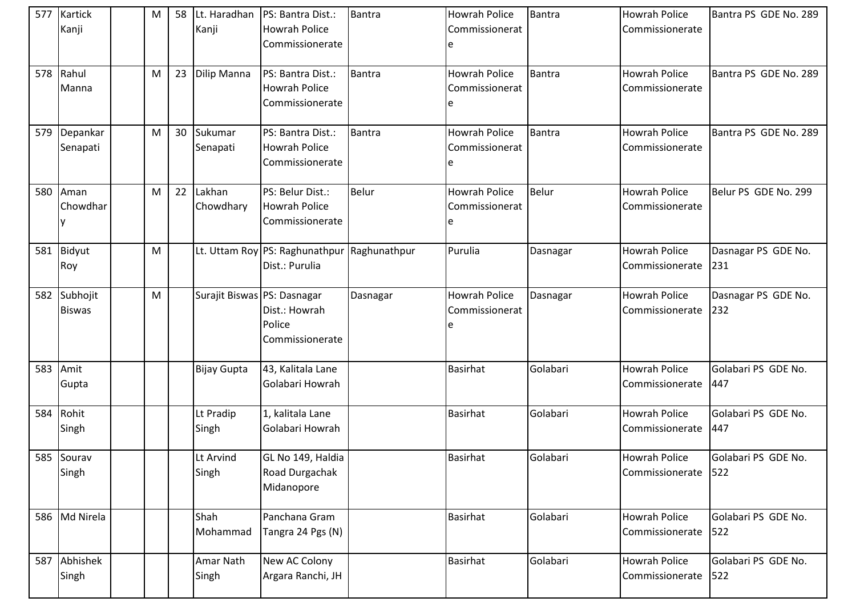| 577 | Kartick<br>Kanji          | M | 58 | Lt. Haradhan<br>Kanji       | PS: Bantra Dist.:<br><b>Howrah Police</b><br>Commissionerate  | <b>Bantra</b> | <b>Howrah Police</b><br>Commissionerat<br>e  | <b>Bantra</b> | <b>Howrah Police</b><br>Commissionerate     | Bantra PS GDE No. 289      |
|-----|---------------------------|---|----|-----------------------------|---------------------------------------------------------------|---------------|----------------------------------------------|---------------|---------------------------------------------|----------------------------|
| 578 | Rahul<br>Manna            | M | 23 | Dilip Manna                 | PS: Bantra Dist.:<br><b>Howrah Police</b><br>Commissionerate  | <b>Bantra</b> | <b>Howrah Police</b><br>Commissionerat<br>e  | Bantra        | <b>Howrah Police</b><br>Commissionerate     | Bantra PS GDE No. 289      |
| 579 | Depankar<br>Senapati      | M | 30 | Sukumar<br>Senapati         | PS: Bantra Dist.:<br><b>Howrah Police</b><br>Commissionerate  | <b>Bantra</b> | <b>Howrah Police</b><br>Commissionerat<br>le | <b>Bantra</b> | <b>Howrah Police</b><br>Commissionerate     | Bantra PS GDE No. 289      |
| 580 | Aman<br>Chowdhar          | M | 22 | Lakhan<br>Chowdhary         | PS: Belur Dist.:<br><b>Howrah Police</b><br>Commissionerate   | <b>Belur</b>  | <b>Howrah Police</b><br>Commissionerat<br>e  | Belur         | <b>Howrah Police</b><br>Commissionerate     | Belur PS GDE No. 299       |
|     | 581 Bidyut<br>Roy         | M |    |                             | Lt. Uttam Roy PS: Raghunathpur Raghunathpur<br>Dist.: Purulia |               | Purulia                                      | Dasnagar      | <b>Howrah Police</b><br>Commissionerate     | Dasnagar PS GDE No.<br>231 |
| 582 | Subhojit<br><b>Biswas</b> | M |    | Surajit Biswas PS: Dasnagar | Dist.: Howrah<br>Police<br>Commissionerate                    | Dasnagar      | <b>Howrah Police</b><br>Commissionerat<br>e  | Dasnagar      | <b>Howrah Police</b><br>Commissionerate     | Dasnagar PS GDE No.<br>232 |
| 583 | Amit<br>Gupta             |   |    | <b>Bijay Gupta</b>          | 43, Kalitala Lane<br>Golabari Howrah                          |               | <b>Basirhat</b>                              | Golabari      | <b>Howrah Police</b><br>Commissionerate     | Golabari PS GDE No.<br>447 |
| 584 | Rohit<br>Singh            |   |    | Lt Pradip<br>Singh          | 1, kalitala Lane<br>Golabari Howrah                           |               | <b>Basirhat</b>                              | Golabari      | <b>Howrah Police</b><br>Commissionerate     | Golabari PS GDE No.<br>447 |
|     | 585 Sourav<br>Singh       |   |    | Lt Arvind<br>Singh          | GL No 149, Haldia<br>Road Durgachak<br>Midanopore             |               | <b>Basirhat</b>                              | Golabari      | <b>Howrah Police</b><br>Commissionerate 522 | Golabari PS GDE No.        |
| 586 | Md Nirela                 |   |    | Shah<br>Mohammad            | Panchana Gram<br>Tangra 24 Pgs (N)                            |               | <b>Basirhat</b>                              | Golabari      | <b>Howrah Police</b><br>Commissionerate     | Golabari PS GDE No.<br>522 |
| 587 | Abhishek<br>Singh         |   |    | Amar Nath<br>Singh          | New AC Colony<br>Argara Ranchi, JH                            |               | <b>Basirhat</b>                              | Golabari      | <b>Howrah Police</b><br>Commissionerate     | Golabari PS GDE No.<br>522 |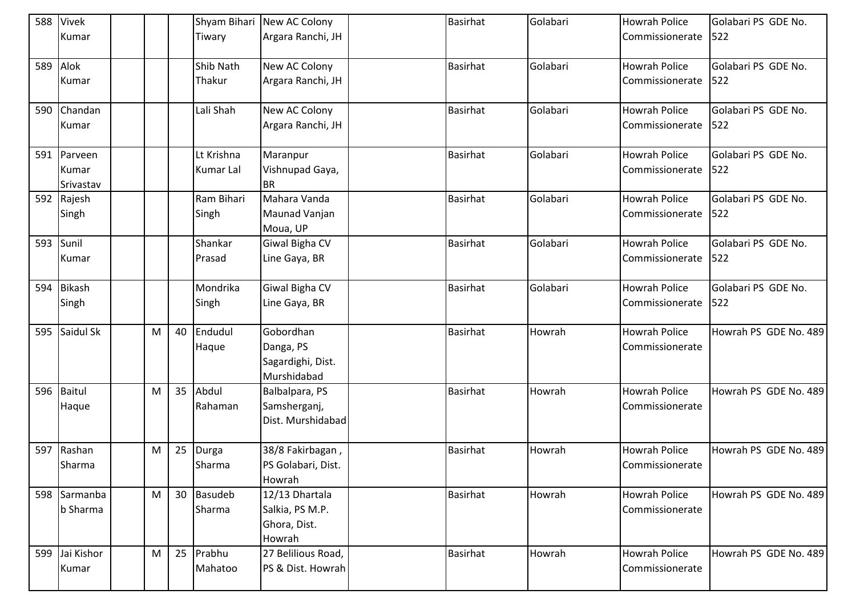| 588 | <b>Vivek</b>    |   |    |                  | Shyam Bihari New AC Colony | <b>Basirhat</b> | Golabari | <b>Howrah Police</b> | Golabari PS GDE No.   |
|-----|-----------------|---|----|------------------|----------------------------|-----------------|----------|----------------------|-----------------------|
|     | Kumar           |   |    | Tiwary           | Argara Ranchi, JH          |                 |          | Commissionerate      | 522                   |
|     |                 |   |    |                  |                            |                 |          |                      |                       |
| 589 | Alok            |   |    | Shib Nath        | New AC Colony              | <b>Basirhat</b> | Golabari | <b>Howrah Police</b> | Golabari PS GDE No.   |
|     | Kumar           |   |    | Thakur           | Argara Ranchi, JH          |                 |          | Commissionerate      | 522                   |
|     |                 |   |    |                  |                            |                 |          |                      |                       |
| 590 | Chandan         |   |    | Lali Shah        | New AC Colony              | <b>Basirhat</b> | Golabari | <b>Howrah Police</b> | Golabari PS GDE No.   |
|     | Kumar           |   |    |                  | Argara Ranchi, JH          |                 |          | Commissionerate      | 522                   |
|     |                 |   |    |                  |                            |                 |          |                      |                       |
| 591 | Parveen         |   |    | Lt Krishna       | Maranpur                   | <b>Basirhat</b> | Golabari | <b>Howrah Police</b> | Golabari PS GDE No.   |
|     | Kumar           |   |    | <b>Kumar Lal</b> | Vishnupad Gaya,            |                 |          | Commissionerate      | 522                   |
|     | Srivastav       |   |    |                  | <b>BR</b>                  |                 |          |                      |                       |
| 592 | Rajesh          |   |    | Ram Bihari       | Mahara Vanda               | <b>Basirhat</b> | Golabari | <b>Howrah Police</b> | Golabari PS GDE No.   |
|     | Singh           |   |    | Singh            | Maunad Vanjan              |                 |          | Commissionerate      | 522                   |
|     |                 |   |    |                  | Moua, UP                   |                 |          |                      |                       |
| 593 | Sunil           |   |    | Shankar          | Giwal Bigha CV             | Basirhat        | Golabari | <b>Howrah Police</b> | Golabari PS GDE No.   |
|     | Kumar           |   |    | Prasad           | Line Gaya, BR              |                 |          | Commissionerate      | 522                   |
|     |                 |   |    |                  |                            |                 |          |                      |                       |
| 594 | <b>Bikash</b>   |   |    | Mondrika         | Giwal Bigha CV             | <b>Basirhat</b> | Golabari | <b>Howrah Police</b> | Golabari PS GDE No.   |
|     | Singh           |   |    | Singh            | Line Gaya, BR              |                 |          | Commissionerate      | 522                   |
|     |                 |   |    |                  |                            |                 |          |                      |                       |
| 595 | Saidul Sk       | M | 40 | Endudul          | Gobordhan                  | <b>Basirhat</b> | Howrah   | <b>Howrah Police</b> | Howrah PS GDE No. 489 |
|     |                 |   |    | Haque            | Danga, PS                  |                 |          | Commissionerate      |                       |
|     |                 |   |    |                  | Sagardighi, Dist.          |                 |          |                      |                       |
|     |                 |   |    |                  | Murshidabad                |                 |          |                      |                       |
| 596 | Baitul          | M | 35 | Abdul            | Balbalpara, PS             | <b>Basirhat</b> | Howrah   | <b>Howrah Police</b> | Howrah PS GDE No. 489 |
|     | Haque           |   |    | Rahaman          | Samsherganj,               |                 |          | Commissionerate      |                       |
|     |                 |   |    |                  | Dist. Murshidabad          |                 |          |                      |                       |
|     |                 |   |    |                  |                            |                 |          |                      |                       |
| 597 | Rashan          | M | 25 | Durga            | 38/8 Fakirbagan,           | <b>Basirhat</b> | Howrah   | <b>Howrah Police</b> | Howrah PS GDE No. 489 |
|     | Sharma          |   |    | Sharma           | PS Golabari, Dist.         |                 |          | Commissionerate      |                       |
|     |                 |   |    |                  | Howrah                     |                 |          |                      |                       |
|     | 598 Sarmanba    | M | 30 | <b>Basudeb</b>   | 12/13 Dhartala             | <b>Basirhat</b> | Howrah   | <b>Howrah Police</b> | Howrah PS GDE No. 489 |
|     | <b>b</b> Sharma |   |    | Sharma           | Salkia, PS M.P.            |                 |          | Commissionerate      |                       |
|     |                 |   |    |                  | Ghora, Dist.               |                 |          |                      |                       |
|     |                 |   |    |                  | Howrah                     |                 |          |                      |                       |
| 599 | Jai Kishor      | M | 25 | Prabhu           | 27 Belilious Road,         | <b>Basirhat</b> | Howrah   | <b>Howrah Police</b> | Howrah PS GDE No. 489 |
|     | Kumar           |   |    | Mahatoo          | PS & Dist. Howrah          |                 |          | Commissionerate      |                       |
|     |                 |   |    |                  |                            |                 |          |                      |                       |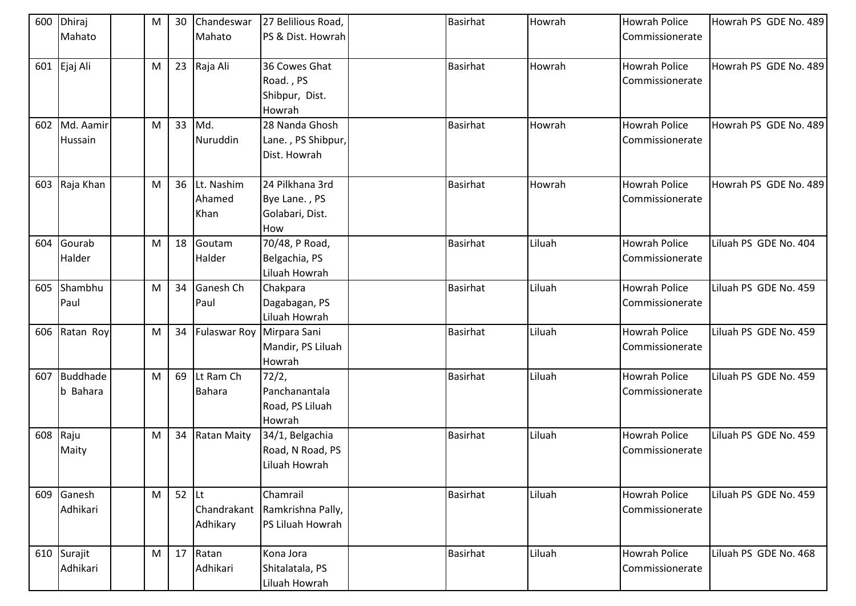| 600      | Dhiraj<br>Mahato     | M | 30      | Chandeswar<br>Mahato            | 27 Belilious Road,<br>PS & Dist. Howrah                    | <b>Basirhat</b> | Howrah | <b>Howrah Police</b><br>Commissionerate | Howrah PS GDE No. 489 |
|----------|----------------------|---|---------|---------------------------------|------------------------------------------------------------|-----------------|--------|-----------------------------------------|-----------------------|
| 601      | Ejaj Ali             | M | 23      | Raja Ali                        | 36 Cowes Ghat<br>Road., PS<br>Shibpur, Dist.<br>Howrah     | <b>Basirhat</b> | Howrah | <b>Howrah Police</b><br>Commissionerate | Howrah PS GDE No. 489 |
| 602      | Md. Aamir<br>Hussain | M | 33      | Md.<br>Nuruddin                 | 28 Nanda Ghosh<br>Lane., PS Shibpur,<br>Dist. Howrah       | <b>Basirhat</b> | Howrah | <b>Howrah Police</b><br>Commissionerate | Howrah PS GDE No. 489 |
| 603      | Raja Khan            | M |         | 36 Lt. Nashim<br>Ahamed<br>Khan | 24 Pilkhana 3rd<br>Bye Lane., PS<br>Golabari, Dist.<br>How | <b>Basirhat</b> | Howrah | <b>Howrah Police</b><br>Commissionerate | Howrah PS GDE No. 489 |
| 604      | Gourab<br>Halder     | M | 18      | Goutam<br>Halder                | 70/48, P Road,<br>Belgachia, PS<br>Liluah Howrah           | <b>Basirhat</b> | Liluah | <b>Howrah Police</b><br>Commissionerate | Liluah PS GDE No. 404 |
| 605      | Shambhu<br>Paul      | M | 34      | Ganesh Ch<br>Paul               | Chakpara<br>Dagabagan, PS<br>Liluah Howrah                 | <b>Basirhat</b> | Liluah | <b>Howrah Police</b><br>Commissionerate | Liluah PS GDE No. 459 |
| 606      | Ratan Roy            | M | 34      | <b>Fulaswar Roy</b>             | Mirpara Sani<br>Mandir, PS Liluah<br>Howrah                | <b>Basirhat</b> | Liluah | <b>Howrah Police</b><br>Commissionerate | Liluah PS GDE No. 459 |
| 607      | Buddhade<br>b Bahara | M | 69      | Lt Ram Ch<br><b>Bahara</b>      | 72/2,<br>Panchanantala<br>Road, PS Liluah<br>Howrah        | <b>Basirhat</b> | Liluah | <b>Howrah Police</b><br>Commissionerate | Liluah PS GDE No. 459 |
| 608 Raju | Maity                | M | 34      | <b>Ratan Maity</b>              | 34/1, Belgachia<br>Road, N Road, PS<br>Liluah Howrah       | <b>Basirhat</b> | Liluah | <b>Howrah Police</b><br>Commissionerate | Liluah PS GDE No. 459 |
| 609      | Ganesh<br>Adhikari   | M | $52$ Lt | Chandrakant<br>Adhikary         | Chamrail<br>Ramkrishna Pally,<br>PS Liluah Howrah          | <b>Basirhat</b> | Liluah | <b>Howrah Police</b><br>Commissionerate | Liluah PS GDE No. 459 |
| 610      | Surajit<br>Adhikari  | M | 17      | Ratan<br>Adhikari               | Kona Jora<br>Shitalatala, PS<br>Liluah Howrah              | <b>Basirhat</b> | Liluah | <b>Howrah Police</b><br>Commissionerate | Liluah PS GDE No. 468 |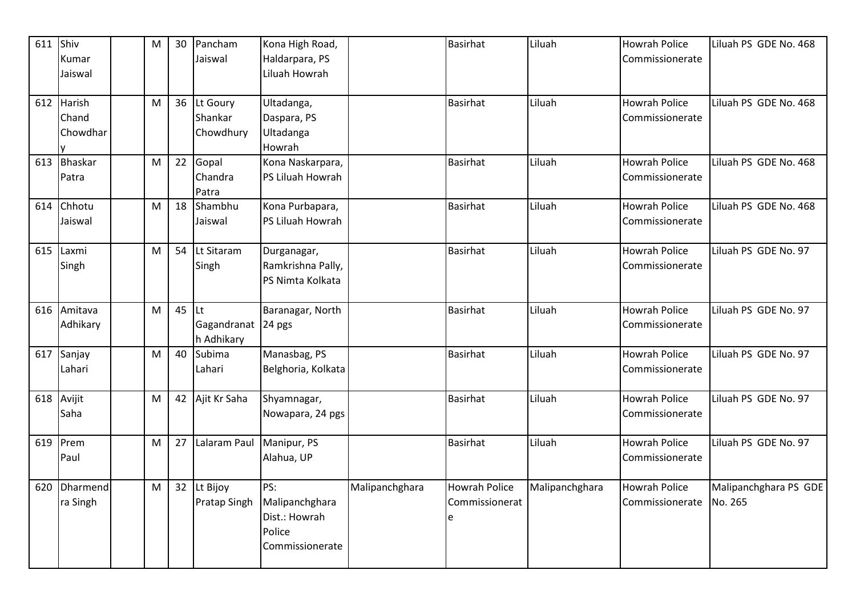| 611 | Shiv<br>Kumar           | M         | 30 | Pancham<br>Jaiswal                       | Kona High Road,                                                     |                | <b>Basirhat</b>                      | Liluah         | <b>Howrah Police</b>                    | Liluah PS GDE No. 468            |
|-----|-------------------------|-----------|----|------------------------------------------|---------------------------------------------------------------------|----------------|--------------------------------------|----------------|-----------------------------------------|----------------------------------|
|     | Jaiswal                 |           |    |                                          | Haldarpara, PS<br>Liluah Howrah                                     |                |                                      |                | Commissionerate                         |                                  |
| 612 | Harish<br>Chand         | M         | 36 | Lt Goury<br>Shankar                      | Ultadanga,                                                          |                | <b>Basirhat</b>                      | Liluah         | <b>Howrah Police</b>                    | Liluah PS GDE No. 468            |
|     | Chowdhar                |           |    | Chowdhury                                | Daspara, PS<br>Ultadanga<br>Howrah                                  |                |                                      |                | Commissionerate                         |                                  |
| 613 | <b>Bhaskar</b><br>Patra | M         | 22 | Gopal<br>Chandra<br>Patra                | Kona Naskarpara,<br>PS Liluah Howrah                                |                | <b>Basirhat</b>                      | Liluah         | <b>Howrah Police</b><br>Commissionerate | Liluah PS GDE No. 468            |
| 614 | Chhotu<br>Jaiswal       | M         | 18 | Shambhu<br>Jaiswal                       | Kona Purbapara,<br>PS Liluah Howrah                                 |                | <b>Basirhat</b>                      | Liluah         | <b>Howrah Police</b><br>Commissionerate | Liluah PS GDE No. 468            |
| 615 | Laxmi<br>Singh          | M         | 54 | Lt Sitaram<br>Singh                      | Durganagar,<br>Ramkrishna Pally,<br>PS Nimta Kolkata                |                | <b>Basirhat</b>                      | Liluah         | <b>Howrah Police</b><br>Commissionerate | Liluah PS GDE No. 97             |
| 616 | Amitava<br>Adhikary     | M         | 45 | Lt<br>Gagandranat   24 pgs<br>h Adhikary | Baranagar, North                                                    |                | <b>Basirhat</b>                      | Liluah         | <b>Howrah Police</b><br>Commissionerate | Liluah PS GDE No. 97             |
| 617 | Sanjay<br>Lahari        | M         | 40 | Subima<br>Lahari                         | Manasbag, PS<br>Belghoria, Kolkata                                  |                | <b>Basirhat</b>                      | Liluah         | <b>Howrah Police</b><br>Commissionerate | Liluah PS GDE No. 97             |
| 618 | Avijit<br>Saha          | ${\sf M}$ | 42 | Ajit Kr Saha                             | Shyamnagar,<br>Nowapara, 24 pgs                                     |                | <b>Basirhat</b>                      | Liluah         | <b>Howrah Police</b><br>Commissionerate | Liluah PS GDE No. 97             |
| 619 | Prem<br>Paul            | ${\sf M}$ | 27 | Lalaram Paul                             | Manipur, PS<br>Alahua, UP                                           |                | <b>Basirhat</b>                      | Liluah         | <b>Howrah Police</b><br>Commissionerate | Liluah PS GDE No. 97             |
| 620 | Dharmend<br>ra Singh    | M         | 32 | Lt Bijoy<br><b>Pratap Singh</b>          | PS:<br>Malipanchghara<br>Dist.: Howrah<br>Police<br>Commissionerate | Malipanchghara | Howrah Police<br>Commissionerat<br>e | Malipanchghara | <b>Howrah Police</b><br>Commissionerate | Malipanchghara PS GDE<br>No. 265 |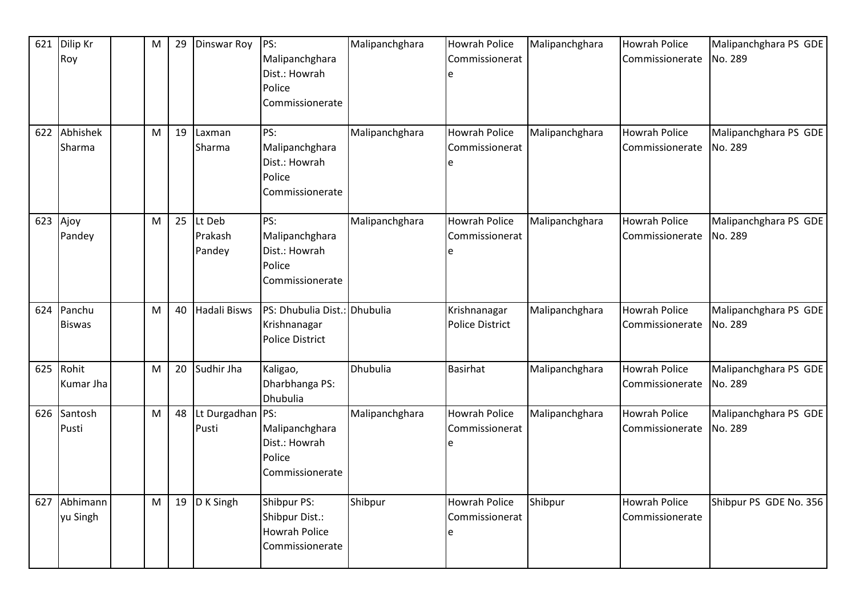| 621 | Dilip Kr<br>Roy         | M | 29 | <b>Dinswar Roy</b>          | PS:<br>Malipanchghara<br>Dist.: Howrah<br>Police<br>Commissionerate      | Malipanchghara | Howrah Police<br>Commissionerat<br>e        | Malipanchghara | <b>Howrah Police</b><br>Commissionerate | Malipanchghara PS GDE<br>No. 289 |
|-----|-------------------------|---|----|-----------------------------|--------------------------------------------------------------------------|----------------|---------------------------------------------|----------------|-----------------------------------------|----------------------------------|
| 622 | Abhishek<br>Sharma      | M | 19 | Laxman<br>Sharma            | PS:<br>Malipanchghara<br>Dist.: Howrah<br>Police<br>Commissionerate      | Malipanchghara | Howrah Police<br>Commissionerat<br>e        | Malipanchghara | <b>Howrah Police</b><br>Commissionerate | Malipanchghara PS GDE<br>No. 289 |
| 623 | Ajoy<br>Pandey          | M | 25 | Lt Deb<br>Prakash<br>Pandey | PS:<br>Malipanchghara<br>Dist.: Howrah<br>Police<br>Commissionerate      | Malipanchghara | <b>Howrah Police</b><br>Commissionerat<br>e | Malipanchghara | <b>Howrah Police</b><br>Commissionerate | Malipanchghara PS GDE<br>No. 289 |
| 624 | Panchu<br><b>Biswas</b> | M | 40 | Hadali Bisws                | PS: Dhubulia Dist.: Dhubulia<br>Krishnanagar<br><b>Police District</b>   |                | Krishnanagar<br><b>Police District</b>      | Malipanchghara | <b>Howrah Police</b><br>Commissionerate | Malipanchghara PS GDE<br>No. 289 |
| 625 | Rohit<br>Kumar Jha      | M | 20 | Sudhir Jha                  | Kaligao,<br>Dharbhanga PS:<br>Dhubulia                                   | Dhubulia       | <b>Basirhat</b>                             | Malipanchghara | <b>Howrah Police</b><br>Commissionerate | Malipanchghara PS GDE<br>No. 289 |
| 626 | Santosh<br>Pusti        | M | 48 | Lt Durgadhan<br>Pusti       | PS:<br>Malipanchghara<br>Dist.: Howrah<br>Police<br>Commissionerate      | Malipanchghara | <b>Howrah Police</b><br>Commissionerat<br>e | Malipanchghara | <b>Howrah Police</b><br>Commissionerate | Malipanchghara PS GDE<br>No. 289 |
| 627 | Abhimann<br>yu Singh    | M | 19 | D K Singh                   | Shibpur PS:<br>Shibpur Dist.:<br><b>Howrah Police</b><br>Commissionerate | Shibpur        | Howrah Police<br>Commissionerat<br>e        | Shibpur        | <b>Howrah Police</b><br>Commissionerate | Shibpur PS GDE No. 356           |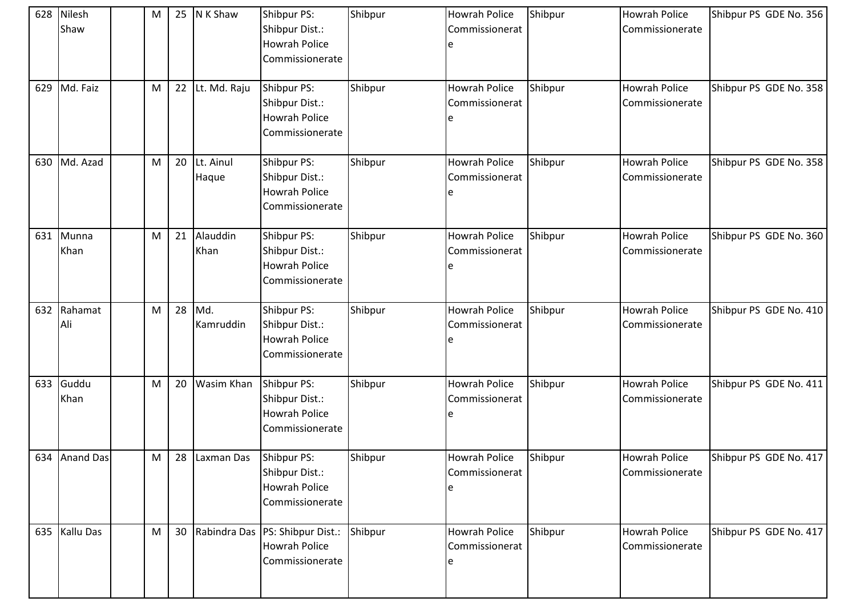| 628 | Nilesh<br>Shaw | M         | 25 | N K Shaw      | Shibpur PS:<br>Shibpur Dist.:   | Shibpur | <b>Howrah Police</b><br>Commissionerat | Shibpur | <b>Howrah Police</b><br>Commissionerate | Shibpur PS GDE No. 356 |
|-----|----------------|-----------|----|---------------|---------------------------------|---------|----------------------------------------|---------|-----------------------------------------|------------------------|
|     |                |           |    |               | <b>Howrah Police</b>            |         |                                        |         |                                         |                        |
|     |                |           |    |               | Commissionerate                 |         |                                        |         |                                         |                        |
|     |                |           |    |               |                                 |         |                                        |         |                                         |                        |
| 629 | Md. Faiz       | M         | 22 | Lt. Md. Raju  | Shibpur PS:                     | Shibpur | <b>Howrah Police</b>                   | Shibpur | <b>Howrah Police</b>                    | Shibpur PS GDE No. 358 |
|     |                |           |    |               | Shibpur Dist.:                  |         | Commissionerat                         |         | Commissionerate                         |                        |
|     |                |           |    |               | <b>Howrah Police</b>            |         | e                                      |         |                                         |                        |
|     |                |           |    |               | Commissionerate                 |         |                                        |         |                                         |                        |
|     |                |           |    |               |                                 |         |                                        |         |                                         |                        |
| 630 | Md. Azad       | M         | 20 | Lt. Ainul     | Shibpur PS:<br>Shibpur Dist.:   | Shibpur | <b>Howrah Police</b><br>Commissionerat | Shibpur | <b>Howrah Police</b><br>Commissionerate | Shibpur PS GDE No. 358 |
|     |                |           |    | Haque         | <b>Howrah Police</b>            |         |                                        |         |                                         |                        |
|     |                |           |    |               | Commissionerate                 |         | e                                      |         |                                         |                        |
|     |                |           |    |               |                                 |         |                                        |         |                                         |                        |
| 631 | Munna          | M         | 21 | Alauddin      | Shibpur PS:                     | Shibpur | <b>Howrah Police</b>                   | Shibpur | <b>Howrah Police</b>                    | Shibpur PS GDE No. 360 |
|     | Khan           |           |    | Khan          | Shibpur Dist.:                  |         | Commissionerat                         |         | Commissionerate                         |                        |
|     |                |           |    |               | <b>Howrah Police</b>            |         | e                                      |         |                                         |                        |
|     |                |           |    |               | Commissionerate                 |         |                                        |         |                                         |                        |
| 632 | Rahamat        | M         | 28 | Md.           | Shibpur PS:                     |         | <b>Howrah Police</b>                   | Shibpur | <b>Howrah Police</b>                    |                        |
|     |                |           |    |               |                                 |         |                                        |         |                                         |                        |
|     |                |           |    |               |                                 | Shibpur |                                        |         |                                         | Shibpur PS GDE No. 410 |
|     | Ali            |           |    | Kamruddin     | Shibpur Dist.:                  |         | Commissionerat                         |         | Commissionerate                         |                        |
|     |                |           |    |               | <b>Howrah Police</b>            |         | e                                      |         |                                         |                        |
|     |                |           |    |               | Commissionerate                 |         |                                        |         |                                         |                        |
| 633 | Guddu          | M         | 20 | Wasim Khan    | Shibpur PS:                     | Shibpur | <b>Howrah Police</b>                   | Shibpur | <b>Howrah Police</b>                    | Shibpur PS GDE No. 411 |
|     | Khan           |           |    |               | Shibpur Dist.:                  |         | Commissionerat                         |         | Commissionerate                         |                        |
|     |                |           |    |               | <b>Howrah Police</b>            |         | e                                      |         |                                         |                        |
|     |                |           |    |               | Commissionerate                 |         |                                        |         |                                         |                        |
|     |                |           |    |               |                                 |         |                                        |         |                                         |                        |
|     | 634 Anand Das  | ${\sf M}$ |    | 28 Laxman Das | Shibpur PS:                     | Shibpur | <b>Howrah Police</b>                   | Shibpur | <b>Howrah Police</b>                    | Shibpur PS GDE No. 417 |
|     |                |           |    |               | Shibpur Dist.:                  |         | Commissionerat                         |         | Commissionerate                         |                        |
|     |                |           |    |               | <b>Howrah Police</b>            |         |                                        |         |                                         |                        |
|     |                |           |    |               | Commissionerate                 |         |                                        |         |                                         |                        |
| 635 | Kallu Das      | M         | 30 |               | Rabindra Das PS: Shibpur Dist.: | Shibpur | <b>Howrah Police</b>                   | Shibpur | <b>Howrah Police</b>                    | Shibpur PS GDE No. 417 |
|     |                |           |    |               | <b>Howrah Police</b>            |         | Commissionerat                         |         | Commissionerate                         |                        |
|     |                |           |    |               | Commissionerate                 |         |                                        |         |                                         |                        |
|     |                |           |    |               |                                 |         |                                        |         |                                         |                        |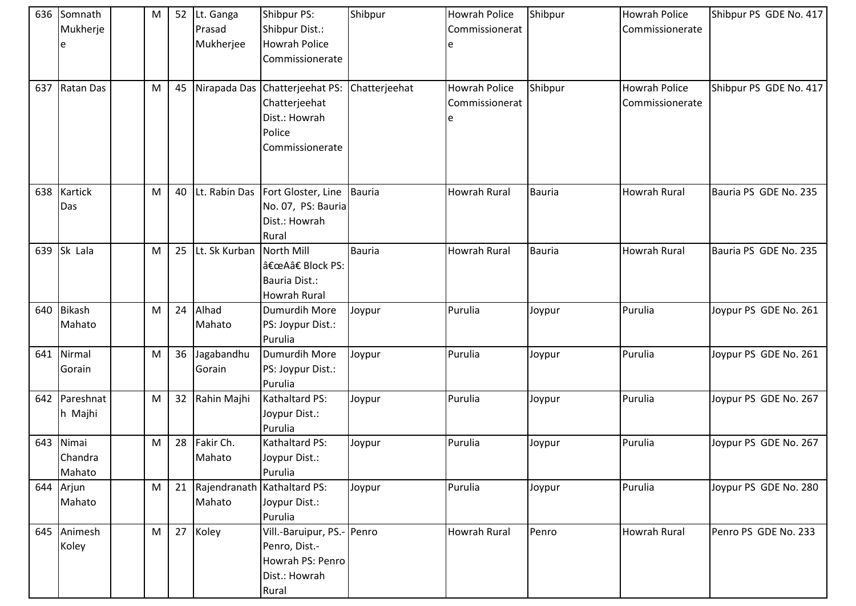|     | 636 Somnath<br>Mukherje    | M |    | 52 Lt. Ganga<br>Prasad<br>Mukherjee | Shibpur PS:<br>Shibpur Dist.:<br><b>Howrah Police</b><br>Commissionerate                      | Shibpur       | <b>Howrah Police</b><br>Commissionerat      | Shibpur       | <b>Howrah Police</b><br>Commissionerate | Shibpur PS GDE No. 417 |
|-----|----------------------------|---|----|-------------------------------------|-----------------------------------------------------------------------------------------------|---------------|---------------------------------------------|---------------|-----------------------------------------|------------------------|
| 637 | Ratan Das                  | M | 45 |                                     | Nirapada Das Chatterjeehat PS:<br>Chatterjeehat<br>Dist.: Howrah<br>Police<br>Commissionerate | Chatterjeehat | <b>Howrah Police</b><br>Commissionerat<br>e | Shibpur       | <b>Howrah Police</b><br>Commissionerate | Shibpur PS GDE No. 417 |
| 638 | Kartick<br>Das             | M | 40 | Lt. Rabin Das                       | Fort Gloster, Line<br>No. 07, PS: Bauria<br>Dist.: Howrah<br>Rural                            | Bauria        | <b>Howrah Rural</b>                         | <b>Bauria</b> | <b>Howrah Rural</b>                     | Bauria PS GDE No. 235  |
| 639 | Sk Lala                    | M | 25 | Lt. Sk Kurban                       | North Mill<br>"A†Block PS:<br>Bauria Dist.:<br>Howrah Rural                                   | <b>Bauria</b> | <b>Howrah Rural</b>                         | <b>Bauria</b> | Howrah Rural                            | Bauria PS GDE No. 235  |
| 640 | Bikash<br>Mahato           | M | 24 | Alhad<br>Mahato                     | Dumurdih More<br>PS: Joypur Dist.:<br>Purulia                                                 | Joypur        | Purulia                                     | Joypur        | Purulia                                 | Joypur PS GDE No. 261  |
| 641 | Nirmal<br>Gorain           | M | 36 | Jagabandhu<br>Gorain                | Dumurdih More<br>PS: Joypur Dist.:<br>Purulia                                                 | Joypur        | Purulia                                     | Joypur        | Purulia                                 | Joypur PS GDE No. 261  |
| 642 | Pareshnat<br>h Majhi       | M | 32 | Rahin Majhi                         | Kathaltard PS:<br>Joypur Dist.:<br>Purulia                                                    | Joypur        | Purulia                                     | Joypur        | Purulia                                 | Joypur PS GDE No. 267  |
| 643 | Nimai<br>Chandra<br>Mahato | M | 28 | Fakir Ch.<br>Mahato                 | Kathaltard PS:<br>Joypur Dist.:<br>Purulia                                                    | Joypur        | Purulia                                     | Joypur        | Purulia                                 | Joypur PS GDE No. 267  |
| 644 | Arjun<br>Mahato            | M |    | 21 Rajendranath<br>Mahato           | Kathaltard PS:<br>Joypur Dist.:<br>Purulia                                                    | Joypur        | Purulia                                     | Joypur        | Purulia                                 | Joypur PS GDE No. 280  |
| 645 | Animesh<br>Koley           | M |    | 27 Koley                            | Vill.-Baruipur, PS.- Penro<br>Penro, Dist.-<br>Howrah PS: Penro<br>Dist.: Howrah<br>Rural     |               | <b>Howrah Rural</b>                         | Penro         | Howrah Rural                            | Penro PS GDE No. 233   |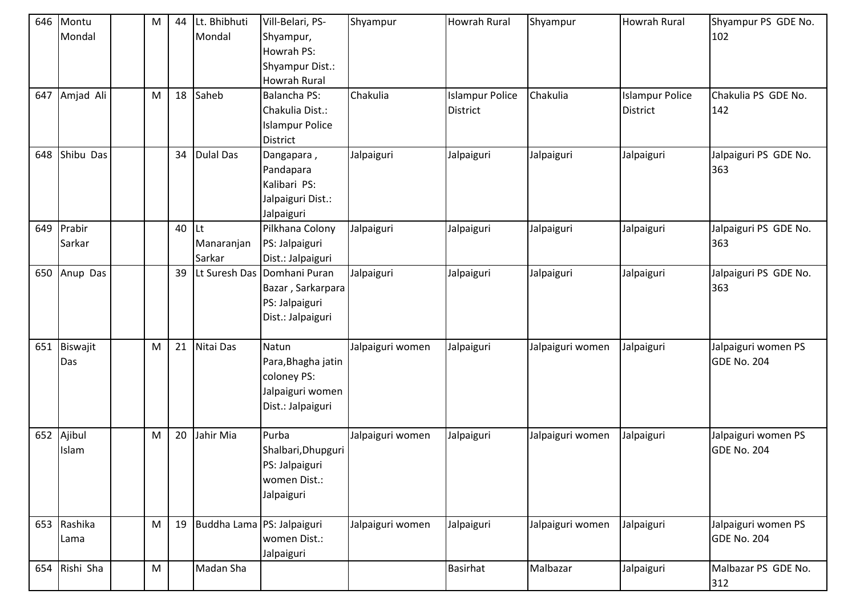| 646 | Montu     | M | 44    | Lt. Bhibhuti               | Vill-Belari, PS-       | Shyampur         | <b>Howrah Rural</b>    | Shyampur         | <b>Howrah Rural</b>    | Shyampur PS GDE No.   |
|-----|-----------|---|-------|----------------------------|------------------------|------------------|------------------------|------------------|------------------------|-----------------------|
|     | Mondal    |   |       | Mondal                     | Shyampur,              |                  |                        |                  |                        | 102                   |
|     |           |   |       |                            | Howrah PS:             |                  |                        |                  |                        |                       |
|     |           |   |       |                            | Shyampur Dist.:        |                  |                        |                  |                        |                       |
|     |           |   |       |                            | Howrah Rural           |                  |                        |                  |                        |                       |
| 647 | Amjad Ali | M | 18    | Saheb                      | <b>Balancha PS:</b>    | Chakulia         | <b>Islampur Police</b> | Chakulia         | <b>Islampur Police</b> | Chakulia PS GDE No.   |
|     |           |   |       |                            | Chakulia Dist.:        |                  | <b>District</b>        |                  | <b>District</b>        | 142                   |
|     |           |   |       |                            | <b>Islampur Police</b> |                  |                        |                  |                        |                       |
|     |           |   |       |                            | <b>District</b>        |                  |                        |                  |                        |                       |
| 648 | Shibu Das |   | 34    | <b>Dulal Das</b>           | Dangapara,             | Jalpaiguri       | Jalpaiguri             | Jalpaiguri       | Jalpaiguri             | Jalpaiguri PS GDE No. |
|     |           |   |       |                            | Pandapara              |                  |                        |                  |                        | 363                   |
|     |           |   |       |                            | Kalibari PS:           |                  |                        |                  |                        |                       |
|     |           |   |       |                            | Jalpaiguri Dist.:      |                  |                        |                  |                        |                       |
|     |           |   |       |                            | Jalpaiguri             |                  |                        |                  |                        |                       |
| 649 | Prabir    |   | 40 Lt |                            | Pilkhana Colony        | Jalpaiguri       | Jalpaiguri             | Jalpaiguri       | Jalpaiguri             | Jalpaiguri PS GDE No. |
|     | Sarkar    |   |       | Manaranjan                 | PS: Jalpaiguri         |                  |                        |                  |                        | 363                   |
|     |           |   |       | Sarkar                     | Dist.: Jalpaiguri      |                  |                        |                  |                        |                       |
| 650 | Anup Das  |   | 39    | Lt Suresh Das              | Domhani Puran          | Jalpaiguri       | Jalpaiguri             | Jalpaiguri       | Jalpaiguri             | Jalpaiguri PS GDE No. |
|     |           |   |       |                            | Bazar, Sarkarpara      |                  |                        |                  |                        | 363                   |
|     |           |   |       |                            | PS: Jalpaiguri         |                  |                        |                  |                        |                       |
|     |           |   |       |                            | Dist.: Jalpaiguri      |                  |                        |                  |                        |                       |
|     |           |   |       |                            |                        |                  |                        |                  |                        |                       |
| 651 | Biswajit  | M | 21    | Nitai Das                  | Natun                  | Jalpaiguri women | Jalpaiguri             | Jalpaiguri women | Jalpaiguri             | Jalpaiguri women PS   |
|     | Das       |   |       |                            | Para, Bhagha jatin     |                  |                        |                  |                        | <b>GDE No. 204</b>    |
|     |           |   |       |                            | coloney PS:            |                  |                        |                  |                        |                       |
|     |           |   |       |                            | Jalpaiguri women       |                  |                        |                  |                        |                       |
|     |           |   |       |                            | Dist.: Jalpaiguri      |                  |                        |                  |                        |                       |
|     |           |   |       |                            |                        |                  |                        |                  |                        |                       |
| 652 | Ajibul    | M | 20    | Jahir Mia                  | Purba                  | Jalpaiguri women | Jalpaiguri             | Jalpaiguri women | Jalpaiguri             | Jalpaiguri women PS   |
|     | Islam     |   |       |                            | Shalbari, Dhupguri     |                  |                        |                  |                        | <b>GDE No. 204</b>    |
|     |           |   |       |                            | PS: Jalpaiguri         |                  |                        |                  |                        |                       |
|     |           |   |       |                            | women Dist.:           |                  |                        |                  |                        |                       |
|     |           |   |       |                            | Jalpaiguri             |                  |                        |                  |                        |                       |
|     |           |   |       |                            |                        |                  |                        |                  |                        |                       |
| 653 | Rashika   | M | 19    | Buddha Lama PS: Jalpaiguri |                        | Jalpaiguri women | Jalpaiguri             | Jalpaiguri women | Jalpaiguri             | Jalpaiguri women PS   |
|     | Lama      |   |       |                            | women Dist.:           |                  |                        |                  |                        | <b>GDE No. 204</b>    |
|     |           |   |       |                            | Jalpaiguri             |                  |                        |                  |                        |                       |
| 654 | Rishi Sha | M |       | Madan Sha                  |                        |                  | <b>Basirhat</b>        | Malbazar         | Jalpaiguri             | Malbazar PS GDE No.   |
|     |           |   |       |                            |                        |                  |                        |                  |                        | 312                   |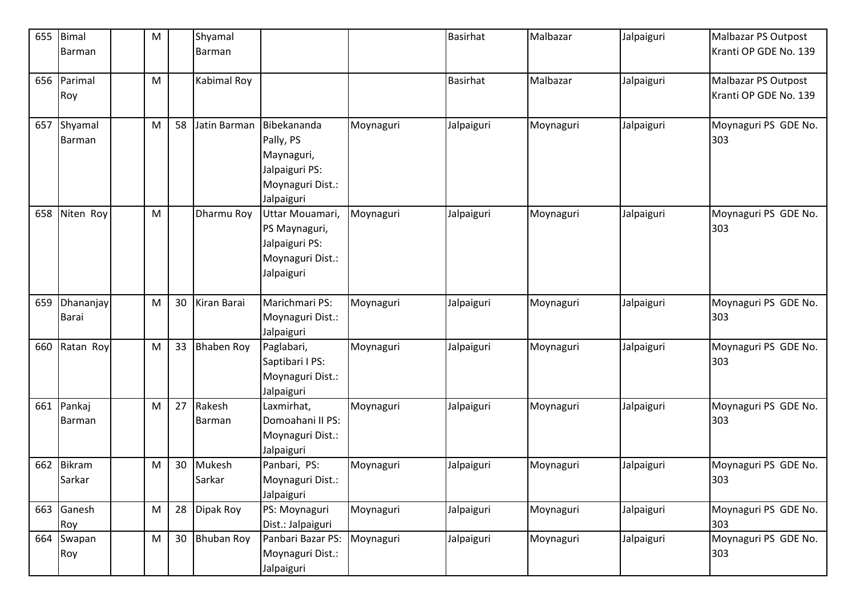| 655 | Bimal        | M |    | Shyamal           |                   |           | <b>Basirhat</b> | Malbazar  | Jalpaiguri | <b>Malbazar PS Outpost</b> |
|-----|--------------|---|----|-------------------|-------------------|-----------|-----------------|-----------|------------|----------------------------|
|     | Barman       |   |    | Barman            |                   |           |                 |           |            | Kranti OP GDE No. 139      |
|     |              |   |    |                   |                   |           |                 |           |            |                            |
| 656 | Parimal      | M |    | Kabimal Roy       |                   |           | <b>Basirhat</b> | Malbazar  | Jalpaiguri | Malbazar PS Outpost        |
|     | Roy          |   |    |                   |                   |           |                 |           |            | Kranti OP GDE No. 139      |
|     |              |   |    |                   |                   |           |                 |           |            |                            |
| 657 | Shyamal      | M | 58 | Jatin Barman      | Bibekananda       | Moynaguri | Jalpaiguri      | Moynaguri | Jalpaiguri | Moynaguri PS GDE No.       |
|     | Barman       |   |    |                   | Pally, PS         |           |                 |           |            | 303                        |
|     |              |   |    |                   | Maynaguri,        |           |                 |           |            |                            |
|     |              |   |    |                   | Jalpaiguri PS:    |           |                 |           |            |                            |
|     |              |   |    |                   | Moynaguri Dist.:  |           |                 |           |            |                            |
|     |              |   |    |                   | Jalpaiguri        |           |                 |           |            |                            |
| 658 | Niten Roy    | M |    | Dharmu Roy        | Uttar Mouamari,   | Moynaguri | Jalpaiguri      | Moynaguri | Jalpaiguri | Moynaguri PS GDE No.       |
|     |              |   |    |                   | PS Maynaguri,     |           |                 |           |            | 303                        |
|     |              |   |    |                   | Jalpaiguri PS:    |           |                 |           |            |                            |
|     |              |   |    |                   | Moynaguri Dist.:  |           |                 |           |            |                            |
|     |              |   |    |                   | Jalpaiguri        |           |                 |           |            |                            |
|     |              |   |    |                   |                   |           |                 |           |            |                            |
| 659 | Dhananjay    | M | 30 | Kiran Barai       | Marichmari PS:    | Moynaguri | Jalpaiguri      | Moynaguri | Jalpaiguri | Moynaguri PS GDE No.       |
|     | <b>Barai</b> |   |    |                   | Moynaguri Dist.:  |           |                 |           |            | 303                        |
|     |              |   |    |                   | Jalpaiguri        |           |                 |           |            |                            |
| 660 | Ratan Roy    | M | 33 | <b>Bhaben Roy</b> | Paglabari,        | Moynaguri | Jalpaiguri      | Moynaguri | Jalpaiguri | Moynaguri PS GDE No.       |
|     |              |   |    |                   | Saptibari I PS:   |           |                 |           |            | 303                        |
|     |              |   |    |                   | Moynaguri Dist.:  |           |                 |           |            |                            |
|     |              |   |    |                   | Jalpaiguri        |           |                 |           |            |                            |
| 661 | Pankaj       | M | 27 | Rakesh            | Laxmirhat,        | Moynaguri | Jalpaiguri      | Moynaguri | Jalpaiguri | Moynaguri PS GDE No.       |
|     | Barman       |   |    | Barman            | Domoahani II PS:  |           |                 |           |            | 303                        |
|     |              |   |    |                   | Moynaguri Dist.:  |           |                 |           |            |                            |
|     |              |   |    |                   | Jalpaiguri        |           |                 |           |            |                            |
| 662 | Bikram       | M | 30 | Mukesh            | Panbari, PS:      | Moynaguri | Jalpaiguri      | Moynaguri | Jalpaiguri | Moynaguri PS GDE No.       |
|     | Sarkar       |   |    | Sarkar            | Moynaguri Dist.:  |           |                 |           |            | 303                        |
|     |              |   |    |                   | Jalpaiguri        |           |                 |           |            |                            |
| 663 | Ganesh       | M |    | 28 Dipak Roy      | PS: Moynaguri     | Moynaguri | Jalpaiguri      | Moynaguri | Jalpaiguri | Moynaguri PS GDE No.       |
|     | Roy          |   |    |                   | Dist.: Jalpaiguri |           |                 |           |            | 303                        |
| 664 | Swapan       | M | 30 | <b>Bhuban Roy</b> | Panbari Bazar PS: | Moynaguri | Jalpaiguri      | Moynaguri | Jalpaiguri | Moynaguri PS GDE No.       |
|     | Roy          |   |    |                   | Moynaguri Dist.:  |           |                 |           |            | 303                        |
|     |              |   |    |                   | Jalpaiguri        |           |                 |           |            |                            |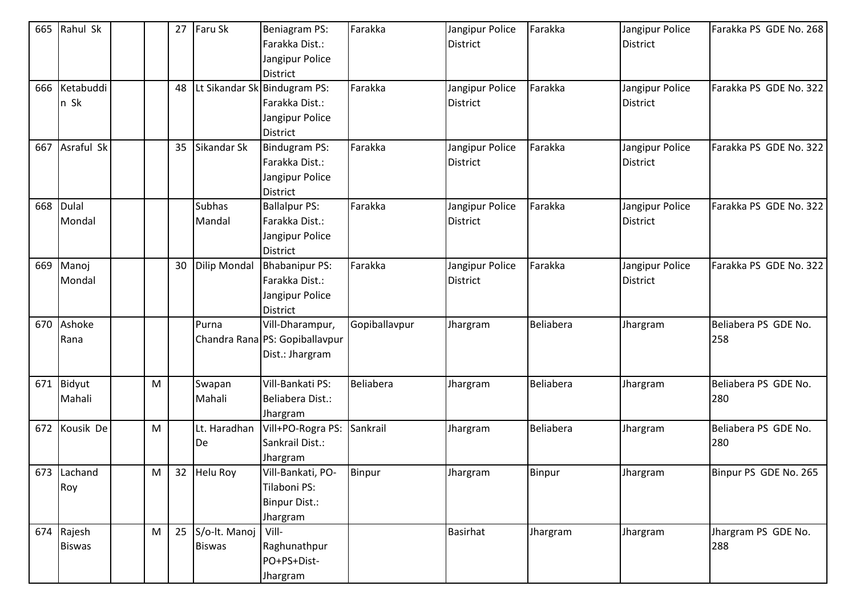| 665 | Rahul Sk      |   | 27 | Faru Sk             | Beniagram PS:                  | Farakka       | Jangipur Police | Farakka   | Jangipur Police | Farakka PS GDE No. 268 |
|-----|---------------|---|----|---------------------|--------------------------------|---------------|-----------------|-----------|-----------------|------------------------|
|     |               |   |    |                     | Farakka Dist.:                 |               | <b>District</b> |           | <b>District</b> |                        |
|     |               |   |    |                     | Jangipur Police                |               |                 |           |                 |                        |
|     |               |   |    |                     | District                       |               |                 |           |                 |                        |
| 666 | Ketabuddi     |   | 48 |                     | Lt Sikandar Sk Bindugram PS:   | Farakka       | Jangipur Police | Farakka   | Jangipur Police | Farakka PS GDE No. 322 |
|     | n Sk          |   |    |                     | Farakka Dist.:                 |               | <b>District</b> |           | <b>District</b> |                        |
|     |               |   |    |                     | Jangipur Police                |               |                 |           |                 |                        |
|     |               |   |    |                     | District                       |               |                 |           |                 |                        |
| 667 | Asraful Sk    |   | 35 | Sikandar Sk         | <b>Bindugram PS:</b>           | Farakka       | Jangipur Police | Farakka   | Jangipur Police | Farakka PS GDE No. 322 |
|     |               |   |    |                     | Farakka Dist.:                 |               | <b>District</b> |           | <b>District</b> |                        |
|     |               |   |    |                     | Jangipur Police                |               |                 |           |                 |                        |
|     |               |   |    |                     | District                       |               |                 |           |                 |                        |
| 668 | <b>Dulal</b>  |   |    | Subhas              | <b>Ballalpur PS:</b>           | Farakka       | Jangipur Police | Farakka   | Jangipur Police | Farakka PS GDE No. 322 |
|     | Mondal        |   |    | Mandal              | Farakka Dist.:                 |               | <b>District</b> |           | <b>District</b> |                        |
|     |               |   |    |                     | Jangipur Police                |               |                 |           |                 |                        |
|     |               |   |    |                     | District                       |               |                 |           |                 |                        |
| 669 | Manoj         |   | 30 | <b>Dilip Mondal</b> | <b>Bhabanipur PS:</b>          | Farakka       | Jangipur Police | Farakka   | Jangipur Police | Farakka PS GDE No. 322 |
|     | Mondal        |   |    |                     | Farakka Dist.:                 |               | <b>District</b> |           | <b>District</b> |                        |
|     |               |   |    |                     | Jangipur Police                |               |                 |           |                 |                        |
|     |               |   |    |                     | District                       |               |                 |           |                 |                        |
| 670 | Ashoke        |   |    | Purna               | Vill-Dharampur,                | Gopiballavpur | Jhargram        | Beliabera | Jhargram        | Beliabera PS GDE No.   |
|     | Rana          |   |    |                     | Chandra Rana PS: Gopiballavpur |               |                 |           |                 | 258                    |
|     |               |   |    |                     | Dist.: Jhargram                |               |                 |           |                 |                        |
|     |               |   |    |                     |                                |               |                 |           |                 |                        |
| 671 | Bidyut        | M |    | Swapan              | Vill-Bankati PS:               | Beliabera     | Jhargram        | Beliabera | Jhargram        | Beliabera PS GDE No.   |
|     | Mahali        |   |    | Mahali              | Beliabera Dist.:               |               |                 |           |                 | 280                    |
|     |               |   |    |                     | Jhargram                       |               |                 |           |                 |                        |
| 672 | Kousik De     | M |    | Lt. Haradhan        | Vill+PO-Rogra PS:              | Sankrail      | Jhargram        | Beliabera | Jhargram        | Beliabera PS GDE No.   |
|     |               |   |    | De                  | Sankrail Dist.:                |               |                 |           |                 | 280                    |
|     |               |   |    |                     | Jhargram                       |               |                 |           |                 |                        |
|     | 673 Lachand   | M |    | 32 Helu Roy         | Vill-Bankati, PO-              | Binpur        | Jhargram        | Binpur    | Jhargram        | Binpur PS GDE No. 265  |
|     | Roy           |   |    |                     | Tilaboni PS:                   |               |                 |           |                 |                        |
|     |               |   |    |                     | <b>Binpur Dist.:</b>           |               |                 |           |                 |                        |
|     |               |   |    |                     | Jhargram                       |               |                 |           |                 |                        |
| 674 | Rajesh        | M | 25 | S/o-lt. Manoj       | Vill-                          |               | <b>Basirhat</b> | Jhargram  | Jhargram        | Jhargram PS GDE No.    |
|     | <b>Biswas</b> |   |    | <b>Biswas</b>       | Raghunathpur                   |               |                 |           |                 | 288                    |
|     |               |   |    |                     | PO+PS+Dist-                    |               |                 |           |                 |                        |
|     |               |   |    |                     | Jhargram                       |               |                 |           |                 |                        |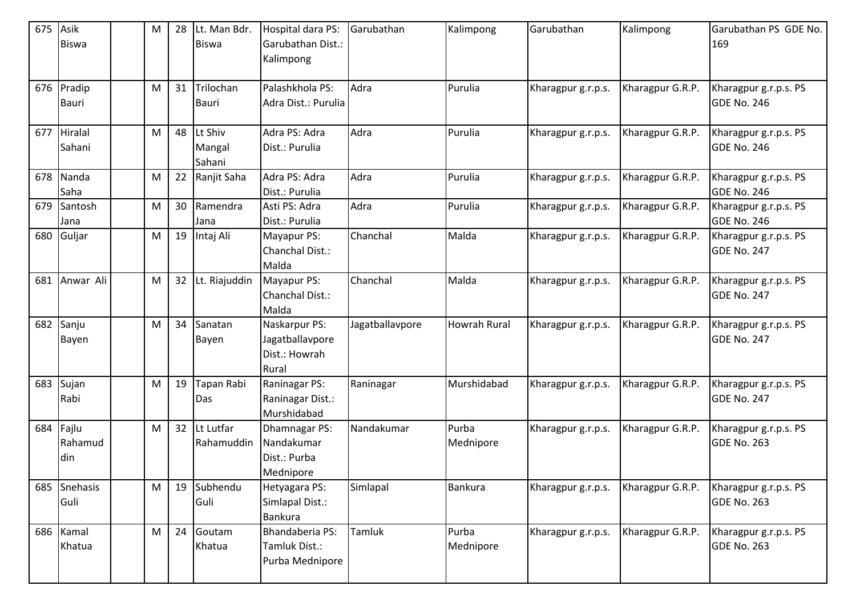| 675 | Asik<br><b>Biswa</b>    | M | 28 | Lt. Man Bdr.<br><b>Biswa</b> | Hospital dara PS:<br>Garubathan Dist.:<br>Kalimpong        | Garubathan      | Kalimpong           | Garubathan         | Kalimpong        | Garubathan PS GDE No.<br>169                |
|-----|-------------------------|---|----|------------------------------|------------------------------------------------------------|-----------------|---------------------|--------------------|------------------|---------------------------------------------|
| 676 | Pradip<br><b>Bauri</b>  | M | 31 | Trilochan<br>Bauri           | Palashkhola PS:<br>Adra Dist.: Purulia                     | Adra            | Purulia             | Kharagpur g.r.p.s. | Kharagpur G.R.P. | Kharagpur g.r.p.s. PS<br><b>GDE No. 246</b> |
| 677 | Hiralal<br>Sahani       | M | 48 | Lt Shiv<br>Mangal<br>Sahani  | Adra PS: Adra<br>Dist.: Purulia                            | Adra            | Purulia             | Kharagpur g.r.p.s. | Kharagpur G.R.P. | Kharagpur g.r.p.s. PS<br><b>GDE No. 246</b> |
| 678 | Nanda<br>Saha           | M | 22 | Ranjit Saha                  | Adra PS: Adra<br>Dist.: Purulia                            | Adra            | Purulia             | Kharagpur g.r.p.s. | Kharagpur G.R.P. | Kharagpur g.r.p.s. PS<br><b>GDE No. 246</b> |
| 679 | Santosh<br>Jana         | M | 30 | Ramendra<br>Jana             | Asti PS: Adra<br>Dist.: Purulia                            | Adra            | Purulia             | Kharagpur g.r.p.s. | Kharagpur G.R.P. | Kharagpur g.r.p.s. PS<br><b>GDE No. 246</b> |
| 680 | Guljar                  | M | 19 | Intaj Ali                    | Mayapur PS:<br>Chanchal Dist.:<br>Malda                    | Chanchal        | Malda               | Kharagpur g.r.p.s. | Kharagpur G.R.P. | Kharagpur g.r.p.s. PS<br><b>GDE No. 247</b> |
| 681 | Anwar Ali               | M | 32 | Lt. Riajuddin                | Mayapur PS:<br>Chanchal Dist.:<br>Malda                    | Chanchal        | Malda               | Kharagpur g.r.p.s. | Kharagpur G.R.P. | Kharagpur g.r.p.s. PS<br><b>GDE No. 247</b> |
| 682 | Sanju<br>Bayen          | M | 34 | Sanatan<br>Bayen             | Naskarpur PS:<br>Jagatballavpore<br>Dist.: Howrah<br>Rural | Jagatballavpore | <b>Howrah Rural</b> | Kharagpur g.r.p.s. | Kharagpur G.R.P. | Kharagpur g.r.p.s. PS<br><b>GDE No. 247</b> |
| 683 | Sujan<br>Rabi           | M | 19 | Tapan Rabi<br>Das            | Raninagar PS:<br>Raninagar Dist.:<br>Murshidabad           | Raninagar       | Murshidabad         | Kharagpur g.r.p.s. | Kharagpur G.R.P. | Kharagpur g.r.p.s. PS<br><b>GDE No. 247</b> |
| 684 | Fajlu<br>Rahamud<br>din | M | 32 | Lt Lutfar<br>Rahamuddin      | Dhamnagar PS:<br>Nandakumar<br>Dist.: Purba<br>Mednipore   | Nandakumar      | Purba<br>Mednipore  | Kharagpur g.r.p.s. | Kharagpur G.R.P. | Kharagpur g.r.p.s. PS<br><b>GDE No. 263</b> |
| 685 | Snehasis<br>Guli        | M | 19 | Subhendu<br>Guli             | Hetyagara PS:<br>Simlapal Dist.:<br>Bankura                | Simlapal        | <b>Bankura</b>      | Kharagpur g.r.p.s. | Kharagpur G.R.P. | Kharagpur g.r.p.s. PS<br><b>GDE No. 263</b> |
|     | 686 Kamal<br>Khatua     | M | 24 | Goutam<br>Khatua             | <b>Bhandaberia PS:</b><br>Tamluk Dist.:<br>Purba Mednipore | Tamluk          | Purba<br>Mednipore  | Kharagpur g.r.p.s. | Kharagpur G.R.P. | Kharagpur g.r.p.s. PS<br><b>GDE No. 263</b> |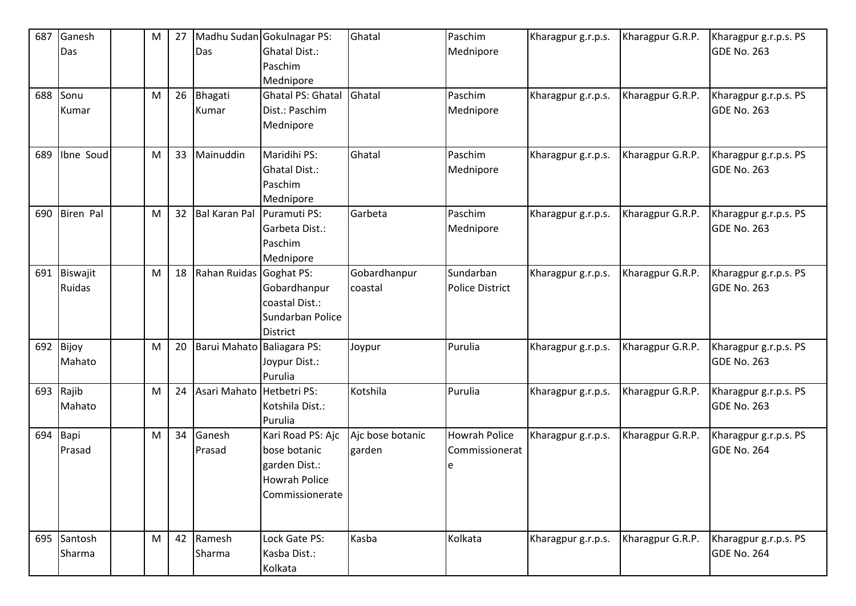| 687 | Ganesh           | M | 27 |                            | Madhu Sudan Gokulnagar PS: | Ghatal           | Paschim                | Kharagpur g.r.p.s. | Kharagpur G.R.P. | Kharagpur g.r.p.s. PS |
|-----|------------------|---|----|----------------------------|----------------------------|------------------|------------------------|--------------------|------------------|-----------------------|
|     | Das              |   |    | Das                        | <b>Ghatal Dist.:</b>       |                  | Mednipore              |                    |                  | GDE No. 263           |
|     |                  |   |    |                            | Paschim                    |                  |                        |                    |                  |                       |
|     |                  |   |    |                            | Mednipore                  |                  |                        |                    |                  |                       |
| 688 | Sonu             | M | 26 | Bhagati                    | <b>Ghatal PS: Ghatal</b>   | Ghatal           | Paschim                | Kharagpur g.r.p.s. | Kharagpur G.R.P. | Kharagpur g.r.p.s. PS |
|     | Kumar            |   |    | Kumar                      | Dist.: Paschim             |                  | Mednipore              |                    |                  | GDE No. 263           |
|     |                  |   |    |                            | Mednipore                  |                  |                        |                    |                  |                       |
|     |                  |   |    |                            |                            |                  |                        |                    |                  |                       |
| 689 | Ibne Soud        | M | 33 | Mainuddin                  | Maridihi PS:               | Ghatal           | Paschim                | Kharagpur g.r.p.s. | Kharagpur G.R.P. | Kharagpur g.r.p.s. PS |
|     |                  |   |    |                            | <b>Ghatal Dist.:</b>       |                  | Mednipore              |                    |                  | <b>GDE No. 263</b>    |
|     |                  |   |    |                            | Paschim                    |                  |                        |                    |                  |                       |
|     |                  |   |    |                            | Mednipore                  |                  |                        |                    |                  |                       |
| 690 | <b>Biren Pal</b> | M | 32 | <b>Bal Karan Pal</b>       | Puramuti PS:               | Garbeta          | Paschim                | Kharagpur g.r.p.s. | Kharagpur G.R.P. | Kharagpur g.r.p.s. PS |
|     |                  |   |    |                            | Garbeta Dist.:             |                  | Mednipore              |                    |                  | GDE No. 263           |
|     |                  |   |    |                            | Paschim                    |                  |                        |                    |                  |                       |
|     |                  |   |    |                            | Mednipore                  |                  |                        |                    |                  |                       |
| 691 | Biswajit         | M | 18 | Rahan Ruidas Goghat PS:    |                            | Gobardhanpur     | Sundarban              | Kharagpur g.r.p.s. | Kharagpur G.R.P. | Kharagpur g.r.p.s. PS |
|     | <b>Ruidas</b>    |   |    |                            | Gobardhanpur               | coastal          | <b>Police District</b> |                    |                  | GDE No. 263           |
|     |                  |   |    |                            | coastal Dist.:             |                  |                        |                    |                  |                       |
|     |                  |   |    |                            | Sundarban Police           |                  |                        |                    |                  |                       |
|     |                  |   |    |                            | District                   |                  |                        |                    |                  |                       |
| 692 | Bijoy            | M | 20 | Barui Mahato Baliagara PS: |                            | Joypur           | Purulia                | Kharagpur g.r.p.s. | Kharagpur G.R.P. | Kharagpur g.r.p.s. PS |
|     | Mahato           |   |    |                            | Joypur Dist.:              |                  |                        |                    |                  | GDE No. 263           |
|     |                  |   |    |                            | Purulia                    |                  |                        |                    |                  |                       |
| 693 | Rajib            | M | 24 | Asari Mahato               | Hetbetri PS:               | Kotshila         | Purulia                | Kharagpur g.r.p.s. | Kharagpur G.R.P. | Kharagpur g.r.p.s. PS |
|     | Mahato           |   |    |                            | Kotshila Dist.:            |                  |                        |                    |                  | GDE No. 263           |
|     |                  |   |    |                            | Purulia                    |                  |                        |                    |                  |                       |
| 694 | Bapi             | M | 34 | Ganesh                     | Kari Road PS: Ajc          | Ajc bose botanic | <b>Howrah Police</b>   | Kharagpur g.r.p.s. | Kharagpur G.R.P. | Kharagpur g.r.p.s. PS |
|     | Prasad           |   |    | Prasad                     | bose botanic               | garden           | Commissionerat         |                    |                  | <b>GDE No. 264</b>    |
|     |                  |   |    |                            | garden Dist.:              |                  | e                      |                    |                  |                       |
|     |                  |   |    |                            | <b>Howrah Police</b>       |                  |                        |                    |                  |                       |
|     |                  |   |    |                            | Commissionerate            |                  |                        |                    |                  |                       |
|     |                  |   |    |                            |                            |                  |                        |                    |                  |                       |
|     |                  |   |    |                            |                            |                  |                        |                    |                  |                       |
| 695 | Santosh          | M | 42 | Ramesh                     | Lock Gate PS:              | Kasba            | Kolkata                | Kharagpur g.r.p.s. | Kharagpur G.R.P. | Kharagpur g.r.p.s. PS |
|     | Sharma           |   |    | Sharma                     | Kasba Dist.:               |                  |                        |                    |                  | GDE No. 264           |
|     |                  |   |    |                            | Kolkata                    |                  |                        |                    |                  |                       |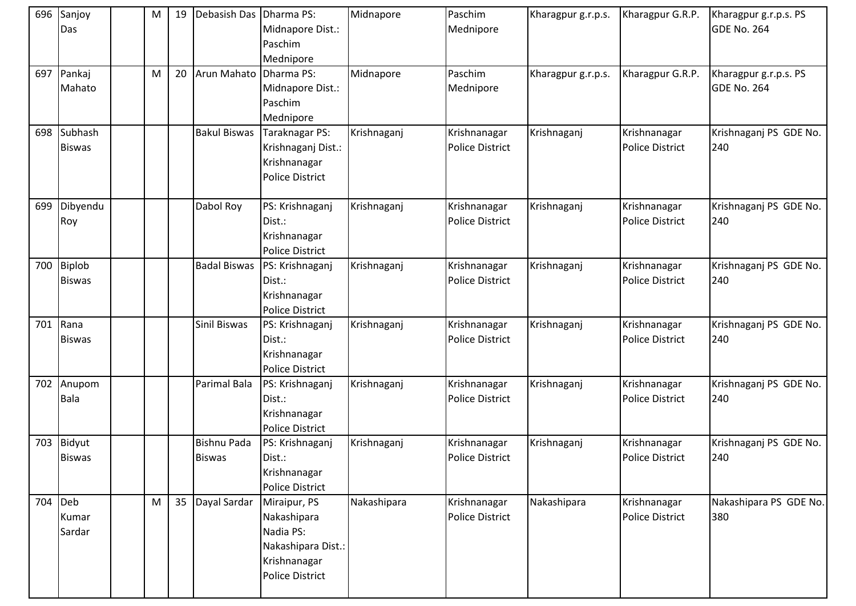| 696 | Sanjoy<br>Das                  | М | 19 | Debasish Das Dharma PS:             | Midnapore Dist.:<br>Paschim<br>Mednipore                                                                 | Midnapore   | Paschim<br>Mednipore                   | Kharagpur g.r.p.s. | Kharagpur G.R.P.                       | Kharagpur g.r.p.s. PS<br><b>GDE No. 264</b> |
|-----|--------------------------------|---|----|-------------------------------------|----------------------------------------------------------------------------------------------------------|-------------|----------------------------------------|--------------------|----------------------------------------|---------------------------------------------|
| 697 | Pankaj<br>Mahato               | M | 20 | Arun Mahato                         | Dharma PS:<br>Midnapore Dist.:<br>Paschim<br>Mednipore                                                   | Midnapore   | Paschim<br>Mednipore                   | Kharagpur g.r.p.s. | Kharagpur G.R.P.                       | Kharagpur g.r.p.s. PS<br><b>GDE No. 264</b> |
| 698 | Subhash<br><b>Biswas</b>       |   |    | <b>Bakul Biswas</b>                 | Taraknagar PS:<br>Krishnaganj Dist.:<br>Krishnanagar<br><b>Police District</b>                           | Krishnaganj | Krishnanagar<br><b>Police District</b> | Krishnaganj        | Krishnanagar<br><b>Police District</b> | Krishnaganj PS GDE No.<br>240               |
| 699 | Dibyendu<br>Roy                |   |    | Dabol Roy                           | PS: Krishnaganj<br>Dist.:<br>Krishnanagar<br><b>Police District</b>                                      | Krishnaganj | Krishnanagar<br><b>Police District</b> | Krishnaganj        | Krishnanagar<br><b>Police District</b> | Krishnaganj PS GDE No.<br>240               |
| 700 | <b>Biplob</b><br><b>Biswas</b> |   |    | <b>Badal Biswas</b>                 | PS: Krishnaganj<br>Dist.:<br>Krishnanagar<br><b>Police District</b>                                      | Krishnaganj | Krishnanagar<br><b>Police District</b> | Krishnaganj        | Krishnanagar<br><b>Police District</b> | Krishnaganj PS GDE No.<br>240               |
| 701 | Rana<br><b>Biswas</b>          |   |    | <b>Sinil Biswas</b>                 | PS: Krishnaganj<br>Dist.:<br>Krishnanagar<br><b>Police District</b>                                      | Krishnaganj | Krishnanagar<br><b>Police District</b> | Krishnaganj        | Krishnanagar<br><b>Police District</b> | Krishnaganj PS GDE No.<br>240               |
| 702 | Anupom<br>Bala                 |   |    | Parimal Bala                        | PS: Krishnaganj<br>Dist.:<br>Krishnanagar<br><b>Police District</b>                                      | Krishnaganj | Krishnanagar<br><b>Police District</b> | Krishnaganj        | Krishnanagar<br><b>Police District</b> | Krishnaganj PS GDE No.<br>240               |
| 703 | <b>Bidyut</b><br><b>Biswas</b> |   |    | <b>Bishnu Pada</b><br><b>Biswas</b> | PS: Krishnaganj<br>Dist.:<br>Krishnanagar<br><b>Police District</b>                                      | Krishnaganj | Krishnanagar<br><b>Police District</b> | Krishnaganj        | Krishnanagar<br><b>Police District</b> | Krishnaganj PS GDE No.<br>240               |
| 704 | Deb<br>Kumar<br>Sardar         | M | 35 | Dayal Sardar                        | Miraipur, PS<br>Nakashipara<br>Nadia PS:<br>Nakashipara Dist.:<br>Krishnanagar<br><b>Police District</b> | Nakashipara | Krishnanagar<br><b>Police District</b> | Nakashipara        | Krishnanagar<br><b>Police District</b> | Nakashipara PS GDE No.<br>380               |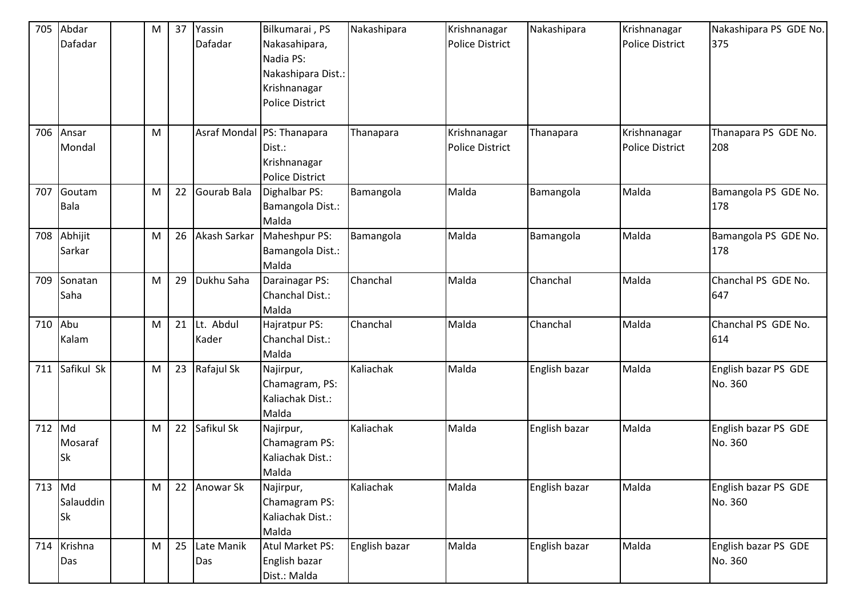| 705 | Abdar      | M | 37 | Yassin       | Bilkumarai, PS             | Nakashipara   | Krishnanagar           | Nakashipara   | Krishnanagar           | Nakashipara PS GDE No. |
|-----|------------|---|----|--------------|----------------------------|---------------|------------------------|---------------|------------------------|------------------------|
|     | Dafadar    |   |    | Dafadar      | Nakasahipara,              |               | <b>Police District</b> |               | <b>Police District</b> | 375                    |
|     |            |   |    |              | Nadia PS:                  |               |                        |               |                        |                        |
|     |            |   |    |              | Nakashipara Dist.:         |               |                        |               |                        |                        |
|     |            |   |    |              | Krishnanagar               |               |                        |               |                        |                        |
|     |            |   |    |              | <b>Police District</b>     |               |                        |               |                        |                        |
|     |            |   |    |              |                            |               |                        |               |                        |                        |
| 706 | Ansar      | M |    |              | Asraf Mondal PS: Thanapara | Thanapara     | Krishnanagar           | Thanapara     | Krishnanagar           | Thanapara PS GDE No.   |
|     | Mondal     |   |    |              | Dist.:                     |               | <b>Police District</b> |               | Police District        | 208                    |
|     |            |   |    |              | Krishnanagar               |               |                        |               |                        |                        |
|     |            |   |    |              | <b>Police District</b>     |               |                        |               |                        |                        |
| 707 | Goutam     | M | 22 | Gourab Bala  | Dighalbar PS:              | Bamangola     | Malda                  | Bamangola     | Malda                  | Bamangola PS GDE No.   |
|     | Bala       |   |    |              | Bamangola Dist.:           |               |                        |               |                        | 178                    |
|     |            |   |    |              | Malda                      |               |                        |               |                        |                        |
| 708 | Abhijit    | M | 26 | Akash Sarkar | Maheshpur PS:              | Bamangola     | Malda                  | Bamangola     | Malda                  | Bamangola PS GDE No.   |
|     | Sarkar     |   |    |              | Bamangola Dist.:           |               |                        |               |                        | 178                    |
|     |            |   |    |              | Malda                      |               |                        |               |                        |                        |
| 709 | Sonatan    | M | 29 | Dukhu Saha   | Darainagar PS:             | Chanchal      | Malda                  | Chanchal      | Malda                  | Chanchal PS GDE No.    |
|     | Saha       |   |    |              | Chanchal Dist.:            |               |                        |               |                        | 647                    |
|     |            |   |    |              | Malda                      |               |                        |               |                        |                        |
| 710 | Abu        | M | 21 | Lt. Abdul    | Hajratpur PS:              | Chanchal      | Malda                  | Chanchal      | Malda                  | Chanchal PS GDE No.    |
|     | Kalam      |   |    | Kader        | Chanchal Dist.:            |               |                        |               |                        | 614                    |
|     |            |   |    |              | Malda                      |               |                        |               |                        |                        |
| 711 | Safikul Sk | M | 23 | Rafajul Sk   | Najirpur,                  | Kaliachak     | Malda                  | English bazar | Malda                  | English bazar PS GDE   |
|     |            |   |    |              | Chamagram, PS:             |               |                        |               |                        | No. 360                |
|     |            |   |    |              | Kaliachak Dist.:           |               |                        |               |                        |                        |
|     |            |   |    |              | Malda                      |               |                        |               |                        |                        |
| 712 | Md         | M | 22 | Safikul Sk   | Najirpur,                  | Kaliachak     | Malda                  | English bazar | Malda                  | English bazar PS GDE   |
|     | Mosaraf    |   |    |              | Chamagram PS:              |               |                        |               |                        | No. 360                |
|     | <b>Sk</b>  |   |    |              | Kaliachak Dist.:           |               |                        |               |                        |                        |
|     |            |   |    |              | Malda                      |               |                        |               |                        |                        |
| 713 | Md         | M | 22 | Anowar Sk    | Najirpur,                  | Kaliachak     | Malda                  | English bazar | Malda                  | English bazar PS GDE   |
|     | Salauddin  |   |    |              | Chamagram PS:              |               |                        |               |                        | No. 360                |
|     | <b>Sk</b>  |   |    |              | Kaliachak Dist.:           |               |                        |               |                        |                        |
|     |            |   |    |              | Malda                      |               |                        |               |                        |                        |
| 714 | Krishna    | M | 25 | Late Manik   | Atul Market PS:            | English bazar | Malda                  | English bazar | Malda                  | English bazar PS GDE   |
|     | Das        |   |    | Das          | English bazar              |               |                        |               |                        | No. 360                |
|     |            |   |    |              | Dist.: Malda               |               |                        |               |                        |                        |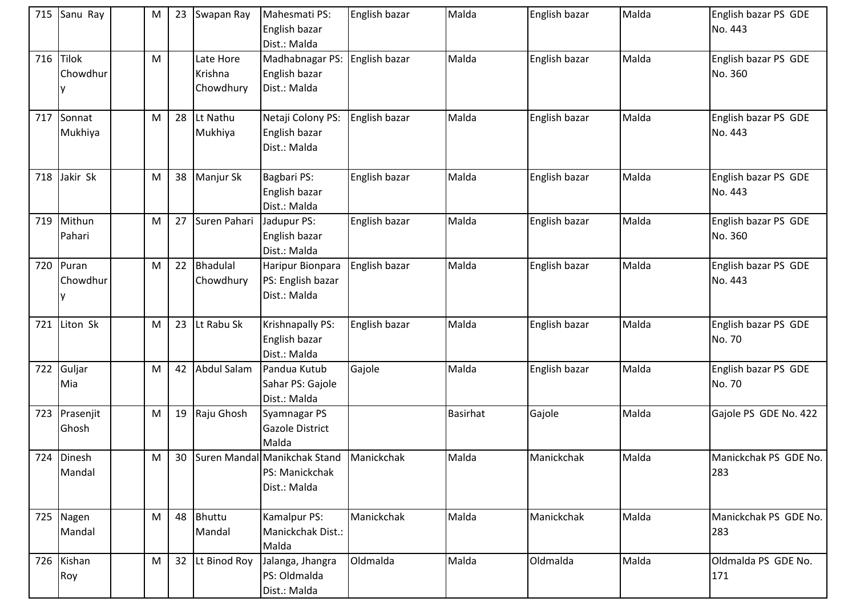| 715 | Sanu Ray                 | M | 23 | Swapan Ray                        | Mahesmati PS:<br>English bazar<br>Dist.: Malda                 | English bazar | Malda    | English bazar | Malda | English bazar PS GDE<br>No. 443 |
|-----|--------------------------|---|----|-----------------------------------|----------------------------------------------------------------|---------------|----------|---------------|-------|---------------------------------|
| 716 | <b>Tilok</b><br>Chowdhur | M |    | Late Hore<br>Krishna<br>Chowdhury | Madhabnagar PS:<br>English bazar<br>Dist.: Malda               | English bazar | Malda    | English bazar | Malda | English bazar PS GDE<br>No. 360 |
| 717 | Sonnat<br>Mukhiya        | M | 28 | Lt Nathu<br>Mukhiya               | Netaji Colony PS:<br>English bazar<br>Dist.: Malda             | English bazar | Malda    | English bazar | Malda | English bazar PS GDE<br>No. 443 |
| 718 | Jakir Sk                 | M | 38 | Manjur Sk                         | Bagbari PS:<br>English bazar<br>Dist.: Malda                   | English bazar | Malda    | English bazar | Malda | English bazar PS GDE<br>No. 443 |
| 719 | Mithun<br>Pahari         | M | 27 | Suren Pahari                      | Jadupur PS:<br>English bazar<br>Dist.: Malda                   | English bazar | Malda    | English bazar | Malda | English bazar PS GDE<br>No. 360 |
| 720 | Puran<br>Chowdhur        | M | 22 | <b>Bhadulal</b><br>Chowdhury      | Haripur Bionpara<br>PS: English bazar<br>Dist.: Malda          | English bazar | Malda    | English bazar | Malda | English bazar PS GDE<br>No. 443 |
| 721 | Liton Sk                 | M | 23 | Lt Rabu Sk                        | Krishnapally PS:<br>English bazar<br>Dist.: Malda              | English bazar | Malda    | English bazar | Malda | English bazar PS GDE<br>No. 70  |
| 722 | Guljar<br>Mia            | M | 42 | <b>Abdul Salam</b>                | Pandua Kutub<br>Sahar PS: Gajole<br>Dist.: Malda               | Gajole        | Malda    | English bazar | Malda | English bazar PS GDE<br>No. 70  |
| 723 | Prasenjit<br>Ghosh       | M | 19 | Raju Ghosh                        | Syamnagar PS<br><b>Gazole District</b><br>Malda                |               | Basirhat | Gajole        | Malda | Gajole PS GDE No. 422           |
|     | 724 Dinesh<br>Mandal     | M | 30 |                                   | Suren Mandal Manikchak Stand<br>PS: Manickchak<br>Dist.: Malda | Manickchak    | Malda    | Manickchak    | Malda | Manickchak PS GDE No.<br>283    |
| 725 | Nagen<br>Mandal          | M | 48 | Bhuttu<br>Mandal                  | Kamalpur PS:<br>Manickchak Dist.:<br>Malda                     | Manickchak    | Malda    | Manickchak    | Malda | Manickchak PS GDE No.<br>283    |
|     | 726 Kishan<br>Roy        | M | 32 | Lt Binod Roy                      | Jalanga, Jhangra<br>PS: Oldmalda<br>Dist.: Malda               | Oldmalda      | Malda    | Oldmalda      | Malda | Oldmalda PS GDE No.<br>171      |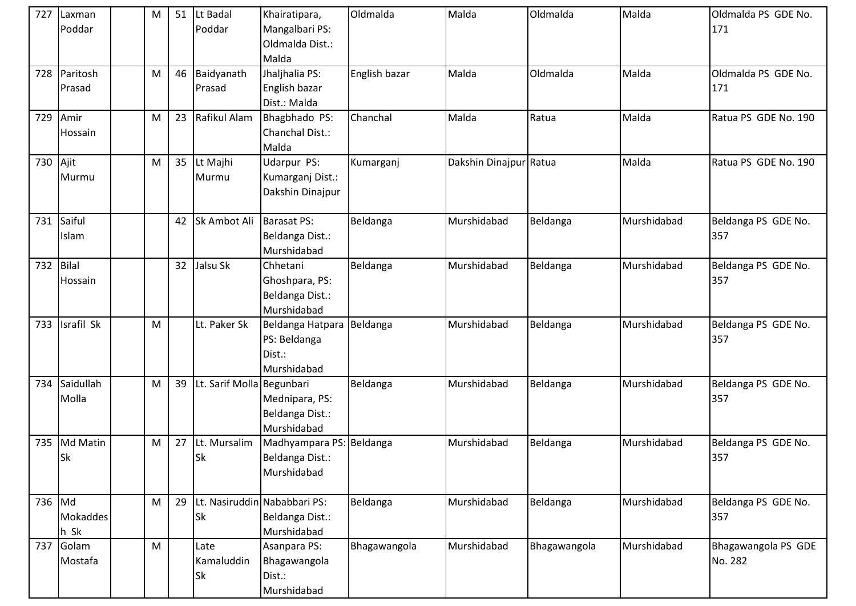| 727    | Laxman<br>Poddar        | м | 51 | Lt Badal<br>Poddar                        | Khairatipara,<br>Mangalbari PS:<br>Oldmalda Dist.:<br>Malda        | Oldmalda      | Malda                  | Oldmalda     | Malda       | Oldmalda PS GDE No.<br>171     |
|--------|-------------------------|---|----|-------------------------------------------|--------------------------------------------------------------------|---------------|------------------------|--------------|-------------|--------------------------------|
| 728    | Paritosh<br>Prasad      | M | 46 | Baidyanath<br>Prasad                      | Jhaljhalia PS:<br>English bazar<br>Dist.: Malda                    | English bazar | Malda                  | Oldmalda     | Malda       | Oldmalda PS GDE No.<br>171     |
| 729    | Amir<br>Hossain         | M | 23 | Rafikul Alam                              | Bhagbhado PS:<br>Chanchal Dist.:<br>Malda                          | Chanchal      | Malda                  | Ratua        | Malda       | Ratua PS GDE No. 190           |
| 730    | Ajit<br>Murmu           | м | 35 | Lt Majhi<br>Murmu                         | Udarpur PS:<br>Kumarganj Dist.:<br>Dakshin Dinajpur                | Kumarganj     | Dakshin Dinajpur Ratua |              | Malda       | Ratua PS GDE No. 190           |
| 731    | Saiful<br>Islam         |   | 42 | Sk Ambot Ali                              | <b>Barasat PS:</b><br>Beldanga Dist.:<br>Murshidabad               | Beldanga      | Murshidabad            | Beldanga     | Murshidabad | Beldanga PS GDE No.<br>357     |
| 732    | Bilal<br><b>Hossain</b> |   | 32 | Jalsu Sk                                  | Chhetani<br>Ghoshpara, PS:<br>Beldanga Dist.:<br>Murshidabad       | Beldanga      | Murshidabad            | Beldanga     | Murshidabad | Beldanga PS GDE No.<br>357     |
| 733    | Israfil Sk              | M |    | Lt. Paker Sk                              | Beldanga Hatpara Beldanga<br>PS: Beldanga<br>Dist.:<br>Murshidabad |               | Murshidabad            | Beldanga     | Murshidabad | Beldanga PS GDE No.<br>357     |
| 734    | Saidullah<br>Molla      | M | 39 | Lt. Sarif Molla Begunbari                 | Mednipara, PS:<br>Beldanga Dist.:<br>Murshidabad                   | Beldanga      | Murshidabad            | Beldanga     | Murshidabad | Beldanga PS GDE No.<br>357     |
| 735    | Md Matin<br><b>Sk</b>   | M | 27 | Lt. Mursalim<br><b>Sk</b>                 | Madhyampara PS: Beldanga<br>Beldanga Dist.:<br>Murshidabad         |               | Murshidabad            | Beldanga     | Murshidabad | Beldanga PS GDE No.<br>357     |
| 736 Md | Mokaddes<br>h Sk        | M | 29 | Lt. Nasiruddin Nababbari PS:<br><b>Sk</b> | Beldanga Dist.:<br>Murshidabad                                     | Beldanga      | Murshidabad            | Beldanga     | Murshidabad | Beldanga PS GDE No.<br>357     |
| 737    | Golam<br>Mostafa        | M |    | Late<br>Kamaluddin<br><b>Sk</b>           | Asanpara PS:<br>Bhagawangola<br>Dist.:<br>Murshidabad              | Bhagawangola  | Murshidabad            | Bhagawangola | Murshidabad | Bhagawangola PS GDE<br>No. 282 |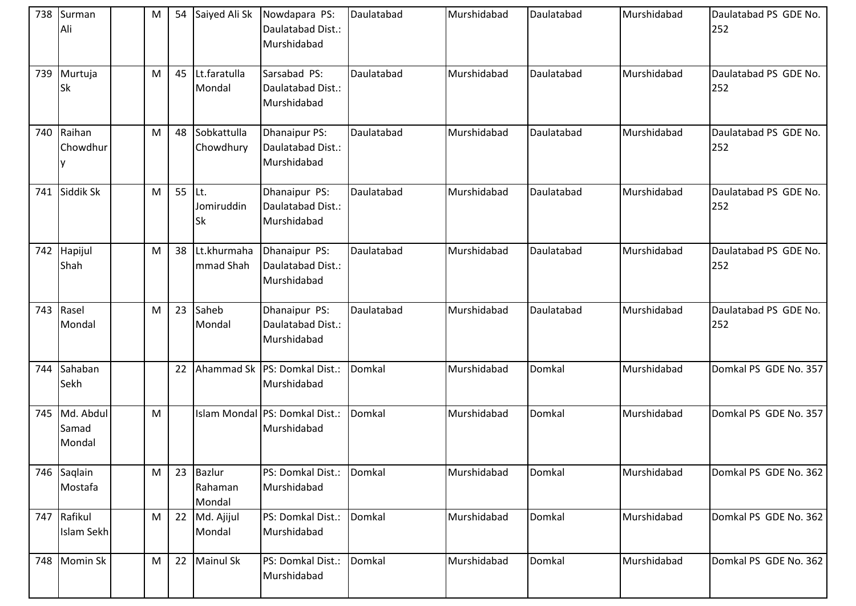|     | 738 Surman<br>Ali            | M | 54 | Saiyed Ali Sk                  | Nowdapara PS:<br>Daulatabad Dist.:<br>Murshidabad        | Daulatabad | Murshidabad | Daulatabad | Murshidabad | Daulatabad PS GDE No.<br>252 |
|-----|------------------------------|---|----|--------------------------------|----------------------------------------------------------|------------|-------------|------------|-------------|------------------------------|
| 739 | Murtuja<br><b>Sk</b>         | M | 45 | Lt.faratulla<br>Mondal         | Sarsabad PS:<br>Daulatabad Dist.:<br>Murshidabad         | Daulatabad | Murshidabad | Daulatabad | Murshidabad | Daulatabad PS GDE No.<br>252 |
| 740 | Raihan<br>Chowdhur           | M | 48 | Sobkattulla<br>Chowdhury       | <b>Dhanaipur PS:</b><br>Daulatabad Dist.:<br>Murshidabad | Daulatabad | Murshidabad | Daulatabad | Murshidabad | Daulatabad PS GDE No.<br>252 |
| 741 | Siddik Sk                    | M | 55 | Lt.<br>Jomiruddin<br><b>Sk</b> | Dhanaipur PS:<br>Daulatabad Dist.:<br>Murshidabad        | Daulatabad | Murshidabad | Daulatabad | Murshidabad | Daulatabad PS GDE No.<br>252 |
| 742 | Hapijul<br>Shah              | M | 38 | Lt.khurmaha<br>mmad Shah       | Dhanaipur PS:<br>Daulatabad Dist.:<br>Murshidabad        | Daulatabad | Murshidabad | Daulatabad | Murshidabad | Daulatabad PS GDE No.<br>252 |
| 743 | Rasel<br>Mondal              | M | 23 | Saheb<br>Mondal                | Dhanaipur PS:<br>Daulatabad Dist.:<br>Murshidabad        | Daulatabad | Murshidabad | Daulatabad | Murshidabad | Daulatabad PS GDE No.<br>252 |
| 744 | Sahaban<br>Sekh              |   | 22 |                                | Ahammad Sk   PS: Domkal Dist.:<br>Murshidabad            | Domkal     | Murshidabad | Domkal     | Murshidabad | Domkal PS GDE No. 357        |
| 745 | Md. Abdul<br>Samad<br>Mondal | M |    |                                | Islam Mondal PS: Domkal Dist.:<br>Murshidabad            | Domkal     | Murshidabad | Domkal     | Murshidabad | Domkal PS GDE No. 357        |
|     | 746 Saqlain<br>Mostafa       | M | 23 | Bazlur<br>Rahaman<br>Mondal    | PS: Domkal Dist.:<br>Murshidabad                         | Domkal     | Murshidabad | Domkal     | Murshidabad | Domkal PS GDE No. 362        |
| 747 | Rafikul<br>Islam Sekh        | M | 22 | Md. Ajijul<br>Mondal           | PS: Domkal Dist.:<br>Murshidabad                         | Domkal     | Murshidabad | Domkal     | Murshidabad | Domkal PS GDE No. 362        |
| 748 | Momin Sk                     | M | 22 | <b>Mainul Sk</b>               | PS: Domkal Dist.:<br>Murshidabad                         | Domkal     | Murshidabad | Domkal     | Murshidabad | Domkal PS GDE No. 362        |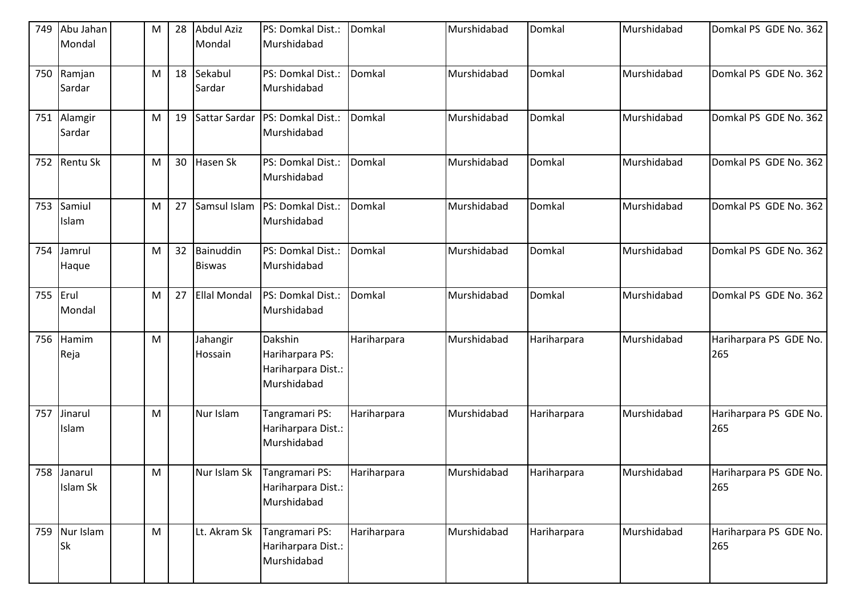| 749 | Abu Jahan<br>Mondal     | M | 28 | <b>Abdul Aziz</b><br>Mondal       | PS: Domkal Dist.:<br>Murshidabad                                | Domkal      | Murshidabad | Domkal      | Murshidabad | Domkal PS GDE No. 362         |
|-----|-------------------------|---|----|-----------------------------------|-----------------------------------------------------------------|-------------|-------------|-------------|-------------|-------------------------------|
| 750 | Ramjan<br>Sardar        | M | 18 | Sekabul<br>Sardar                 | PS: Domkal Dist.:<br>Murshidabad                                | Domkal      | Murshidabad | Domkal      | Murshidabad | Domkal PS GDE No. 362         |
| 751 | Alamgir<br>Sardar       | M | 19 | Sattar Sardar                     | PS: Domkal Dist.:<br>Murshidabad                                | Domkal      | Murshidabad | Domkal      | Murshidabad | Domkal PS GDE No. 362         |
| 752 | Rentu Sk                | M | 30 | Hasen Sk                          | PS: Domkal Dist.:<br>Murshidabad                                | Domkal      | Murshidabad | Domkal      | Murshidabad | Domkal PS GDE No. 362         |
| 753 | Samiul<br>Islam         | M | 27 | Samsul Islam                      | PS: Domkal Dist.:<br>Murshidabad                                | Domkal      | Murshidabad | Domkal      | Murshidabad | Domkal PS GDE No. 362         |
| 754 | Jamrul<br>Haque         | M | 32 | <b>Bainuddin</b><br><b>Biswas</b> | PS: Domkal Dist.:<br>Murshidabad                                | Domkal      | Murshidabad | Domkal      | Murshidabad | Domkal PS GDE No. 362         |
| 755 | Erul<br>Mondal          | M | 27 | <b>Ellal Mondal</b>               | PS: Domkal Dist.:<br>Murshidabad                                | Domkal      | Murshidabad | Domkal      | Murshidabad | Domkal PS GDE No. 362         |
| 756 | Hamim<br>Reja           | M |    | Jahangir<br>Hossain               | Dakshin<br>Hariharpara PS:<br>Hariharpara Dist.:<br>Murshidabad | Hariharpara | Murshidabad | Hariharpara | Murshidabad | Hariharpara PS GDE No.<br>265 |
| 757 | Jinarul<br>Islam        | M |    | Nur Islam                         | Tangramari PS:<br>Hariharpara Dist.:<br>Murshidabad             | Hariharpara | Murshidabad | Hariharpara | Murshidabad | Hariharpara PS GDE No.<br>265 |
|     | 758 Janarul<br>Islam Sk | M |    | Nur Islam Sk                      | Tangramari PS:<br>Hariharpara Dist.:<br>Murshidabad             | Hariharpara | Murshidabad | Hariharpara | Murshidabad | Hariharpara PS GDE No.<br>265 |
| 759 | Nur Islam<br><b>Sk</b>  | M |    | Lt. Akram Sk                      | Tangramari PS:<br>Hariharpara Dist.:<br>Murshidabad             | Hariharpara | Murshidabad | Hariharpara | Murshidabad | Hariharpara PS GDE No.<br>265 |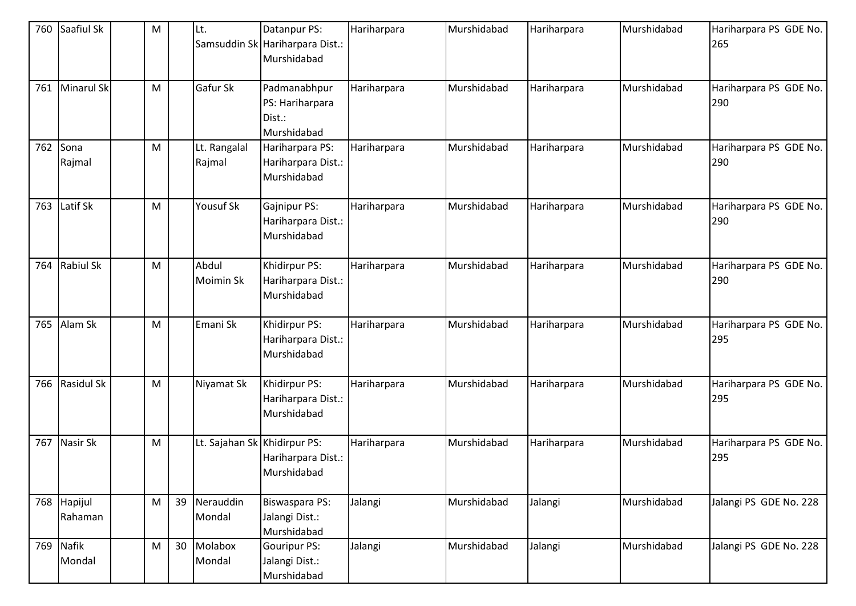| 760 | Saafiul Sk             | M |    | Lt.                          | Datanpur PS:<br>Samsuddin Sk Hariharpara Dist.:<br>Murshidabad | Hariharpara | Murshidabad | Hariharpara | Murshidabad | Hariharpara PS GDE No.<br>265 |
|-----|------------------------|---|----|------------------------------|----------------------------------------------------------------|-------------|-------------|-------------|-------------|-------------------------------|
| 761 | Minarul Sk             | M |    | Gafur Sk                     | Padmanabhpur<br>PS: Hariharpara<br>Dist.:<br>Murshidabad       | Hariharpara | Murshidabad | Hariharpara | Murshidabad | Hariharpara PS GDE No.<br>290 |
| 762 | Sona<br>Rajmal         | M |    | Lt. Rangalal<br>Rajmal       | Hariharpara PS:<br>Hariharpara Dist.:<br>Murshidabad           | Hariharpara | Murshidabad | Hariharpara | Murshidabad | Hariharpara PS GDE No.<br>290 |
| 763 | Latif Sk               | M |    | Yousuf Sk                    | Gajnipur PS:<br>Hariharpara Dist.:<br>Murshidabad              | Hariharpara | Murshidabad | Hariharpara | Murshidabad | Hariharpara PS GDE No.<br>290 |
| 764 | <b>Rabiul Sk</b>       | M |    | Abdul<br><b>Moimin Sk</b>    | Khidirpur PS:<br>Hariharpara Dist.:<br>Murshidabad             | Hariharpara | Murshidabad | Hariharpara | Murshidabad | Hariharpara PS GDE No.<br>290 |
| 765 | Alam Sk                | M |    | Emani Sk                     | Khidirpur PS:<br>Hariharpara Dist.:<br>Murshidabad             | Hariharpara | Murshidabad | Hariharpara | Murshidabad | Hariharpara PS GDE No.<br>295 |
| 766 | <b>Rasidul Sk</b>      | M |    | Niyamat Sk                   | Khidirpur PS:<br>Hariharpara Dist.:<br>Murshidabad             | Hariharpara | Murshidabad | Hariharpara | Murshidabad | Hariharpara PS GDE No.<br>295 |
| 767 | Nasir Sk               | M |    | Lt. Sajahan Sk Khidirpur PS: | Hariharpara Dist.:<br>Murshidabad                              | Hariharpara | Murshidabad | Hariharpara | Murshidabad | Hariharpara PS GDE No.<br>295 |
|     | 768 Hapijul<br>Rahaman | M | 39 | Nerauddin<br>Mondal          | Biswaspara PS:<br>Jalangi Dist.:<br>Murshidabad                | Jalangi     | Murshidabad | Jalangi     | Murshidabad | Jalangi PS GDE No. 228        |
| 769 | Nafik<br>Mondal        | M | 30 | Molabox<br>Mondal            | <b>Gouripur PS:</b><br>Jalangi Dist.:<br>Murshidabad           | Jalangi     | Murshidabad | Jalangi     | Murshidabad | Jalangi PS GDE No. 228        |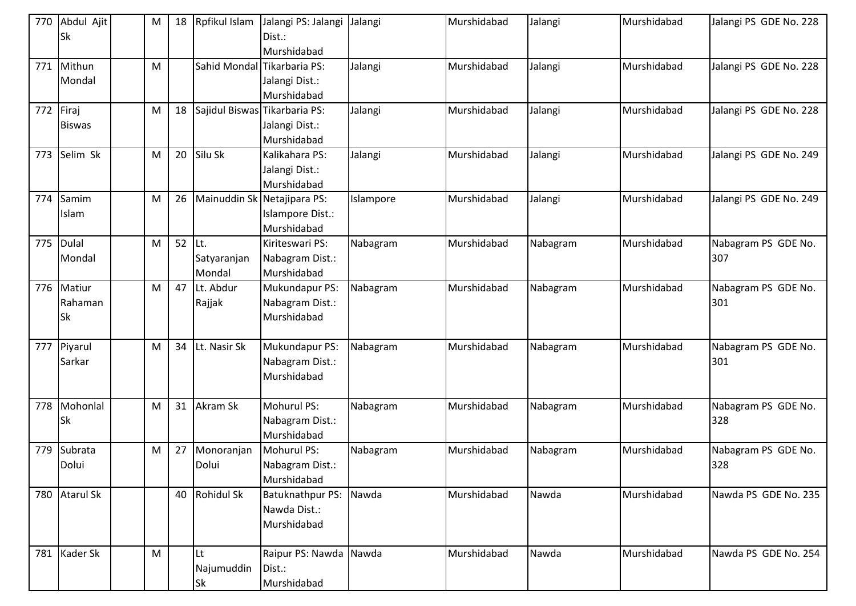| 770 | Abdul Ajit<br><b>Sk</b> | M | 18 | Rpfikul Islam     | Jalangi PS: Jalangi<br>Dist.: | Jalangi   | Murshidabad | Jalangi  | Murshidabad | Jalangi PS GDE No. 228 |
|-----|-------------------------|---|----|-------------------|-------------------------------|-----------|-------------|----------|-------------|------------------------|
|     |                         |   |    |                   | Murshidabad                   |           |             |          |             |                        |
| 771 | Mithun                  | M |    | Sahid Mondal      | Tikarbaria PS:                | Jalangi   | Murshidabad | Jalangi  | Murshidabad | Jalangi PS GDE No. 228 |
|     | Mondal                  |   |    |                   | Jalangi Dist.:                |           |             |          |             |                        |
|     |                         |   |    |                   | Murshidabad                   |           |             |          |             |                        |
| 772 | Firaj                   | M | 18 |                   | Sajidul Biswas Tikarbaria PS: | Jalangi   | Murshidabad | Jalangi  | Murshidabad | Jalangi PS GDE No. 228 |
|     | <b>Biswas</b>           |   |    |                   | Jalangi Dist.:                |           |             |          |             |                        |
|     |                         |   |    |                   | Murshidabad                   |           |             |          |             |                        |
| 773 | Selim Sk                | M | 20 | Silu Sk           | Kalikahara PS:                | Jalangi   | Murshidabad | Jalangi  | Murshidabad | Jalangi PS GDE No. 249 |
|     |                         |   |    |                   | Jalangi Dist.:                |           |             |          |             |                        |
|     |                         |   |    |                   | Murshidabad                   |           |             |          |             |                        |
| 774 | Samim                   | M | 26 |                   | Mainuddin Sk Netajipara PS:   | Islampore | Murshidabad | Jalangi  | Murshidabad | Jalangi PS GDE No. 249 |
|     | Islam                   |   |    |                   | Islampore Dist.:              |           |             |          |             |                        |
|     |                         |   |    |                   | Murshidabad                   |           |             |          |             |                        |
| 775 | <b>Dulal</b>            | M | 52 | Lt.               | Kiriteswari PS:               | Nabagram  | Murshidabad | Nabagram | Murshidabad | Nabagram PS GDE No.    |
|     | Mondal                  |   |    | Satyaranjan       | Nabagram Dist.:               |           |             |          |             | 307                    |
|     |                         |   |    | Mondal            | Murshidabad                   |           |             |          |             |                        |
| 776 | Matiur                  | M | 47 | Lt. Abdur         | Mukundapur PS:                | Nabagram  | Murshidabad | Nabagram | Murshidabad | Nabagram PS GDE No.    |
|     | Rahaman                 |   |    | Rajjak            | Nabagram Dist.:               |           |             |          |             | 301                    |
|     | <b>Sk</b>               |   |    |                   | Murshidabad                   |           |             |          |             |                        |
|     |                         |   |    |                   |                               |           |             |          |             |                        |
| 777 | Piyarul                 | M | 34 | Lt. Nasir Sk      | Mukundapur PS:                | Nabagram  | Murshidabad | Nabagram | Murshidabad | Nabagram PS GDE No.    |
|     | Sarkar                  |   |    |                   | Nabagram Dist.:               |           |             |          |             | 301                    |
|     |                         |   |    |                   | Murshidabad                   |           |             |          |             |                        |
|     |                         |   |    |                   |                               |           |             |          |             |                        |
| 778 | Mohonlal                | M | 31 | Akram Sk          | Mohurul PS:                   | Nabagram  | Murshidabad | Nabagram | Murshidabad | Nabagram PS GDE No.    |
|     | Sk                      |   |    |                   | Nabagram Dist.:               |           |             |          |             | 328                    |
|     |                         |   |    |                   | Murshidabad                   |           |             |          |             |                        |
| 779 | Subrata                 | M | 27 | Monoranjan        | Mohurul PS:                   | Nabagram  | Murshidabad | Nabagram | Murshidabad | Nabagram PS GDE No.    |
|     | Dolui                   |   |    | Dolui             | Nabagram Dist.:               |           |             |          |             | 328                    |
|     |                         |   |    |                   | Murshidabad                   |           |             |          |             |                        |
| 780 | <b>Atarul Sk</b>        |   | 40 | <b>Rohidul Sk</b> | <b>Batuknathpur PS:</b>       | Nawda     | Murshidabad | Nawda    | Murshidabad | Nawda PS GDE No. 235   |
|     |                         |   |    |                   | Nawda Dist.:                  |           |             |          |             |                        |
|     |                         |   |    |                   | Murshidabad                   |           |             |          |             |                        |
|     |                         |   |    |                   |                               |           |             |          |             |                        |
| 781 | Kader Sk                | M |    | Lt                | Raipur PS: Nawda Nawda        |           | Murshidabad | Nawda    | Murshidabad | Nawda PS GDE No. 254   |
|     |                         |   |    | Najumuddin        | Dist.:                        |           |             |          |             |                        |
|     |                         |   |    | Sk                | Murshidabad                   |           |             |          |             |                        |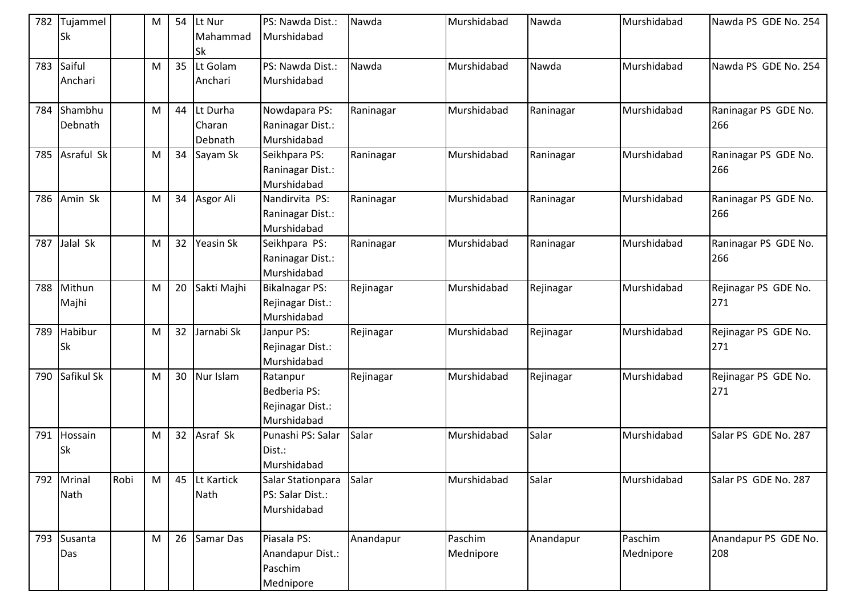| 782 | Tujammel   |      | M | 54 | Lt Nur      | PS: Nawda Dist.:      | Nawda     | Murshidabad | Nawda     | Murshidabad | Nawda PS GDE No. 254 |
|-----|------------|------|---|----|-------------|-----------------------|-----------|-------------|-----------|-------------|----------------------|
|     | <b>Sk</b>  |      |   |    | Mahammad    | Murshidabad           |           |             |           |             |                      |
|     |            |      |   |    | Sk          |                       |           |             |           |             |                      |
| 783 | Saiful     |      | M | 35 | Lt Golam    | PS: Nawda Dist.:      | Nawda     | Murshidabad | Nawda     | Murshidabad | Nawda PS GDE No. 254 |
|     | Anchari    |      |   |    | Anchari     | Murshidabad           |           |             |           |             |                      |
|     |            |      |   |    |             |                       |           |             |           |             |                      |
| 784 | Shambhu    |      | M | 44 | Lt Durha    | Nowdapara PS:         | Raninagar | Murshidabad | Raninagar | Murshidabad | Raninagar PS GDE No. |
|     | Debnath    |      |   |    | Charan      | Raninagar Dist.:      |           |             |           |             | 266                  |
|     |            |      |   |    | Debnath     | Murshidabad           |           |             |           |             |                      |
| 785 | Asraful Sk |      | M | 34 | Sayam Sk    | Seikhpara PS:         | Raninagar | Murshidabad | Raninagar | Murshidabad | Raninagar PS GDE No. |
|     |            |      |   |    |             | Raninagar Dist.:      |           |             |           |             | 266                  |
|     |            |      |   |    |             | Murshidabad           |           |             |           |             |                      |
| 786 | Amin Sk    |      | M | 34 | Asgor Ali   | Nandirvita PS:        | Raninagar | Murshidabad | Raninagar | Murshidabad | Raninagar PS GDE No. |
|     |            |      |   |    |             | Raninagar Dist.:      |           |             |           |             | 266                  |
|     |            |      |   |    |             | Murshidabad           |           |             |           |             |                      |
| 787 | Jalal Sk   |      | M | 32 | Yeasin Sk   | Seikhpara PS:         | Raninagar | Murshidabad | Raninagar | Murshidabad | Raninagar PS GDE No. |
|     |            |      |   |    |             | Raninagar Dist.:      |           |             |           |             | 266                  |
|     |            |      |   |    |             | Murshidabad           |           |             |           |             |                      |
| 788 | Mithun     |      | M | 20 | Sakti Majhi | <b>Bikalnagar PS:</b> | Rejinagar | Murshidabad | Rejinagar | Murshidabad | Rejinagar PS GDE No. |
|     | Majhi      |      |   |    |             | Rejinagar Dist.:      |           |             |           |             | 271                  |
|     |            |      |   |    |             | Murshidabad           |           |             |           |             |                      |
| 789 | Habibur    |      | M | 32 | Jarnabi Sk  | Janpur PS:            | Rejinagar | Murshidabad | Rejinagar | Murshidabad | Rejinagar PS GDE No. |
|     | <b>Sk</b>  |      |   |    |             | Rejinagar Dist.:      |           |             |           |             | 271                  |
|     |            |      |   |    |             | Murshidabad           |           |             |           |             |                      |
| 790 | Safikul Sk |      | M | 30 | Nur Islam   | Ratanpur              | Rejinagar | Murshidabad | Rejinagar | Murshidabad | Rejinagar PS GDE No. |
|     |            |      |   |    |             | Bedberia PS:          |           |             |           |             | 271                  |
|     |            |      |   |    |             | Rejinagar Dist.:      |           |             |           |             |                      |
|     |            |      |   |    |             | Murshidabad           |           |             |           |             |                      |
| 791 | Hossain    |      | M | 32 | Asraf Sk    | Punashi PS: Salar     | Salar     | Murshidabad | Salar     | Murshidabad | Salar PS GDE No. 287 |
|     | Sk         |      |   |    |             | Dist.:                |           |             |           |             |                      |
|     |            |      |   |    |             | Murshidabad           |           |             |           |             |                      |
| 792 | Mrinal     | Robi | M | 45 | Lt Kartick  | Salar Stationpara     | Salar     | Murshidabad | Salar     | Murshidabad | Salar PS GDE No. 287 |
|     | Nath       |      |   |    | Nath        | PS: Salar Dist.:      |           |             |           |             |                      |
|     |            |      |   |    |             | Murshidabad           |           |             |           |             |                      |
|     |            |      |   |    |             |                       |           |             |           |             |                      |
| 793 | Susanta    |      | M | 26 | Samar Das   | Piasala PS:           | Anandapur | Paschim     | Anandapur | Paschim     | Anandapur PS GDE No. |
|     | Das        |      |   |    |             | Anandapur Dist.:      |           | Mednipore   |           | Mednipore   | 208                  |
|     |            |      |   |    |             | Paschim               |           |             |           |             |                      |
|     |            |      |   |    |             | Mednipore             |           |             |           |             |                      |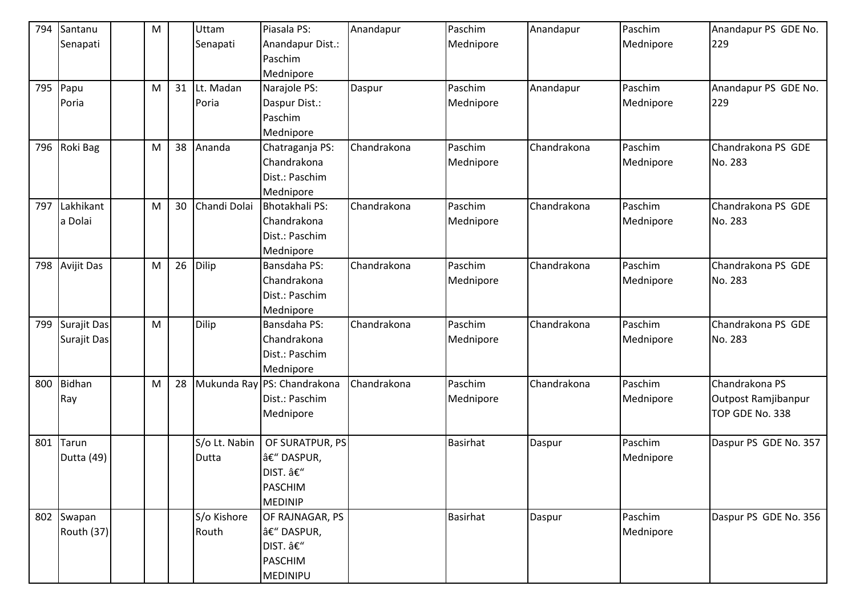| 794 | Santanu           | ${\sf M}$ |    | Uttam         | Piasala PS:           | Anandapur   | Paschim         | Anandapur   | Paschim   | Anandapur PS GDE No.  |
|-----|-------------------|-----------|----|---------------|-----------------------|-------------|-----------------|-------------|-----------|-----------------------|
|     | Senapati          |           |    | Senapati      | Anandapur Dist.:      |             | Mednipore       |             | Mednipore | 229                   |
|     |                   |           |    |               | Paschim               |             |                 |             |           |                       |
|     |                   |           |    |               | Mednipore             |             |                 |             |           |                       |
| 795 | Papu              | M         | 31 | Lt. Madan     | Narajole PS:          | Daspur      | Paschim         | Anandapur   | Paschim   | Anandapur PS GDE No.  |
|     | Poria             |           |    | Poria         | Daspur Dist.:         |             | Mednipore       |             | Mednipore | 229                   |
|     |                   |           |    |               | Paschim               |             |                 |             |           |                       |
|     |                   |           |    |               | Mednipore             |             |                 |             |           |                       |
| 796 | Roki Bag          | M         | 38 | Ananda        | Chatraganja PS:       | Chandrakona | Paschim         | Chandrakona | Paschim   | Chandrakona PS GDE    |
|     |                   |           |    |               | Chandrakona           |             | Mednipore       |             | Mednipore | No. 283               |
|     |                   |           |    |               | Dist.: Paschim        |             |                 |             |           |                       |
|     |                   |           |    |               | Mednipore             |             |                 |             |           |                       |
| 797 | Lakhikant         | M         | 30 | Chandi Dolai  | <b>Bhotakhali PS:</b> | Chandrakona | Paschim         | Chandrakona | Paschim   | Chandrakona PS GDE    |
|     | a Dolai           |           |    |               | Chandrakona           |             | Mednipore       |             | Mednipore | No. 283               |
|     |                   |           |    |               | Dist.: Paschim        |             |                 |             |           |                       |
|     |                   |           |    |               | Mednipore             |             |                 |             |           |                       |
| 798 | <b>Avijit Das</b> | M         | 26 | Dilip         | Bansdaha PS:          | Chandrakona | Paschim         | Chandrakona | Paschim   | Chandrakona PS GDE    |
|     |                   |           |    |               | Chandrakona           |             | Mednipore       |             | Mednipore | No. 283               |
|     |                   |           |    |               | Dist.: Paschim        |             |                 |             |           |                       |
|     |                   |           |    |               | Mednipore             |             |                 |             |           |                       |
| 799 | Surajit Das       | M         |    | <b>Dilip</b>  | Bansdaha PS:          | Chandrakona | Paschim         | Chandrakona | Paschim   | Chandrakona PS GDE    |
|     | Surajit Das       |           |    |               | Chandrakona           |             | Mednipore       |             | Mednipore | No. 283               |
|     |                   |           |    |               | Dist.: Paschim        |             |                 |             |           |                       |
|     |                   |           |    |               | Mednipore             |             |                 |             |           |                       |
| 800 | <b>Bidhan</b>     | M         | 28 | Mukunda Ray   | PS: Chandrakona       | Chandrakona | Paschim         | Chandrakona | Paschim   | Chandrakona PS        |
|     | Ray               |           |    |               | Dist.: Paschim        |             | Mednipore       |             | Mednipore | Outpost Ramjibanpur   |
|     |                   |           |    |               | Mednipore             |             |                 |             |           | TOP GDE No. 338       |
|     |                   |           |    |               |                       |             |                 |             |           |                       |
| 801 | Tarun             |           |    | S/o Lt. Nabin | OF SURATPUR, PS       |             | <b>Basirhat</b> | Daspur      | Paschim   | Daspur PS GDE No. 357 |
|     | Dutta (49)        |           |    | Dutta         | â€" DASPUR,           |             |                 |             | Mednipore |                       |
|     |                   |           |    |               | DIST. â€"             |             |                 |             |           |                       |
|     |                   |           |    |               | <b>PASCHIM</b>        |             |                 |             |           |                       |
|     |                   |           |    |               | <b>MEDINIP</b>        |             |                 |             |           |                       |
| 802 | Swapan            |           |    | S/o Kishore   | OF RAJNAGAR, PS       |             | <b>Basirhat</b> | Daspur      | Paschim   | Daspur PS GDE No. 356 |
|     | Routh (37)        |           |    | Routh         | â€" DASPUR,           |             |                 |             | Mednipore |                       |
|     |                   |           |    |               | DIST. â€"             |             |                 |             |           |                       |
|     |                   |           |    |               | <b>PASCHIM</b>        |             |                 |             |           |                       |
|     |                   |           |    |               | <b>MEDINIPU</b>       |             |                 |             |           |                       |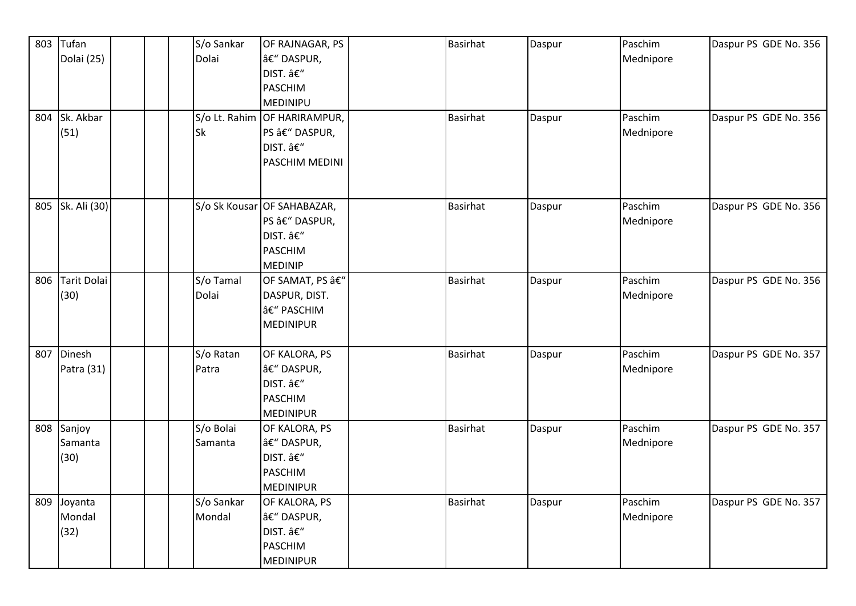| 803 | Tufan              |  | S/o Sankar    | OF RAJNAGAR, PS             | <b>Basirhat</b> | Daspur | Paschim   | Daspur PS GDE No. 356 |
|-----|--------------------|--|---------------|-----------------------------|-----------------|--------|-----------|-----------------------|
|     | Dolai (25)         |  | Dolai         | – DASPUR,                   |                 |        | Mednipore |                       |
|     |                    |  |               | DIST. –                     |                 |        |           |                       |
|     |                    |  |               | <b>PASCHIM</b>              |                 |        |           |                       |
|     |                    |  |               | MEDINIPU                    |                 |        |           |                       |
| 804 | Sk. Akbar          |  | S/o Lt. Rahim | OF HARIRAMPUR,              | <b>Basirhat</b> | Daspur | Paschim   | Daspur PS GDE No. 356 |
|     | (51)               |  | <b>Sk</b>     | PS – DASPUR,                |                 |        | Mednipore |                       |
|     |                    |  |               | DIST. â€"                   |                 |        |           |                       |
|     |                    |  |               | PASCHIM MEDINI              |                 |        |           |                       |
|     |                    |  |               |                             |                 |        |           |                       |
|     |                    |  |               |                             |                 |        |           |                       |
| 805 | Sk. Ali (30)       |  |               | S/o Sk Kousar OF SAHABAZAR, | <b>Basirhat</b> | Daspur | Paschim   | Daspur PS GDE No. 356 |
|     |                    |  |               | PS â€" DASPUR,              |                 |        | Mednipore |                       |
|     |                    |  |               | DIST. –                     |                 |        |           |                       |
|     |                    |  |               | <b>PASCHIM</b>              |                 |        |           |                       |
|     |                    |  |               | <b>MEDINIP</b>              |                 |        |           |                       |
| 806 | <b>Tarit Dolai</b> |  | S/o Tamal     | OF SAMAT, PS â€"            | <b>Basirhat</b> | Daspur | Paschim   | Daspur PS GDE No. 356 |
|     | (30)               |  | Dolai         | DASPUR, DIST.               |                 |        | Mednipore |                       |
|     |                    |  |               | â€" PASCHIM                 |                 |        |           |                       |
|     |                    |  |               | <b>MEDINIPUR</b>            |                 |        |           |                       |
|     |                    |  |               |                             |                 |        |           |                       |
| 807 | Dinesh             |  | S/o Ratan     | OF KALORA, PS               | <b>Basirhat</b> | Daspur | Paschim   | Daspur PS GDE No. 357 |
|     | Patra (31)         |  | Patra         | â€" DASPUR,                 |                 |        | Mednipore |                       |
|     |                    |  |               | DIST. –                     |                 |        |           |                       |
|     |                    |  |               | <b>PASCHIM</b>              |                 |        |           |                       |
|     |                    |  |               | <b>MEDINIPUR</b>            |                 |        |           |                       |
| 808 | Sanjoy             |  | S/o Bolai     | OF KALORA, PS               | <b>Basirhat</b> | Daspur | Paschim   | Daspur PS GDE No. 357 |
|     | Samanta            |  | Samanta       | â€" DASPUR,                 |                 |        | Mednipore |                       |
|     | (30)               |  |               | DIST. –                     |                 |        |           |                       |
|     |                    |  |               | <b>PASCHIM</b>              |                 |        |           |                       |
|     |                    |  |               | <b>MEDINIPUR</b>            |                 |        |           |                       |
| 809 | Joyanta            |  | S/o Sankar    | OF KALORA, PS               | <b>Basirhat</b> | Daspur | Paschim   | Daspur PS GDE No. 357 |
|     | Mondal             |  | Mondal        | – DASPUR,                   |                 |        | Mednipore |                       |
|     | (32)               |  |               | DIST. –                     |                 |        |           |                       |
|     |                    |  |               | <b>PASCHIM</b>              |                 |        |           |                       |
|     |                    |  |               | <b>MEDINIPUR</b>            |                 |        |           |                       |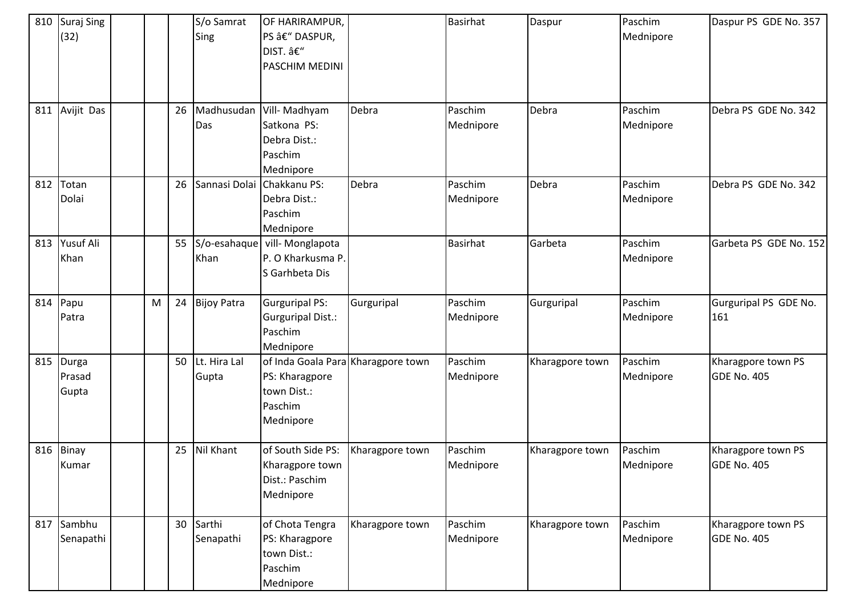| 810 | <b>Suraj Sing</b><br>(32) |   |    | S/o Samrat<br>Sing    | OF HARIRAMPUR,<br>PS â€" DASPUR,<br>DIST. –<br>PASCHIM MEDINI                               |                 | <b>Basirhat</b>      | Daspur          | Paschim<br>Mednipore | Daspur PS GDE No. 357                    |
|-----|---------------------------|---|----|-----------------------|---------------------------------------------------------------------------------------------|-----------------|----------------------|-----------------|----------------------|------------------------------------------|
| 811 | Avijit Das                |   | 26 | Madhusudan<br>Das     | Vill- Madhyam<br>Satkona PS:<br>Debra Dist.:<br>Paschim<br>Mednipore                        | Debra           | Paschim<br>Mednipore | Debra           | Paschim<br>Mednipore | Debra PS GDE No. 342                     |
| 812 | Totan<br>Dolai            |   | 26 | Sannasi Dolai         | Chakkanu PS:<br>Debra Dist.:<br>Paschim<br>Mednipore                                        | Debra           | Paschim<br>Mednipore | Debra           | Paschim<br>Mednipore | Debra PS GDE No. 342                     |
| 813 | <b>Yusuf Ali</b><br>Khan  |   | 55 | S/o-esahaque<br>Khan  | vill-Monglapota<br>P. O Kharkusma P.<br>S Garhbeta Dis                                      |                 | <b>Basirhat</b>      | Garbeta         | Paschim<br>Mednipore | Garbeta PS GDE No. 152                   |
| 814 | Papu<br>Patra             | M | 24 | <b>Bijoy Patra</b>    | <b>Gurguripal PS:</b><br><b>Gurguripal Dist.:</b><br>Paschim<br>Mednipore                   | Gurguripal      | Paschim<br>Mednipore | Gurguripal      | Paschim<br>Mednipore | Gurguripal PS GDE No.<br>161             |
| 815 | Durga<br>Prasad<br>Gupta  |   | 50 | Lt. Hira Lal<br>Gupta | of Inda Goala Para Kharagpore town<br>PS: Kharagpore<br>town Dist.:<br>Paschim<br>Mednipore |                 | Paschim<br>Mednipore | Kharagpore town | Paschim<br>Mednipore | Kharagpore town PS<br><b>GDE No. 405</b> |
| 816 | Binay<br>Kumar            |   | 25 | Nil Khant             | of South Side PS:<br>Kharagpore town<br>Dist.: Paschim<br>Mednipore                         | Kharagpore town | Paschim<br>Mednipore | Kharagpore town | Paschim<br>Mednipore | Kharagpore town PS<br>GDE No. 405        |
| 817 | Sambhu<br>Senapathi       |   | 30 | Sarthi<br>Senapathi   | of Chota Tengra<br>PS: Kharagpore<br>town Dist.:<br>Paschim<br>Mednipore                    | Kharagpore town | Paschim<br>Mednipore | Kharagpore town | Paschim<br>Mednipore | Kharagpore town PS<br>GDE No. 405        |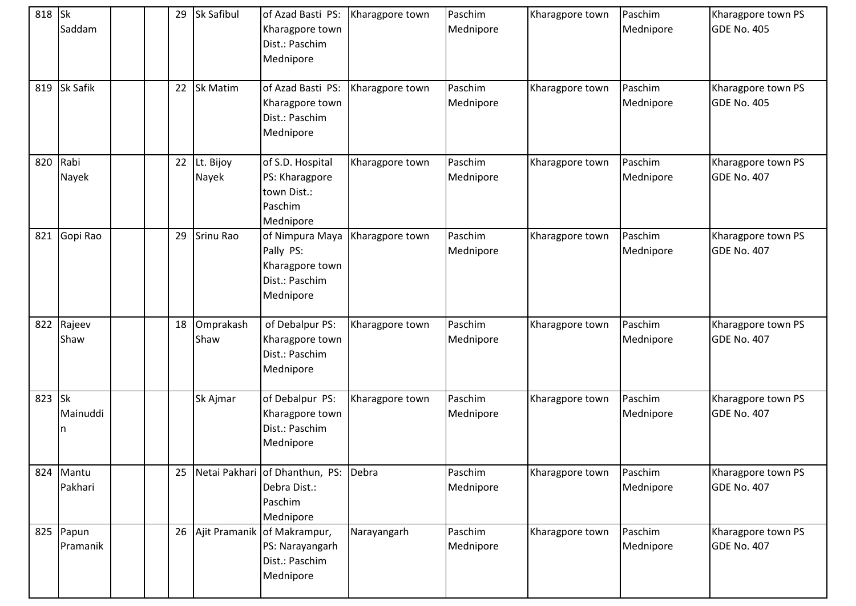| 818 | <b>Sk</b><br>Saddam         | 29 | Sk Safibul         | of Azad Basti PS:<br>Kharagpore town<br>Dist.: Paschim<br>Mednipore            | Kharagpore town | Paschim<br>Mednipore | Kharagpore town | Paschim<br>Mednipore | Kharagpore town PS<br><b>GDE No. 405</b> |
|-----|-----------------------------|----|--------------------|--------------------------------------------------------------------------------|-----------------|----------------------|-----------------|----------------------|------------------------------------------|
| 819 | Sk Safik                    | 22 | Sk Matim           | of Azad Basti PS:<br>Kharagpore town<br>Dist.: Paschim<br>Mednipore            | Kharagpore town | Paschim<br>Mednipore | Kharagpore town | Paschim<br>Mednipore | Kharagpore town PS<br><b>GDE No. 405</b> |
| 820 | Rabi<br>Nayek               | 22 | Lt. Bijoy<br>Nayek | of S.D. Hospital<br>PS: Kharagpore<br>town Dist.:<br>Paschim<br>Mednipore      | Kharagpore town | Paschim<br>Mednipore | Kharagpore town | Paschim<br>Mednipore | Kharagpore town PS<br><b>GDE No. 407</b> |
| 821 | Gopi Rao                    | 29 | Srinu Rao          | of Nimpura Maya<br>Pally PS:<br>Kharagpore town<br>Dist.: Paschim<br>Mednipore | Kharagpore town | Paschim<br>Mednipore | Kharagpore town | Paschim<br>Mednipore | Kharagpore town PS<br><b>GDE No. 407</b> |
| 822 | Rajeev<br>Shaw              | 18 | Omprakash<br>Shaw  | of Debalpur PS:<br>Kharagpore town<br>Dist.: Paschim<br>Mednipore              | Kharagpore town | Paschim<br>Mednipore | Kharagpore town | Paschim<br>Mednipore | Kharagpore town PS<br><b>GDE No. 407</b> |
| 823 | <b>Sk</b><br>Mainuddi<br>ın |    | Sk Ajmar           | of Debalpur PS:<br>Kharagpore town<br>Dist.: Paschim<br>Mednipore              | Kharagpore town | Paschim<br>Mednipore | Kharagpore town | Paschim<br>Mednipore | Kharagpore town PS<br>GDE No. 407        |
| 824 | Mantu<br>Pakhari            | 25 |                    | Netai Pakhari of Dhanthun, PS:<br>Debra Dist.:<br>Paschim<br>Mednipore         | Debra           | Paschim<br>Mednipore | Kharagpore town | Paschim<br>Mednipore | Kharagpore town PS<br><b>GDE No. 407</b> |
| 825 | Papun<br>Pramanik           | 26 |                    | Ajit Pramanik of Makrampur,<br>PS: Narayangarh<br>Dist.: Paschim<br>Mednipore  | Narayangarh     | Paschim<br>Mednipore | Kharagpore town | Paschim<br>Mednipore | Kharagpore town PS<br><b>GDE No. 407</b> |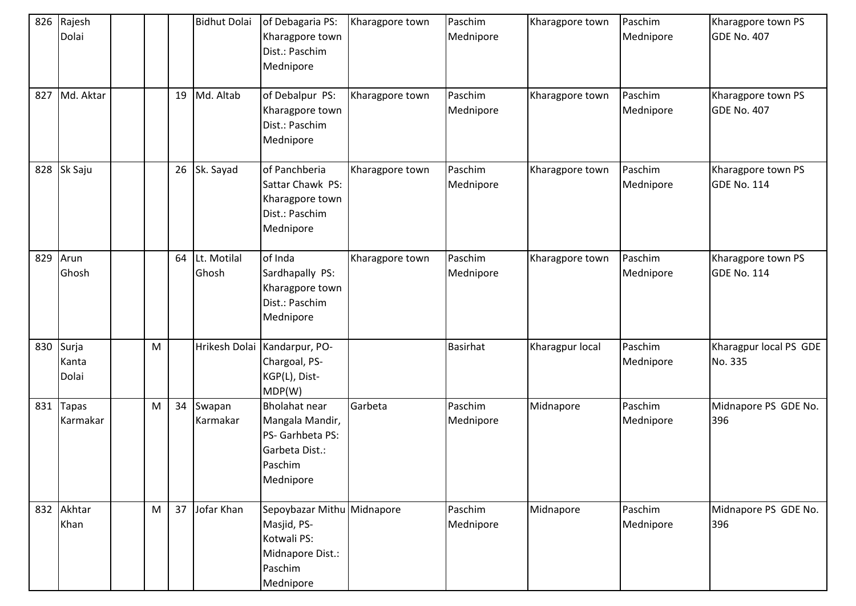| 826 | Rajesh<br>Dolai         |   |    | <b>Bidhut Dolai</b>  | of Debagaria PS:<br>Kharagpore town<br>Dist.: Paschim<br>Mednipore                                    | Kharagpore town | Paschim<br>Mednipore | Kharagpore town | Paschim<br>Mednipore | Kharagpore town PS<br>GDE No. 407        |
|-----|-------------------------|---|----|----------------------|-------------------------------------------------------------------------------------------------------|-----------------|----------------------|-----------------|----------------------|------------------------------------------|
| 827 | Md. Aktar               |   | 19 | Md. Altab            | of Debalpur PS:<br>Kharagpore town<br>Dist.: Paschim<br>Mednipore                                     | Kharagpore town | Paschim<br>Mednipore | Kharagpore town | Paschim<br>Mednipore | Kharagpore town PS<br>GDE No. 407        |
| 828 | Sk Saju                 |   | 26 | Sk. Sayad            | of Panchberia<br>Sattar Chawk PS:<br>Kharagpore town<br>Dist.: Paschim<br>Mednipore                   | Kharagpore town | Paschim<br>Mednipore | Kharagpore town | Paschim<br>Mednipore | Kharagpore town PS<br><b>GDE No. 114</b> |
| 829 | Arun<br>Ghosh           |   | 64 | Lt. Motilal<br>Ghosh | of Inda<br>Sardhapally PS:<br>Kharagpore town<br>Dist.: Paschim<br>Mednipore                          | Kharagpore town | Paschim<br>Mednipore | Kharagpore town | Paschim<br>Mednipore | Kharagpore town PS<br><b>GDE No. 114</b> |
| 830 | Surja<br>Kanta<br>Dolai | M |    | Hrikesh Dolai        | Kandarpur, PO-<br>Chargoal, PS-<br>KGP(L), Dist-<br>MDP(W)                                            |                 | <b>Basirhat</b>      | Kharagpur local | Paschim<br>Mednipore | Kharagpur local PS GDE<br>No. 335        |
| 831 | Tapas<br>Karmakar       | M | 34 | Swapan<br>Karmakar   | <b>Bholahat near</b><br>Mangala Mandir,<br>PS- Garhbeta PS:<br>Garbeta Dist.:<br>Paschim<br>Mednipore | Garbeta         | Paschim<br>Mednipore | Midnapore       | Paschim<br>Mednipore | Midnapore PS GDE No.<br>396              |
| 832 | Akhtar<br>Khan          | M | 37 | Jofar Khan           | Sepoybazar Mithu Midnapore<br>Masjid, PS-<br>Kotwali PS:<br>Midnapore Dist.:<br>Paschim<br>Mednipore  |                 | Paschim<br>Mednipore | Midnapore       | Paschim<br>Mednipore | Midnapore PS GDE No.<br>396              |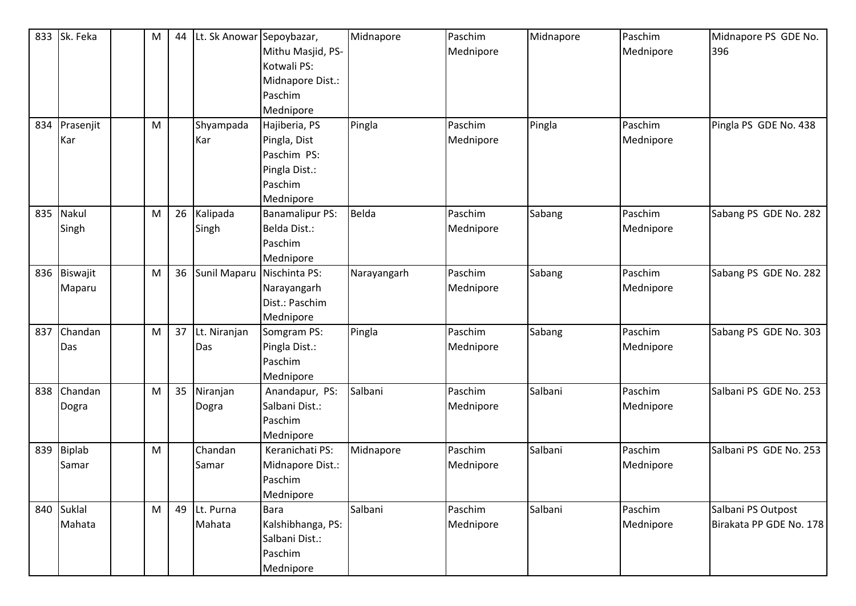| 833 | Sk. Feka      | M | 44 | Lt. Sk Anowar Sepoybazar, |                        | Midnapore    | Paschim   | Midnapore | Paschim   | Midnapore PS GDE No.    |
|-----|---------------|---|----|---------------------------|------------------------|--------------|-----------|-----------|-----------|-------------------------|
|     |               |   |    |                           | Mithu Masjid, PS-      |              | Mednipore |           | Mednipore | 396                     |
|     |               |   |    |                           | Kotwali PS:            |              |           |           |           |                         |
|     |               |   |    |                           | Midnapore Dist.:       |              |           |           |           |                         |
|     |               |   |    |                           | Paschim                |              |           |           |           |                         |
|     |               |   |    |                           | Mednipore              |              |           |           |           |                         |
| 834 | Prasenjit     | M |    | Shyampada                 | Hajiberia, PS          | Pingla       | Paschim   | Pingla    | Paschim   | Pingla PS GDE No. 438   |
|     | Kar           |   |    | Kar                       | Pingla, Dist           |              | Mednipore |           | Mednipore |                         |
|     |               |   |    |                           | Paschim PS:            |              |           |           |           |                         |
|     |               |   |    |                           | Pingla Dist.:          |              |           |           |           |                         |
|     |               |   |    |                           | Paschim                |              |           |           |           |                         |
|     |               |   |    |                           | Mednipore              |              |           |           |           |                         |
| 835 | Nakul         | M | 26 | Kalipada                  | <b>Banamalipur PS:</b> | <b>Belda</b> | Paschim   | Sabang    | Paschim   | Sabang PS GDE No. 282   |
|     | Singh         |   |    | Singh                     | Belda Dist.:           |              | Mednipore |           | Mednipore |                         |
|     |               |   |    |                           | Paschim                |              |           |           |           |                         |
|     |               |   |    |                           | Mednipore              |              |           |           |           |                         |
| 836 | Biswajit      | M | 36 | Sunil Maparu              | Nischinta PS:          | Narayangarh  | Paschim   | Sabang    | Paschim   | Sabang PS GDE No. 282   |
|     | Maparu        |   |    |                           | Narayangarh            |              | Mednipore |           | Mednipore |                         |
|     |               |   |    |                           | Dist.: Paschim         |              |           |           |           |                         |
|     |               |   |    |                           | Mednipore              |              |           |           |           |                         |
| 837 | Chandan       | M | 37 | Lt. Niranjan              | Somgram PS:            | Pingla       | Paschim   | Sabang    | Paschim   | Sabang PS GDE No. 303   |
|     | Das           |   |    | Das                       | Pingla Dist.:          |              | Mednipore |           | Mednipore |                         |
|     |               |   |    |                           | Paschim                |              |           |           |           |                         |
|     |               |   |    |                           | Mednipore              |              |           |           |           |                         |
| 838 | Chandan       | M | 35 | Niranjan                  | Anandapur, PS:         | Salbani      | Paschim   | Salbani   | Paschim   | Salbani PS GDE No. 253  |
|     | Dogra         |   |    | Dogra                     | Salbani Dist.:         |              | Mednipore |           | Mednipore |                         |
|     |               |   |    |                           | Paschim                |              |           |           |           |                         |
|     |               |   |    |                           | Mednipore              |              |           |           |           |                         |
| 839 | <b>Biplab</b> | M |    | Chandan                   | Keranichati PS:        | Midnapore    | Paschim   | Salbani   | Paschim   | Salbani PS GDE No. 253  |
|     | Samar         |   |    | Samar                     | Midnapore Dist.:       |              | Mednipore |           | Mednipore |                         |
|     |               |   |    |                           | Paschim                |              |           |           |           |                         |
|     |               |   |    |                           | Mednipore              |              |           |           |           |                         |
| 840 | Suklal        | M | 49 | Lt. Purna                 | Bara                   | Salbani      | Paschim   | Salbani   | Paschim   | Salbani PS Outpost      |
|     | Mahata        |   |    | Mahata                    | Kalshibhanga, PS:      |              | Mednipore |           | Mednipore | Birakata PP GDE No. 178 |
|     |               |   |    |                           | Salbani Dist.:         |              |           |           |           |                         |
|     |               |   |    |                           | Paschim                |              |           |           |           |                         |
|     |               |   |    |                           | Mednipore              |              |           |           |           |                         |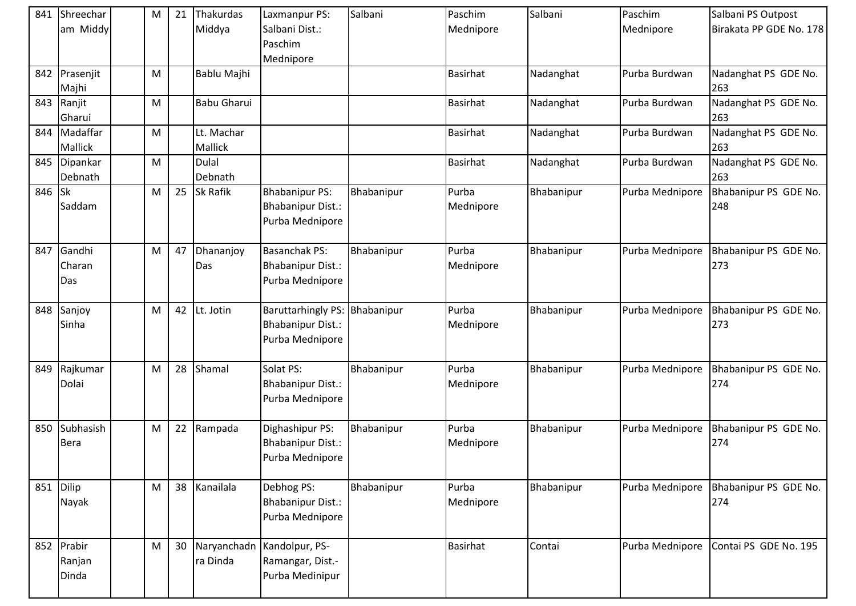| 841 | Shreechar   | М | 21 | Thakurdas          | Laxmanpur PS:                               | Salbani    | Paschim         | Salbani    | Paschim         | Salbani PS Outpost      |
|-----|-------------|---|----|--------------------|---------------------------------------------|------------|-----------------|------------|-----------------|-------------------------|
|     | am Middy    |   |    | Middya             | Salbani Dist.:                              |            | Mednipore       |            | Mednipore       | Birakata PP GDE No. 178 |
|     |             |   |    |                    | Paschim<br>Mednipore                        |            |                 |            |                 |                         |
| 842 | Prasenjit   | M |    | Bablu Majhi        |                                             |            | <b>Basirhat</b> | Nadanghat  | Purba Burdwan   | Nadanghat PS GDE No.    |
|     | Majhi       |   |    |                    |                                             |            |                 |            |                 | 263                     |
| 843 | Ranjit      | M |    | <b>Babu Gharui</b> |                                             |            | <b>Basirhat</b> | Nadanghat  | Purba Burdwan   | Nadanghat PS GDE No.    |
|     | Gharui      |   |    |                    |                                             |            |                 |            |                 | 263                     |
| 844 | Madaffar    | M |    | Lt. Machar         |                                             |            | <b>Basirhat</b> | Nadanghat  | Purba Burdwan   | Nadanghat PS GDE No.    |
|     | Mallick     |   |    | Mallick            |                                             |            |                 |            |                 | 263                     |
| 845 | Dipankar    | M |    | Dulal              |                                             |            | <b>Basirhat</b> | Nadanghat  | Purba Burdwan   | Nadanghat PS GDE No.    |
|     | Debnath     |   |    | Debnath            |                                             |            |                 |            |                 | 263                     |
| 846 | <b>Sk</b>   | M | 25 | <b>Sk Rafik</b>    | <b>Bhabanipur PS:</b>                       | Bhabanipur | Purba           | Bhabanipur | Purba Mednipore | Bhabanipur PS GDE No.   |
|     | Saddam      |   |    |                    | <b>Bhabanipur Dist.:</b>                    |            | Mednipore       |            |                 | 248                     |
|     |             |   |    |                    | Purba Mednipore                             |            |                 |            |                 |                         |
| 847 | Gandhi      | M | 47 | Dhananjoy          | <b>Basanchak PS:</b>                        | Bhabanipur | Purba           | Bhabanipur | Purba Mednipore | Bhabanipur PS GDE No.   |
|     | Charan      |   |    | Das                | <b>Bhabanipur Dist.:</b>                    |            | Mednipore       |            |                 | 273                     |
|     | Das         |   |    |                    | Purba Mednipore                             |            |                 |            |                 |                         |
|     |             |   |    |                    |                                             |            |                 |            |                 |                         |
| 848 | Sanjoy      | M | 42 | Lt. Jotin          | Baruttarhingly PS: Bhabanipur               |            | Purba           | Bhabanipur | Purba Mednipore | Bhabanipur PS GDE No.   |
|     | Sinha       |   |    |                    | <b>Bhabanipur Dist.:</b>                    |            | Mednipore       |            |                 | 273                     |
|     |             |   |    |                    | Purba Mednipore                             |            |                 |            |                 |                         |
|     |             |   |    |                    |                                             |            |                 |            |                 |                         |
| 849 | Rajkumar    | M | 28 | Shamal             | Solat PS:                                   | Bhabanipur | Purba           | Bhabanipur | Purba Mednipore | Bhabanipur PS GDE No.   |
|     | Dolai       |   |    |                    | <b>Bhabanipur Dist.:</b><br>Purba Mednipore |            | Mednipore       |            |                 | 274                     |
|     |             |   |    |                    |                                             |            |                 |            |                 |                         |
| 850 | Subhasish   | M | 22 | Rampada            | Dighashipur PS:                             | Bhabanipur | Purba           | Bhabanipur | Purba Mednipore | Bhabanipur PS GDE No.   |
|     | <b>Bera</b> |   |    |                    | <b>Bhabanipur Dist.:</b>                    |            | Mednipore       |            |                 | 274                     |
|     |             |   |    |                    | Purba Mednipore                             |            |                 |            |                 |                         |
|     |             |   |    |                    |                                             |            |                 |            |                 |                         |
| 851 | Dilip       | M | 38 | Kanailala          | Debhog PS:                                  | Bhabanipur | Purba           | Bhabanipur | Purba Mednipore | Bhabanipur PS GDE No.   |
|     | Nayak       |   |    |                    | <b>Bhabanipur Dist.:</b>                    |            | Mednipore       |            |                 | 274                     |
|     |             |   |    |                    | Purba Mednipore                             |            |                 |            |                 |                         |
| 852 | Prabir      | M | 30 | Naryanchadn        | Kandolpur, PS-                              |            | <b>Basirhat</b> | Contai     | Purba Mednipore | Contai PS GDE No. 195   |
|     | Ranjan      |   |    | ra Dinda           | Ramangar, Dist.-                            |            |                 |            |                 |                         |
|     | Dinda       |   |    |                    | Purba Medinipur                             |            |                 |            |                 |                         |
|     |             |   |    |                    |                                             |            |                 |            |                 |                         |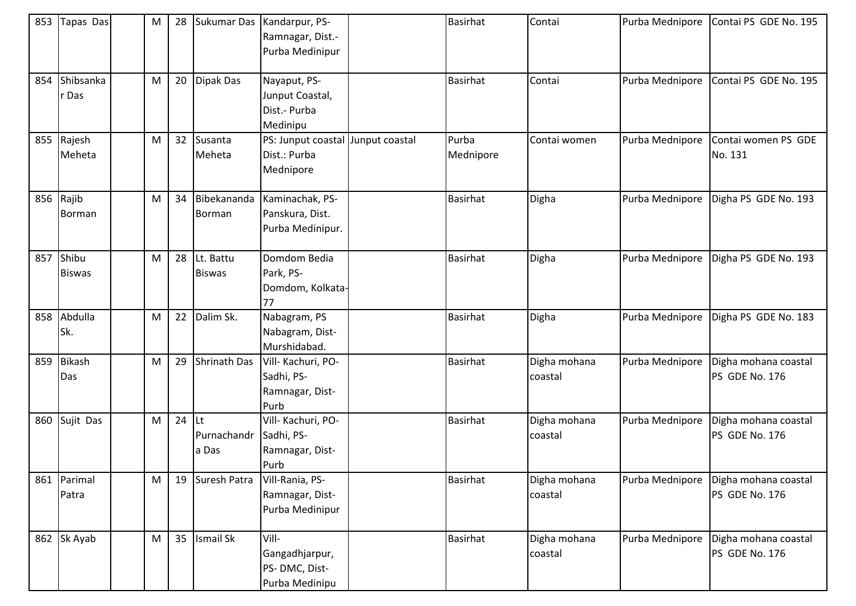| 853 | Tapas Das              | M | 28 |                             | Sukumar Das   Kandarpur, PS-<br>Ramnagar, Dist.-<br>Purba Medinipur | <b>Basirhat</b>    | Contai                  | Purba Mednipore | Contai PS GDE No. 195                  |
|-----|------------------------|---|----|-----------------------------|---------------------------------------------------------------------|--------------------|-------------------------|-----------------|----------------------------------------|
| 854 | Shibsanka<br>r Das     | M | 20 | Dipak Das                   | Nayaput, PS-<br>Junput Coastal,<br>Dist.- Purba<br>Medinipu         | <b>Basirhat</b>    | Contai                  | Purba Mednipore | Contai PS GDE No. 195                  |
| 855 | Rajesh<br>Meheta       | M | 32 | Susanta<br>Meheta           | PS: Junput coastal Junput coastal<br>Dist.: Purba<br>Mednipore      | Purba<br>Mednipore | Contai women            | Purba Mednipore | Contai women PS GDE<br>No. 131         |
| 856 | Rajib<br>Borman        | M | 34 | Bibekananda<br>Borman       | Kaminachak, PS-<br>Panskura, Dist.<br>Purba Medinipur.              | <b>Basirhat</b>    | Digha                   | Purba Mednipore | Digha PS GDE No. 193                   |
| 857 | Shibu<br><b>Biswas</b> | M | 28 | Lt. Battu<br><b>Biswas</b>  | Domdom Bedia<br>Park, PS-<br>Domdom, Kolkata-<br>77                 | <b>Basirhat</b>    | Digha                   | Purba Mednipore | Digha PS GDE No. 193                   |
| 858 | Abdulla<br>Sk.         | M | 22 | Dalim Sk.                   | Nabagram, PS<br>Nabagram, Dist-<br>Murshidabad.                     | <b>Basirhat</b>    | Digha                   | Purba Mednipore | Digha PS GDE No. 183                   |
| 859 | <b>Bikash</b><br>Das   | M | 29 | Shrinath Das                | Vill- Kachuri, PO-<br>Sadhi, PS-<br>Ramnagar, Dist-<br>Purb         | <b>Basirhat</b>    | Digha mohana<br>coastal | Purba Mednipore | Digha mohana coastal<br>PS GDE No. 176 |
| 860 | Sujit Das              | M | 24 | lLt<br>Purnachandr<br>a Das | Vill- Kachuri, PO-<br>Sadhi, PS-<br>Ramnagar, Dist-<br>Purb         | <b>Basirhat</b>    | Digha mohana<br>coastal | Purba Mednipore | Digha mohana coastal<br>PS GDE No. 176 |
| 861 | Parimal<br>Patra       | M | 19 | Suresh Patra                | Vill-Rania, PS-<br>Ramnagar, Dist-<br>Purba Medinipur               | <b>Basirhat</b>    | Digha mohana<br>coastal | Purba Mednipore | Digha mohana coastal<br>PS GDE No. 176 |
|     | 862 Sk Ayab            | M | 35 | Ismail Sk                   | Vill-<br>Gangadhjarpur,<br>PS-DMC, Dist-<br>Purba Medinipu          | <b>Basirhat</b>    | Digha mohana<br>coastal | Purba Mednipore | Digha mohana coastal<br>PS GDE No. 176 |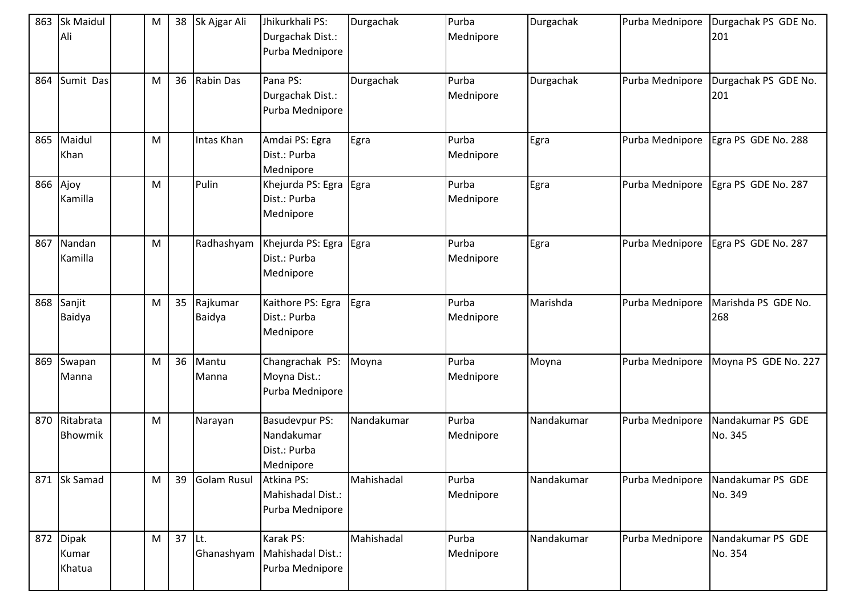| 863 | <b>Sk Maidul</b><br>Ali  | M | 38 | Sk Ajgar Ali          | Jhikurkhali PS:<br>Durgachak Dist.:<br>Purba Mednipore           | Durgachak  | Purba<br>Mednipore | Durgachak  | Purba Mednipore | Durgachak PS GDE No.<br>201  |
|-----|--------------------------|---|----|-----------------------|------------------------------------------------------------------|------------|--------------------|------------|-----------------|------------------------------|
| 864 | Sumit Das                | M | 36 | <b>Rabin Das</b>      | Pana PS:<br>Durgachak Dist.:<br>Purba Mednipore                  | Durgachak  | Purba<br>Mednipore | Durgachak  | Purba Mednipore | Durgachak PS GDE No.<br>201  |
| 865 | Maidul<br>Khan           | M |    | Intas Khan            | Amdai PS: Egra<br>Dist.: Purba<br>Mednipore                      | Egra       | Purba<br>Mednipore | Egra       | Purba Mednipore | Egra PS GDE No. 288          |
| 866 | Ajoy<br>Kamilla          | M |    | Pulin                 | Khejurda PS: Egra Egra<br>Dist.: Purba<br>Mednipore              |            | Purba<br>Mednipore | Egra       | Purba Mednipore | Egra PS GDE No. 287          |
| 867 | Nandan<br>Kamilla        | M |    | Radhashyam            | Khejurda PS: Egra Egra<br>Dist.: Purba<br>Mednipore              |            | Purba<br>Mednipore | Egra       | Purba Mednipore | Egra PS GDE No. 287          |
| 868 | Sanjit<br>Baidya         | M | 35 | Rajkumar<br>Baidya    | Kaithore PS: Egra<br>Dist.: Purba<br>Mednipore                   | Egra       | Purba<br>Mednipore | Marishda   | Purba Mednipore | Marishda PS GDE No.<br>268   |
| 869 | Swapan<br>Manna          | M | 36 | Mantu<br>Manna        | Changrachak PS:<br>Moyna Dist.:<br>Purba Mednipore               | Moyna      | Purba<br>Mednipore | Moyna      | Purba Mednipore | Moyna PS GDE No. 227         |
| 870 | Ritabrata<br>Bhowmik     | M |    | Narayan               | <b>Basudevpur PS:</b><br>Nandakumar<br>Dist.: Purba<br>Mednipore | Nandakumar | Purba<br>Mednipore | Nandakumar | Purba Mednipore | Nandakumar PS GDE<br>No. 345 |
|     | 871 Sk Samad             | M | 39 | <b>Golam Rusul</b>    | Atkina PS:<br>Mahishadal Dist.:<br>Purba Mednipore               | Mahishadal | Purba<br>Mednipore | Nandakumar | Purba Mednipore | Nandakumar PS GDE<br>No. 349 |
| 872 | Dipak<br>Kumar<br>Khatua | M | 37 | $ $ Lt.<br>Ghanashyam | Karak PS:<br>Mahishadal Dist.:<br>Purba Mednipore                | Mahishadal | Purba<br>Mednipore | Nandakumar | Purba Mednipore | Nandakumar PS GDE<br>No. 354 |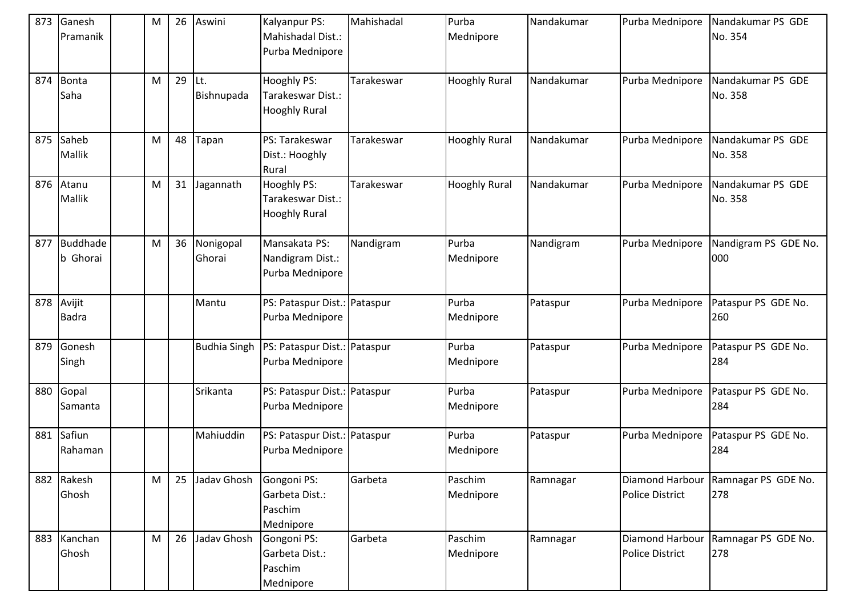| 873 | Ganesh<br>Pramanik                 | M | 26 | Aswini              | Kalyanpur PS:<br>Mahishadal Dist.:<br>Purba Mednipore    | Mahishadal | Purba<br>Mednipore   | Nandakumar | Purba Mednipore        | Nandakumar PS GDE<br>No. 354                 |
|-----|------------------------------------|---|----|---------------------|----------------------------------------------------------|------------|----------------------|------------|------------------------|----------------------------------------------|
| 874 | <b>Bonta</b><br>Saha               | M | 29 | Lt.<br>Bishnupada   | Hooghly PS:<br>Tarakeswar Dist.:<br><b>Hooghly Rural</b> | Tarakeswar | <b>Hooghly Rural</b> | Nandakumar | Purba Mednipore        | Nandakumar PS GDE<br>No. 358                 |
| 875 | Saheb<br>Mallik                    | M | 48 | Tapan               | PS: Tarakeswar<br>Dist.: Hooghly<br>Rural                | Tarakeswar | <b>Hooghly Rural</b> | Nandakumar | Purba Mednipore        | Nandakumar PS GDE<br>No. 358                 |
| 876 | Atanu<br>Mallik                    | M | 31 | Jagannath           | Hooghly PS:<br>Tarakeswar Dist.:<br><b>Hooghly Rural</b> | Tarakeswar | <b>Hooghly Rural</b> | Nandakumar | Purba Mednipore        | Nandakumar PS GDE<br>No. 358                 |
| 877 | <b>Buddhade</b><br><b>b</b> Ghorai | M | 36 | Nonigopal<br>Ghorai | Mansakata PS:<br>Nandigram Dist.:<br>Purba Mednipore     | Nandigram  | Purba<br>Mednipore   | Nandigram  | Purba Mednipore        | Nandigram PS GDE No.<br>000                  |
| 878 | Avijit<br><b>Badra</b>             |   |    | Mantu               | PS: Pataspur Dist.: Pataspur<br>Purba Mednipore          |            | Purba<br>Mednipore   | Pataspur   | Purba Mednipore        | Pataspur PS GDE No.<br>260                   |
| 879 | Gonesh<br>Singh                    |   |    | <b>Budhia Singh</b> | PS: Pataspur Dist.: Pataspur<br>Purba Mednipore          |            | Purba<br>Mednipore   | Pataspur   | Purba Mednipore        | Pataspur PS GDE No.<br>284                   |
| 880 | Gopal<br>Samanta                   |   |    | Srikanta            | PS: Pataspur Dist.: Pataspur<br>Purba Mednipore          |            | Purba<br>Mednipore   | Pataspur   | Purba Mednipore        | Pataspur PS GDE No.<br>284                   |
| 881 | Safiun<br>Rahaman                  |   |    | Mahiuddin           | PS: Pataspur Dist.: Pataspur<br>Purba Mednipore          |            | Purba<br>Mednipore   | Pataspur   | Purba Mednipore        | Pataspur PS GDE No.<br>284                   |
| 882 | Rakesh<br>Ghosh                    | M | 25 | Jadav Ghosh         | Gongoni PS:<br>Garbeta Dist.:<br>Paschim<br>Mednipore    | Garbeta    | Paschim<br>Mednipore | Ramnagar   | <b>Police District</b> | Diamond Harbour   Ramnagar PS GDE No.<br>278 |
| 883 | Kanchan<br>Ghosh                   | M | 26 | Jadav Ghosh         | Gongoni PS:<br>Garbeta Dist.:<br>Paschim<br>Mednipore    | Garbeta    | Paschim<br>Mednipore | Ramnagar   | <b>Police District</b> | Diamond Harbour   Ramnagar PS GDE No.<br>278 |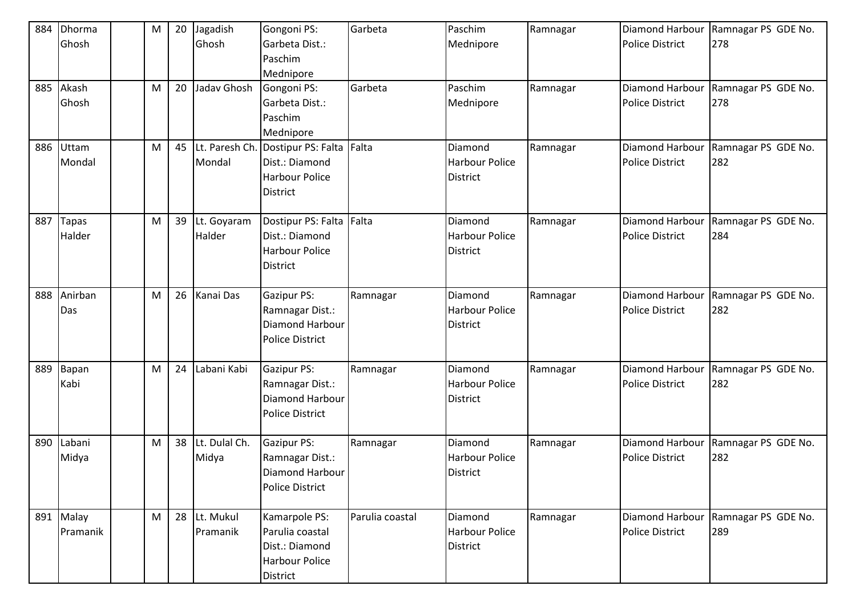| 884 | Dhorma       | M | 20 | Jagadish       | Gongoni PS:              | Garbeta         | Paschim               | Ramnagar | Diamond Harbour        | Ramnagar PS GDE No. |
|-----|--------------|---|----|----------------|--------------------------|-----------------|-----------------------|----------|------------------------|---------------------|
|     | Ghosh        |   |    | Ghosh          | Garbeta Dist.:           |                 | Mednipore             |          | <b>Police District</b> | 278                 |
|     |              |   |    |                | Paschim                  |                 |                       |          |                        |                     |
|     |              |   |    |                | Mednipore                |                 |                       |          |                        |                     |
| 885 | Akash        | M | 20 | Jadav Ghosh    | Gongoni PS:              | Garbeta         | Paschim               | Ramnagar | Diamond Harbour        | Ramnagar PS GDE No. |
|     | Ghosh        |   |    |                | Garbeta Dist.:           |                 | Mednipore             |          | <b>Police District</b> | 278                 |
|     |              |   |    |                | Paschim                  |                 |                       |          |                        |                     |
|     |              |   |    |                | Mednipore                |                 |                       |          |                        |                     |
| 886 | Uttam        | M | 45 | Lt. Paresh Ch. | Dostipur PS: Falta Falta |                 | Diamond               | Ramnagar | Diamond Harbour        | Ramnagar PS GDE No. |
|     | Mondal       |   |    | Mondal         | Dist.: Diamond           |                 | <b>Harbour Police</b> |          | <b>Police District</b> | 282                 |
|     |              |   |    |                | <b>Harbour Police</b>    |                 | <b>District</b>       |          |                        |                     |
|     |              |   |    |                | <b>District</b>          |                 |                       |          |                        |                     |
|     |              |   |    |                |                          |                 |                       |          |                        |                     |
| 887 | <b>Tapas</b> | M | 39 | Lt. Goyaram    | Dostipur PS: Falta Falta |                 | Diamond               | Ramnagar | Diamond Harbour        | Ramnagar PS GDE No. |
|     | Halder       |   |    | Halder         | Dist.: Diamond           |                 | <b>Harbour Police</b> |          | <b>Police District</b> | 284                 |
|     |              |   |    |                | <b>Harbour Police</b>    |                 | <b>District</b>       |          |                        |                     |
|     |              |   |    |                | <b>District</b>          |                 |                       |          |                        |                     |
|     |              |   |    |                |                          |                 |                       |          |                        |                     |
| 888 | Anirban      | M | 26 | Kanai Das      | <b>Gazipur PS:</b>       | Ramnagar        | Diamond               | Ramnagar | Diamond Harbour        | Ramnagar PS GDE No. |
|     | Das          |   |    |                | Ramnagar Dist.:          |                 | <b>Harbour Police</b> |          | <b>Police District</b> | 282                 |
|     |              |   |    |                | Diamond Harbour          |                 | <b>District</b>       |          |                        |                     |
|     |              |   |    |                | <b>Police District</b>   |                 |                       |          |                        |                     |
|     |              |   |    |                |                          |                 |                       |          |                        |                     |
| 889 | Bapan        | M | 24 | Labani Kabi    | <b>Gazipur PS:</b>       | Ramnagar        | Diamond               | Ramnagar | Diamond Harbour        | Ramnagar PS GDE No. |
|     | Kabi         |   |    |                | Ramnagar Dist.:          |                 | <b>Harbour Police</b> |          | <b>Police District</b> | 282                 |
|     |              |   |    |                | Diamond Harbour          |                 | District              |          |                        |                     |
|     |              |   |    |                | <b>Police District</b>   |                 |                       |          |                        |                     |
|     |              |   |    |                |                          |                 |                       |          |                        |                     |
| 890 | Labani       | M | 38 | Lt. Dulal Ch.  | <b>Gazipur PS:</b>       | Ramnagar        | Diamond               | Ramnagar | Diamond Harbour        | Ramnagar PS GDE No. |
|     | Midya        |   |    | Midya          | Ramnagar Dist.:          |                 | <b>Harbour Police</b> |          | <b>Police District</b> | 282                 |
|     |              |   |    |                | Diamond Harbour          |                 | <b>District</b>       |          |                        |                     |
|     |              |   |    |                | <b>Police District</b>   |                 |                       |          |                        |                     |
|     |              |   |    |                |                          |                 |                       |          |                        |                     |
| 891 | Malay        | M | 28 | Lt. Mukul      | Kamarpole PS:            | Parulia coastal | Diamond               | Ramnagar | <b>Diamond Harbour</b> | Ramnagar PS GDE No. |
|     | Pramanik     |   |    | Pramanik       | Parulia coastal          |                 | <b>Harbour Police</b> |          | Police District        | 289                 |
|     |              |   |    |                | Dist.: Diamond           |                 | <b>District</b>       |          |                        |                     |
|     |              |   |    |                | <b>Harbour Police</b>    |                 |                       |          |                        |                     |
|     |              |   |    |                | District                 |                 |                       |          |                        |                     |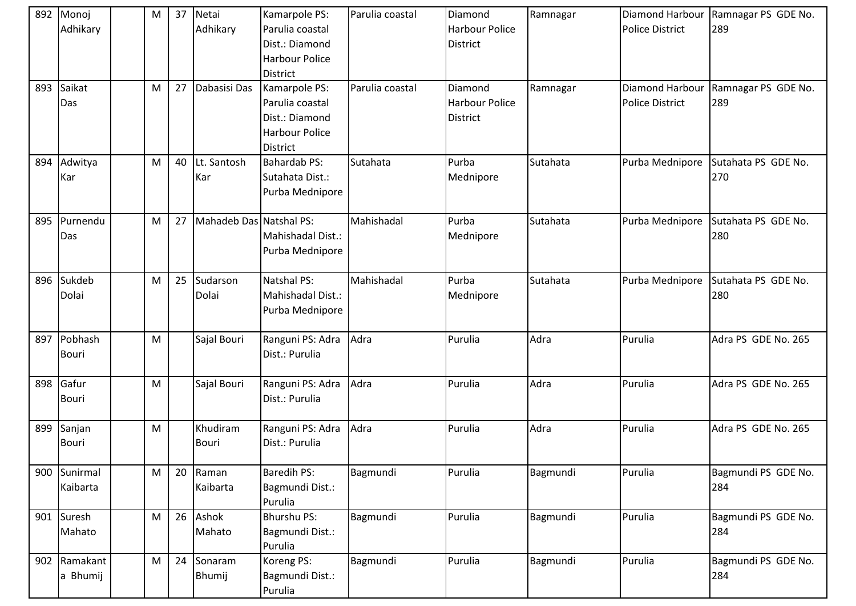| 892 | Monoj<br>Adhikary       | M | 37 | Netai<br>Adhikary       | Kamarpole PS:<br>Parulia coastal<br>Dist.: Diamond<br><b>Harbour Police</b><br>District        | Parulia coastal | Diamond<br>Harbour Police<br><b>District</b> | Ramnagar | <b>Police District</b>                    | Diamond Harbour Ramnagar PS GDE No.<br>289 |
|-----|-------------------------|---|----|-------------------------|------------------------------------------------------------------------------------------------|-----------------|----------------------------------------------|----------|-------------------------------------------|--------------------------------------------|
| 893 | Saikat<br>Das           | M | 27 | Dabasisi Das            | Kamarpole PS:<br>Parulia coastal<br>Dist.: Diamond<br><b>Harbour Police</b><br><b>District</b> | Parulia coastal | Diamond<br>Harbour Police<br><b>District</b> | Ramnagar | Diamond Harbour<br><b>Police District</b> | Ramnagar PS GDE No.<br>289                 |
| 894 | Adwitya<br>Kar          | M | 40 | Lt. Santosh<br>Kar      | <b>Bahardab PS:</b><br>Sutahata Dist.:<br>Purba Mednipore                                      | Sutahata        | Purba<br>Mednipore                           | Sutahata | Purba Mednipore                           | Sutahata PS GDE No.<br>270                 |
| 895 | Purnendu<br>Das         | M | 27 | Mahadeb Das Natshal PS: | Mahishadal Dist.:<br>Purba Mednipore                                                           | Mahishadal      | Purba<br>Mednipore                           | Sutahata | Purba Mednipore                           | Sutahata PS GDE No.<br>280                 |
| 896 | Sukdeb<br>Dolai         | M | 25 | Sudarson<br>Dolai       | <b>Natshal PS:</b><br>Mahishadal Dist.:<br>Purba Mednipore                                     | Mahishadal      | Purba<br>Mednipore                           | Sutahata | Purba Mednipore                           | Sutahata PS GDE No.<br>280                 |
| 897 | Pobhash<br><b>Bouri</b> | M |    | Sajal Bouri             | Ranguni PS: Adra<br>Dist.: Purulia                                                             | Adra            | Purulia                                      | Adra     | Purulia                                   | Adra PS GDE No. 265                        |
| 898 | Gafur<br><b>Bouri</b>   | M |    | Sajal Bouri             | Ranguni PS: Adra<br>Dist.: Purulia                                                             | Adra            | Purulia                                      | Adra     | Purulia                                   | Adra PS GDE No. 265                        |
| 899 | Sanjan<br>Bouri         | M |    | Khudiram<br>Bouri       | Ranguni PS: Adra<br>Dist.: Purulia                                                             | Adra            | Purulia                                      | Adra     | Purulia                                   | Adra PS GDE No. 265                        |
| 900 | Sunirmal<br>Kaibarta    | M | 20 | Raman<br>Kaibarta       | <b>Baredih PS:</b><br>Bagmundi Dist.:<br>Purulia                                               | Bagmundi        | Purulia                                      | Bagmundi | Purulia                                   | Bagmundi PS GDE No.<br>284                 |
| 901 | Suresh<br>Mahato        | M | 26 | Ashok<br>Mahato         | <b>Bhurshu PS:</b><br>Bagmundi Dist.:<br>Purulia                                               | Bagmundi        | Purulia                                      | Bagmundi | Purulia                                   | Bagmundi PS GDE No.<br>284                 |
| 902 | Ramakant<br>a Bhumij    | M | 24 | Sonaram<br>Bhumij       | Koreng PS:<br>Bagmundi Dist.:<br>Purulia                                                       | Bagmundi        | Purulia                                      | Bagmundi | Purulia                                   | Bagmundi PS GDE No.<br>284                 |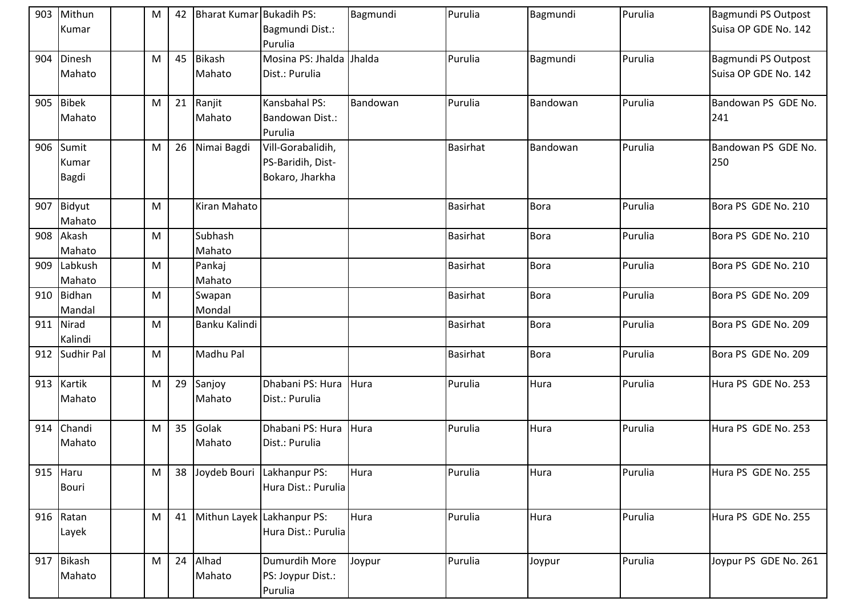| 903 | Mithun<br>Kumar         | M | 42 | Bharat Kumar Bukadih PS: | Bagmundi Dist.:<br>Purulia                                | Bagmundi | Purulia         | Bagmundi    | Purulia | Bagmundi PS Outpost<br>Suisa OP GDE No. 142 |
|-----|-------------------------|---|----|--------------------------|-----------------------------------------------------------|----------|-----------------|-------------|---------|---------------------------------------------|
| 904 | Dinesh<br>Mahato        | M | 45 | <b>Bikash</b><br>Mahato  | Mosina PS: Jhalda Jhalda<br>Dist.: Purulia                |          | Purulia         | Bagmundi    | Purulia | Bagmundi PS Outpost<br>Suisa OP GDE No. 142 |
| 905 | <b>Bibek</b><br>Mahato  | M | 21 | Ranjit<br>Mahato         | Kansbahal PS:<br>Bandowan Dist.:<br>Purulia               | Bandowan | Purulia         | Bandowan    | Purulia | Bandowan PS GDE No.<br>241                  |
| 906 | Sumit<br>Kumar<br>Bagdi | M | 26 | Nimai Bagdi              | Vill-Gorabalidih,<br>PS-Baridih, Dist-<br>Bokaro, Jharkha |          | <b>Basirhat</b> | Bandowan    | Purulia | Bandowan PS GDE No.<br>250                  |
| 907 | Bidyut<br>Mahato        | M |    | Kiran Mahato             |                                                           |          | <b>Basirhat</b> | <b>Bora</b> | Purulia | Bora PS GDE No. 210                         |
| 908 | Akash<br>Mahato         | M |    | Subhash<br>Mahato        |                                                           |          | Basirhat        | <b>Bora</b> | Purulia | Bora PS GDE No. 210                         |
| 909 | Labkush<br>Mahato       | M |    | Pankaj<br>Mahato         |                                                           |          | <b>Basirhat</b> | <b>Bora</b> | Purulia | Bora PS GDE No. 210                         |
| 910 | <b>Bidhan</b><br>Mandal | M |    | Swapan<br>Mondal         |                                                           |          | <b>Basirhat</b> | <b>Bora</b> | Purulia | Bora PS GDE No. 209                         |
| 911 | Nirad<br>Kalindi        | M |    | Banku Kalindi            |                                                           |          | <b>Basirhat</b> | <b>Bora</b> | Purulia | Bora PS GDE No. 209                         |
| 912 | Sudhir Pal              | M |    | Madhu Pal                |                                                           |          | <b>Basirhat</b> | <b>Bora</b> | Purulia | Bora PS GDE No. 209                         |
| 913 | Kartik<br>Mahato        | M | 29 | Sanjoy<br>Mahato         | Dhabani PS: Hura<br>Dist.: Purulia                        | Hura     | Purulia         | Hura        | Purulia | Hura PS GDE No. 253                         |
| 914 | Chandi<br>Mahato        | M | 35 | Golak<br>Mahato          | Dhabani PS: Hura<br>Dist.: Purulia                        | Hura     | Purulia         | Hura        | Purulia | Hura PS GDE No. 253                         |
| 915 | Haru<br><b>Bouri</b>    | M | 38 | Joydeb Bouri             | Lakhanpur PS:<br>Hura Dist.: Purulia                      | Hura     | Purulia         | Hura        | Purulia | Hura PS GDE No. 255                         |
| 916 | Ratan<br>Layek          | M | 41 |                          | Mithun Layek Lakhanpur PS:<br>Hura Dist.: Purulia         | Hura     | Purulia         | Hura        | Purulia | Hura PS GDE No. 255                         |
| 917 | Bikash<br>Mahato        | M | 24 | Alhad<br>Mahato          | Dumurdih More<br>PS: Joypur Dist.:<br>Purulia             | Joypur   | Purulia         | Joypur      | Purulia | Joypur PS GDE No. 261                       |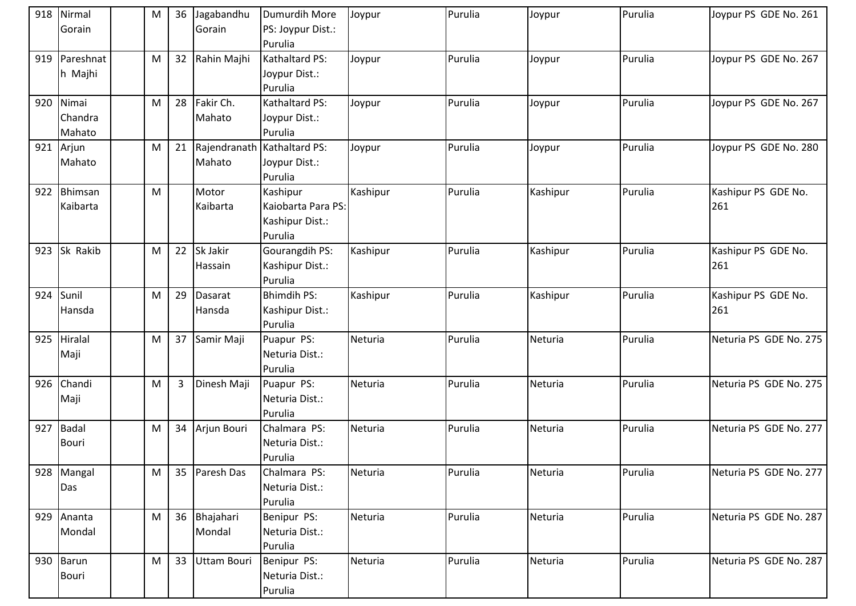|     | 918 Nirmal<br>Gorain         | M | 36             | Jagabandhu<br>Gorain     | Dumurdih More<br>PS: Joypur Dist.:<br>Purulia                | Joypur   | Purulia | Joypur   | Purulia | Joypur PS GDE No. 261      |
|-----|------------------------------|---|----------------|--------------------------|--------------------------------------------------------------|----------|---------|----------|---------|----------------------------|
| 919 | Pareshnat<br>h Majhi         | M | 32             | Rahin Majhi              | Kathaltard PS:<br>Joypur Dist.:<br>Purulia                   | Joypur   | Purulia | Joypur   | Purulia | Joypur PS GDE No. 267      |
| 920 | Nimai<br>Chandra<br>Mahato   | M | 28             | Fakir Ch.<br>Mahato      | Kathaltard PS:<br>Joypur Dist.:<br>Purulia                   | Joypur   | Purulia | Joypur   | Purulia | Joypur PS GDE No. 267      |
| 921 | Arjun<br>Mahato              | M | 21             | Mahato                   | Rajendranath Kathaltard PS:<br>Joypur Dist.:<br>Purulia      | Joypur   | Purulia | Joypur   | Purulia | Joypur PS GDE No. 280      |
| 922 | Bhimsan<br>Kaibarta          | M |                | Motor<br>Kaibarta        | Kashipur<br>Kaiobarta Para PS:<br>Kashipur Dist.:<br>Purulia | Kashipur | Purulia | Kashipur | Purulia | Kashipur PS GDE No.<br>261 |
| 923 | Sk Rakib                     | M | 22             | Sk Jakir<br>Hassain      | Gourangdih PS:<br>Kashipur Dist.:<br>Purulia                 | Kashipur | Purulia | Kashipur | Purulia | Kashipur PS GDE No.<br>261 |
| 924 | Sunil<br>Hansda              | M | 29             | <b>Dasarat</b><br>Hansda | <b>Bhimdih PS:</b><br>Kashipur Dist.:<br>Purulia             | Kashipur | Purulia | Kashipur | Purulia | Kashipur PS GDE No.<br>261 |
| 925 | <b>Hiralal</b><br>Maji       | M | 37             | Samir Maji               | Puapur PS:<br>Neturia Dist.:<br>Purulia                      | Neturia  | Purulia | Neturia  | Purulia | Neturia PS GDE No. 275     |
| 926 | Chandi<br>Maji               | M | $\overline{3}$ | Dinesh Maji              | Puapur PS:<br>Neturia Dist.:<br>Purulia                      | Neturia  | Purulia | Neturia  | Purulia | Neturia PS GDE No. 275     |
| 927 | <b>Badal</b><br><b>Bouri</b> | M | 34             | Arjun Bouri              | Chalmara PS:<br>Neturia Dist.:<br>Purulia                    | Neturia  | Purulia | Neturia  | Purulia | Neturia PS GDE No. 277     |
|     | 928 Mangal<br>Das            | M | 35             | Paresh Das               | Chalmara PS:<br>Neturia Dist.:<br>Purulia                    | Neturia  | Purulia | Neturia  | Purulia | Neturia PS GDE No. 277     |
| 929 | Ananta<br>Mondal             | M | 36             | Bhajahari<br>Mondal      | Benipur PS:<br>Neturia Dist.:<br>Purulia                     | Neturia  | Purulia | Neturia  | Purulia | Neturia PS GDE No. 287     |
| 930 | Barun<br><b>Bouri</b>        | M | 33             | Uttam Bouri              | Benipur PS:<br>Neturia Dist.:<br>Purulia                     | Neturia  | Purulia | Neturia  | Purulia | Neturia PS GDE No. 287     |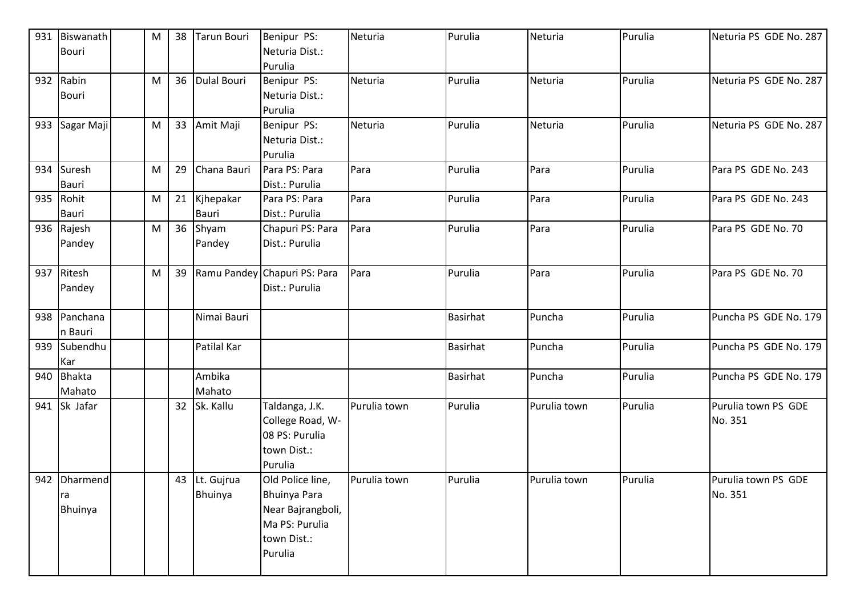| 931 | Biswanath     | M | 38 | Tarun Bouri   | Benipur PS:                  | Neturia      | Purulia         | Neturia      | Purulia | Neturia PS GDE No. 287 |
|-----|---------------|---|----|---------------|------------------------------|--------------|-----------------|--------------|---------|------------------------|
|     | <b>Bouri</b>  |   |    |               | Neturia Dist.:               |              |                 |              |         |                        |
|     |               |   |    |               | Purulia                      |              |                 |              |         |                        |
| 932 | Rabin         | M | 36 | Dulal Bouri   | Benipur PS:                  | Neturia      | Purulia         | Neturia      | Purulia | Neturia PS GDE No. 287 |
|     | Bouri         |   |    |               | Neturia Dist.:               |              |                 |              |         |                        |
|     |               |   |    |               | Purulia                      |              |                 |              |         |                        |
| 933 | Sagar Maji    | M | 33 | Amit Maji     | Benipur PS:                  | Neturia      | Purulia         | Neturia      | Purulia | Neturia PS GDE No. 287 |
|     |               |   |    |               | Neturia Dist.:               |              |                 |              |         |                        |
|     |               |   |    |               | Purulia                      |              |                 |              |         |                        |
| 934 | Suresh        | M | 29 | Chana Bauri   | Para PS: Para                | Para         | Purulia         | Para         | Purulia | Para PS GDE No. 243    |
|     | <b>Bauri</b>  |   |    |               | Dist.: Purulia               |              |                 |              |         |                        |
| 935 | Rohit         | M | 21 | Kjhepakar     | Para PS: Para                | Para         | Purulia         | Para         | Purulia | Para PS GDE No. 243    |
|     | <b>Bauri</b>  |   |    | <b>Bauri</b>  | Dist.: Purulia               |              |                 |              |         |                        |
| 936 | Rajesh        | M | 36 | Shyam         | Chapuri PS: Para             | Para         | Purulia         | Para         | Purulia | Para PS GDE No. 70     |
|     | Pandey        |   |    | Pandey        | Dist.: Purulia               |              |                 |              |         |                        |
|     |               |   |    |               |                              |              |                 |              |         |                        |
|     | 937 Ritesh    | M | 39 |               | Ramu Pandey Chapuri PS: Para | Para         | Purulia         | Para         | Purulia | Para PS GDE No. 70     |
|     | Pandey        |   |    |               | Dist.: Purulia               |              |                 |              |         |                        |
|     |               |   |    |               |                              |              |                 |              |         |                        |
| 938 | Panchana      |   |    | Nimai Bauri   |                              |              | <b>Basirhat</b> | Puncha       | Purulia | Puncha PS GDE No. 179  |
|     | n Bauri       |   |    |               |                              |              |                 |              |         |                        |
| 939 | Subendhu      |   |    | Patilal Kar   |                              |              | <b>Basirhat</b> | Puncha       | Purulia | Puncha PS GDE No. 179  |
|     | Kar           |   |    |               |                              |              |                 |              |         |                        |
| 940 | <b>Bhakta</b> |   |    | Ambika        |                              |              | <b>Basirhat</b> | Puncha       | Purulia | Puncha PS GDE No. 179  |
|     | Mahato        |   |    | Mahato        |                              |              |                 |              |         |                        |
| 941 | Sk Jafar      |   | 32 | Sk. Kallu     | Taldanga, J.K.               | Purulia town | Purulia         | Purulia town | Purulia | Purulia town PS GDE    |
|     |               |   |    |               | College Road, W-             |              |                 |              |         | No. 351                |
|     |               |   |    |               | 08 PS: Purulia               |              |                 |              |         |                        |
|     |               |   |    |               | town Dist.:                  |              |                 |              |         |                        |
|     |               |   |    |               | Purulia                      |              |                 |              |         |                        |
|     | 942 Dharmend  |   |    | 43 Lt. Gujrua | Old Police line,             | Purulia town | Purulia         | Purulia town | Purulia | Purulia town PS GDE    |
|     | ra            |   |    | Bhuinya       | <b>Bhuinya Para</b>          |              |                 |              |         | No. 351                |
|     | Bhuinya       |   |    |               | Near Bajrangboli,            |              |                 |              |         |                        |
|     |               |   |    |               | Ma PS: Purulia               |              |                 |              |         |                        |
|     |               |   |    |               | town Dist.:                  |              |                 |              |         |                        |
|     |               |   |    |               | Purulia                      |              |                 |              |         |                        |
|     |               |   |    |               |                              |              |                 |              |         |                        |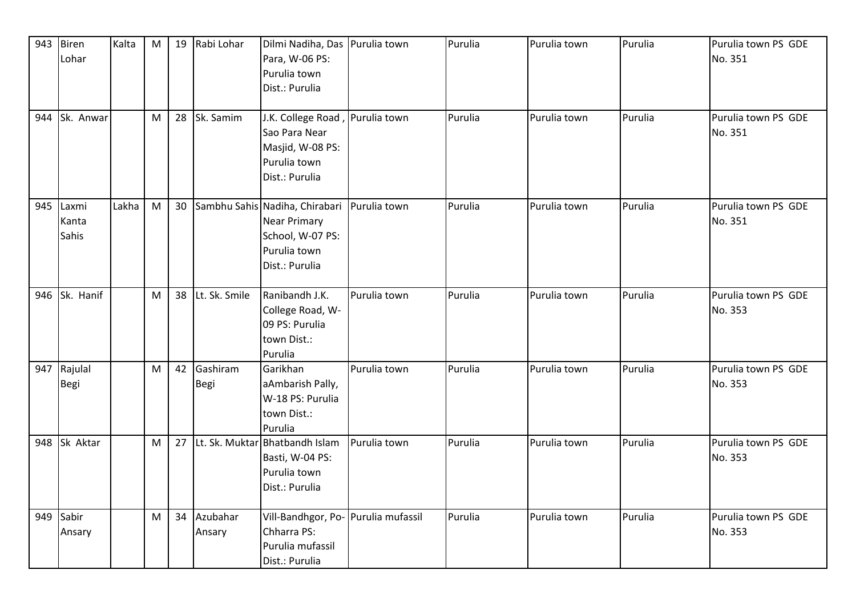| 943 | Biren<br>Lohar          | Kalta | M | 19 | Rabi Lohar         | Dilmi Nadiha, Das Purulia town<br>Para, W-06 PS:<br>Purulia town<br>Dist.: Purulia                                       |              | Purulia | Purulia town | Purulia | Purulia town PS GDE<br>No. 351 |
|-----|-------------------------|-------|---|----|--------------------|--------------------------------------------------------------------------------------------------------------------------|--------------|---------|--------------|---------|--------------------------------|
| 944 | Sk. Anwar               |       | M | 28 | Sk. Samim          | J.K. College Road, Purulia town<br>Sao Para Near<br>Masjid, W-08 PS:<br>Purulia town<br>Dist.: Purulia                   |              | Purulia | Purulia town | Purulia | Purulia town PS GDE<br>No. 351 |
| 945 | Laxmi<br>Kanta<br>Sahis | Lakha | M | 30 |                    | Sambhu Sahis Nadiha, Chirabari Purulia town<br><b>Near Primary</b><br>School, W-07 PS:<br>Purulia town<br>Dist.: Purulia |              | Purulia | Purulia town | Purulia | Purulia town PS GDE<br>No. 351 |
| 946 | Sk. Hanif               |       | M | 38 | Lt. Sk. Smile      | Ranibandh J.K.<br>College Road, W-<br>09 PS: Purulia<br>town Dist.:<br>Purulia                                           | Purulia town | Purulia | Purulia town | Purulia | Purulia town PS GDE<br>No. 353 |
|     | 947 Rajulal<br>Begi     |       | M | 42 | Gashiram<br>Begi   | Garikhan<br>aAmbarish Pally,<br>W-18 PS: Purulia<br>town Dist.:<br>Purulia                                               | Purulia town | Purulia | Purulia town | Purulia | Purulia town PS GDE<br>No. 353 |
|     | 948 Sk Aktar            |       | M | 27 |                    | Lt. Sk. Muktar Bhatbandh Islam<br>Basti, W-04 PS:<br>Purulia town<br>Dist.: Purulia                                      | Purulia town | Purulia | Purulia town | Purulia | Purulia town PS GDE<br>No. 353 |
| 949 | Sabir<br>Ansary         |       | M | 34 | Azubahar<br>Ansary | Vill-Bandhgor, Po- Purulia mufassil<br>Chharra PS:<br>Purulia mufassil<br>Dist.: Purulia                                 |              | Purulia | Purulia town | Purulia | Purulia town PS GDE<br>No. 353 |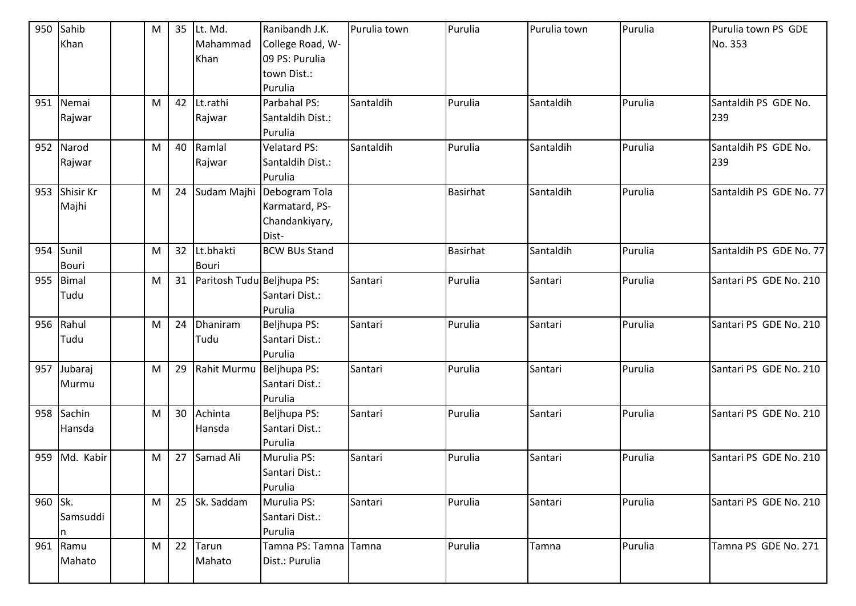| 950 | Sahib        | M | 35 | Lt. Md.                    | Ranibandh J.K.        | Purulia town | Purulia         | Purulia town | Purulia | Purulia town PS GDE     |
|-----|--------------|---|----|----------------------------|-----------------------|--------------|-----------------|--------------|---------|-------------------------|
|     | Khan         |   |    | Mahammad                   | College Road, W-      |              |                 |              |         | No. 353                 |
|     |              |   |    | Khan                       | 09 PS: Purulia        |              |                 |              |         |                         |
|     |              |   |    |                            | town Dist.:           |              |                 |              |         |                         |
|     |              |   |    |                            | Purulia               |              |                 |              |         |                         |
| 951 | Nemai        | M | 42 | Lt.rathi                   | Parbahal PS:          | Santaldih    | Purulia         | Santaldih    | Purulia | Santaldih PS GDE No.    |
|     | Rajwar       |   |    | Rajwar                     | Santaldih Dist.:      |              |                 |              |         | 239                     |
|     |              |   |    |                            | Purulia               |              |                 |              |         |                         |
| 952 | Narod        | M | 40 | Ramlal                     | <b>Velatard PS:</b>   | Santaldih    | Purulia         | Santaldih    | Purulia | Santaldih PS GDE No.    |
|     | Rajwar       |   |    | Rajwar                     | Santaldih Dist.:      |              |                 |              |         | 239                     |
|     |              |   |    |                            | Purulia               |              |                 |              |         |                         |
| 953 | Shisir Kr    | M | 24 | Sudam Majhi                | Debogram Tola         |              | <b>Basirhat</b> | Santaldih    | Purulia | Santaldih PS GDE No. 77 |
|     | Majhi        |   |    |                            | Karmatard, PS-        |              |                 |              |         |                         |
|     |              |   |    |                            | Chandankiyary,        |              |                 |              |         |                         |
|     |              |   |    |                            | Dist-                 |              |                 |              |         |                         |
| 954 | Sunil        | M | 32 | Lt.bhakti                  | <b>BCW BUs Stand</b>  |              | <b>Basirhat</b> | Santaldih    | Purulia | Santaldih PS GDE No. 77 |
|     | <b>Bouri</b> |   |    | <b>Bouri</b>               |                       |              |                 |              |         |                         |
| 955 | <b>Bimal</b> | M | 31 | Paritosh Tudu Beljhupa PS: |                       | Santari      | Purulia         | Santari      | Purulia | Santari PS GDE No. 210  |
|     | Tudu         |   |    |                            | Santari Dist.:        |              |                 |              |         |                         |
|     |              |   |    |                            | Purulia               |              |                 |              |         |                         |
| 956 | Rahul        | M | 24 | Dhaniram                   | Beljhupa PS:          | Santari      | Purulia         | Santari      | Purulia | Santari PS GDE No. 210  |
|     | Tudu         |   |    | Tudu                       | Santari Dist.:        |              |                 |              |         |                         |
|     |              |   |    |                            | Purulia               |              |                 |              |         |                         |
| 957 | Jubaraj      | M | 29 | Rahit Murmu                | Beljhupa PS:          | Santari      | Purulia         | Santari      | Purulia | Santari PS GDE No. 210  |
|     | Murmu        |   |    |                            | Santari Dist.:        |              |                 |              |         |                         |
|     |              |   |    |                            | Purulia               |              |                 |              |         |                         |
| 958 | Sachin       | M | 30 | Achinta                    | Beljhupa PS:          | Santari      | Purulia         | Santari      | Purulia | Santari PS GDE No. 210  |
|     | Hansda       |   |    | Hansda                     | Santari Dist.:        |              |                 |              |         |                         |
|     |              |   |    |                            | Purulia               |              |                 |              |         |                         |
| 959 | Md. Kabir    | M | 27 | Samad Ali                  | Murulia PS:           | Santari      | Purulia         | Santari      | Purulia | Santari PS GDE No. 210  |
|     |              |   |    |                            | Santari Dist.:        |              |                 |              |         |                         |
|     |              |   |    |                            | Purulia               |              |                 |              |         |                         |
| 960 | Sk.          | M | 25 | Sk. Saddam                 | Murulia PS:           | Santari      | Purulia         | Santari      | Purulia | Santari PS GDE No. 210  |
|     | Samsuddi     |   |    |                            | Santari Dist.:        |              |                 |              |         |                         |
|     | n            |   |    |                            | Purulia               |              |                 |              |         |                         |
| 961 | Ramu         | M | 22 | Tarun                      | Tamna PS: Tamna Tamna |              | Purulia         | Tamna        | Purulia | Tamna PS GDE No. 271    |
|     | Mahato       |   |    | Mahato                     | Dist.: Purulia        |              |                 |              |         |                         |
|     |              |   |    |                            |                       |              |                 |              |         |                         |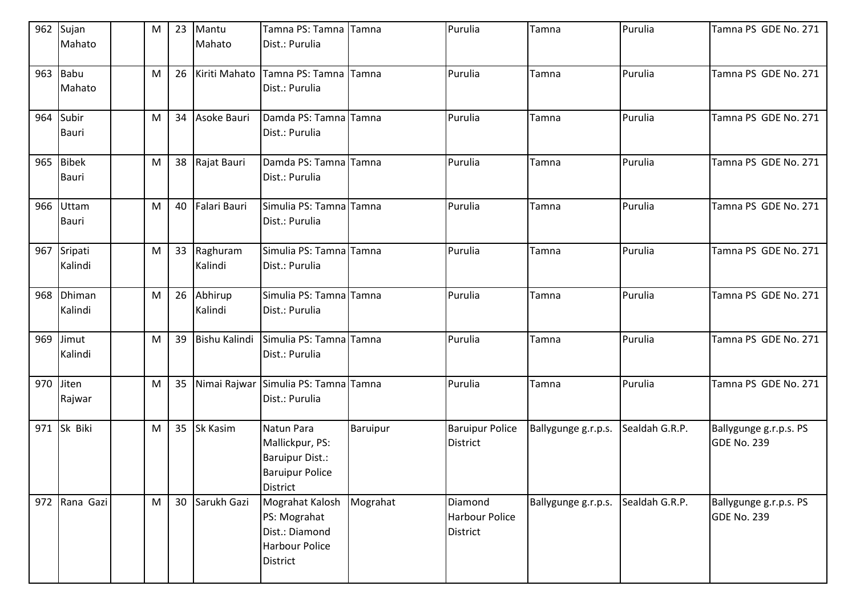| 962 | Sujan         | M | 23 | Mantu                | Tamna PS: Tamna Tamna                     |          | Purulia                          | Tamna               | Purulia        | Tamna PS GDE No. 271                         |
|-----|---------------|---|----|----------------------|-------------------------------------------|----------|----------------------------------|---------------------|----------------|----------------------------------------------|
|     | Mahato        |   |    | Mahato               | Dist.: Purulia                            |          |                                  |                     |                |                                              |
| 963 | <b>Babu</b>   | M | 26 | Kiriti Mahato        | Tamna PS: Tamna Tamna                     |          | Purulia                          | Tamna               | Purulia        | Tamna PS GDE No. 271                         |
|     | Mahato        |   |    |                      | Dist.: Purulia                            |          |                                  |                     |                |                                              |
| 964 | Subir         | M | 34 | Asoke Bauri          | Damda PS: Tamna Tamna                     |          | Purulia                          | Tamna               | Purulia        | Tamna PS GDE No. 271                         |
|     | <b>Bauri</b>  |   |    |                      | Dist.: Purulia                            |          |                                  |                     |                |                                              |
| 965 | <b>Bibek</b>  | M | 38 | Rajat Bauri          | Damda PS: Tamna Tamna                     |          | Purulia                          | Tamna               | Purulia        | Tamna PS GDE No. 271                         |
|     | <b>Bauri</b>  |   |    |                      | Dist.: Purulia                            |          |                                  |                     |                |                                              |
| 966 | Uttam         | M | 40 | Falari Bauri         | Simulia PS: Tamna Tamna                   |          | Purulia                          | Tamna               | Purulia        | Tamna PS GDE No. 271                         |
|     | <b>Bauri</b>  |   |    |                      | Dist.: Purulia                            |          |                                  |                     |                |                                              |
| 967 | Sripati       | M | 33 | Raghuram             | Simulia PS: Tamna Tamna                   |          | Purulia                          | Tamna               | Purulia        | Tamna PS GDE No. 271                         |
|     | Kalindi       |   |    | Kalindi              | Dist.: Purulia                            |          |                                  |                     |                |                                              |
| 968 | Dhiman        | M | 26 | Abhirup              | Simulia PS: Tamna Tamna                   |          | Purulia                          | Tamna               | Purulia        | Tamna PS GDE No. 271                         |
|     | Kalindi       |   |    | Kalindi              | Dist.: Purulia                            |          |                                  |                     |                |                                              |
| 969 | Jimut         | M | 39 | <b>Bishu Kalindi</b> | Simulia PS: Tamna Tamna                   |          | Purulia                          | Tamna               | Purulia        | Tamna PS GDE No. 271                         |
|     | Kalindi       |   |    |                      | Dist.: Purulia                            |          |                                  |                     |                |                                              |
| 970 | Jiten         | M | 35 | Nimai Rajwar         | Simulia PS: Tamna Tamna                   |          | Purulia                          | Tamna               | Purulia        | Tamna PS GDE No. 271                         |
|     | Rajwar        |   |    |                      | Dist.: Purulia                            |          |                                  |                     |                |                                              |
| 971 | Sk Biki       | M | 35 | Sk Kasim             | Natun Para                                | Baruipur | <b>Baruipur Police</b>           | Ballygunge g.r.p.s. | Sealdah G.R.P. | Ballygunge g.r.p.s. PS                       |
|     |               |   |    |                      | Mallickpur, PS:<br><b>Baruipur Dist.:</b> |          | <b>District</b>                  |                     |                | <b>GDE No. 239</b>                           |
|     |               |   |    |                      | <b>Baruipur Police</b>                    |          |                                  |                     |                |                                              |
|     |               |   |    |                      | <b>District</b>                           |          |                                  |                     |                |                                              |
|     | 972 Rana Gazi | M | 30 | Sarukh Gazi          | Mograhat Kalosh<br>PS: Mograhat           | Mograhat | Diamond<br><b>Harbour Police</b> | Ballygunge g.r.p.s. | Sealdah G.R.P. | Ballygunge g.r.p.s. PS<br><b>GDE No. 239</b> |
|     |               |   |    |                      | Dist.: Diamond                            |          | <b>District</b>                  |                     |                |                                              |
|     |               |   |    |                      | Harbour Police                            |          |                                  |                     |                |                                              |
|     |               |   |    |                      | District                                  |          |                                  |                     |                |                                              |
|     |               |   |    |                      |                                           |          |                                  |                     |                |                                              |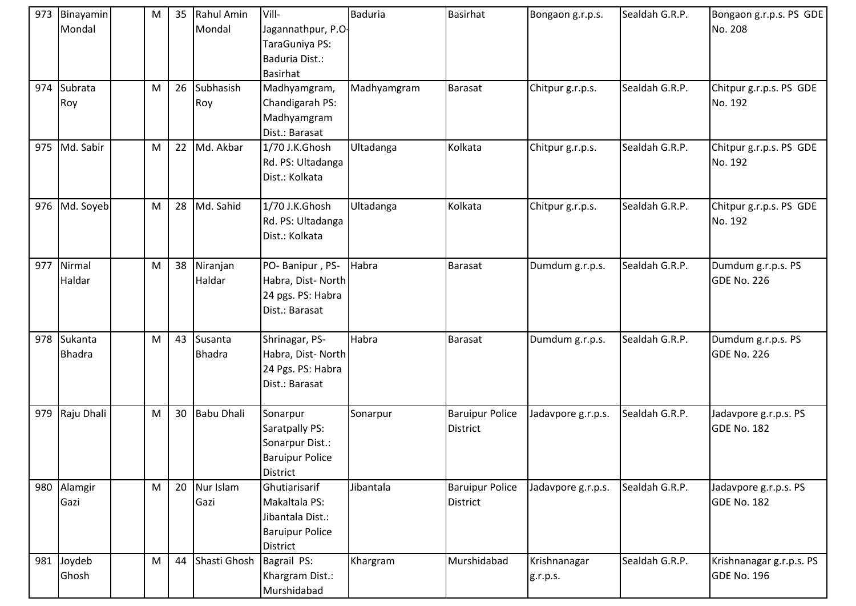|     | 973 Binayamin<br>Mondal  | M | 35 | Rahul Amin<br>Mondal     | Vill-<br>Jagannathpur, P.O-<br>TaraGuniya PS:<br>Baduria Dist.:<br>Basirhat                     | <b>Baduria</b> | <b>Basirhat</b>                           | Bongaon g.r.p.s.         | Sealdah G.R.P. | Bongaon g.r.p.s. PS GDE<br>No. 208             |
|-----|--------------------------|---|----|--------------------------|-------------------------------------------------------------------------------------------------|----------------|-------------------------------------------|--------------------------|----------------|------------------------------------------------|
| 974 | Subrata<br>Roy           | M | 26 | Subhasish<br>Roy         | Madhyamgram,<br>Chandigarah PS:<br>Madhyamgram<br>Dist.: Barasat                                | Madhyamgram    | <b>Barasat</b>                            | Chitpur g.r.p.s.         | Sealdah G.R.P. | Chitpur g.r.p.s. PS GDE<br>No. 192             |
| 975 | Md. Sabir                | M | 22 | Md. Akbar                | 1/70 J.K.Ghosh<br>Rd. PS: Ultadanga<br>Dist.: Kolkata                                           | Ultadanga      | Kolkata                                   | Chitpur g.r.p.s.         | Sealdah G.R.P. | Chitpur g.r.p.s. PS GDE<br>No. 192             |
| 976 | Md. Soyeb                | M | 28 | Md. Sahid                | 1/70 J.K.Ghosh<br>Rd. PS: Ultadanga<br>Dist.: Kolkata                                           | Ultadanga      | Kolkata                                   | Chitpur g.r.p.s.         | Sealdah G.R.P. | Chitpur g.r.p.s. PS GDE<br>No. 192             |
| 977 | Nirmal<br>Haldar         | M | 38 | Niranjan<br>Haldar       | PO-Banipur, PS-<br>Habra, Dist-North<br>24 pgs. PS: Habra<br>Dist.: Barasat                     | Habra          | <b>Barasat</b>                            | Dumdum g.r.p.s.          | Sealdah G.R.P. | Dumdum g.r.p.s. PS<br><b>GDE No. 226</b>       |
| 978 | Sukanta<br><b>Bhadra</b> | M | 43 | Susanta<br><b>Bhadra</b> | Shrinagar, PS-<br>Habra, Dist-North<br>24 Pgs. PS: Habra<br>Dist.: Barasat                      | Habra          | <b>Barasat</b>                            | Dumdum g.r.p.s.          | Sealdah G.R.P. | Dumdum g.r.p.s. PS<br><b>GDE No. 226</b>       |
| 979 | Raju Dhali               | M | 30 | <b>Babu Dhali</b>        | Sonarpur<br>Saratpally PS:<br>Sonarpur Dist.:<br><b>Baruipur Police</b><br>District             | Sonarpur       | <b>Baruipur Police</b><br><b>District</b> | Jadavpore g.r.p.s.       | Sealdah G.R.P. | Jadavpore g.r.p.s. PS<br><b>GDE No. 182</b>    |
| 980 | Alamgir<br>Gazi          | M | 20 | Nur Islam<br>Gazi        | Ghutiarisarif<br>Makaltala PS:<br>Jibantala Dist.:<br><b>Baruipur Police</b><br><b>District</b> | Jibantala      | <b>Baruipur Police</b><br><b>District</b> | Jadavpore g.r.p.s.       | Sealdah G.R.P. | Jadavpore g.r.p.s. PS<br><b>GDE No. 182</b>    |
| 981 | Joydeb<br>Ghosh          | M | 44 | Shasti Ghosh             | Bagrail PS:<br>Khargram Dist.:<br>Murshidabad                                                   | Khargram       | Murshidabad                               | Krishnanagar<br>g.r.p.s. | Sealdah G.R.P. | Krishnanagar g.r.p.s. PS<br><b>GDE No. 196</b> |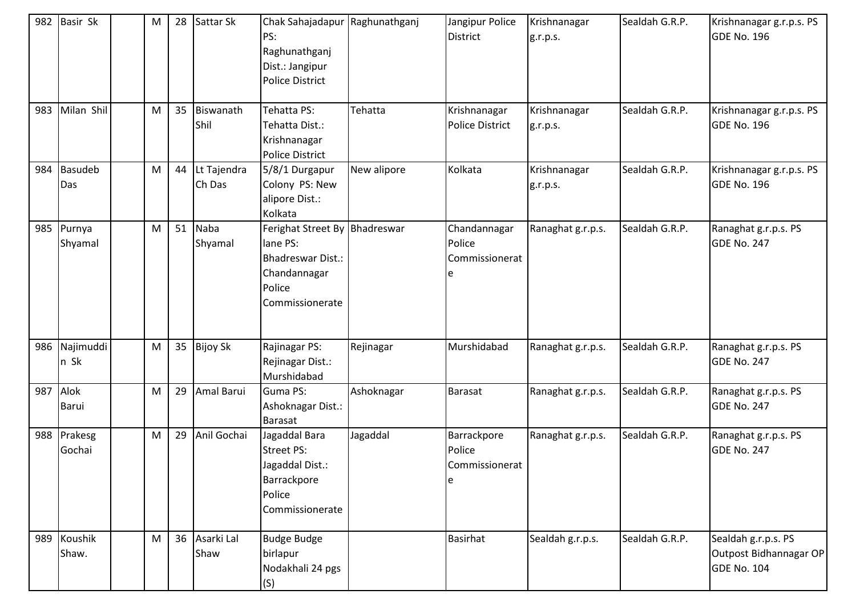| 982 | <b>Basir Sk</b>       | M | 28 | Sattar Sk             | Chak Sahajadapur Raghunathganj<br>PS:<br>Raghunathganj<br>Dist.: Jangipur<br><b>Police District</b>                |             | Jangipur Police<br><b>District</b>            | Krishnanagar<br>g.r.p.s. | Sealdah G.R.P. | Krishnanagar g.r.p.s. PS<br><b>GDE No. 196</b>                      |
|-----|-----------------------|---|----|-----------------------|--------------------------------------------------------------------------------------------------------------------|-------------|-----------------------------------------------|--------------------------|----------------|---------------------------------------------------------------------|
| 983 | Milan Shil            | M | 35 | Biswanath<br>Shil     | Tehatta PS:<br>Tehatta Dist.:<br>Krishnanagar<br><b>Police District</b>                                            | Tehatta     | Krishnanagar<br><b>Police District</b>        | Krishnanagar<br>g.r.p.s. | Sealdah G.R.P. | Krishnanagar g.r.p.s. PS<br><b>GDE No. 196</b>                      |
| 984 | <b>Basudeb</b><br>Das | M | 44 | Lt Tajendra<br>Ch Das | 5/8/1 Durgapur<br>Colony PS: New<br>alipore Dist.:<br>Kolkata                                                      | New alipore | Kolkata                                       | Krishnanagar<br>g.r.p.s. | Sealdah G.R.P. | Krishnanagar g.r.p.s. PS<br><b>GDE No. 196</b>                      |
| 985 | Purnya<br>Shyamal     | M | 51 | Naba<br>Shyamal       | Ferighat Street By Bhadreswar<br>lane PS:<br><b>Bhadreswar Dist.:</b><br>Chandannagar<br>Police<br>Commissionerate |             | Chandannagar<br>Police<br>Commissionerat<br>e | Ranaghat g.r.p.s.        | Sealdah G.R.P. | Ranaghat g.r.p.s. PS<br>GDE No. 247                                 |
| 986 | Najimuddi<br>n Sk     | M | 35 | <b>Bijoy Sk</b>       | Rajinagar PS:<br>Rejinagar Dist.:<br>Murshidabad                                                                   | Rejinagar   | Murshidabad                                   | Ranaghat g.r.p.s.        | Sealdah G.R.P. | Ranaghat g.r.p.s. PS<br><b>GDE No. 247</b>                          |
| 987 | Alok<br>Barui         | M | 29 | Amal Barui            | Guma PS:<br>Ashoknagar Dist.:<br>Barasat                                                                           | Ashoknagar  | Barasat                                       | Ranaghat g.r.p.s.        | Sealdah G.R.P. | Ranaghat g.r.p.s. PS<br><b>GDE No. 247</b>                          |
| 988 | Prakesg<br>Gochai     | M | 29 | Anil Gochai           | Jagaddal Bara<br><b>Street PS:</b><br>Jagaddal Dist.:<br>Barrackpore<br>Police<br>Commissionerate                  | Jagaddal    | Barrackpore<br>Police<br>Commissionerat<br>e  | Ranaghat g.r.p.s.        | Sealdah G.R.P. | Ranaghat g.r.p.s. PS<br><b>GDE No. 247</b>                          |
| 989 | Koushik<br>Shaw.      | M |    | 36 Asarki Lal<br>Shaw | <b>Budge Budge</b><br>birlapur<br>Nodakhali 24 pgs<br>(S)                                                          |             | <b>Basirhat</b>                               | Sealdah g.r.p.s.         | Sealdah G.R.P. | Sealdah g.r.p.s. PS<br>Outpost Bidhannagar OP<br><b>GDE No. 104</b> |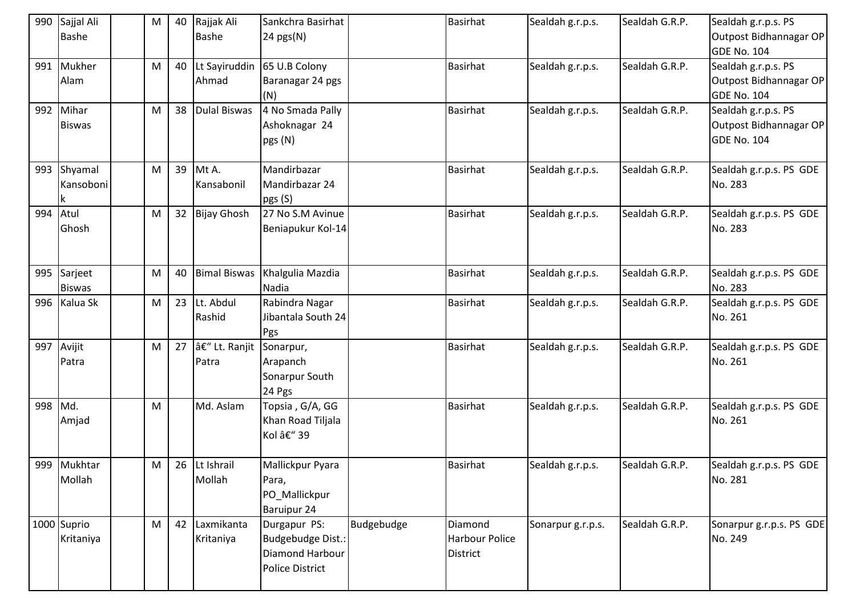| 990     | Sajjal Ali<br><b>Bashe</b> | M | 40 | Rajjak Ali<br><b>Bashe</b> | Sankchra Basirhat<br>24 $pgs(N)$ |            | <b>Basirhat</b> | Sealdah g.r.p.s.  | Sealdah G.R.P. | Sealdah g.r.p.s. PS<br>Outpost Bidhannagar OP |
|---------|----------------------------|---|----|----------------------------|----------------------------------|------------|-----------------|-------------------|----------------|-----------------------------------------------|
|         |                            |   |    |                            |                                  |            |                 |                   |                | <b>GDE No. 104</b>                            |
| 991     | Mukher                     | M | 40 | Lt Sayiruddin              | 65 U.B Colony                    |            | <b>Basirhat</b> | Sealdah g.r.p.s.  | Sealdah G.R.P. | Sealdah g.r.p.s. PS                           |
|         | Alam                       |   |    | Ahmad                      | Baranagar 24 pgs                 |            |                 |                   |                | Outpost Bidhannagar OP                        |
|         |                            |   |    |                            | (N)                              |            |                 |                   |                | <b>GDE No. 104</b>                            |
| 992     | Mihar                      | M | 38 | Dulal Biswas               | 4 No Smada Pally                 |            | Basirhat        | Sealdah g.r.p.s.  | Sealdah G.R.P. | Sealdah g.r.p.s. PS                           |
|         | <b>Biswas</b>              |   |    |                            | Ashoknagar 24                    |            |                 |                   |                | Outpost Bidhannagar OP                        |
|         |                            |   |    |                            | pgs (N)                          |            |                 |                   |                | <b>GDE No. 104</b>                            |
| 993     | Shyamal                    | M | 39 | Mt A.                      | Mandirbazar                      |            | <b>Basirhat</b> | Sealdah g.r.p.s.  | Sealdah G.R.P. | Sealdah g.r.p.s. PS GDE                       |
|         | Kansoboni                  |   |    | Kansabonil                 | Mandirbazar 24                   |            |                 |                   |                | No. 283                                       |
|         |                            |   |    |                            | pgs(S)                           |            |                 |                   |                |                                               |
| 994     | Atul                       | M | 32 | Bijay Ghosh                | 27 No S.M Avinue                 |            | <b>Basirhat</b> | Sealdah g.r.p.s.  | Sealdah G.R.P. | Sealdah g.r.p.s. PS GDE                       |
|         | Ghosh                      |   |    |                            | Beniapukur Kol-14                |            |                 |                   |                | No. 283                                       |
|         |                            |   |    |                            |                                  |            |                 |                   |                |                                               |
| 995     | Sarjeet                    | M | 40 | <b>Bimal Biswas</b>        | Khalgulia Mazdia                 |            | <b>Basirhat</b> | Sealdah g.r.p.s.  | Sealdah G.R.P. | Sealdah g.r.p.s. PS GDE                       |
|         | <b>Biswas</b>              |   |    |                            | Nadia                            |            |                 |                   |                | No. 283                                       |
| 996     | Kalua Sk                   | M | 23 | Lt. Abdul                  | Rabindra Nagar                   |            | <b>Basirhat</b> | Sealdah g.r.p.s.  | Sealdah G.R.P. | Sealdah g.r.p.s. PS GDE                       |
|         |                            |   |    | Rashid                     | Jibantala South 24               |            |                 |                   |                | No. 261                                       |
|         |                            |   |    |                            | Pgs                              |            |                 |                   |                |                                               |
| 997     | Avijit                     | M | 27 | – Lt. Ranjit               | Sonarpur,                        |            | <b>Basirhat</b> | Sealdah g.r.p.s.  | Sealdah G.R.P. | Sealdah g.r.p.s. PS GDE                       |
|         | Patra                      |   |    | Patra                      | Arapanch                         |            |                 |                   |                | No. 261                                       |
|         |                            |   |    |                            | Sonarpur South                   |            |                 |                   |                |                                               |
|         |                            |   |    |                            | 24 Pgs                           |            |                 |                   |                |                                               |
| 998 Md. |                            | M |    | Md. Aslam                  | Topsia, G/A, GG                  |            | <b>Basirhat</b> | Sealdah g.r.p.s.  | Sealdah G.R.P. | Sealdah g.r.p.s. PS GDE                       |
|         | Amjad                      |   |    |                            | Khan Road Tiljala<br>Kol – 39    |            |                 |                   |                | No. 261                                       |
|         |                            |   |    |                            |                                  |            |                 |                   |                |                                               |
|         | 999 Mukhtar                | M |    | 26 Lt Ishrail              | Mallickpur Pyara                 |            | <b>Basirhat</b> | Sealdah g.r.p.s.  | Sealdah G.R.P. | Sealdah g.r.p.s. PS GDE                       |
|         | Mollah                     |   |    | Mollah                     | Para,                            |            |                 |                   |                | No. 281                                       |
|         |                            |   |    |                            | PO Mallickpur                    |            |                 |                   |                |                                               |
|         |                            |   |    |                            | <b>Baruipur 24</b>               |            |                 |                   |                |                                               |
|         | 1000 Suprio                | M | 42 | Laxmikanta                 | Durgapur PS:                     | Budgebudge | Diamond         | Sonarpur g.r.p.s. | Sealdah G.R.P. | Sonarpur g.r.p.s. PS GDE                      |
|         | Kritaniya                  |   |    | Kritaniya                  | Budgebudge Dist.:                |            | Harbour Police  |                   |                | No. 249                                       |
|         |                            |   |    |                            | Diamond Harbour                  |            | <b>District</b> |                   |                |                                               |
|         |                            |   |    |                            | <b>Police District</b>           |            |                 |                   |                |                                               |
|         |                            |   |    |                            |                                  |            |                 |                   |                |                                               |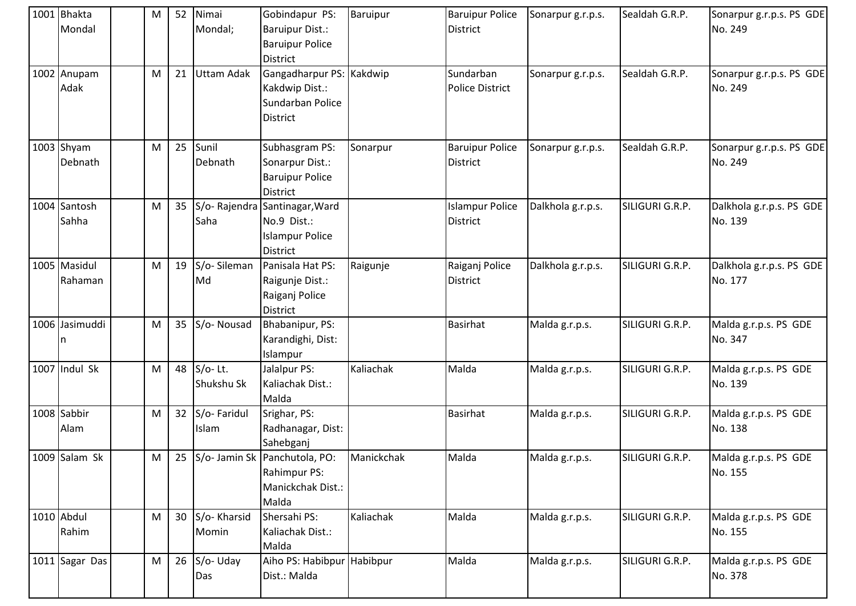| 1001 Bhakta<br>Mondal   | M | 52              | Nimai<br>Mondal;        | Gobindapur PS:<br><b>Baruipur Dist.:</b><br><b>Baruipur Police</b>                            | Baruipur   | <b>Baruipur Police</b><br><b>District</b> | Sonarpur g.r.p.s. | Sealdah G.R.P.  | Sonarpur g.r.p.s. PS GDE<br>No. 249 |
|-------------------------|---|-----------------|-------------------------|-----------------------------------------------------------------------------------------------|------------|-------------------------------------------|-------------------|-----------------|-------------------------------------|
| 1002 Anupam<br>Adak     | M | 21              | <b>Uttam Adak</b>       | <b>District</b><br>Gangadharpur PS: Kakdwip<br>Kakdwip Dist.:<br>Sundarban Police<br>District |            | Sundarban<br><b>Police District</b>       | Sonarpur g.r.p.s. | Sealdah G.R.P.  | Sonarpur g.r.p.s. PS GDE<br>No. 249 |
| $1003$ Shyam<br>Debnath | M | 25              | Sunil<br>Debnath        | Subhasgram PS:<br>Sonarpur Dist.:<br><b>Baruipur Police</b><br>District                       | Sonarpur   | <b>Baruipur Police</b><br><b>District</b> | Sonarpur g.r.p.s. | Sealdah G.R.P.  | Sonarpur g.r.p.s. PS GDE<br>No. 249 |
| 1004 Santosh<br>Sahha   | M | 35              | Saha                    | S/o-Rajendra Santinagar, Ward<br>No.9 Dist.:<br><b>Islampur Police</b><br>District            |            | <b>Islampur Police</b><br><b>District</b> | Dalkhola g.r.p.s. | SILIGURI G.R.P. | Dalkhola g.r.p.s. PS GDE<br>No. 139 |
| 1005 Masidul<br>Rahaman | M | 19              | S/o-Sileman<br>Md       | Panisala Hat PS:<br>Raigunje Dist.:<br>Raiganj Police<br><b>District</b>                      | Raigunje   | Raiganj Police<br><b>District</b>         | Dalkhola g.r.p.s. | SILIGURI G.R.P. | Dalkhola g.r.p.s. PS GDE<br>No. 177 |
| 1006 Jasimuddi<br>n     | M | 35              | S/o-Nousad              | Bhabanipur, PS:<br>Karandighi, Dist:<br>Islampur                                              |            | <b>Basirhat</b>                           | Malda g.r.p.s.    | SILIGURI G.R.P. | Malda g.r.p.s. PS GDE<br>No. 347    |
| 1007 Indul Sk           | M | 48              | $S/O-Lt.$<br>Shukshu Sk | Jalalpur PS:<br>Kaliachak Dist.:<br>Malda                                                     | Kaliachak  | Malda                                     | Malda g.r.p.s.    | SILIGURI G.R.P. | Malda g.r.p.s. PS GDE<br>No. 139    |
| 1008 Sabbir<br>Alam     | M | 32 <sup>2</sup> | S/o-Faridul<br>Islam    | Srighar, PS:<br>Radhanagar, Dist:<br>Sahebganj                                                |            | <b>Basirhat</b>                           | Malda g.r.p.s.    | SILIGURI G.R.P. | Malda g.r.p.s. PS GDE<br>No. 138    |
| 1009 Salam Sk           | M |                 |                         | 25 S/o-Jamin Sk Panchutola, PO:<br>Rahimpur PS:<br>Manickchak Dist.:<br>Malda                 | Manickchak | Malda                                     | Malda g.r.p.s.    | SILIGURI G.R.P. | Malda g.r.p.s. PS GDE<br>No. 155    |
| 1010 Abdul<br>Rahim     | M | 30              | S/o-Kharsid<br>Momin    | Shersahi PS:<br>Kaliachak Dist.:<br>Malda                                                     | Kaliachak  | Malda                                     | Malda g.r.p.s.    | SILIGURI G.R.P. | Malda g.r.p.s. PS GDE<br>No. 155    |
| 1011 Sagar Das          | M | 26              | S/o-Uday<br>Das         | Aiho PS: Habibpur Habibpur<br>Dist.: Malda                                                    |            | Malda                                     | Malda g.r.p.s.    | SILIGURI G.R.P. | Malda g.r.p.s. PS GDE<br>No. 378    |